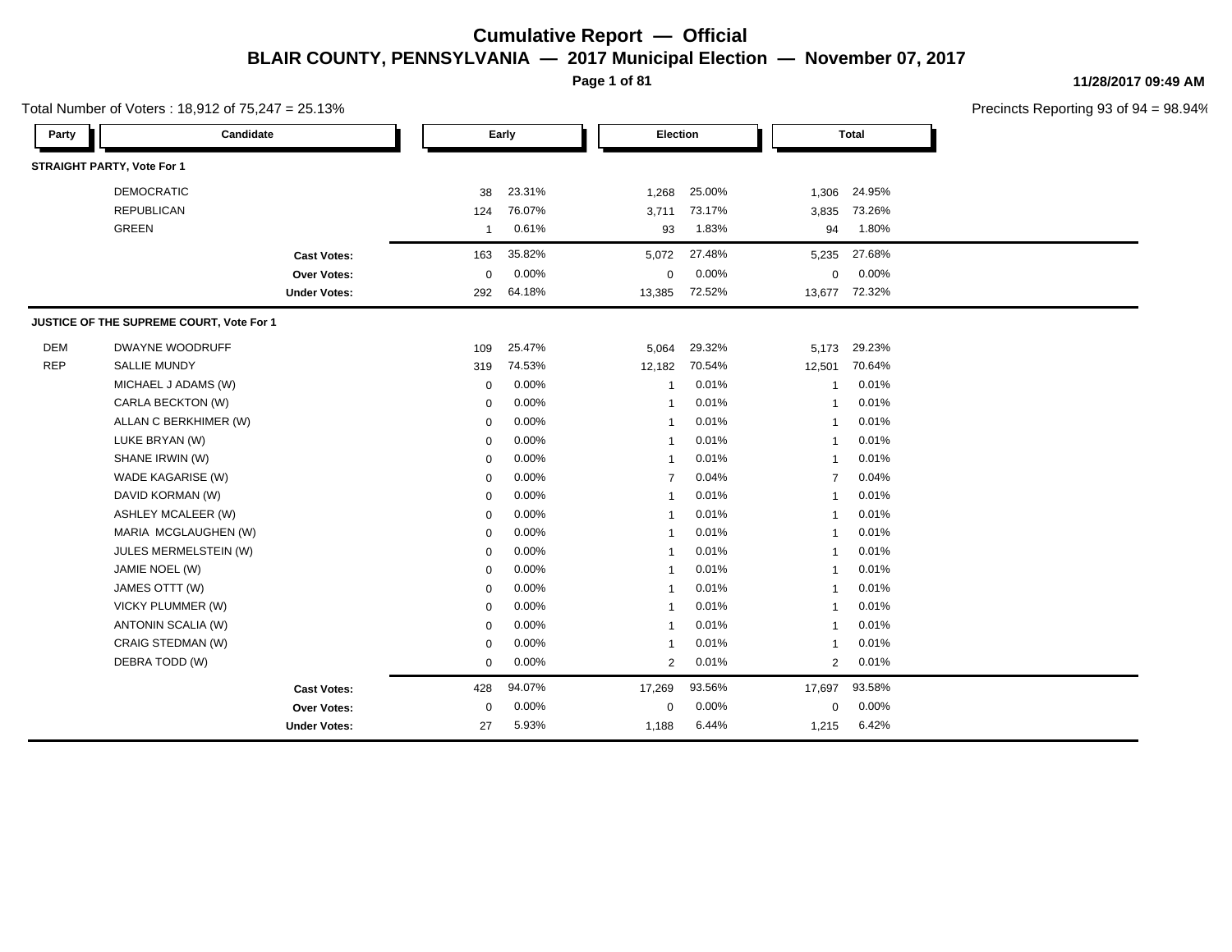**Page 1 of 81**

**11/28/2017 09:49 AM**

|            | Total Number of Voters: 18,912 of 75,247 = 25.13% |                     |                |          |        |                |        |                |              | Precincts Reporting 93 of 9 |
|------------|---------------------------------------------------|---------------------|----------------|----------|--------|----------------|--------|----------------|--------------|-----------------------------|
| Party      | Candidate                                         |                     |                | Early    |        | Election       |        |                | <b>Total</b> |                             |
|            | <b>STRAIGHT PARTY, Vote For 1</b>                 |                     |                |          |        |                |        |                |              |                             |
|            | <b>DEMOCRATIC</b>                                 |                     | 38             | 23.31%   | 1,268  |                | 25.00% | 1,306          | 24.95%       |                             |
|            | <b>REPUBLICAN</b>                                 |                     | 124            | 76.07%   | 3,711  |                | 73.17% | 3,835          | 73.26%       |                             |
|            | GREEN                                             |                     | $\overline{1}$ | 0.61%    |        | 93             | 1.83%  | 94             | 1.80%        |                             |
|            |                                                   | <b>Cast Votes:</b>  | 163            | 35.82%   | 5,072  |                | 27.48% | 5,235          | 27.68%       |                             |
|            |                                                   | Over Votes:         | 0              | 0.00%    |        | 0              | 0.00%  | 0              | 0.00%        |                             |
|            |                                                   | <b>Under Votes:</b> | 292            | 64.18%   | 13,385 |                | 72.52% | 13,677         | 72.32%       |                             |
|            | JUSTICE OF THE SUPREME COURT, Vote For 1          |                     |                |          |        |                |        |                |              |                             |
| <b>DEM</b> | DWAYNE WOODRUFF                                   |                     | 109            | 25.47%   | 5,064  |                | 29.32% | 5,173          | 29.23%       |                             |
| <b>REP</b> | <b>SALLIE MUNDY</b>                               |                     | 319            | 74.53%   | 12,182 |                | 70.54% | 12,501         | 70.64%       |                             |
|            | MICHAEL J ADAMS (W)                               |                     | 0              | 0.00%    |        | $\mathbf{1}$   | 0.01%  | -1             | 0.01%        |                             |
|            | CARLA BECKTON (W)                                 |                     | 0              | 0.00%    |        | $\mathbf{1}$   | 0.01%  | -1             | 0.01%        |                             |
|            | ALLAN C BERKHIMER (W)                             |                     | 0              | 0.00%    |        | $\mathbf{1}$   | 0.01%  | -1             | 0.01%        |                             |
|            | LUKE BRYAN (W)                                    |                     | 0              | 0.00%    |        | $\mathbf{1}$   | 0.01%  | -1             | 0.01%        |                             |
|            | SHANE IRWIN (W)                                   |                     | $\mathbf 0$    | $0.00\%$ |        | $\mathbf{1}$   | 0.01%  | -1             | 0.01%        |                             |
|            | WADE KAGARISE (W)                                 |                     | 0              | 0.00%    |        | $\overline{7}$ | 0.04%  | 7              | 0.04%        |                             |
|            | DAVID KORMAN (W)                                  |                     | 0              | 0.00%    |        | $\mathbf{1}$   | 0.01%  | -1             | 0.01%        |                             |
|            | <b>ASHLEY MCALEER (W)</b>                         |                     | $\mathbf 0$    | 0.00%    |        | $\mathbf{1}$   | 0.01%  | 1              | 0.01%        |                             |
|            | MARIA MCGLAUGHEN (W)                              |                     | 0              | 0.00%    |        | $\mathbf{1}$   | 0.01%  | -1             | 0.01%        |                             |
|            | JULES MERMELSTEIN (W)                             |                     | 0              | 0.00%    |        | $\mathbf{1}$   | 0.01%  | -1             | 0.01%        |                             |
|            | JAMIE NOEL (W)                                    |                     | 0              | 0.00%    |        | $\mathbf{1}$   | 0.01%  | -1             | 0.01%        |                             |
|            | JAMES OTTT (W)                                    |                     | 0              | 0.00%    |        | $\mathbf{1}$   | 0.01%  | -1             | 0.01%        |                             |
|            | VICKY PLUMMER (W)                                 |                     | 0              | 0.00%    |        | $\mathbf{1}$   | 0.01%  |                | 0.01%        |                             |
|            | ANTONIN SCALIA (W)                                |                     | 0              | $0.00\%$ |        | $\overline{1}$ | 0.01%  | -1             | 0.01%        |                             |
|            | CRAIG STEDMAN (W)                                 |                     | 0              | 0.00%    |        | $\mathbf{1}$   | 0.01%  | 1              | 0.01%        |                             |
|            | DEBRA TODD (W)                                    |                     | 0              | 0.00%    |        | $\overline{2}$ | 0.01%  | $\overline{2}$ | 0.01%        |                             |
|            |                                                   | <b>Cast Votes:</b>  | 428            | 94.07%   | 17,269 |                | 93.56% | 17,697         | 93.58%       |                             |
|            |                                                   | Over Votes:         | 0              | 0.00%    |        | $\mathbf 0$    | 0.00%  | $\mathbf 0$    | 0.00%        |                             |
|            |                                                   | <b>Under Votes:</b> | 27             | 5.93%    | 1,188  |                | 6.44%  | 1,215          | 6.42%        |                             |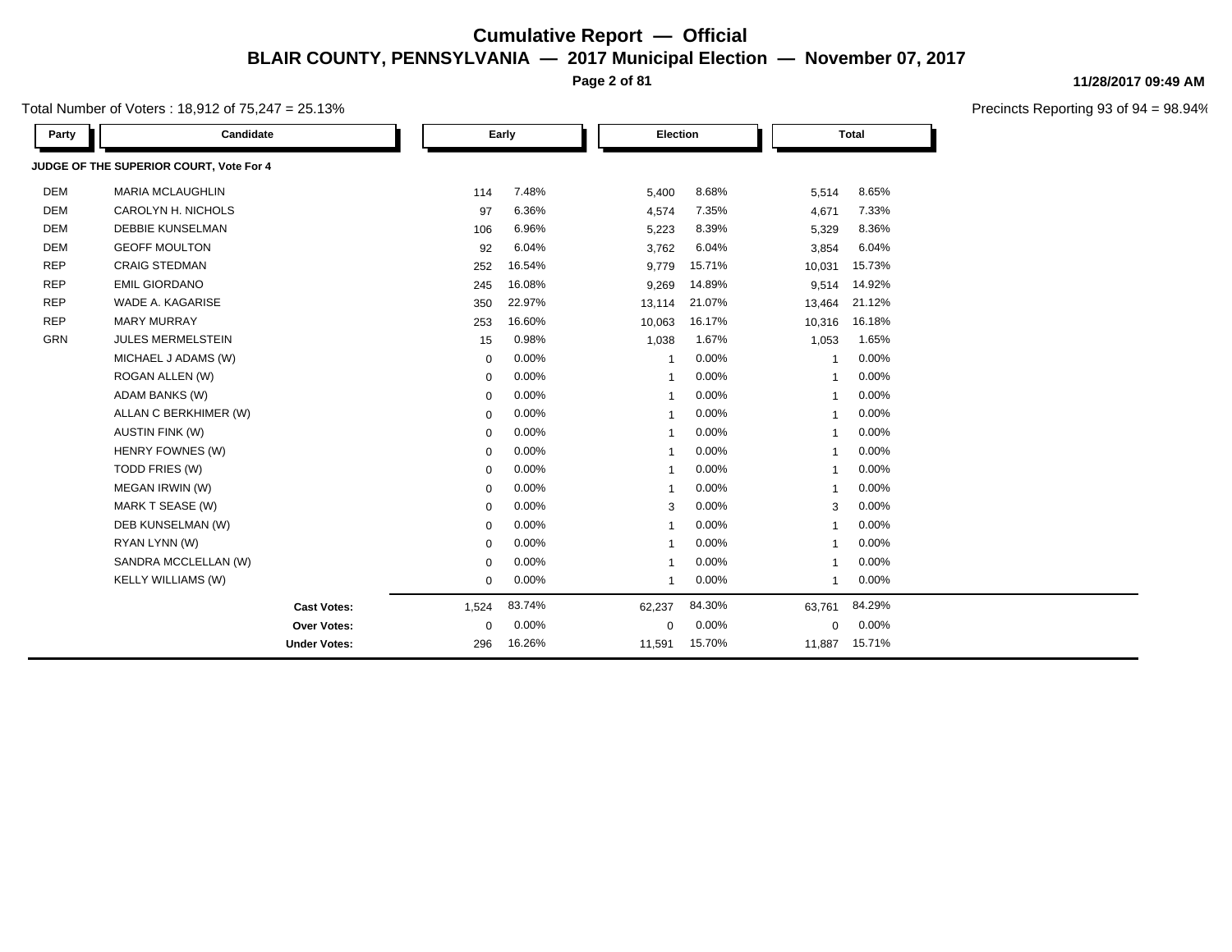**Page 2 of 81**

Total Number of Voters : 18,912 of 75,247 = 25.13%

| Party      | Candidate                               |             | Early    |                         | Election |                         | <b>Total</b> |  |
|------------|-----------------------------------------|-------------|----------|-------------------------|----------|-------------------------|--------------|--|
|            | JUDGE OF THE SUPERIOR COURT, Vote For 4 |             |          |                         |          |                         |              |  |
| <b>DEM</b> | <b>MARIA MCLAUGHLIN</b>                 | 114         | 7.48%    | 5,400                   | 8.68%    | 5,514                   | 8.65%        |  |
| <b>DEM</b> | CAROLYN H. NICHOLS                      | 97          | 6.36%    | 4,574                   | 7.35%    | 4,671                   | 7.33%        |  |
| <b>DEM</b> | <b>DEBBIE KUNSELMAN</b>                 | 106         | 6.96%    | 5,223                   | 8.39%    | 5,329                   | 8.36%        |  |
| <b>DEM</b> | <b>GEOFF MOULTON</b>                    | 92          | 6.04%    | 3,762                   | 6.04%    | 3,854                   | 6.04%        |  |
| <b>REP</b> | <b>CRAIG STEDMAN</b>                    | 252         | 16.54%   | 9,779                   | 15.71%   | 10,031                  | 15.73%       |  |
| <b>REP</b> | <b>EMIL GIORDANO</b>                    | 245         | 16.08%   | 9,269                   | 14.89%   | 9,514                   | 14.92%       |  |
| <b>REP</b> | WADE A. KAGARISE                        | 350         | 22.97%   | 13,114                  | 21.07%   | 13,464                  | 21.12%       |  |
| <b>REP</b> | <b>MARY MURRAY</b>                      | 253         | 16.60%   | 10,063                  | 16.17%   | 10,316                  | 16.18%       |  |
| GRN        | <b>JULES MERMELSTEIN</b>                | 15          | 0.98%    | 1,038                   | 1.67%    | 1,053                   | 1.65%        |  |
|            | MICHAEL J ADAMS (W)                     | $\mathbf 0$ | $0.00\%$ | $\overline{1}$          | 0.00%    | $\overline{\mathbf{1}}$ | 0.00%        |  |
|            | ROGAN ALLEN (W)                         | $\mathbf 0$ | 0.00%    | $\overline{1}$          | 0.00%    | -1                      | 0.00%        |  |
|            | ADAM BANKS (W)                          | $\mathbf 0$ | 0.00%    | $\overline{\mathbf{1}}$ | 0.00%    | $\overline{1}$          | 0.00%        |  |
|            | ALLAN C BERKHIMER (W)                   | $\mathbf 0$ | 0.00%    | $\mathbf 1$             | 0.00%    | $\mathbf 1$             | 0.00%        |  |
|            | <b>AUSTIN FINK (W)</b>                  | 0           | 0.00%    | $\overline{\mathbf{1}}$ | 0.00%    | $\overline{\mathbf{1}}$ | 0.00%        |  |
|            | HENRY FOWNES (W)                        | $\mathbf 0$ | 0.00%    | $\overline{\mathbf{1}}$ | 0.00%    | $\overline{1}$          | 0.00%        |  |
|            | TODD FRIES (W)                          | 0           | 0.00%    | -1                      | 0.00%    |                         | 0.00%        |  |
|            | MEGAN IRWIN (W)                         | 0           | 0.00%    | $\overline{1}$          | 0.00%    | $\overline{1}$          | 0.00%        |  |
|            | MARK T SEASE (W)                        | $\mathbf 0$ | 0.00%    | 3                       | 0.00%    | 3                       | 0.00%        |  |
|            | DEB KUNSELMAN (W)                       | 0           | 0.00%    | $\overline{\mathbf{1}}$ | 0.00%    | $\overline{\mathbf{1}}$ | 0.00%        |  |
|            | RYAN LYNN (W)                           | 0           | 0.00%    | -1                      | 0.00%    | $\overline{1}$          | 0.00%        |  |
|            | SANDRA MCCLELLAN (W)                    | 0           | 0.00%    | -1                      | 0.00%    |                         | 0.00%        |  |
|            | <b>KELLY WILLIAMS (W)</b>               | $\mathbf 0$ | 0.00%    | $\overline{1}$          | 0.00%    | $\overline{1}$          | 0.00%        |  |
|            | <b>Cast Votes:</b>                      | 1,524       | 83.74%   | 62,237                  | 84.30%   | 63,761                  | 84.29%       |  |
|            | Over Votes:                             | $\mathbf 0$ | $0.00\%$ | $\mathbf 0$             | 0.00%    | 0                       | 0.00%        |  |
|            | <b>Under Votes:</b>                     | 296         | 16.26%   | 11,591                  | 15.70%   | 11,887                  | 15.71%       |  |

**11/28/2017 09:49 AM**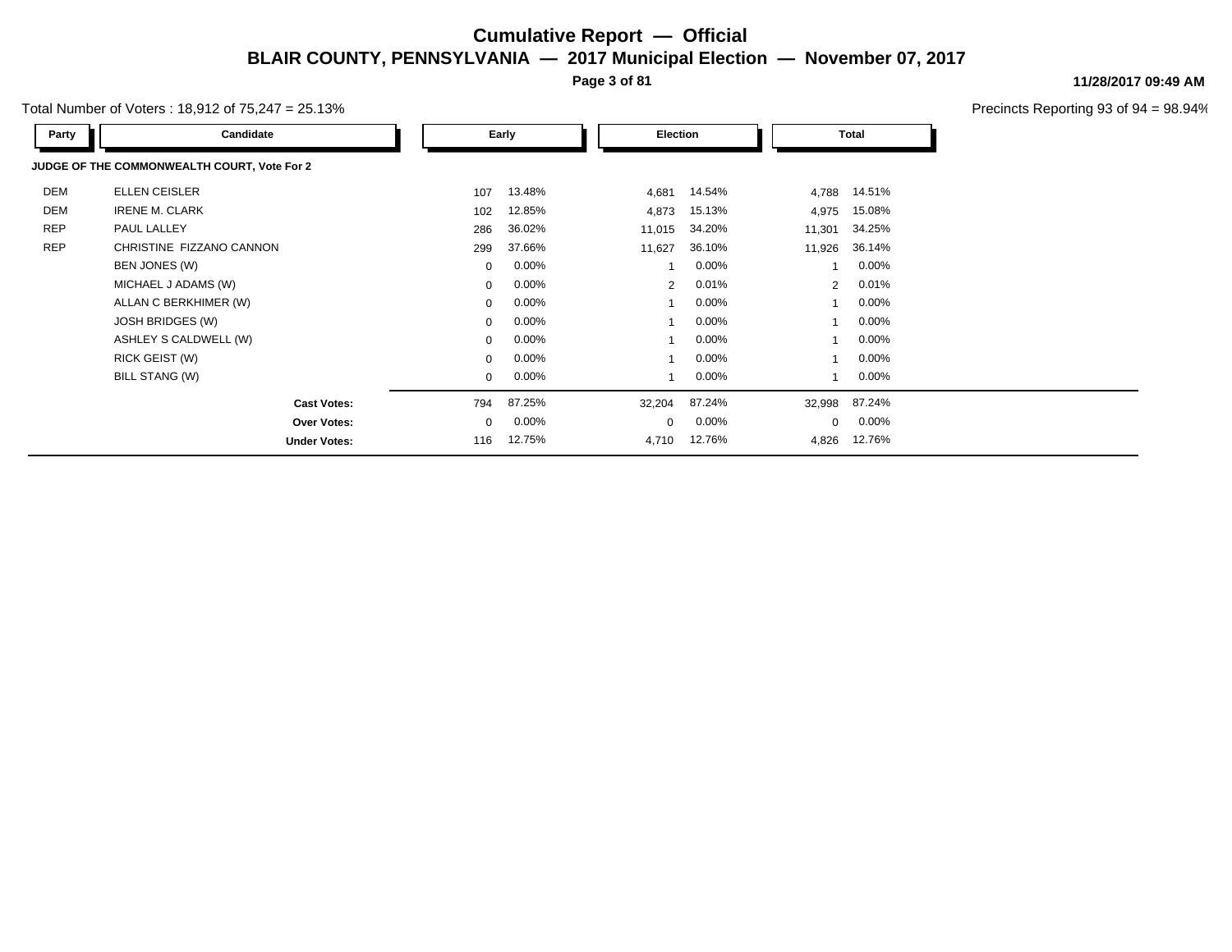**Page 3 of 81**

Total Number of Voters : 18,912 of 75,247 = 25.13%

| Party      | Candidate                                   |             | Early    |        | Election       |          |        | Total                   |  |
|------------|---------------------------------------------|-------------|----------|--------|----------------|----------|--------|-------------------------|--|
|            | JUDGE OF THE COMMONWEALTH COURT, Vote For 2 |             |          |        |                |          |        |                         |  |
| DEM        | ELLEN CEISLER                               | 107         | 13.48%   |        | 4,681          | 14.54%   | 4,788  | 14.51%                  |  |
| <b>DEM</b> | <b>IRENE M. CLARK</b>                       | 102         | 12.85%   |        | 4,873          | 15.13%   | 4,975  | 15.08%                  |  |
| <b>REP</b> | PAUL LALLEY                                 | 286         | 36.02%   |        | 11,015         | 34.20%   | 11,301 | 34.25%                  |  |
| <b>REP</b> | CHRISTINE FIZZANO CANNON                    | 299         | 37.66%   |        | 11,627         | 36.10%   | 11,926 | 36.14%                  |  |
|            | BEN JONES (W)                               | $\mathbf 0$ | 0.00%    |        |                | $0.00\%$ |        | $0.00\%$                |  |
|            | MICHAEL J ADAMS (W)                         | $\mathbf 0$ | 0.00%    |        | $\overline{2}$ | 0.01%    |        | 0.01%<br>$\overline{2}$ |  |
|            | ALLAN C BERKHIMER (W)                       | $\mathbf 0$ | 0.00%    |        |                | $0.00\%$ |        | 0.00%                   |  |
|            | JOSH BRIDGES (W)                            | $\mathbf 0$ | 0.00%    |        |                | $0.00\%$ |        | 0.00%                   |  |
|            | ASHLEY S CALDWELL (W)                       | $\mathbf 0$ | $0.00\%$ |        |                | $0.00\%$ |        | $0.00\%$                |  |
|            | RICK GEIST (W)                              | $\mathbf 0$ | 0.00%    |        |                | $0.00\%$ |        | $0.00\%$                |  |
|            | BILL STANG (W)                              | $\mathbf 0$ | 0.00%    |        |                | $0.00\%$ |        | $0.00\%$                |  |
|            | <b>Cast Votes:</b>                          | 794         | 87.25%   | 32,204 |                | 87.24%   | 32,998 | 87.24%                  |  |
|            | <b>Over Votes:</b>                          | $\mathbf 0$ | 0.00%    |        | $\Omega$       | $0.00\%$ |        | $0.00\%$<br>0           |  |
|            | <b>Under Votes:</b>                         | 116         | 12.75%   |        | 4,710          | 12.76%   | 4,826  | 12.76%                  |  |

#### **11/28/2017 09:49 AM**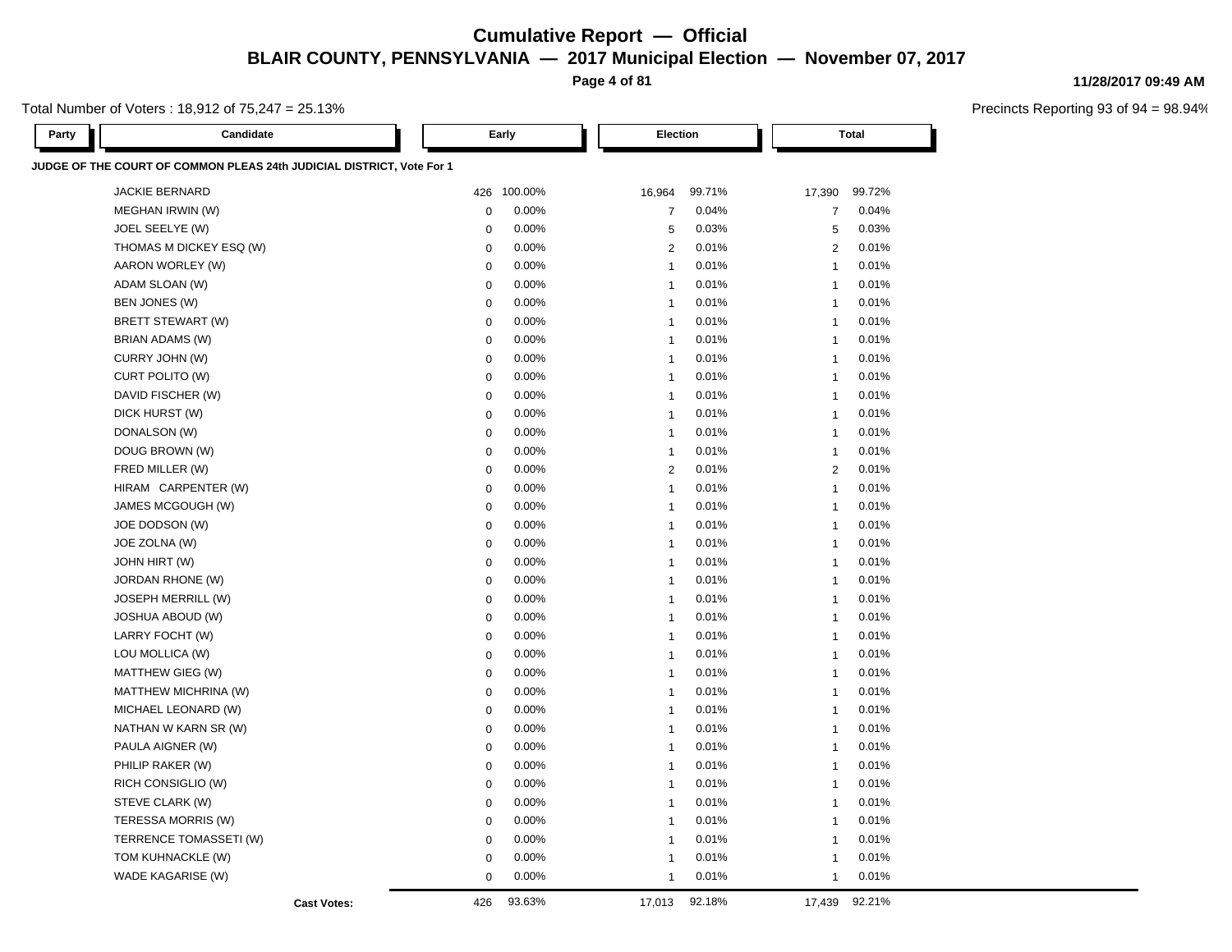**Page 4 of 81**

Total Number of Voters : 18,912 of 75,247 = 25.13%

| Party | Candidate                                                             |                    |             | Early       | <b>Election</b>         |        |                | <b>Total</b> |
|-------|-----------------------------------------------------------------------|--------------------|-------------|-------------|-------------------------|--------|----------------|--------------|
|       | JUDGE OF THE COURT OF COMMON PLEAS 24th JUDICIAL DISTRICT, Vote For 1 |                    |             |             |                         |        |                |              |
|       | <b>JACKIE BERNARD</b>                                                 |                    |             | 426 100.00% | 16,964                  | 99.71% | 17,390         | 99.72%       |
|       | MEGHAN IRWIN (W)                                                      |                    | $\mathbf 0$ | 0.00%       | $\overline{7}$          | 0.04%  | $\overline{7}$ | 0.04%        |
|       | JOEL SEELYE (W)                                                       |                    | 0           | 0.00%       | 5                       | 0.03%  | 5              | 0.03%        |
|       | THOMAS M DICKEY ESQ (W)                                               |                    | $\mathbf 0$ | 0.00%       | $\overline{2}$          | 0.01%  | 2              | 0.01%        |
|       | AARON WORLEY (W)                                                      |                    | $\mathbf 0$ | $0.00\%$    | $\overline{1}$          | 0.01%  | $\mathbf{1}$   | 0.01%        |
|       | ADAM SLOAN (W)                                                        |                    | $\mathbf 0$ | 0.00%       | $\overline{1}$          | 0.01%  | $\overline{1}$ | 0.01%        |
|       | BEN JONES (W)                                                         |                    | $\mathbf 0$ | $0.00\%$    | $\overline{1}$          | 0.01%  | $\mathbf{1}$   | 0.01%        |
|       | BRETT STEWART (W)                                                     |                    | $\mathbf 0$ | 0.00%       | $\overline{1}$          | 0.01%  | $\overline{1}$ | 0.01%        |
|       | BRIAN ADAMS (W)                                                       |                    | $\mathbf 0$ | 0.00%       | $\overline{1}$          | 0.01%  | $\mathbf{1}$   | 0.01%        |
|       | CURRY JOHN (W)                                                        |                    | $\mathbf 0$ | 0.00%       | $\overline{1}$          | 0.01%  | $\overline{1}$ | 0.01%        |
|       | CURT POLITO (W)                                                       |                    | $\mathbf 0$ | 0.00%       | $\overline{1}$          | 0.01%  | $\overline{1}$ | 0.01%        |
|       | DAVID FISCHER (W)                                                     |                    | $\mathbf 0$ | 0.00%       | $\overline{1}$          | 0.01%  | $\overline{1}$ | 0.01%        |
|       | DICK HURST (W)                                                        |                    | $\pmb{0}$   | 0.00%       | $\overline{1}$          | 0.01%  | $\overline{1}$ | 0.01%        |
|       | DONALSON (W)                                                          |                    | $\mathbf 0$ | 0.00%       | $\overline{1}$          | 0.01%  | $\overline{1}$ | 0.01%        |
|       | DOUG BROWN (W)                                                        |                    | $\mathbf 0$ | 0.00%       | $\overline{1}$          | 0.01%  | $\overline{1}$ | 0.01%        |
|       | FRED MILLER (W)                                                       |                    | $\mathbf 0$ | 0.00%       | $\overline{2}$          | 0.01%  | 2              | 0.01%        |
|       | HIRAM CARPENTER (W)                                                   |                    | $\Omega$    | 0.00%       | $\mathbf{1}$            | 0.01%  | $\mathbf{1}$   | 0.01%        |
|       | JAMES MCGOUGH (W)                                                     |                    | $\mathbf 0$ | 0.00%       | $\overline{1}$          | 0.01%  | $\overline{1}$ | 0.01%        |
|       | JOE DODSON (W)                                                        |                    | $\mathbf 0$ | 0.00%       | $\overline{\mathbf{1}}$ | 0.01%  | $\overline{1}$ | 0.01%        |
|       | JOE ZOLNA (W)                                                         |                    | $\mathbf 0$ | 0.00%       | $\overline{1}$          | 0.01%  | $\overline{1}$ | 0.01%        |
|       | JOHN HIRT (W)                                                         |                    | $\mathbf 0$ | 0.00%       | $\overline{1}$          | 0.01%  | $\overline{1}$ | 0.01%        |
|       | JORDAN RHONE (W)                                                      |                    | $\mathbf 0$ | 0.00%       | $\overline{1}$          | 0.01%  | $\overline{1}$ | 0.01%        |
|       | <b>JOSEPH MERRILL (W)</b>                                             |                    | $\mathbf 0$ | 0.00%       | $\overline{\mathbf{1}}$ | 0.01%  | $\overline{1}$ | 0.01%        |
|       | <b>JOSHUA ABOUD (W)</b>                                               |                    | 0           | 0.00%       | $\overline{1}$          | 0.01%  | $\overline{1}$ | 0.01%        |
|       | LARRY FOCHT (W)                                                       |                    | $\mathbf 0$ | 0.00%       | $\overline{1}$          | 0.01%  | $\overline{1}$ | 0.01%        |
|       | LOU MOLLICA (W)                                                       |                    | $\mathbf 0$ | 0.00%       | $\overline{1}$          | 0.01%  | $\overline{1}$ | 0.01%        |
|       | MATTHEW GIEG (W)                                                      |                    | $\mathbf 0$ | 0.00%       | $\overline{1}$          | 0.01%  | $\overline{1}$ | 0.01%        |
|       | MATTHEW MICHRINA (W)                                                  |                    | $\mathbf 0$ | 0.00%       | $\overline{1}$          | 0.01%  | $\overline{1}$ | 0.01%        |
|       | MICHAEL LEONARD (W)                                                   |                    | $\mathbf 0$ | 0.00%       | $\overline{1}$          | 0.01%  | $\overline{1}$ | 0.01%        |
|       | NATHAN W KARN SR (W)                                                  |                    | $\mathbf 0$ | 0.00%       | $\overline{1}$          | 0.01%  | $\overline{1}$ | 0.01%        |
|       | PAULA AIGNER (W)                                                      |                    | $\mathbf 0$ | 0.00%       | $\overline{1}$          | 0.01%  | $\overline{1}$ | 0.01%        |
|       | PHILIP RAKER (W)                                                      |                    | $\mathbf 0$ | 0.00%       | $\overline{1}$          | 0.01%  | $\mathbf{1}$   | 0.01%        |
|       | RICH CONSIGLIO (W)                                                    |                    | $\mathbf 0$ | 0.00%       | $\overline{1}$          | 0.01%  | $\overline{1}$ | 0.01%        |
|       | STEVE CLARK (W)                                                       |                    | $\pmb{0}$   | 0.00%       | $\mathbf{1}$            | 0.01%  | $\overline{1}$ | 0.01%        |
|       | TERESSA MORRIS (W)                                                    |                    | $\mathbf 0$ | 0.00%       | $\overline{1}$          | 0.01%  | $\overline{1}$ | 0.01%        |
|       | TERRENCE TOMASSETI (W)                                                |                    | $\mathbf 0$ | 0.00%       | $\overline{1}$          | 0.01%  | $\overline{1}$ | 0.01%        |
|       | TOM KUHNACKLE (W)                                                     |                    | $\mathbf 0$ | 0.00%       | $\overline{1}$          | 0.01%  | $\mathbf{1}$   | 0.01%        |
|       | WADE KAGARISE (W)                                                     |                    | $\mathbf 0$ | 0.00%       | $\overline{1}$          | 0.01%  | -1             | 0.01%        |
|       |                                                                       | <b>Cast Votes:</b> | 426         | 93.63%      | 17,013                  | 92.18% | 17,439         | 92.21%       |

#### **11/28/2017 09:49 AM**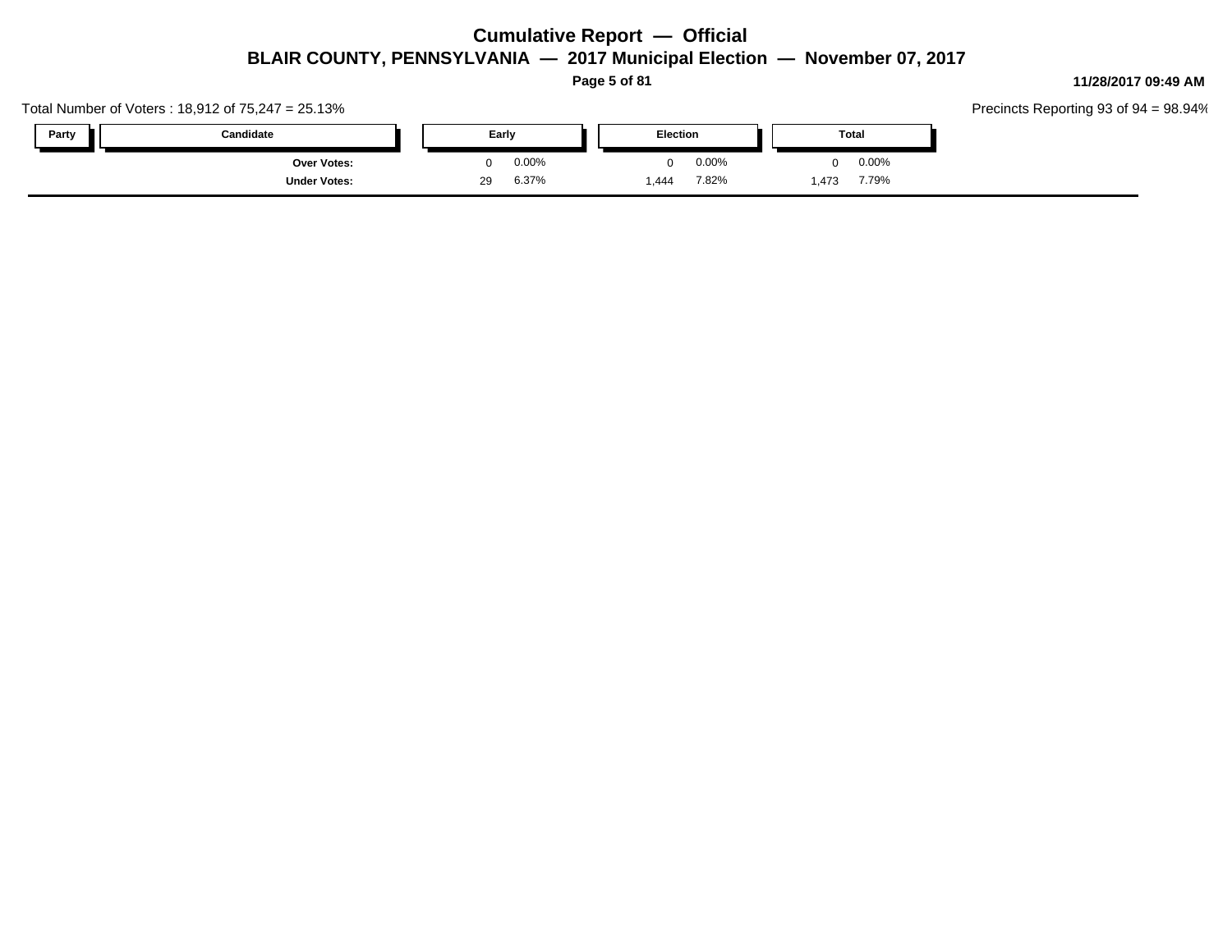**Page 5 of 81**

Total Number of Voters : 18,912 of 75,247 = 25.13%

| Party | Candidate           | Early | Election |     |       | Total |      |          |
|-------|---------------------|-------|----------|-----|-------|-------|------|----------|
|       | <b>Over Votes:</b>  |       | 0.00%    |     | 0.00% |       |      | $0.00\%$ |
|       | <b>Under Votes:</b> | 29    | 6.37%    | 444 | 7.82% |       | ,473 | 7.79%    |

#### **11/28/2017 09:49 AM**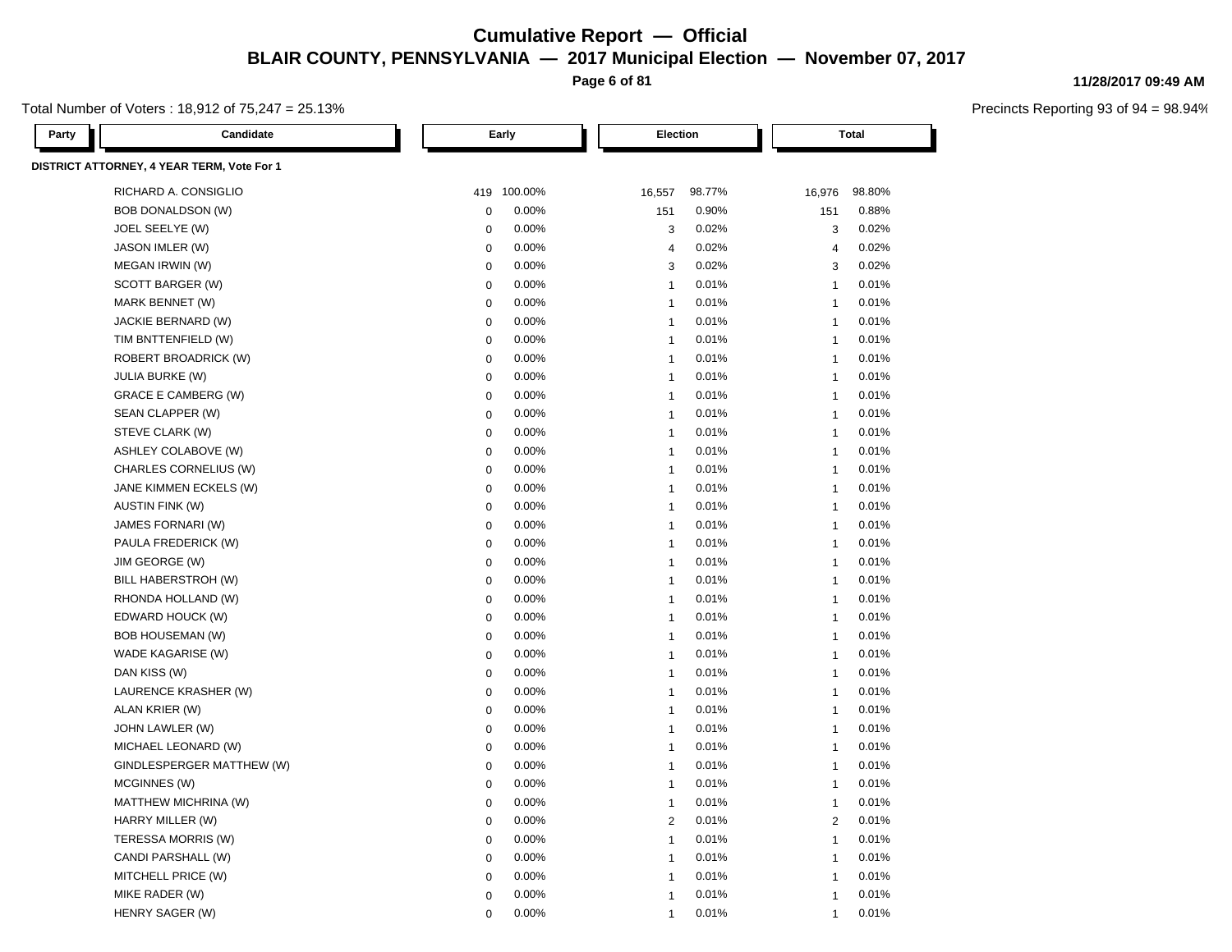**Page 6 of 81**

Total Number of Voters : 18,912 of 75,247 = 25.13%

| Party | Candidate                                  |             | Early       |                         | Election |                | <b>Total</b> |  |  |
|-------|--------------------------------------------|-------------|-------------|-------------------------|----------|----------------|--------------|--|--|
|       | DISTRICT ATTORNEY, 4 YEAR TERM, Vote For 1 |             |             |                         |          |                |              |  |  |
|       | RICHARD A. CONSIGLIO                       |             | 419 100.00% | 16,557                  | 98.77%   | 16,976         | 98.80%       |  |  |
|       | <b>BOB DONALDSON (W)</b>                   | $\mathbf 0$ | 0.00%       | 151                     | 0.90%    | 151            | 0.88%        |  |  |
|       | JOEL SEELYE (W)                            | $\mathbf 0$ | 0.00%       | 3                       | 0.02%    | 3              | 0.02%        |  |  |
|       | JASON IMLER (W)                            | $\mathbf 0$ | 0.00%       | $\overline{4}$          | 0.02%    | $\overline{4}$ | 0.02%        |  |  |
|       | MEGAN IRWIN (W)                            | $\mathbf 0$ | 0.00%       | 3                       | 0.02%    | 3              | 0.02%        |  |  |
|       | SCOTT BARGER (W)                           | $\pmb{0}$   | 0.00%       | $\mathbf{1}$            | 0.01%    | $\overline{1}$ | 0.01%        |  |  |
|       | MARK BENNET (W)                            | $\mathbf 0$ | 0.00%       | $\mathbf{1}$            | 0.01%    | $\overline{1}$ | 0.01%        |  |  |
|       | JACKIE BERNARD (W)                         | $\mathbf 0$ | 0.00%       | $\overline{1}$          | 0.01%    | $\overline{1}$ | 0.01%        |  |  |
|       | TIM BNTTENFIELD (W)                        | $\mathbf 0$ | 0.00%       | $\mathbf{1}$            | 0.01%    | $\mathbf{1}$   | 0.01%        |  |  |
|       | <b>ROBERT BROADRICK (W)</b>                | $\mathbf 0$ | 0.00%       | $\overline{1}$          | 0.01%    | $\mathbf{1}$   | 0.01%        |  |  |
|       | <b>JULIA BURKE (W)</b>                     | $\mathbf 0$ | 0.00%       | $\overline{1}$          | 0.01%    | $\overline{1}$ | 0.01%        |  |  |
|       | <b>GRACE E CAMBERG (W)</b>                 | $\mathbf 0$ | 0.00%       | $\overline{1}$          | 0.01%    | $\overline{1}$ | 0.01%        |  |  |
|       | SEAN CLAPPER (W)                           | $\mathbf 0$ | 0.00%       | $\overline{1}$          | 0.01%    | $\mathbf{1}$   | 0.01%        |  |  |
|       | STEVE CLARK (W)                            | $\mathbf 0$ | 0.00%       | $\overline{1}$          | 0.01%    | $\mathbf{1}$   | 0.01%        |  |  |
|       | ASHLEY COLABOVE (W)                        | $\mathbf 0$ | 0.00%       | $\overline{1}$          | 0.01%    | $\overline{1}$ | 0.01%        |  |  |
|       | CHARLES CORNELIUS (W)                      | $\mathbf 0$ | 0.00%       | $\overline{\mathbf{1}}$ | 0.01%    | $\mathbf{1}$   | 0.01%        |  |  |
|       | JANE KIMMEN ECKELS (W)                     | 0           | 0.00%       | $\mathbf{1}$            | 0.01%    | $\mathbf{1}$   | 0.01%        |  |  |
|       | <b>AUSTIN FINK (W)</b>                     | $\mathbf 0$ | 0.00%       | $\overline{1}$          | 0.01%    | $\overline{1}$ | 0.01%        |  |  |
|       | JAMES FORNARI (W)                          | $\mathbf 0$ | 0.00%       | $\overline{1}$          | 0.01%    | $\overline{1}$ | 0.01%        |  |  |
|       | PAULA FREDERICK (W)                        | $\mathbf 0$ | 0.00%       | $\overline{1}$          | 0.01%    | $\mathbf{1}$   | 0.01%        |  |  |
|       | JIM GEORGE (W)                             | $\mathbf 0$ | 0.00%       | $\mathbf{1}$            | 0.01%    | $\mathbf{1}$   | 0.01%        |  |  |
|       | BILL HABERSTROH (W)                        | $\mathbf 0$ | 0.00%       | $\overline{1}$          | 0.01%    | $\mathbf{1}$   | 0.01%        |  |  |
|       | RHONDA HOLLAND (W)                         | $\mathbf 0$ | 0.00%       | $\overline{1}$          | 0.01%    | $\overline{1}$ | 0.01%        |  |  |
|       | EDWARD HOUCK (W)                           | $\mathbf 0$ | 0.00%       | $\overline{1}$          | 0.01%    | $\overline{1}$ | 0.01%        |  |  |
|       | <b>BOB HOUSEMAN (W)</b>                    | $\mathbf 0$ | 0.00%       | $\overline{1}$          | 0.01%    | $\mathbf{1}$   | 0.01%        |  |  |
|       | WADE KAGARISE (W)                          | $\mathbf 0$ | 0.00%       | $\overline{1}$          | 0.01%    | $\mathbf{1}$   | 0.01%        |  |  |
|       | DAN KISS (W)                               | $\mathbf 0$ | 0.00%       | $\overline{1}$          | 0.01%    | $\mathbf{1}$   | 0.01%        |  |  |
|       | LAURENCE KRASHER (W)                       | $\mathbf 0$ | 0.00%       | $\overline{1}$          | 0.01%    | $\mathbf{1}$   | 0.01%        |  |  |
|       | ALAN KRIER (W)                             | $\mathbf 0$ | 0.00%       | $\overline{1}$          | 0.01%    | $\overline{1}$ | 0.01%        |  |  |
|       | JOHN LAWLER (W)                            | $\mathbf 0$ | 0.00%       | $\overline{1}$          | 0.01%    | $\mathbf{1}$   | 0.01%        |  |  |
|       | MICHAEL LEONARD (W)                        | $\mathbf 0$ | 0.00%       | $\overline{1}$          | 0.01%    | $\overline{1}$ | 0.01%        |  |  |
|       | GINDLESPERGER MATTHEW (W)                  | $\mathbf 0$ | 0.00%       | $\overline{1}$          | 0.01%    | $\mathbf{1}$   | 0.01%        |  |  |
|       | MCGINNES (W)                               | $\mathbf 0$ | 0.00%       | $\overline{1}$          | 0.01%    | $\overline{1}$ | 0.01%        |  |  |
|       | MATTHEW MICHRINA (W)                       | $\Omega$    | 0.00%       | $\overline{1}$          | 0.01%    | $\mathbf{1}$   | 0.01%        |  |  |
|       | HARRY MILLER (W)                           | $\mathbf 0$ | 0.00%       | $\overline{2}$          | 0.01%    | 2              | 0.01%        |  |  |
|       | TERESSA MORRIS (W)                         | $\mathbf 0$ | 0.00%       | $\overline{1}$          | 0.01%    | $\mathbf{1}$   | 0.01%        |  |  |
|       | CANDI PARSHALL (W)                         | $\mathbf 0$ | 0.00%       | $\mathbf{1}$            | 0.01%    | $\mathbf{1}$   | 0.01%        |  |  |
|       | MITCHELL PRICE (W)                         | $\Omega$    | 0.00%       | $\overline{1}$          | 0.01%    | $\overline{1}$ | 0.01%        |  |  |
|       | MIKE RADER (W)                             | $\Omega$    | 0.00%       | $\overline{1}$          | 0.01%    | $\overline{1}$ | 0.01%        |  |  |
|       | HENRY SAGER (W)                            | $\Omega$    | 0.00%       | $\overline{1}$          | 0.01%    | $\overline{1}$ | 0.01%        |  |  |

**11/28/2017 09:49 AM**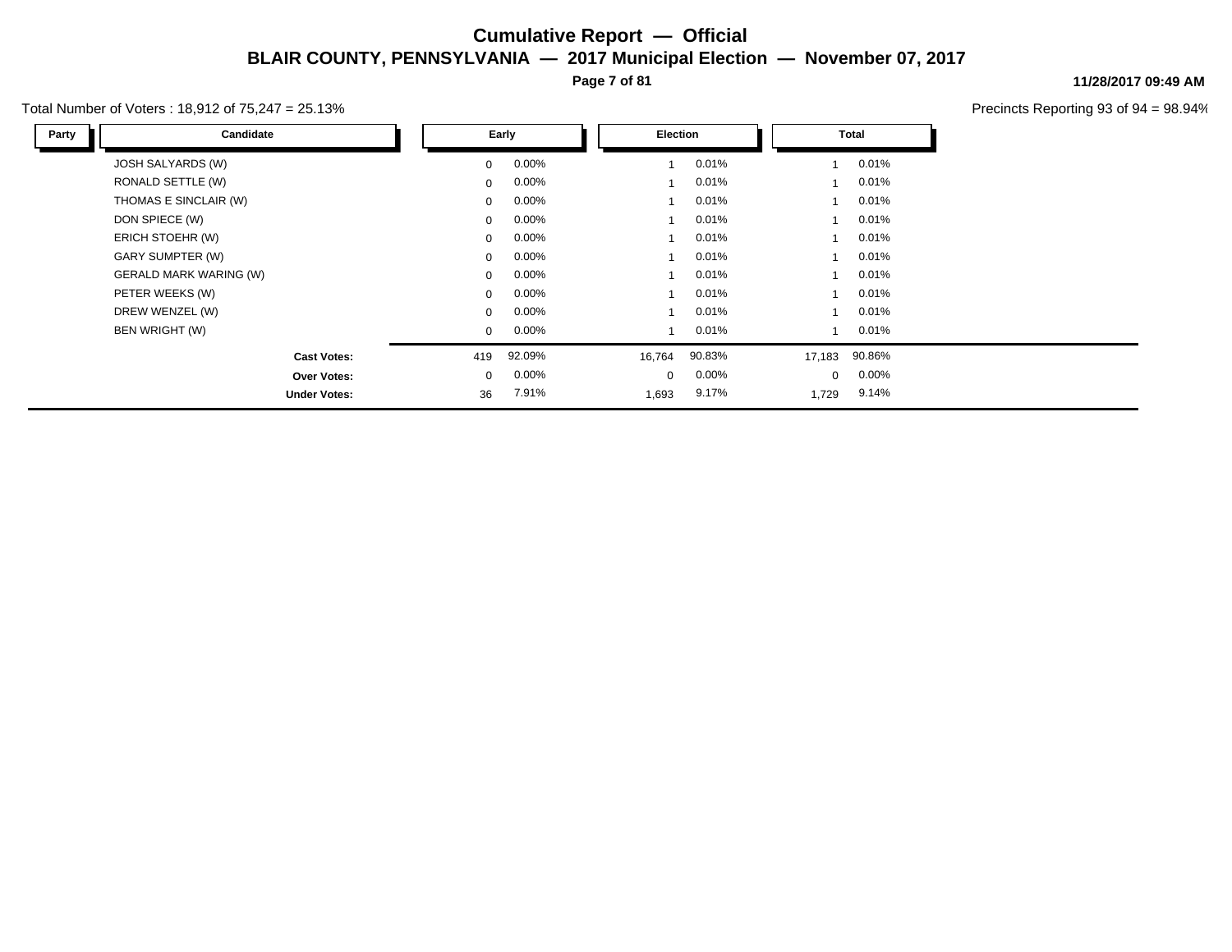**Page 7 of 81**

#### Total Number of Voters : 18,912 of 75,247 = 25.13%

**11/28/2017 09:49 AM**

| Party | Candidate                     |                | Early    | Election |        |             | Total  |  |  |
|-------|-------------------------------|----------------|----------|----------|--------|-------------|--------|--|--|
|       | JOSH SALYARDS (W)             | $\overline{0}$ | $0.00\%$ |          | 0.01%  |             | 0.01%  |  |  |
|       | RONALD SETTLE (W)             | $\mathbf{0}$   | $0.00\%$ |          | 0.01%  |             | 0.01%  |  |  |
|       | THOMAS E SINCLAIR (W)         | $\overline{0}$ | $0.00\%$ |          | 0.01%  |             | 0.01%  |  |  |
|       | DON SPIECE (W)                | $\mathbf{0}$   | $0.00\%$ |          | 0.01%  |             | 0.01%  |  |  |
|       | ERICH STOEHR (W)              | $\mathbf{0}$   | $0.00\%$ |          | 0.01%  |             | 0.01%  |  |  |
|       | GARY SUMPTER (W)              | $\mathbf{0}$   | $0.00\%$ |          | 0.01%  |             | 0.01%  |  |  |
|       | <b>GERALD MARK WARING (W)</b> | $\mathbf{0}$   | $0.00\%$ |          | 0.01%  |             | 0.01%  |  |  |
|       | PETER WEEKS (W)               | $\mathbf{0}$   | $0.00\%$ |          | 0.01%  |             | 0.01%  |  |  |
|       | DREW WENZEL (W)               | $\mathbf{0}$   | $0.00\%$ |          | 0.01%  |             | 0.01%  |  |  |
|       | BEN WRIGHT (W)                | 0              | $0.00\%$ |          | 0.01%  |             | 0.01%  |  |  |
|       | <b>Cast Votes:</b>            | 419            | 92.09%   | 16,764   | 90.83% | 17,183      | 90.86% |  |  |
|       | Over Votes:                   | $\mathbf{0}$   | $0.00\%$ | 0        | 0.00%  | $\mathbf 0$ | 0.00%  |  |  |
|       | <b>Under Votes:</b>           | 36             | 7.91%    | 1,693    | 9.17%  | 1,729       | 9.14%  |  |  |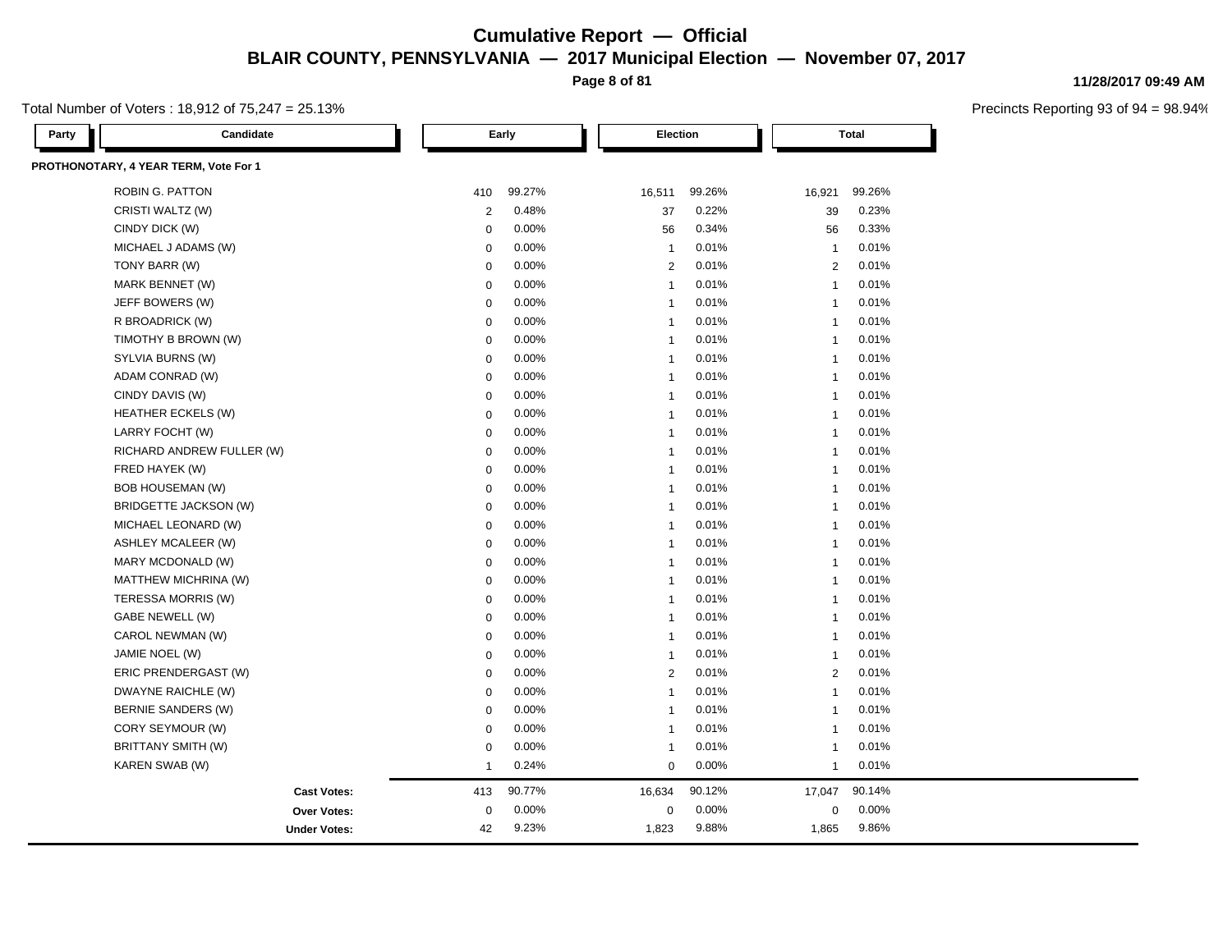**Page 8 of 81**

Total Number of Voters : 18,912 of 75,247 = 25.13%

| Party | Candidate                             |                | Early  |                         | Election |                | Total  |  |
|-------|---------------------------------------|----------------|--------|-------------------------|----------|----------------|--------|--|
|       | PROTHONOTARY, 4 YEAR TERM, Vote For 1 |                |        |                         |          |                |        |  |
|       | <b>ROBIN G. PATTON</b>                | 410            | 99.27% | 16,511                  | 99.26%   | 16,921         | 99.26% |  |
|       | CRISTI WALTZ (W)                      | $\overline{2}$ | 0.48%  | 37                      | 0.22%    | 39             | 0.23%  |  |
|       | CINDY DICK (W)                        | $\Omega$       | 0.00%  | 56                      | 0.34%    | 56             | 0.33%  |  |
|       | MICHAEL J ADAMS (W)                   | $\mathbf 0$    | 0.00%  | $\overline{1}$          | 0.01%    | $\overline{1}$ | 0.01%  |  |
|       | TONY BARR (W)                         | $\mathbf 0$    | 0.00%  | $\overline{2}$          | 0.01%    | 2              | 0.01%  |  |
|       | MARK BENNET (W)                       | $\mathbf 0$    | 0.00%  | $\overline{1}$          | 0.01%    | $\overline{1}$ | 0.01%  |  |
|       | JEFF BOWERS (W)                       | $\mathbf 0$    | 0.00%  | $\overline{1}$          | 0.01%    | $\overline{1}$ | 0.01%  |  |
|       | R BROADRICK (W)                       | $\mathbf 0$    | 0.00%  | $\overline{1}$          | 0.01%    | $\overline{1}$ | 0.01%  |  |
|       | TIMOTHY B BROWN (W)                   | $\mathbf 0$    | 0.00%  | $\overline{1}$          | 0.01%    | $\overline{1}$ | 0.01%  |  |
|       | SYLVIA BURNS (W)                      | 0              | 0.00%  | $\overline{1}$          | 0.01%    | $\overline{1}$ | 0.01%  |  |
|       | ADAM CONRAD (W)                       | $\mathbf 0$    | 0.00%  | $\overline{1}$          | 0.01%    | $\overline{1}$ | 0.01%  |  |
|       | CINDY DAVIS (W)                       | $\mathbf 0$    | 0.00%  | $\overline{1}$          | 0.01%    | $\overline{1}$ | 0.01%  |  |
|       | <b>HEATHER ECKELS (W)</b>             | $\mathbf 0$    | 0.00%  | $\overline{1}$          | 0.01%    | $\overline{1}$ | 0.01%  |  |
|       | LARRY FOCHT (W)                       | $\Omega$       | 0.00%  | $\overline{1}$          | 0.01%    | $\overline{1}$ | 0.01%  |  |
|       | RICHARD ANDREW FULLER (W)             | $\mathbf 0$    | 0.00%  | $\overline{1}$          | 0.01%    | $\overline{1}$ | 0.01%  |  |
|       | FRED HAYEK (W)                        | $\mathbf 0$    | 0.00%  | $\overline{1}$          | 0.01%    | $\overline{1}$ | 0.01%  |  |
|       | <b>BOB HOUSEMAN (W)</b>               | $\mathbf 0$    | 0.00%  | $\overline{1}$          | 0.01%    | $\overline{1}$ | 0.01%  |  |
|       | BRIDGETTE JACKSON (W)                 | $\mathbf 0$    | 0.00%  | $\overline{1}$          | 0.01%    | $\overline{1}$ | 0.01%  |  |
|       | MICHAEL LEONARD (W)                   | $\mathbf 0$    | 0.00%  | $\overline{1}$          | 0.01%    | $\overline{1}$ | 0.01%  |  |
|       | <b>ASHLEY MCALEER (W)</b>             | $\mathbf 0$    | 0.00%  | $\overline{1}$          | 0.01%    | $\overline{1}$ | 0.01%  |  |
|       | MARY MCDONALD (W)                     | $\mathbf 0$    | 0.00%  | $\overline{1}$          | 0.01%    | $\overline{1}$ | 0.01%  |  |
|       | MATTHEW MICHRINA (W)                  | $\mathbf 0$    | 0.00%  | $\overline{1}$          | 0.01%    | $\overline{1}$ | 0.01%  |  |
|       | TERESSA MORRIS (W)                    | $\mathbf 0$    | 0.00%  | $\overline{1}$          | 0.01%    | $\overline{1}$ | 0.01%  |  |
|       | GABE NEWELL (W)                       | $\mathbf 0$    | 0.00%  | $\overline{1}$          | 0.01%    | $\overline{1}$ | 0.01%  |  |
|       | CAROL NEWMAN (W)                      | $\mathbf 0$    | 0.00%  | $\overline{\mathbf{1}}$ | 0.01%    | $\overline{1}$ | 0.01%  |  |
|       | JAMIE NOEL (W)                        | $\mathbf 0$    | 0.00%  | $\overline{1}$          | 0.01%    | $\overline{1}$ | 0.01%  |  |
|       | ERIC PRENDERGAST (W)                  | $\mathbf 0$    | 0.00%  | $\overline{2}$          | 0.01%    | 2              | 0.01%  |  |
|       | DWAYNE RAICHLE (W)                    | $\mathbf 0$    | 0.00%  | $\overline{1}$          | 0.01%    | $\overline{1}$ | 0.01%  |  |
|       | BERNIE SANDERS (W)                    | $\mathbf 0$    | 0.00%  | $\overline{1}$          | 0.01%    | $\overline{1}$ | 0.01%  |  |
|       | CORY SEYMOUR (W)                      | $\mathbf 0$    | 0.00%  | $\overline{1}$          | 0.01%    | $\overline{1}$ | 0.01%  |  |
|       | <b>BRITTANY SMITH (W)</b>             | $\mathbf 0$    | 0.00%  | $\overline{1}$          | 0.01%    | $\overline{1}$ | 0.01%  |  |
|       | KAREN SWAB (W)                        | $\mathbf 1$    | 0.24%  | $\mathbf 0$             | 0.00%    | $\overline{1}$ | 0.01%  |  |
|       | <b>Cast Votes:</b>                    | 413            | 90.77% | 16,634                  | 90.12%   | 17,047         | 90.14% |  |
|       | <b>Over Votes:</b>                    | $\pmb{0}$      | 0.00%  | $\pmb{0}$               | 0.00%    | $\mathbf 0$    | 0.00%  |  |
|       | <b>Under Votes:</b>                   | 42             | 9.23%  | 1,823                   | 9.88%    | 1,865          | 9.86%  |  |

#### **11/28/2017 09:49 AM**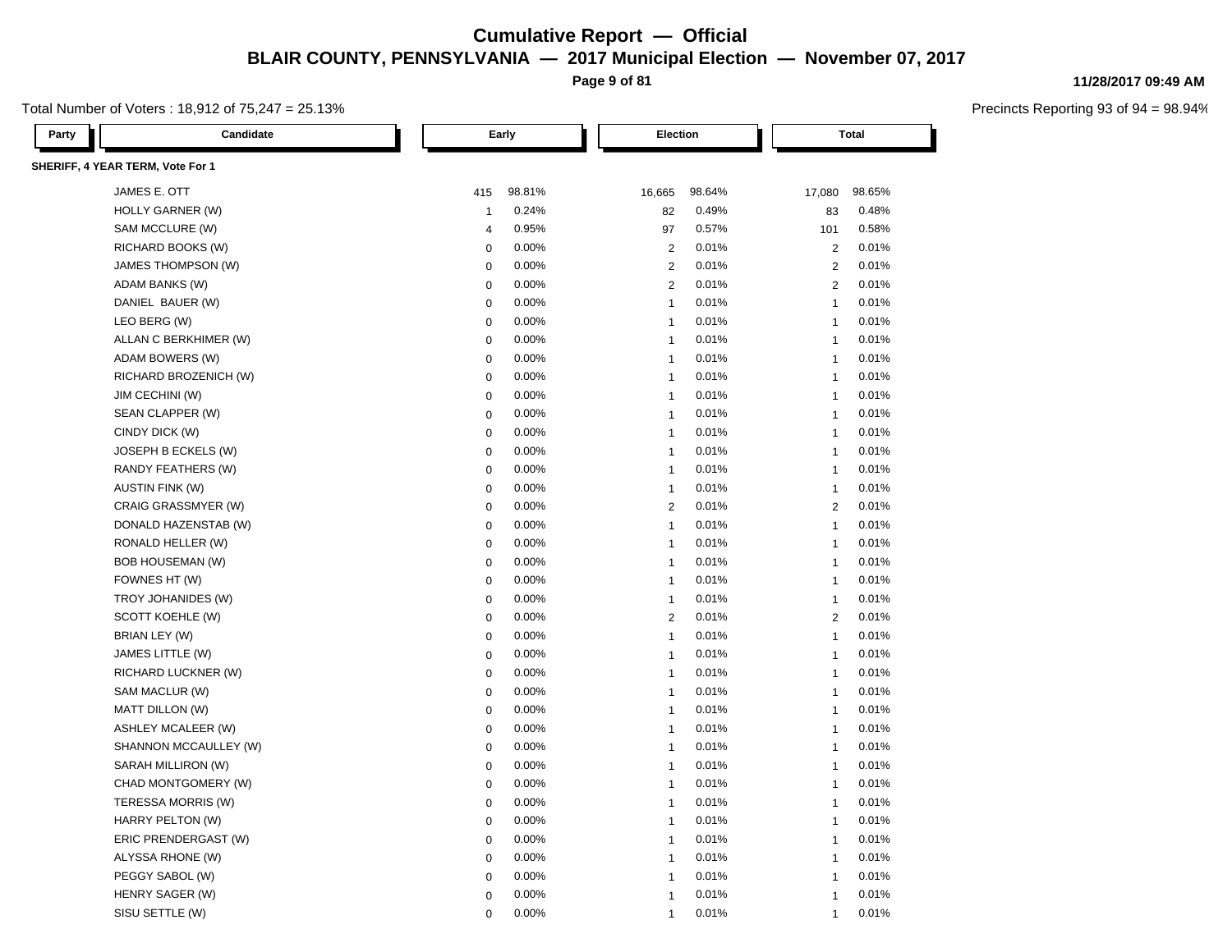**Page 9 of 81**

#### Total Number of Voters : 18,912 of 75,247 = 25.13%

**11/28/2017 09:49 AM**

| Party | Candidate                        |                  | Early  |                         | Election<br><b>Total</b> |                |        |
|-------|----------------------------------|------------------|--------|-------------------------|--------------------------|----------------|--------|
|       | SHERIFF, 4 YEAR TERM, Vote For 1 |                  |        |                         |                          |                |        |
|       | JAMES E. OTT                     | 415              | 98.81% | 16,665                  | 98.64%                   | 17,080         | 98.65% |
|       | HOLLY GARNER (W)                 | $\mathbf{1}$     | 0.24%  | 82                      | 0.49%                    | 83             | 0.48%  |
|       | SAM MCCLURE (W)                  | 4                | 0.95%  | 97                      | 0.57%                    | 101            | 0.58%  |
|       | RICHARD BOOKS (W)                | $\Omega$         | 0.00%  | $\overline{2}$          | 0.01%                    | $\overline{2}$ | 0.01%  |
|       | JAMES THOMPSON (W)               | $\boldsymbol{0}$ | 0.00%  | $\overline{2}$          | 0.01%                    | $\overline{2}$ | 0.01%  |
|       | ADAM BANKS (W)                   | $\mathbf 0$      | 0.00%  | $\overline{2}$          | 0.01%                    | 2              | 0.01%  |
|       | DANIEL BAUER (W)                 | $\mathbf 0$      | 0.00%  | $\mathbf{1}$            | 0.01%                    | $\overline{1}$ | 0.01%  |
|       | LEO BERG (W)                     | $\mathbf 0$      | 0.00%  | $\mathbf{1}$            | 0.01%                    | $\overline{1}$ | 0.01%  |
|       | ALLAN C BERKHIMER (W)            | $\mathbf 0$      | 0.00%  | $\overline{1}$          | 0.01%                    | $\overline{1}$ | 0.01%  |
|       | ADAM BOWERS (W)                  | $\mathbf 0$      | 0.00%  | $\overline{1}$          | 0.01%                    | $\overline{1}$ | 0.01%  |
|       | RICHARD BROZENICH (W)            | $\mathbf 0$      | 0.00%  | $\overline{1}$          | 0.01%                    | $\overline{1}$ | 0.01%  |
|       | JIM CECHINI (W)                  | $\mathbf 0$      | 0.00%  | $\overline{1}$          | 0.01%                    | $\overline{1}$ | 0.01%  |
|       | SEAN CLAPPER (W)                 | $\mathbf 0$      | 0.00%  | $\overline{1}$          | 0.01%                    | $\overline{1}$ | 0.01%  |
|       | CINDY DICK (W)                   | $\mathbf 0$      | 0.00%  | $\overline{1}$          | 0.01%                    | $\overline{1}$ | 0.01%  |
|       | JOSEPH B ECKELS (W)              | $\mathbf 0$      | 0.00%  | $\overline{1}$          | 0.01%                    | $\overline{1}$ | 0.01%  |
|       | RANDY FEATHERS (W)               | $\mathbf 0$      | 0.00%  | $\overline{1}$          | 0.01%                    | $\overline{1}$ | 0.01%  |
|       | <b>AUSTIN FINK (W)</b>           | $\mathbf 0$      | 0.00%  | $\overline{1}$          | 0.01%                    | $\mathbf{1}$   | 0.01%  |
|       | CRAIG GRASSMYER (W)              | $\mathbf 0$      | 0.00%  | $\overline{2}$          | 0.01%                    | $\overline{2}$ | 0.01%  |
|       | DONALD HAZENSTAB (W)             | $\mathbf 0$      | 0.00%  | $\overline{1}$          | 0.01%                    | $\overline{1}$ | 0.01%  |
|       | RONALD HELLER (W)                | $\mathbf 0$      | 0.00%  | $\overline{1}$          | 0.01%                    | $\overline{1}$ | 0.01%  |
|       | <b>BOB HOUSEMAN (W)</b>          | $\mathbf 0$      | 0.00%  | $\overline{1}$          | 0.01%                    | $\overline{1}$ | 0.01%  |
|       | FOWNES HT (W)                    | $\mathbf 0$      | 0.00%  | $\mathbf{1}$            | 0.01%                    | $\overline{1}$ | 0.01%  |
|       | TROY JOHANIDES (W)               | $\mathbf 0$      | 0.00%  | $\mathbf{1}$            | 0.01%                    | $\mathbf{1}$   | 0.01%  |
|       | SCOTT KOEHLE (W)                 | $\mathbf 0$      | 0.00%  | $\overline{2}$          | 0.01%                    | 2              | 0.01%  |
|       | BRIAN LEY (W)                    | $\mathbf 0$      | 0.00%  | $\mathbf{1}$            | 0.01%                    | $\overline{1}$ | 0.01%  |
|       | JAMES LITTLE (W)                 | $\mathbf 0$      | 0.00%  | $\overline{1}$          | 0.01%                    | $\overline{1}$ | 0.01%  |
|       | <b>RICHARD LUCKNER (W)</b>       | $\mathbf 0$      | 0.00%  | $\overline{1}$          | 0.01%                    | $\overline{1}$ | 0.01%  |
|       | SAM MACLUR (W)                   | $\mathbf 0$      | 0.00%  | $\overline{1}$          | 0.01%                    | $\overline{1}$ | 0.01%  |
|       | MATT DILLON (W)                  | $\mathbf 0$      | 0.00%  | $\overline{1}$          | 0.01%                    | $\overline{1}$ | 0.01%  |
|       | <b>ASHLEY MCALEER (W)</b>        | $\mathbf 0$      | 0.00%  | $\mathbf{1}$            | 0.01%                    | $\overline{1}$ | 0.01%  |
|       | SHANNON MCCAULLEY (W)            | $\mathbf 0$      | 0.00%  | $\mathbf{1}$            | 0.01%                    | $\overline{1}$ | 0.01%  |
|       | SARAH MILLIRON (W)               | $\mathbf 0$      | 0.00%  | $\overline{1}$          | 0.01%                    | $\overline{1}$ | 0.01%  |
|       | CHAD MONTGOMERY (W)              | $\mathbf 0$      | 0.00%  | $\overline{1}$          | 0.01%                    | $\overline{1}$ | 0.01%  |
|       | TERESSA MORRIS (W)               | $\mathbf 0$      | 0.00%  | $\overline{1}$          | 0.01%                    | $\overline{1}$ | 0.01%  |
|       | HARRY PELTON (W)                 | $\mathbf 0$      | 0.00%  | $\overline{\mathbf{1}}$ | 0.01%                    | $\overline{1}$ | 0.01%  |
|       | ERIC PRENDERGAST (W)             | $\mathbf 0$      | 0.00%  | $\overline{\mathbf{1}}$ | 0.01%                    | $\overline{1}$ | 0.01%  |
|       | ALYSSA RHONE (W)                 | $\pmb{0}$        | 0.00%  | $\overline{1}$          | 0.01%                    | $\overline{1}$ | 0.01%  |
|       | PEGGY SABOL (W)                  | $\Omega$         | 0.00%  | $\overline{1}$          | 0.01%                    | $\mathbf{1}$   | 0.01%  |
|       | HENRY SAGER (W)                  | $\mathbf 0$      | 0.00%  | $\overline{1}$          | 0.01%                    | $\overline{1}$ | 0.01%  |
|       | SISU SETTLE (W)                  | $\Omega$         | 0.00%  | $\overline{1}$          | 0.01%                    | $\overline{1}$ | 0.01%  |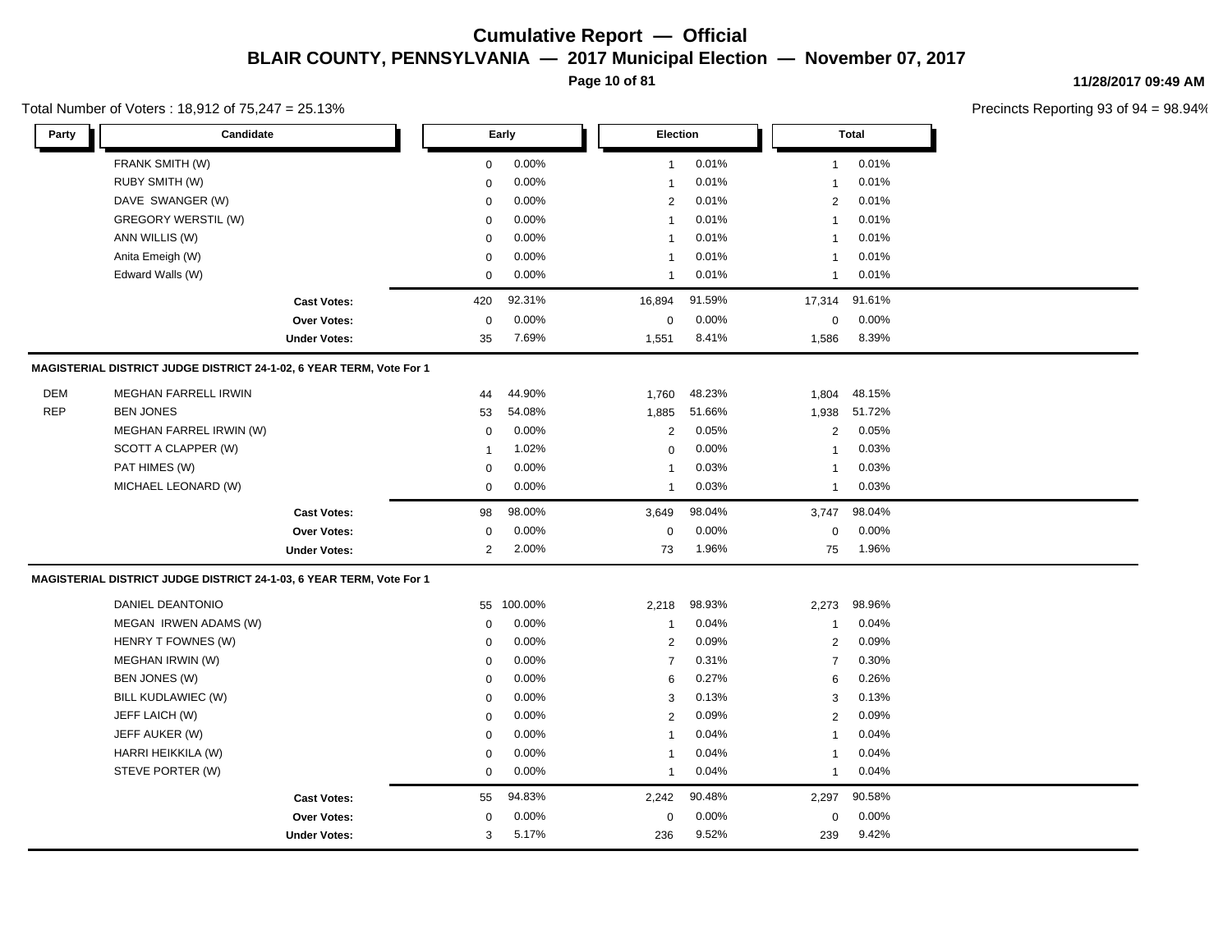**Page 10 of 81**

#### **11/28/2017 09:49 AM**

Precincts Reporting 93 of 94 = 98.94%

| Party      | Candidate                                                            |                     |                | Early   | Election       |        |                | <b>Total</b> |  |
|------------|----------------------------------------------------------------------|---------------------|----------------|---------|----------------|--------|----------------|--------------|--|
|            | FRANK SMITH (W)                                                      |                     | 0              | 0.00%   | $\mathbf{1}$   | 0.01%  | 1              | 0.01%        |  |
|            | RUBY SMITH (W)                                                       |                     | 0              | 0.00%   | $\mathbf{1}$   | 0.01%  | 1              | 0.01%        |  |
|            | DAVE SWANGER (W)                                                     |                     | $\mathbf 0$    | 0.00%   | 2              | 0.01%  | $\overline{2}$ | 0.01%        |  |
|            | GREGORY WERSTIL (W)                                                  |                     | 0              | 0.00%   | $\overline{1}$ | 0.01%  | $\mathbf{1}$   | 0.01%        |  |
|            | ANN WILLIS (W)                                                       |                     | 0              | 0.00%   | $\mathbf{1}$   | 0.01%  | $\mathbf{1}$   | 0.01%        |  |
|            | Anita Emeigh (W)                                                     |                     | 0              | 0.00%   | $\mathbf{1}$   | 0.01%  | -1             | 0.01%        |  |
|            | Edward Walls (W)                                                     |                     | 0              | 0.00%   | $\mathbf{1}$   | 0.01%  | 1              | 0.01%        |  |
|            |                                                                      | <b>Cast Votes:</b>  | 420            | 92.31%  | 16,894         | 91.59% | 17,314         | 91.61%       |  |
|            |                                                                      | Over Votes:         | 0              | 0.00%   | $\pmb{0}$      | 0.00%  | 0              | 0.00%        |  |
|            |                                                                      | <b>Under Votes:</b> | 35             | 7.69%   | 1,551          | 8.41%  | 1,586          | 8.39%        |  |
|            | MAGISTERIAL DISTRICT JUDGE DISTRICT 24-1-02, 6 YEAR TERM, Vote For 1 |                     |                |         |                |        |                |              |  |
| DEM        | <b>MEGHAN FARRELL IRWIN</b>                                          |                     | 44             | 44.90%  | 1,760          | 48.23% | 1,804          | 48.15%       |  |
| <b>REP</b> | <b>BEN JONES</b>                                                     |                     | 53             | 54.08%  | 1,885          | 51.66% | 1,938          | 51.72%       |  |
|            | MEGHAN FARREL IRWIN (W)                                              |                     | 0              | 0.00%   | $\overline{2}$ | 0.05%  | $\overline{2}$ | 0.05%        |  |
|            | SCOTT A CLAPPER (W)                                                  |                     | $\overline{1}$ | 1.02%   | $\mathbf 0$    | 0.00%  | $\mathbf{1}$   | 0.03%        |  |
|            | PAT HIMES (W)                                                        |                     | 0              | 0.00%   | -1             | 0.03%  | -1             | 0.03%        |  |
|            | MICHAEL LEONARD (W)                                                  |                     | $\mathbf 0$    | 0.00%   | $\mathbf{1}$   | 0.03%  | $\mathbf{1}$   | 0.03%        |  |
|            |                                                                      | <b>Cast Votes:</b>  | 98             | 98.00%  | 3,649          | 98.04% | 3,747          | 98.04%       |  |
|            |                                                                      | Over Votes:         | 0              | 0.00%   | $\mathsf 0$    | 0.00%  | 0              | 0.00%        |  |
|            |                                                                      | <b>Under Votes:</b> | $\overline{2}$ | 2.00%   | 73             | 1.96%  | 75             | 1.96%        |  |
|            | MAGISTERIAL DISTRICT JUDGE DISTRICT 24-1-03, 6 YEAR TERM, Vote For 1 |                     |                |         |                |        |                |              |  |
|            | DANIEL DEANTONIO                                                     |                     | 55             | 100.00% | 2,218          | 98.93% | 2,273          | 98.96%       |  |
|            | MEGAN IRWEN ADAMS (W)                                                |                     | $\mathbf 0$    | 0.00%   | $\mathbf{1}$   | 0.04%  | $\mathbf{1}$   | 0.04%        |  |
|            | HENRY T FOWNES (W)                                                   |                     | 0              | 0.00%   | $\overline{2}$ | 0.09%  | $\overline{2}$ | 0.09%        |  |
|            | MEGHAN IRWIN (W)                                                     |                     | $\mathbf 0$    | 0.00%   | $\overline{7}$ | 0.31%  | $\overline{7}$ | 0.30%        |  |
|            | BEN JONES (W)                                                        |                     | 0              | 0.00%   | 6              | 0.27%  | 6              | 0.26%        |  |
|            | BILL KUDLAWIEC (W)                                                   |                     | 0              | 0.00%   | 3              | 0.13%  | 3              | 0.13%        |  |
|            | JEFF LAICH (W)                                                       |                     | 0              | 0.00%   | $\overline{2}$ | 0.09%  | 2              | 0.09%        |  |
|            | JEFF AUKER (W)                                                       |                     | 0              | 0.00%   | $\mathbf{1}$   | 0.04%  | $\mathbf{1}$   | 0.04%        |  |
|            | HARRI HEIKKILA (W)                                                   |                     | $\mathbf 0$    | 0.00%   | -1             | 0.04%  | -1             | 0.04%        |  |
|            | STEVE PORTER (W)                                                     |                     | $\mathbf 0$    | 0.00%   | $\mathbf{1}$   | 0.04%  | $\mathbf{1}$   | 0.04%        |  |
|            |                                                                      | <b>Cast Votes:</b>  | 55             | 94.83%  | 2,242          | 90.48% | 2,297          | 90.58%       |  |
|            |                                                                      | Over Votes:         | 0              | 0.00%   | 0              | 0.00%  | $\mathbf 0$    | $0.00\%$     |  |
|            |                                                                      | <b>Under Votes:</b> | 3              | 5.17%   | 236            | 9.52%  | 239            | 9.42%        |  |

#### Total Number of Voters : 18,912 of 75,247 = 25.13%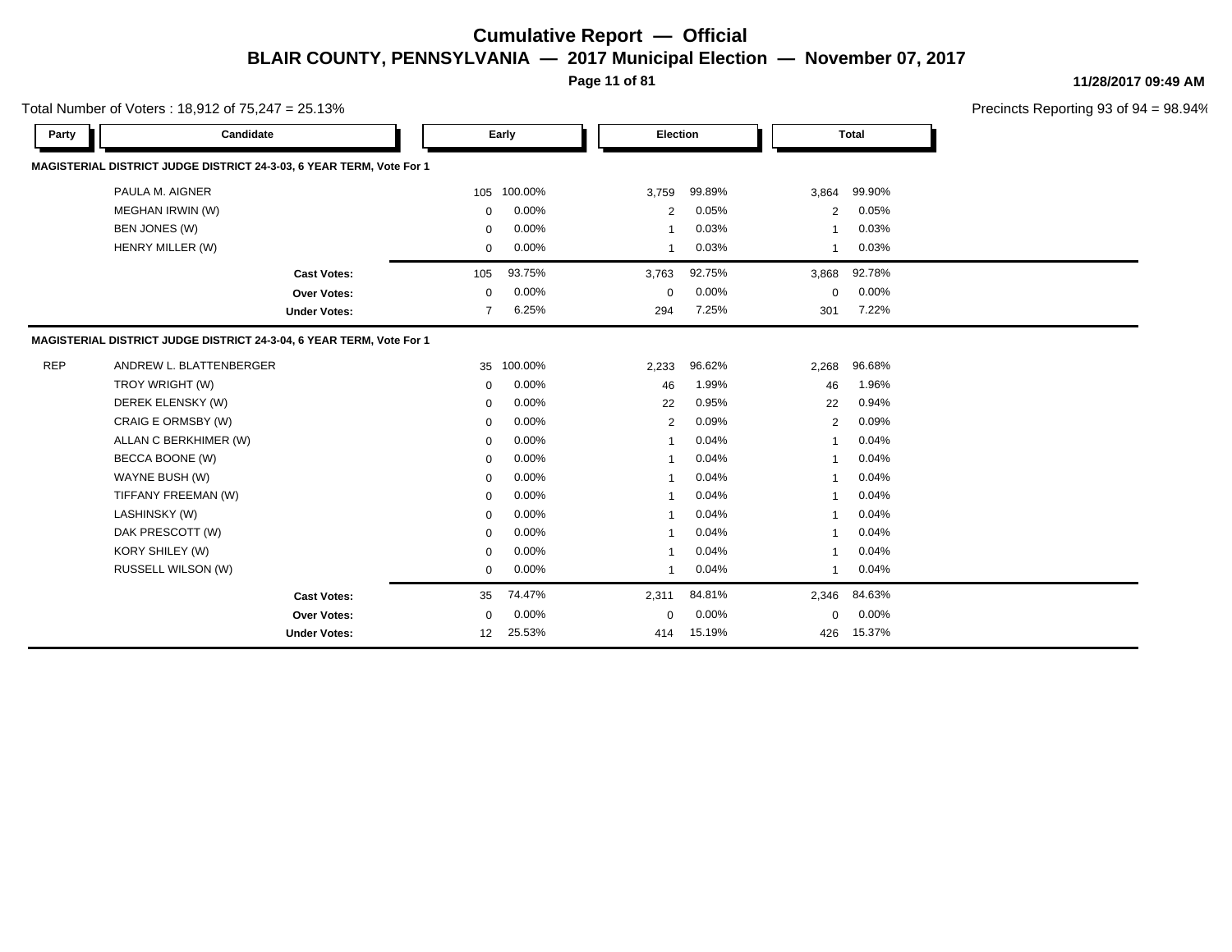**Page 11 of 81**

**11/28/2017 09:49 AM**

|            | Total Number of Voters: 18,912 of 75,247 = 25.13%                    |                     |              |         |              |        |              |              | Precincts Reporting 93 of |
|------------|----------------------------------------------------------------------|---------------------|--------------|---------|--------------|--------|--------------|--------------|---------------------------|
| Party      | Candidate                                                            |                     |              | Early   | Election     |        |              | <b>Total</b> |                           |
|            | MAGISTERIAL DISTRICT JUDGE DISTRICT 24-3-03, 6 YEAR TERM, Vote For 1 |                     |              |         |              |        |              |              |                           |
|            | PAULA M. AIGNER                                                      |                     | 105          | 100.00% | 3,759        | 99.89% | 3,864        | 99.90%       |                           |
|            | MEGHAN IRWIN (W)                                                     |                     | $\mathbf 0$  | 0.00%   | 2            | 0.05%  | 2            | 0.05%        |                           |
|            | BEN JONES (W)                                                        |                     | $\Omega$     | 0.00%   | 1            | 0.03%  | -1           | 0.03%        |                           |
|            | HENRY MILLER (W)                                                     |                     | $\mathbf 0$  |         | -1           | 0.03%  | 1            | 0.03%        |                           |
|            |                                                                      | <b>Cast Votes:</b>  | 105          | 93.75%  | 3,763        | 92.75% | 3,868        | 92.78%       |                           |
|            |                                                                      | <b>Over Votes:</b>  | $\mathbf 0$  | 0.00%   | 0            | 0.00%  | $\mathbf 0$  | 0.00%        |                           |
|            |                                                                      | <b>Under Votes:</b> | 7            | 6.25%   | 294          | 7.25%  | 301          | 7.22%        |                           |
|            | MAGISTERIAL DISTRICT JUDGE DISTRICT 24-3-04, 6 YEAR TERM, Vote For 1 |                     |              |         |              |        |              |              |                           |
| <b>REP</b> | ANDREW L. BLATTENBERGER                                              |                     | 35           | 100.00% | 2,233        | 96.62% | 2,268        | 96.68%       |                           |
|            | TROY WRIGHT (W)                                                      |                     | $\Omega$     | 0.00%   | 46           | 1.99%  | 46           | 1.96%        |                           |
|            | DEREK ELENSKY (W)                                                    |                     | $\Omega$     | 0.00%   | 22           | 0.95%  | 22           | 0.94%        |                           |
|            | CRAIG E ORMSBY (W)                                                   |                     | $\mathbf 0$  | 0.00%   | 2            | 0.09%  | 2            | 0.09%        |                           |
|            | ALLAN C BERKHIMER (W)                                                |                     | $\mathbf 0$  | 0.00%   | -1           | 0.04%  | 1            | 0.04%        |                           |
|            | BECCA BOONE (W)                                                      |                     | $\Omega$     | 0.00%   | 1            | 0.04%  | $\mathbf 1$  | 0.04%        |                           |
|            | WAYNE BUSH (W)                                                       |                     | $\mathbf 0$  | 0.00%   | 1            | 0.04%  | 1            | 0.04%        |                           |
|            | TIFFANY FREEMAN (W)                                                  |                     | $\mathbf 0$  | 0.00%   | -1           | 0.04%  | $\mathbf{1}$ | 0.04%        |                           |
|            | LASHINSKY (W)                                                        |                     | $\Omega$     | 0.00%   |              | 0.04%  | 1            | 0.04%        |                           |
|            | DAK PRESCOTT (W)                                                     |                     | $\Omega$     | 0.00%   | 1            | 0.04%  | $\mathbf{1}$ | 0.04%        |                           |
|            | KORY SHILEY (W)                                                      |                     | $\mathbf 0$  | 0.00%   |              | 0.04%  | -1           | 0.04%        |                           |
|            | RUSSELL WILSON (W)                                                   |                     | $\mathbf{0}$ | 0.00%   | $\mathbf{1}$ | 0.04%  | $\mathbf{1}$ | 0.04%        |                           |
|            | <b>Cast Votes:</b>                                                   |                     | 35           | 74.47%  | 2,311        | 84.81% | 2,346        | 84.63%       |                           |
|            |                                                                      | Over Votes:         | $\Omega$     | 0.00%   | $\Omega$     | 0.00%  | $\mathbf 0$  | 0.00%        |                           |
|            |                                                                      | <b>Under Votes:</b> | 12           | 25.53%  | 414          | 15.19% | 426          | 15.37%       |                           |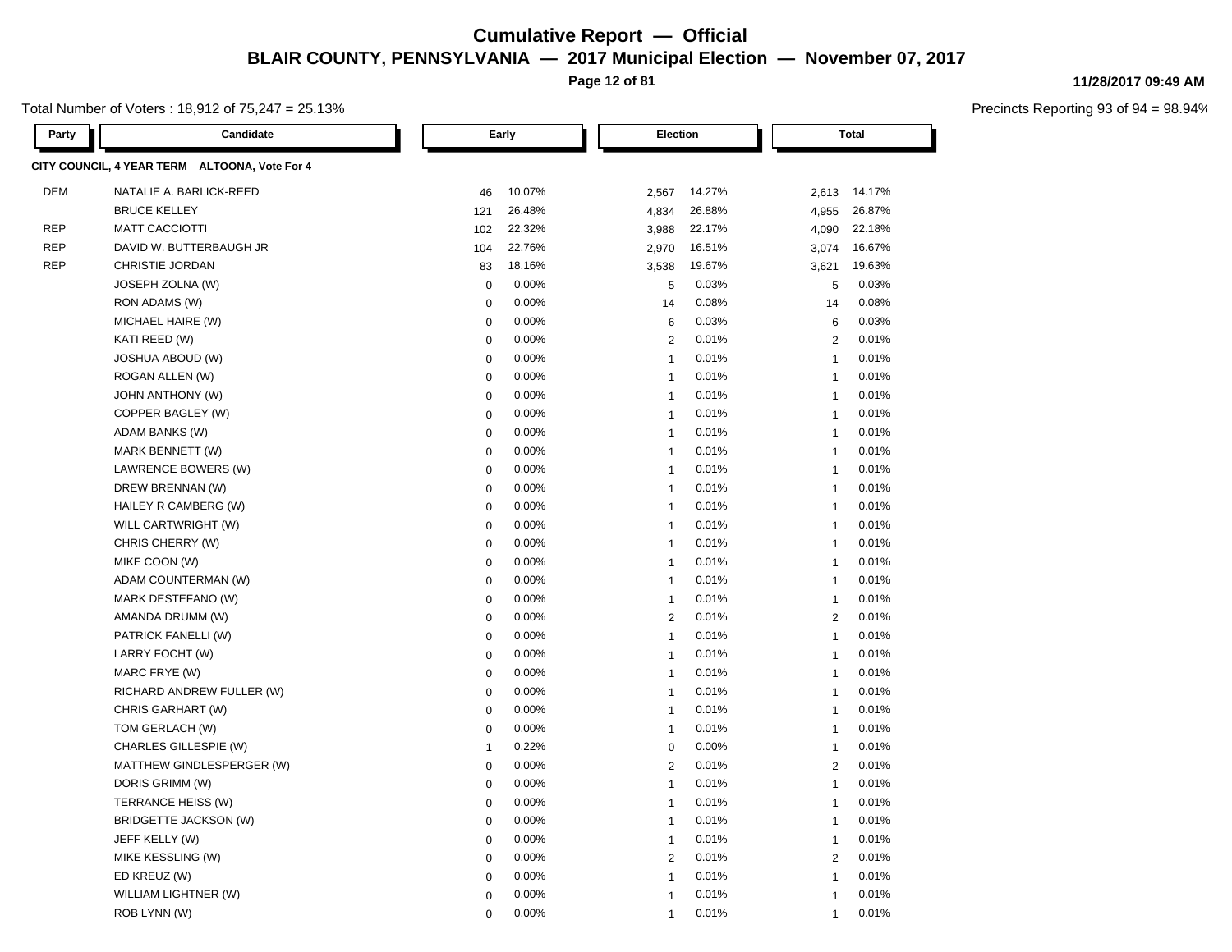**Page 12 of 81**

Total Number of Voters : 18,912 of 75,247 = 25.13%

| Party      | Candidate                                     |              | Early  |                | Election |                | <b>Total</b> |  |
|------------|-----------------------------------------------|--------------|--------|----------------|----------|----------------|--------------|--|
|            | CITY COUNCIL, 4 YEAR TERM ALTOONA, Vote For 4 |              |        |                |          |                |              |  |
| <b>DEM</b> | NATALIE A. BARLICK-REED                       | 46           | 10.07% | 2,567          | 14.27%   |                | 2,613 14.17% |  |
|            | <b>BRUCE KELLEY</b>                           | 121          | 26.48% | 4,834          | 26.88%   | 4,955          | 26.87%       |  |
| <b>REP</b> | <b>MATT CACCIOTTI</b>                         | 102          | 22.32% | 3,988          | 22.17%   | 4,090          | 22.18%       |  |
| <b>REP</b> | DAVID W. BUTTERBAUGH JR                       | 104          | 22.76% | 2,970          | 16.51%   | 3,074          | 16.67%       |  |
| <b>REP</b> | CHRISTIE JORDAN                               | 83           | 18.16% | 3,538          | 19.67%   | 3,621          | 19.63%       |  |
|            | JOSEPH ZOLNA (W)                              | $\mathbf 0$  | 0.00%  | 5              | 0.03%    | 5              | 0.03%        |  |
|            | RON ADAMS (W)                                 | $\mathbf 0$  | 0.00%  | 14             | 0.08%    | 14             | 0.08%        |  |
|            | MICHAEL HAIRE (W)                             | $\mathbf 0$  | 0.00%  | 6              | 0.03%    | 6              | 0.03%        |  |
|            | KATI REED (W)                                 | $\mathbf 0$  | 0.00%  | $\overline{2}$ | 0.01%    | 2              | 0.01%        |  |
|            | <b>JOSHUA ABOUD (W)</b>                       | $\mathbf 0$  | 0.00%  | $\overline{1}$ | 0.01%    | $\overline{1}$ | 0.01%        |  |
|            | ROGAN ALLEN (W)                               | $\mathbf 0$  | 0.00%  | $\overline{1}$ | 0.01%    | $\overline{1}$ | 0.01%        |  |
|            | <b>JOHN ANTHONY (W)</b>                       | $\mathbf 0$  | 0.00%  | $\overline{1}$ | 0.01%    | $\overline{1}$ | 0.01%        |  |
|            | COPPER BAGLEY (W)                             | $\mathbf 0$  | 0.00%  | $\overline{1}$ | 0.01%    | $\overline{1}$ | 0.01%        |  |
|            | ADAM BANKS (W)                                | $\mathbf 0$  | 0.00%  | $\overline{1}$ | 0.01%    | $\overline{1}$ | 0.01%        |  |
|            | MARK BENNETT (W)                              | $\Omega$     | 0.00%  | $\overline{1}$ | 0.01%    | $\mathbf{1}$   | 0.01%        |  |
|            | LAWRENCE BOWERS (W)                           | $\mathbf 0$  | 0.00%  | $\overline{1}$ | 0.01%    | $\overline{1}$ | 0.01%        |  |
|            | DREW BRENNAN (W)                              | $\mathbf 0$  | 0.00%  | $\overline{1}$ | 0.01%    | $\overline{1}$ | 0.01%        |  |
|            | HAILEY R CAMBERG (W)                          | $\mathbf 0$  | 0.00%  | $\overline{1}$ | 0.01%    | $\overline{1}$ | 0.01%        |  |
|            | WILL CARTWRIGHT (W)                           | $\mathbf 0$  | 0.00%  | $\overline{1}$ | 0.01%    | $\mathbf{1}$   | 0.01%        |  |
|            | CHRIS CHERRY (W)                              | $\mathbf 0$  | 0.00%  | $\overline{1}$ | 0.01%    | $\overline{1}$ | 0.01%        |  |
|            | MIKE COON (W)                                 | $\mathbf 0$  | 0.00%  | $\overline{1}$ | 0.01%    | $\overline{1}$ | 0.01%        |  |
|            | ADAM COUNTERMAN (W)                           | $\mathbf 0$  | 0.00%  | $\mathbf{1}$   | 0.01%    | $\overline{1}$ | 0.01%        |  |
|            | MARK DESTEFANO (W)                            | $\pmb{0}$    | 0.00%  | $\mathbf{1}$   | 0.01%    | $\overline{1}$ | 0.01%        |  |
|            | AMANDA DRUMM (W)                              | $\mathbf 0$  | 0.00%  | $\overline{2}$ | 0.01%    | $\overline{2}$ | 0.01%        |  |
|            | PATRICK FANELLI (W)                           | $\mathbf 0$  | 0.00%  | $\mathbf{1}$   | 0.01%    | $\overline{1}$ | 0.01%        |  |
|            | LARRY FOCHT (W)                               | $\mathbf 0$  | 0.00%  | $\mathbf{1}$   | 0.01%    | $\overline{1}$ | 0.01%        |  |
|            | MARC FRYE (W)                                 | $\mathbf 0$  | 0.00%  | $\overline{1}$ | 0.01%    | $\overline{1}$ | 0.01%        |  |
|            | RICHARD ANDREW FULLER (W)                     | $\mathbf 0$  | 0.00%  | $\overline{1}$ | 0.01%    | $\overline{1}$ | 0.01%        |  |
|            | CHRIS GARHART (W)                             | $\mathbf 0$  | 0.00%  | $\overline{1}$ | 0.01%    | $\overline{1}$ | 0.01%        |  |
|            | TOM GERLACH (W)                               | $\mathbf 0$  | 0.00%  | $\overline{1}$ | 0.01%    | $\overline{1}$ | 0.01%        |  |
|            | CHARLES GILLESPIE (W)                         | $\mathbf{1}$ | 0.22%  | $\mathbf 0$    | 0.00%    | $\overline{1}$ | 0.01%        |  |
|            | MATTHEW GINDLESPERGER (W)                     | $\mathbf 0$  | 0.00%  | $\overline{2}$ | 0.01%    | $\overline{2}$ | 0.01%        |  |
|            | DORIS GRIMM (W)                               | $\mathbf 0$  | 0.00%  | $\overline{1}$ | 0.01%    | $\overline{1}$ | 0.01%        |  |
|            | TERRANCE HEISS (W)                            | $\mathbf 0$  | 0.00%  | $\overline{1}$ | 0.01%    | $\overline{1}$ | 0.01%        |  |
|            | BRIDGETTE JACKSON (W)                         | $\mathbf 0$  | 0.00%  | $\overline{1}$ | 0.01%    | $\overline{1}$ | 0.01%        |  |
|            | JEFF KELLY (W)                                | $\mathbf 0$  | 0.00%  | $\overline{1}$ | 0.01%    | $\overline{1}$ | 0.01%        |  |
|            | MIKE KESSLING (W)                             | $\mathbf 0$  | 0.00%  | $\overline{2}$ | 0.01%    | 2              | 0.01%        |  |
|            | ED KREUZ (W)                                  | $\Omega$     | 0.00%  | $\mathbf{1}$   | 0.01%    | $\overline{1}$ | 0.01%        |  |
|            | WILLIAM LIGHTNER (W)                          | $\Omega$     | 0.00%  | $\overline{1}$ | 0.01%    | $\overline{1}$ | 0.01%        |  |
|            | ROB LYNN (W)                                  | $\Omega$     | 0.00%  | $\overline{1}$ | 0.01%    | $\overline{1}$ | 0.01%        |  |

#### **11/28/2017 09:49 AM**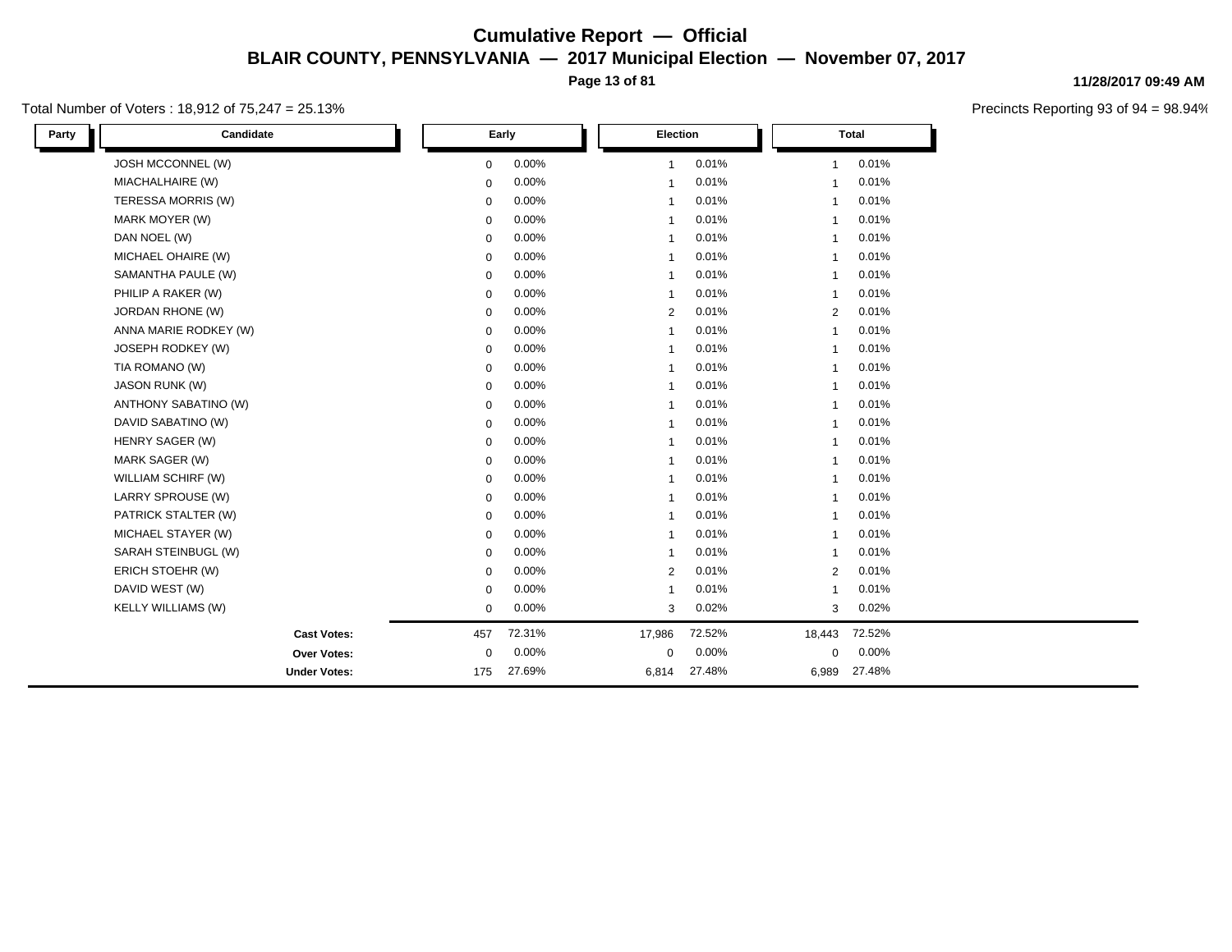**Page 13 of 81**

#### Total Number of Voters : 18,912 of 75,247 = 25.13%

**11/28/2017 09:49 AM**

| Candidate<br>Party    |              | Early  |                         | Election |                | <b>Total</b> |  |
|-----------------------|--------------|--------|-------------------------|----------|----------------|--------------|--|
| JOSH MCCONNEL (W)     | $\mathbf 0$  | 0.00%  | $\mathbf{1}$            | 0.01%    | $\mathbf{1}$   | 0.01%        |  |
| MIACHALHAIRE (W)      | $\mathbf 0$  | 0.00%  | $\overline{\mathbf{1}}$ | 0.01%    | 1              | 0.01%        |  |
| TERESSA MORRIS (W)    | $\mathbf 0$  | 0.00%  | $\mathbf{1}$            | 0.01%    | $\mathbf{1}$   | 0.01%        |  |
| MARK MOYER (W)        | $\mathbf{0}$ | 0.00%  | $\overline{1}$          | 0.01%    | $\mathbf{1}$   | 0.01%        |  |
| DAN NOEL (W)          | $\mathbf{0}$ | 0.00%  | $\overline{1}$          | 0.01%    | $\mathbf{1}$   | 0.01%        |  |
| MICHAEL OHAIRE (W)    | 0            | 0.00%  | $\overline{\mathbf{1}}$ | 0.01%    | 1              | 0.01%        |  |
| SAMANTHA PAULE (W)    | $\mathbf 0$  | 0.00%  | $\mathbf{1}$            | 0.01%    | $\mathbf{1}$   | 0.01%        |  |
| PHILIP A RAKER (W)    | $\mathbf 0$  | 0.00%  | $\overline{1}$          | 0.01%    | 1              | 0.01%        |  |
| JORDAN RHONE (W)      | $\mathbf 0$  | 0.00%  | $\overline{2}$          | 0.01%    | $\overline{2}$ | 0.01%        |  |
| ANNA MARIE RODKEY (W) | $\mathbf 0$  | 0.00%  | $\overline{1}$          | 0.01%    | $\mathbf{1}$   | 0.01%        |  |
| JOSEPH RODKEY (W)     | $\mathbf 0$  | 0.00%  | $\overline{1}$          | 0.01%    | $\mathbf{1}$   | 0.01%        |  |
| TIA ROMANO (W)        | $\mathbf{0}$ | 0.00%  | $\overline{1}$          | 0.01%    | $\mathbf{1}$   | 0.01%        |  |
| JASON RUNK (W)        | $\mathbf 0$  | 0.00%  | $\overline{1}$          | 0.01%    | $\mathbf{1}$   | 0.01%        |  |
| ANTHONY SABATINO (W)  | $\mathbf 0$  | 0.00%  | $\overline{\mathbf{1}}$ | 0.01%    | 1              | 0.01%        |  |
| DAVID SABATINO (W)    | $\mathbf 0$  | 0.00%  | $\overline{\mathbf{1}}$ | 0.01%    | 1              | 0.01%        |  |
| HENRY SAGER (W)       | $\mathbf 0$  | 0.00%  | $\overline{1}$          | 0.01%    | 1              | 0.01%        |  |
| MARK SAGER (W)        | $\mathbf 0$  | 0.00%  | $\overline{1}$          | 0.01%    | $\mathbf{1}$   | 0.01%        |  |
| WILLIAM SCHIRF (W)    | $\mathbf 0$  | 0.00%  | $\overline{\mathbf{1}}$ | 0.01%    | 1              | 0.01%        |  |
| LARRY SPROUSE (W)     | $\mathbf 0$  | 0.00%  | $\overline{\mathbf{1}}$ | 0.01%    | $\mathbf{1}$   | 0.01%        |  |
| PATRICK STALTER (W)   | $\mathbf 0$  | 0.00%  | $\overline{1}$          | 0.01%    | 1              | 0.01%        |  |
| MICHAEL STAYER (W)    | $\mathbf{0}$ | 0.00%  | $\mathbf{1}$            | 0.01%    | $\mathbf{1}$   | 0.01%        |  |
| SARAH STEINBUGL (W)   | 0            | 0.00%  | $\overline{1}$          | 0.01%    | $\mathbf{1}$   | 0.01%        |  |
| ERICH STOEHR (W)      | $\mathbf 0$  | 0.00%  | 2                       | 0.01%    | $\overline{2}$ | 0.01%        |  |
| DAVID WEST (W)        | $\mathbf 0$  | 0.00%  | $\overline{1}$          | 0.01%    | $\mathbf{1}$   | 0.01%        |  |
| KELLY WILLIAMS (W)    | $\mathbf 0$  | 0.00%  | 3                       | 0.02%    | 3              | 0.02%        |  |
| <b>Cast Votes:</b>    | 457          | 72.31% | 17,986                  | 72.52%   | 18,443         | 72.52%       |  |
| Over Votes:           | $\mathbf 0$  | 0.00%  | $\mathbf 0$             | 0.00%    | 0              | 0.00%        |  |
| <b>Under Votes:</b>   | 175          | 27.69% | 6,814                   | 27.48%   | 6,989          | 27.48%       |  |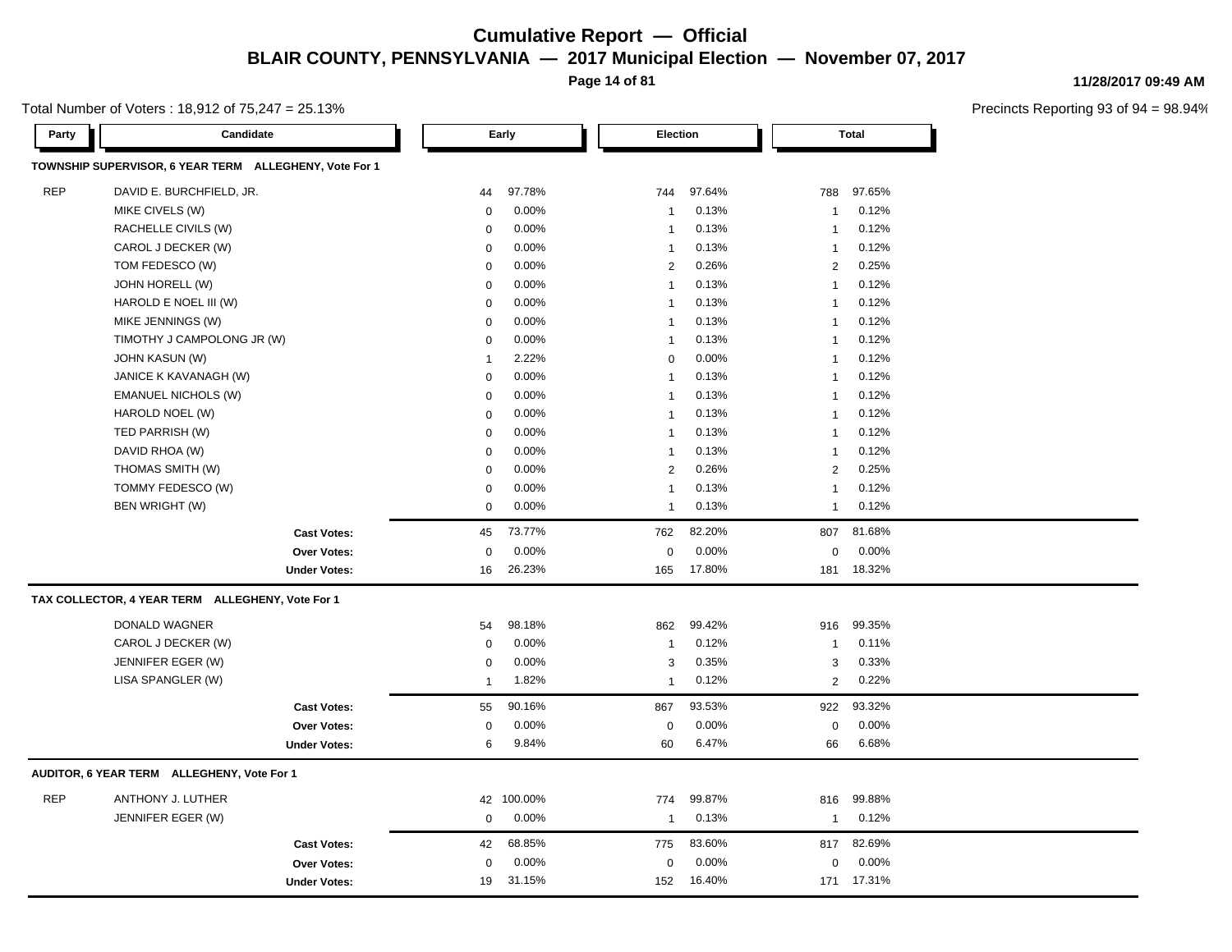**Page 14 of 81**

Total Number of Voters : 18,912 of 75,247 = 25.13%

**Party Candidate Early Election Total TOWNSHIP SUPERVISOR, 6 YEAR TERM ALLEGHENY, Vote For 1** REP DAVID E. BURCHFIELD, JR. 44 97.78% 744 97.64% 788 97.65% MIKE CIVELS (W) 0 0.00% 1 0.13% 1 0.12% RACHELLE CIVILS (W) 0 0.00% 1 0.13% 1 0.12% CAROL J DECKER (W) 0 0.00% 1 0.13% 1 0.12% TOM FEDESCO (W) 0 0.00% 2 0.26% 2 0.25% JOHN HORELL (W) 0 0.00% 1 0.13% 1 0.12% HAROLD E NOEL III (W)  $0.00\%$   $0.00\%$  1 0.13% 1 0.12% MIKE JENNINGS (W) 0 0.00% 1 0.13% 1 0.12% TIMOTHY J CAMPOLONG JR (W)  $0.00\%$  1 0.13% 1 0.12% JOHN KASUN (W) 1 2.22% 0 0.00% 1 0.12% JANICE K KAVANAGH (W) 0 0.00% 1 0.13% 1 0.12% EMANUEL NICHOLS (W) 0 0.00% 1 0.13% 1 0.12% HAROLD NOEL (W) 0 0.00% 1 0.13% 1 0.12% TED PARRISH (W) 0 0.00% 1 0.13% 1 0.12% DAVID RHOA (W) 0 0.00% 1 0.13% 1 0.12% THOMAS SMITH (W) 0 0.00% 2 0.26% 2 0.25% TOMMY FEDESCO (W) 0 0.00% 1 0.13% 1 0.12% BEN WRIGHT (W) 0 0.00% 1 0.13% 1 0.12% **Cast Votes:** 45 73.77% 762 82.20% 807 81.68% **Over Votes:** 0 0.00% Under Votes: 16 26.23% 0.00% 0 165 17.80% 165 17.80% 181 18.32% 0.00% 0 0.00% **TAX COLLECTOR, 4 YEAR TERM ALLEGHENY, Vote For 1** DONALD WAGNER 54 98.18% 862 99.42% 916 99.35% CAROL J DECKER (W) 0 0.00% 1 0.12% 1 0.11% JENNIFER EGER (W) 0 0.00% 3 0.35% 3 0.33% LISA SPANGLER (W) 1 1.82% 1 0.12% 2 0.22% **Cast Votes:** 55 90.16% 867 93.53% 922 93.32% **Over Votes:** 0 **Under Votes:** 6 0.00% 9.84%  $0.00%$ 60 6.47% 66 6.68% 0.00% 0 6.47% 6.68% 0.00% **AUDITOR, 6 YEAR TERM ALLEGHENY, Vote For 1** REP ANTHONY J. LUTHER 42 100.00% 774 99.87% 816 99.88% JENNIFER EGER (W) 0 0.00% 1 0.13% 1 0.12% **Cast Votes:** 42 68.85% 775 83.60% 817 82.69% **Over Votes:** 0 0.00% **Under Votes:** 19 31.15% 0.00% 0 152 16.40% 152 171 16.40% 17.31%0.00% 0 0.00%

#### **11/28/2017 09:49 AM**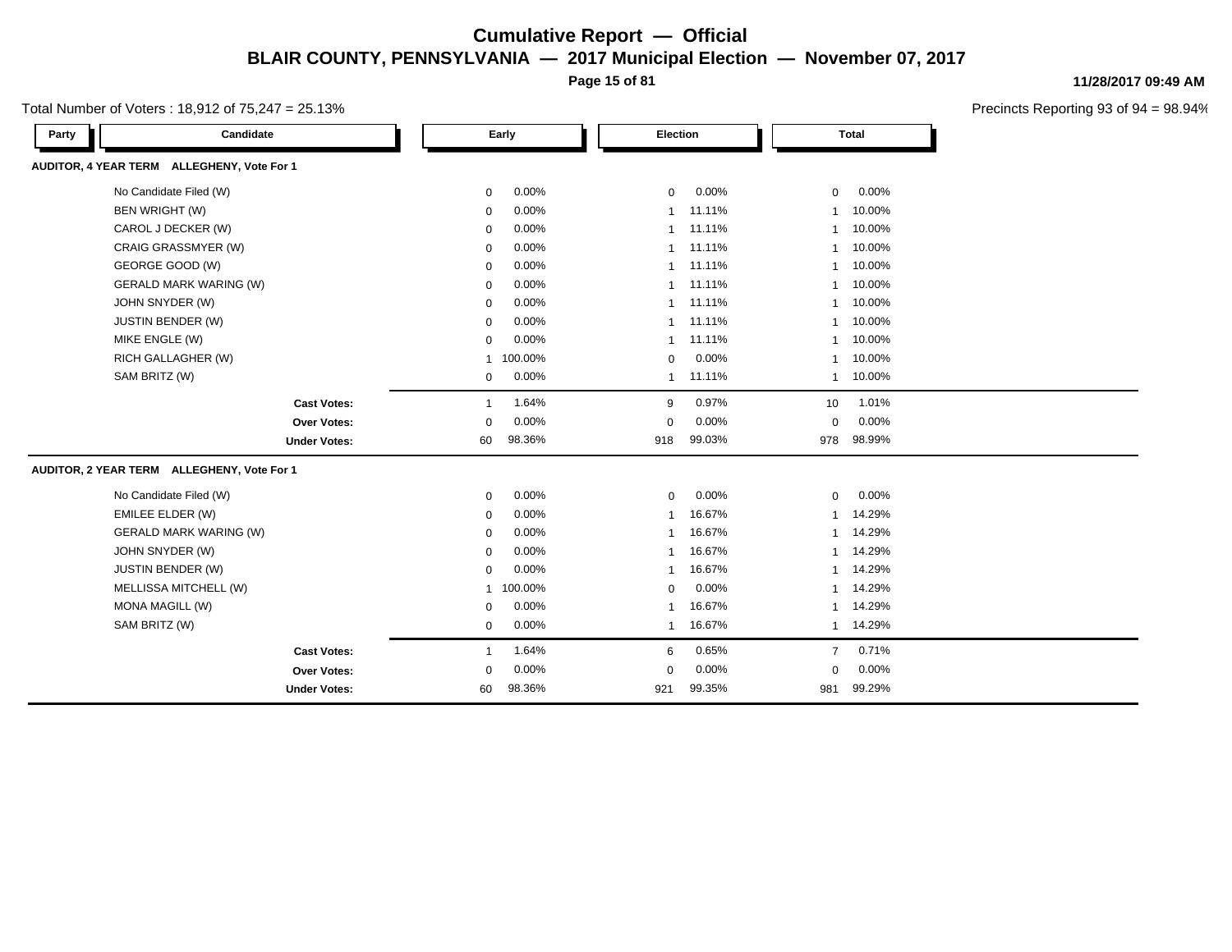**Page 15 of 81**

Total Number of Voters : 18,912 of 75,247 = 25.13%

| Party | Candidate                                  |              | Early   | Election       |        |                  | <b>Total</b> |
|-------|--------------------------------------------|--------------|---------|----------------|--------|------------------|--------------|
|       | AUDITOR, 4 YEAR TERM ALLEGHENY, Vote For 1 |              |         |                |        |                  |              |
|       | No Candidate Filed (W)                     | 0            | 0.00%   | $\mathbf 0$    | 0.00%  | $\mathbf 0$      | 0.00%        |
|       | BEN WRIGHT (W)                             | 0            | 0.00%   | $\mathbf 1$    | 11.11% | $\mathbf{1}$     | 10.00%       |
|       | CAROL J DECKER (W)                         | 0            | 0.00%   |                | 11.11% | $\mathbf{1}$     | 10.00%       |
|       | CRAIG GRASSMYER (W)                        | $\mathbf 0$  | 0.00%   | $\overline{1}$ | 11.11% | $\mathbf{1}$     | 10.00%       |
|       | GEORGE GOOD (W)                            | 0            | 0.00%   |                | 11.11% | $\mathbf{1}$     | 10.00%       |
|       | <b>GERALD MARK WARING (W)</b>              | 0            | 0.00%   |                | 11.11% | 1                | 10.00%       |
|       | JOHN SNYDER (W)                            | $\mathbf 0$  | 0.00%   |                | 11.11% | 1                | 10.00%       |
|       | JUSTIN BENDER (W)                          | 0            | 0.00%   | $\mathbf 1$    | 11.11% | 1                | 10.00%       |
|       | MIKE ENGLE (W)                             | $\mathbf 0$  | 0.00%   | $\mathbf 1$    | 11.11% | $\mathbf{1}$     | 10.00%       |
|       | RICH GALLAGHER (W)                         | $\mathbf{1}$ | 100.00% | $\mathbf 0$    | 0.00%  | $\mathbf{1}$     | 10.00%       |
|       | SAM BRITZ (W)                              | 0            | 0.00%   | $\mathbf 1$    | 11.11% | 1                | 10.00%       |
|       | <b>Cast Votes:</b>                         | $\mathbf 1$  | 1.64%   | 9              | 0.97%  | 10 <sup>10</sup> | 1.01%        |
|       | Over Votes:                                | $\Omega$     | 0.00%   | $\Omega$       | 0.00%  | $\mathbf 0$      | 0.00%        |
|       | <b>Under Votes:</b>                        | 60           | 98.36%  | 918            | 99.03% | 978              | 98.99%       |
|       | AUDITOR, 2 YEAR TERM ALLEGHENY, Vote For 1 |              |         |                |        |                  |              |
|       | No Candidate Filed (W)                     | 0            | 0.00%   | $\mathbf 0$    | 0.00%  | $\mathbf 0$      | 0.00%        |
|       | EMILEE ELDER (W)                           | 0            | 0.00%   | -1             | 16.67% | 1                | 14.29%       |
|       | <b>GERALD MARK WARING (W)</b>              | 0            | 0.00%   |                | 16.67% | $\mathbf{1}$     | 14.29%       |
|       | JOHN SNYDER (W)                            | 0            | 0.00%   |                | 16.67% | 1                | 14.29%       |
|       | JUSTIN BENDER (W)                          | 0            | 0.00%   |                | 16.67% | $\mathbf{1}$     | 14.29%       |
|       | MELLISSA MITCHELL (W)                      | 1            | 100.00% | $\mathbf 0$    | 0.00%  | $\mathbf{1}$     | 14.29%       |
|       | <b>MONA MAGILL (W)</b>                     | 0            | 0.00%   | -1             | 16.67% | $\mathbf{1}$     | 14.29%       |
|       | SAM BRITZ (W)                              | $\mathbf 0$  | 0.00%   | $\overline{1}$ | 16.67% | $\mathbf{1}$     | 14.29%       |
|       | <b>Cast Votes:</b>                         | 1            | 1.64%   | 6              | 0.65%  | $\overline{7}$   | 0.71%        |
|       | Over Votes:                                | $\Omega$     | 0.00%   | $\Omega$       | 0.00%  | $\mathbf 0$      | 0.00%        |
|       | <b>Under Votes:</b>                        | 60           | 98.36%  | 921            | 99.35% | 981              | 99.29%       |

**11/28/2017 09:49 AM**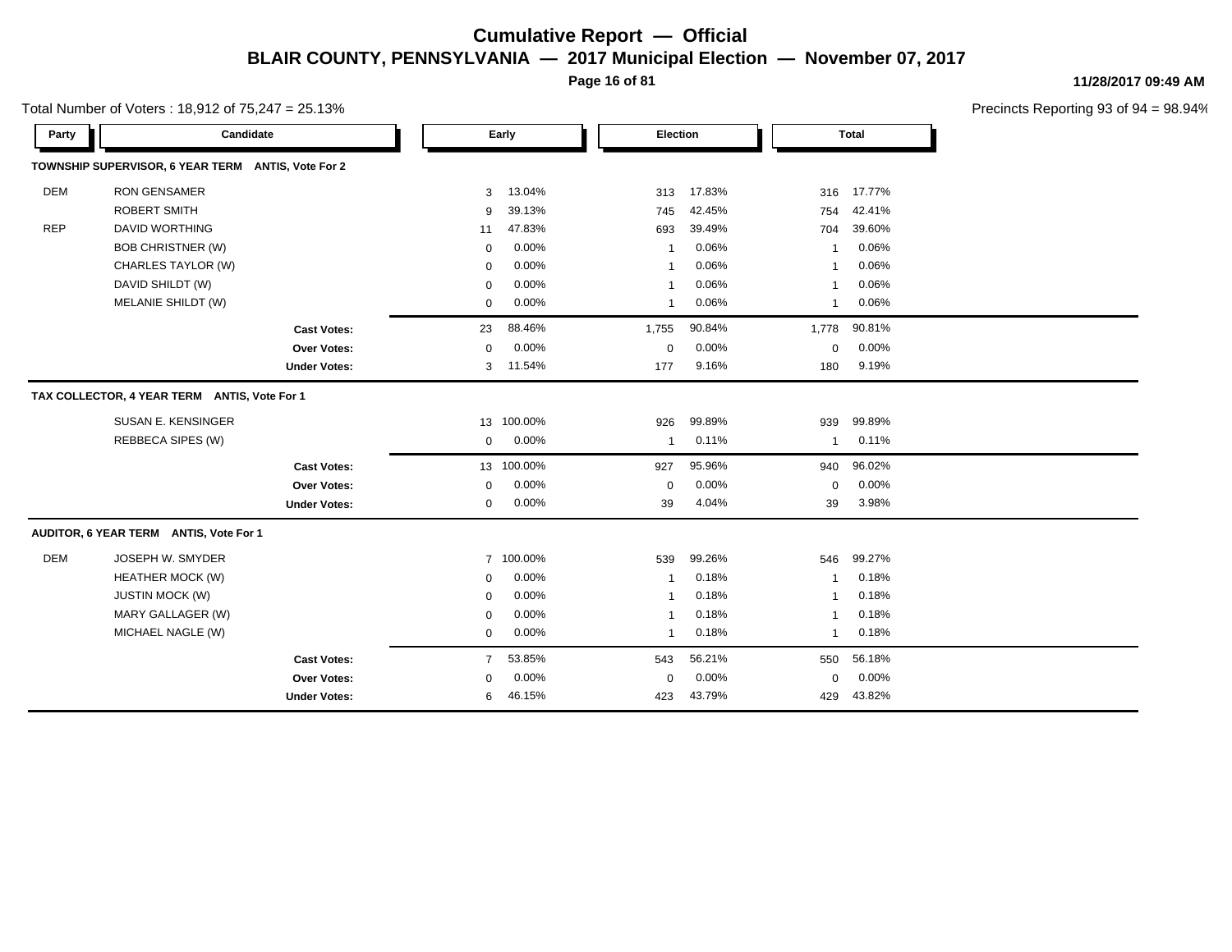**Page 16 of 81**

**11/28/2017 09:49 AM**

| Total Number of Voters: 18,912 of 75,247 = 25.13% |
|---------------------------------------------------|
|---------------------------------------------------|

| Party      | Candidate                                          |                     |             | Early      | Election       |        |              | Total  |  |
|------------|----------------------------------------------------|---------------------|-------------|------------|----------------|--------|--------------|--------|--|
|            | TOWNSHIP SUPERVISOR, 6 YEAR TERM ANTIS, Vote For 2 |                     |             |            |                |        |              |        |  |
| <b>DEM</b> | <b>RON GENSAMER</b>                                |                     | 3           | 13.04%     | 313            | 17.83% | 316          | 17.77% |  |
|            | <b>ROBERT SMITH</b>                                |                     | 9           | 39.13%     | 745            | 42.45% | 754          | 42.41% |  |
| <b>REP</b> | <b>DAVID WORTHING</b>                              |                     | 11          | 47.83%     | 693            | 39.49% | 704          | 39.60% |  |
|            | <b>BOB CHRISTNER (W)</b>                           |                     | $\mathbf 0$ | 0.00%      | $\overline{1}$ | 0.06%  | $\mathbf{1}$ | 0.06%  |  |
|            | CHARLES TAYLOR (W)                                 |                     | $\mathbf 0$ | 0.00%      | -1             | 0.06%  | -1           | 0.06%  |  |
|            | DAVID SHILDT (W)                                   |                     | $\mathbf 0$ | 0.00%      | -1             | 0.06%  | -1           | 0.06%  |  |
|            | MELANIE SHILDT (W)                                 |                     | $\mathbf 0$ | 0.00%      | $\overline{1}$ | 0.06%  | $\mathbf{1}$ | 0.06%  |  |
|            |                                                    | <b>Cast Votes:</b>  | 23          | 88.46%     | 1,755          | 90.84% | 1,778        | 90.81% |  |
|            |                                                    | Over Votes:         | $\mathbf 0$ | 0.00%      | $\mathbf 0$    | 0.00%  | $\mathbf 0$  | 0.00%  |  |
|            |                                                    | <b>Under Votes:</b> | 3           | 11.54%     | 177            | 9.16%  | 180          | 9.19%  |  |
|            | TAX COLLECTOR, 4 YEAR TERM ANTIS, Vote For 1       |                     |             |            |                |        |              |        |  |
|            | SUSAN E. KENSINGER                                 |                     |             | 13 100.00% | 926            | 99.89% | 939          | 99.89% |  |
|            | REBBECA SIPES (W)                                  |                     | 0           | 0.00%      | $\overline{1}$ | 0.11%  | $\mathbf{1}$ | 0.11%  |  |
|            |                                                    | <b>Cast Votes:</b>  |             | 13 100.00% | 927            | 95.96% | 940          | 96.02% |  |
|            |                                                    | Over Votes:         | $\mathbf 0$ | 0.00%      | $\mathbf 0$    | 0.00%  | $\Omega$     | 0.00%  |  |
|            |                                                    | <b>Under Votes:</b> | $\mathbf 0$ | 0.00%      | 39             | 4.04%  | 39           | 3.98%  |  |
|            | AUDITOR, 6 YEAR TERM ANTIS, Vote For 1             |                     |             |            |                |        |              |        |  |
| <b>DEM</b> | JOSEPH W. SMYDER                                   |                     |             | 7 100.00%  | 539            | 99.26% | 546          | 99.27% |  |
|            | <b>HEATHER MOCK (W)</b>                            |                     | $\mathbf 0$ | 0.00%      | -1             | 0.18%  | -1           | 0.18%  |  |
|            | <b>JUSTIN MOCK (W)</b>                             |                     | $\mathbf 0$ | 0.00%      | -1             | 0.18%  | -1           | 0.18%  |  |
|            | MARY GALLAGER (W)                                  |                     | $\mathbf 0$ | 0.00%      | $\overline{1}$ | 0.18%  | $\mathbf{1}$ | 0.18%  |  |
|            | MICHAEL NAGLE (W)                                  |                     | 0           | 0.00%      | $\overline{1}$ | 0.18%  | $\mathbf{1}$ | 0.18%  |  |
|            |                                                    | <b>Cast Votes:</b>  | $7^{\circ}$ | 53.85%     | 543            | 56.21% | 550          | 56.18% |  |
|            |                                                    | Over Votes:         | $\mathbf 0$ | 0.00%      | $\mathbf 0$    | 0.00%  | $\Omega$     | 0.00%  |  |
|            |                                                    | <b>Under Votes:</b> | 6           | 46.15%     | 423            | 43.79% | 429          | 43.82% |  |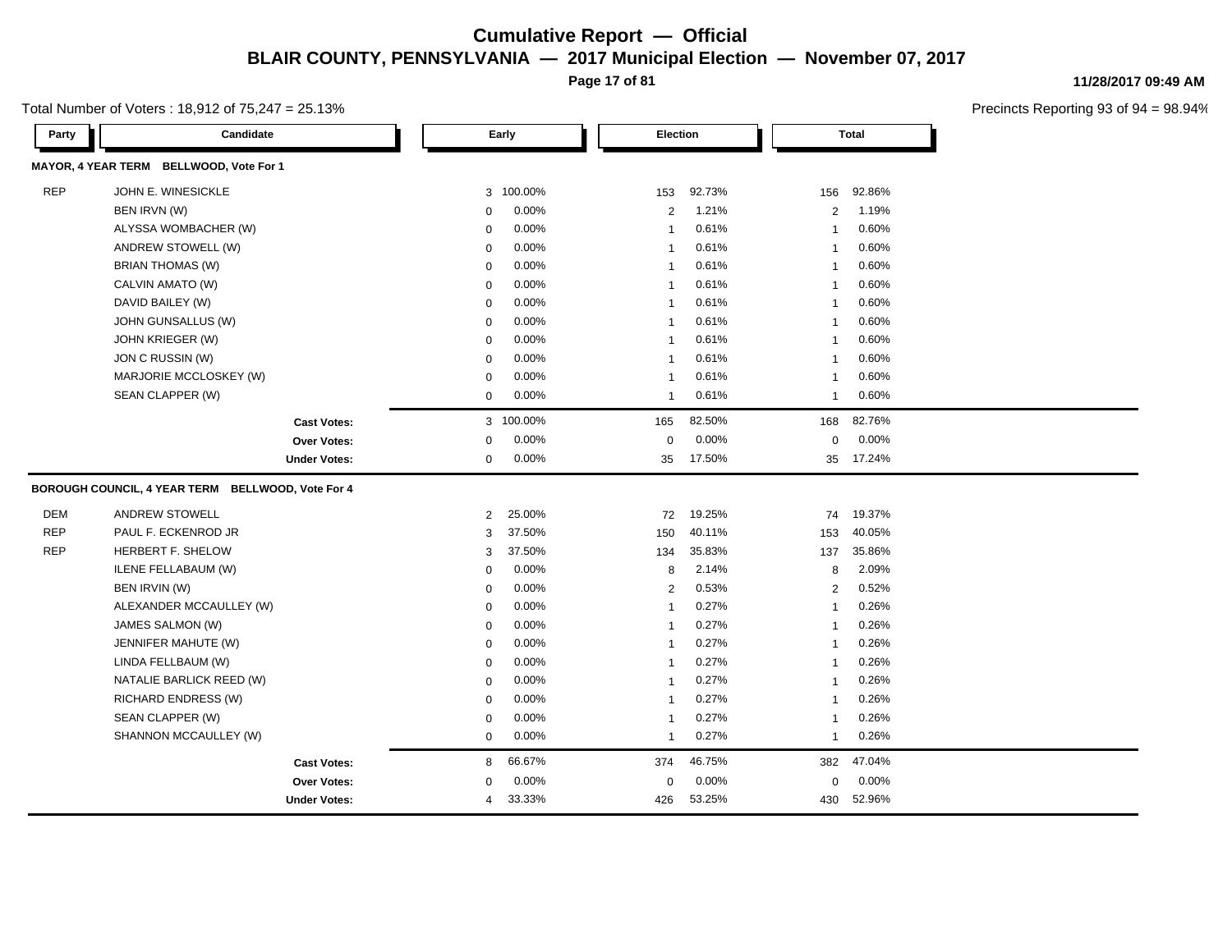**Page 17 of 81**

Total Number of Voters : 18,912 of 75,247 = 25.13%

| 11/28/2017 09:49 AM |  |
|---------------------|--|
|---------------------|--|

| Party      | Candidate                                         |                     |                | Early     | Election       |        |                | <b>Total</b> |
|------------|---------------------------------------------------|---------------------|----------------|-----------|----------------|--------|----------------|--------------|
|            | MAYOR, 4 YEAR TERM BELLWOOD, Vote For 1           |                     |                |           |                |        |                |              |
| <b>REP</b> | JOHN E. WINESICKLE                                |                     |                | 3 100.00% | 153            | 92.73% | 156            | 92.86%       |
|            | BEN IRVN (W)                                      |                     | 0              | 0.00%     | 2              | 1.21%  | 2              | 1.19%        |
|            | ALYSSA WOMBACHER (W)                              |                     | 0              | 0.00%     | $\overline{1}$ | 0.61%  | $\mathbf{1}$   | 0.60%        |
|            | ANDREW STOWELL (W)                                |                     | 0              | 0.00%     | $\overline{1}$ | 0.61%  | $\mathbf{1}$   | 0.60%        |
|            | BRIAN THOMAS (W)                                  |                     | 0              | 0.00%     | $\overline{1}$ | 0.61%  | $\mathbf{1}$   | 0.60%        |
|            | CALVIN AMATO (W)                                  |                     | 0              | 0.00%     | $\overline{1}$ | 0.61%  | $\mathbf{1}$   | 0.60%        |
|            | DAVID BAILEY (W)                                  |                     | $\mathbf 0$    | 0.00%     | $\overline{1}$ | 0.61%  | $\mathbf{1}$   | 0.60%        |
|            | JOHN GUNSALLUS (W)                                |                     | $\mathbf 0$    | 0.00%     | $\overline{1}$ | 0.61%  | $\mathbf{1}$   | 0.60%        |
|            | JOHN KRIEGER (W)                                  |                     | $\mathbf 0$    | 0.00%     | $\overline{1}$ | 0.61%  | $\mathbf{1}$   | 0.60%        |
|            | JON C RUSSIN (W)                                  |                     | $\mathbf 0$    | 0.00%     | $\overline{1}$ | 0.61%  | $\mathbf{1}$   | 0.60%        |
|            | MARJORIE MCCLOSKEY (W)                            |                     | $\mathbf 0$    | 0.00%     | $\overline{1}$ | 0.61%  | $\mathbf{1}$   | 0.60%        |
|            | SEAN CLAPPER (W)                                  |                     | 0              | 0.00%     | $\overline{1}$ | 0.61%  | $\mathbf{1}$   | 0.60%        |
|            |                                                   | <b>Cast Votes:</b>  |                | 3 100.00% | 165            | 82.50% | 168            | 82.76%       |
|            |                                                   | Over Votes:         | 0              | 0.00%     | $\mathbf 0$    | 0.00%  | $\mathbf 0$    | 0.00%        |
|            |                                                   | <b>Under Votes:</b> | 0              | 0.00%     | 35             | 17.50% | 35             | 17.24%       |
|            | BOROUGH COUNCIL, 4 YEAR TERM BELLWOOD, Vote For 4 |                     |                |           |                |        |                |              |
| <b>DEM</b> | <b>ANDREW STOWELL</b>                             |                     | $\overline{2}$ | 25.00%    | 72             | 19.25% | 74             | 19.37%       |
| <b>REP</b> | PAUL F. ECKENROD JR                               |                     | 3              | 37.50%    | 150            | 40.11% | 153            | 40.05%       |
| <b>REP</b> | HERBERT F. SHELOW                                 |                     | 3              | 37.50%    | 134            | 35.83% | 137            | 35.86%       |
|            | ILENE FELLABAUM (W)                               |                     | $\mathbf 0$    | 0.00%     | 8              | 2.14%  | 8              | 2.09%        |
|            | BEN IRVIN (W)                                     |                     | $\mathbf 0$    | 0.00%     | 2              | 0.53%  | $\overline{2}$ | 0.52%        |
|            | ALEXANDER MCCAULLEY (W)                           |                     | $\mathbf 0$    | 0.00%     | $\overline{1}$ | 0.27%  | $\mathbf{1}$   | 0.26%        |
|            | JAMES SALMON (W)                                  |                     | $\mathbf 0$    | 0.00%     | $\overline{1}$ | 0.27%  | $\mathbf{1}$   | 0.26%        |
|            | JENNIFER MAHUTE (W)                               |                     | $\mathbf 0$    | $0.00\%$  | $\overline{1}$ | 0.27%  | $\mathbf{1}$   | 0.26%        |
|            | LINDA FELLBAUM (W)                                |                     | $\mathbf 0$    | 0.00%     | $\overline{1}$ | 0.27%  | $\mathbf{1}$   | 0.26%        |
|            | NATALIE BARLICK REED (W)                          |                     | $\mathbf 0$    | 0.00%     | $\overline{1}$ | 0.27%  | $\mathbf{1}$   | 0.26%        |
|            | RICHARD ENDRESS (W)                               |                     | $\mathbf 0$    | 0.00%     | $\overline{1}$ | 0.27%  | $\mathbf{1}$   | 0.26%        |
|            | SEAN CLAPPER (W)                                  |                     | 0              | 0.00%     | $\overline{1}$ | 0.27%  | $\mathbf{1}$   | 0.26%        |
|            | SHANNON MCCAULLEY (W)                             |                     | 0              | 0.00%     | $\overline{1}$ | 0.27%  | $\mathbf{1}$   | 0.26%        |
|            |                                                   | <b>Cast Votes:</b>  | 8              | 66.67%    | 374            | 46.75% | 382            | 47.04%       |
|            |                                                   | Over Votes:         | 0              | 0.00%     | $\mathbf 0$    | 0.00%  | $\mathbf 0$    | 0.00%        |
|            |                                                   | <b>Under Votes:</b> | 4              | 33.33%    | 426            | 53.25% | 430            | 52.96%       |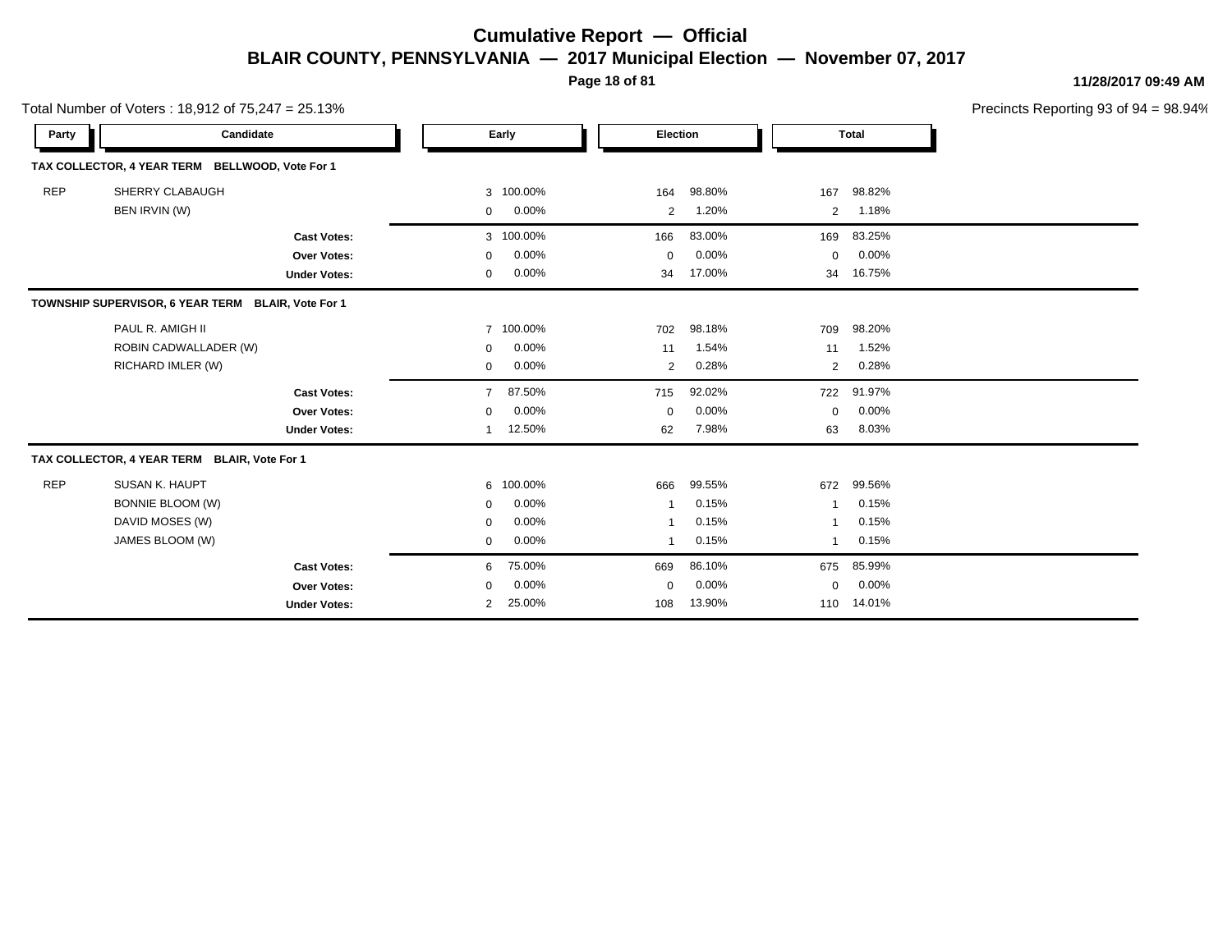**Page 18 of 81**

**11/28/2017 09:49 AM**

|            | Total Number of Voters: $18,912$ of $75,247 = 25.13\%$                          |                                                          |                                                |                                    |                             |                                   |                 | Precincts Reporting 93 of 9       |  |
|------------|---------------------------------------------------------------------------------|----------------------------------------------------------|------------------------------------------------|------------------------------------|-----------------------------|-----------------------------------|-----------------|-----------------------------------|--|
| Party      | Candidate                                                                       |                                                          |                                                | Early                              |                             | Election                          |                 | <b>Total</b>                      |  |
|            | TAX COLLECTOR, 4 YEAR TERM                                                      | BELLWOOD, Vote For 1                                     |                                                |                                    |                             |                                   |                 |                                   |  |
| <b>REP</b> | SHERRY CLABAUGH<br>BEN IRVIN (W)                                                |                                                          | 3<br>$\mathbf 0$                               | 100.00%<br>$0.00\%$                | 164<br>$\overline{2}$       | 98.80%<br>1.20%                   | 167<br>2        | 98.82%<br>1.18%                   |  |
|            |                                                                                 | <b>Cast Votes:</b><br>Over Votes:<br><b>Under Votes:</b> | $\mathbf 0$<br>$\mathbf 0$                     | 3 100.00%<br>0.00%<br>0.00%        | 166<br>$\mathbf 0$<br>34    | 83.00%<br>0.00%<br>17.00%         | 169<br>0<br>34  | 83.25%<br>0.00%<br>16.75%         |  |
|            | TOWNSHIP SUPERVISOR, 6 YEAR TERM BLAIR, Vote For 1                              |                                                          |                                                |                                    |                             |                                   |                 |                                   |  |
|            | PAUL R. AMIGH II<br>ROBIN CADWALLADER (W)<br>RICHARD IMLER (W)                  |                                                          | $\overline{7}$<br>$\mathbf 0$<br>$\mathbf 0$   | 100.00%<br>0.00%<br>0.00%          | 702<br>11<br>$\overline{2}$ | 98.18%<br>1.54%<br>0.28%          | 709<br>11<br>2  | 98.20%<br>1.52%<br>0.28%          |  |
|            |                                                                                 | <b>Cast Votes:</b><br>Over Votes:<br><b>Under Votes:</b> | $\overline{7}$<br>0                            | 87.50%<br>0.00%<br>12.50%          | 715<br>$\mathbf 0$<br>62    | 92.02%<br>0.00%<br>7.98%          | 722<br>0<br>63  | 91.97%<br>0.00%<br>8.03%          |  |
|            | TAX COLLECTOR, 4 YEAR TERM BLAIR, Vote For 1                                    |                                                          |                                                |                                    |                             |                                   |                 |                                   |  |
| <b>REP</b> | SUSAN K. HAUPT<br><b>BONNIE BLOOM (W)</b><br>DAVID MOSES (W)<br>JAMES BLOOM (W) |                                                          | 6<br>$\mathbf 0$<br>$\mathbf 0$<br>$\mathbf 0$ | 100.00%<br>0.00%<br>0.00%<br>0.00% | 666<br>-1<br>1<br>1         | 99.55%<br>0.15%<br>0.15%<br>0.15% | 672<br>1<br>-1  | 99.56%<br>0.15%<br>0.15%<br>0.15% |  |
|            |                                                                                 | <b>Cast Votes:</b><br>Over Votes:<br><b>Under Votes:</b> | 6<br>$\mathbf 0$<br>$\overline{2}$             | 75.00%<br>$0.00\%$<br>25.00%       | 669<br>$\mathbf 0$<br>108   | 86.10%<br>0.00%<br>13.90%         | 675<br>0<br>110 | 85.99%<br>0.00%<br>14.01%         |  |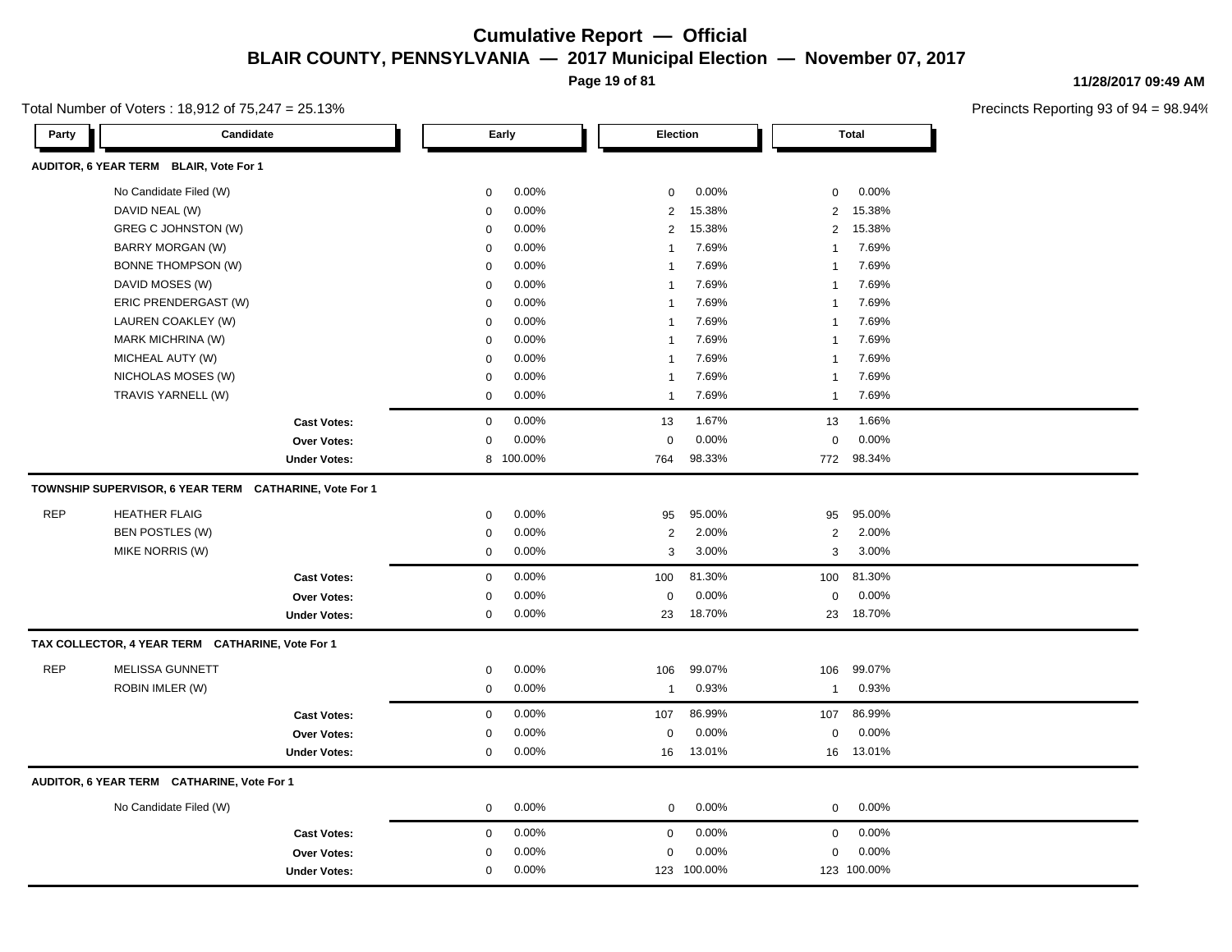**Page 19 of 81**

Total Number of Voters : 18,912 of 75,247 = 25.13%

| 11/28/2017 09:49 AM |
|---------------------|
|                     |

| Party      | Candidate                                              |                     |             | Early   |                | Election    |                | <b>Total</b> |
|------------|--------------------------------------------------------|---------------------|-------------|---------|----------------|-------------|----------------|--------------|
|            | AUDITOR, 6 YEAR TERM BLAIR, Vote For 1                 |                     |             |         |                |             |                |              |
|            | No Candidate Filed (W)                                 |                     | $\mathbf 0$ | 0.00%   | $\mathbf 0$    | 0.00%       | $\mathbf 0$    | 0.00%        |
|            | DAVID NEAL (W)                                         |                     | $\mathbf 0$ | 0.00%   | 2              | 15.38%      | $\overline{2}$ | 15.38%       |
|            | GREG C JOHNSTON (W)                                    |                     | $\mathbf 0$ | 0.00%   | 2              | 15.38%      | $\overline{2}$ | 15.38%       |
|            | <b>BARRY MORGAN (W)</b>                                |                     | $\mathbf 0$ | 0.00%   | $\mathbf{1}$   | 7.69%       | $\overline{1}$ | 7.69%        |
|            | <b>BONNE THOMPSON (W)</b>                              |                     | $\mathbf 0$ | 0.00%   | $\mathbf{1}$   | 7.69%       | $\overline{1}$ | 7.69%        |
|            | DAVID MOSES (W)                                        |                     | $\mathbf 0$ | 0.00%   | $\mathbf{1}$   | 7.69%       | $\overline{1}$ | 7.69%        |
|            | ERIC PRENDERGAST (W)                                   |                     | $\mathbf 0$ | 0.00%   | $\mathbf{1}$   | 7.69%       | 1              | 7.69%        |
|            | LAUREN COAKLEY (W)                                     |                     | $\mathbf 0$ | 0.00%   | $\mathbf{1}$   | 7.69%       | $\overline{1}$ | 7.69%        |
|            | MARK MICHRINA (W)                                      |                     | $\mathbf 0$ | 0.00%   | $\mathbf{1}$   | 7.69%       | $\overline{1}$ | 7.69%        |
|            | MICHEAL AUTY (W)                                       |                     | $\mathbf 0$ | 0.00%   | $\mathbf{1}$   | 7.69%       | -1             | 7.69%        |
|            | NICHOLAS MOSES (W)                                     |                     | 0           | 0.00%   | $\mathbf{1}$   | 7.69%       | -1             | 7.69%        |
|            | TRAVIS YARNELL (W)                                     |                     | $\mathbf 0$ | 0.00%   | $\mathbf{1}$   | 7.69%       | 1              | 7.69%        |
|            |                                                        | <b>Cast Votes:</b>  | $\mathbf 0$ | 0.00%   | 13             | 1.67%       | 13             | 1.66%        |
|            |                                                        | <b>Over Votes:</b>  | $\mathbf 0$ | 0.00%   | $\mathbf 0$    | 0.00%       | $\mathbf 0$    | 0.00%        |
|            |                                                        | <b>Under Votes:</b> | 8           | 100.00% | 764            | 98.33%      |                | 772 98.34%   |
|            | TOWNSHIP SUPERVISOR, 6 YEAR TERM CATHARINE, Vote For 1 |                     |             |         |                |             |                |              |
| <b>REP</b> | <b>HEATHER FLAIG</b>                                   |                     | $\mathsf 0$ | 0.00%   | 95             | 95.00%      | 95             | 95.00%       |
|            | BEN POSTLES (W)                                        |                     | $\mathsf 0$ | 0.00%   | $\overline{2}$ | 2.00%       | $\overline{2}$ | 2.00%        |
|            | MIKE NORRIS (W)                                        |                     | $\mathbf 0$ | 0.00%   | 3              | 3.00%       | 3              | 3.00%        |
|            |                                                        |                     |             |         |                |             |                |              |
|            |                                                        | <b>Cast Votes:</b>  | $\mathbf 0$ | 0.00%   | 100            | 81.30%      | 100            | 81.30%       |
|            |                                                        | Over Votes:         | $\mathbf 0$ | 0.00%   | $\mathbf 0$    | 0.00%       | $\mathbf 0$    | 0.00%        |
|            |                                                        | <b>Under Votes:</b> | $\mathbf 0$ | 0.00%   | 23             | 18.70%      | 23             | 18.70%       |
|            | TAX COLLECTOR, 4 YEAR TERM CATHARINE, Vote For 1       |                     |             |         |                |             |                |              |
| <b>REP</b> | <b>MELISSA GUNNETT</b>                                 |                     | $\mathbf 0$ | 0.00%   | 106            | 99.07%      | 106            | 99.07%       |
|            | ROBIN IMLER (W)                                        |                     | $\mathbf 0$ | 0.00%   | $\mathbf{1}$   | 0.93%       | $\mathbf{1}$   | 0.93%        |
|            |                                                        | <b>Cast Votes:</b>  | $\mathbf 0$ | 0.00%   | 107            | 86.99%      | 107            | 86.99%       |
|            |                                                        | Over Votes:         | $\mathbf 0$ | 0.00%   | $\Omega$       | 0.00%       | $\mathbf 0$    | 0.00%        |
|            |                                                        | <b>Under Votes:</b> | $\mathbf 0$ | 0.00%   | 16             | 13.01%      | 16             | 13.01%       |
|            | AUDITOR, 6 YEAR TERM CATHARINE, Vote For 1             |                     |             |         |                |             |                |              |
|            | No Candidate Filed (W)                                 |                     | 0           | 0.00%   | $\mathbf 0$    | 0.00%       | $\mathbf 0$    | 0.00%        |
|            |                                                        |                     |             |         |                |             |                |              |
|            |                                                        | <b>Cast Votes:</b>  | $\mathbf 0$ | 0.00%   | $\mathbf 0$    | 0.00%       | $\mathbf 0$    | 0.00%        |
|            |                                                        | Over Votes:         | $\mathbf 0$ | 0.00%   | $\mathbf 0$    | 0.00%       | $\mathbf 0$    | 0.00%        |
|            |                                                        | <b>Under Votes:</b> | $\mathbf 0$ | 0.00%   |                | 123 100.00% |                | 123 100.00%  |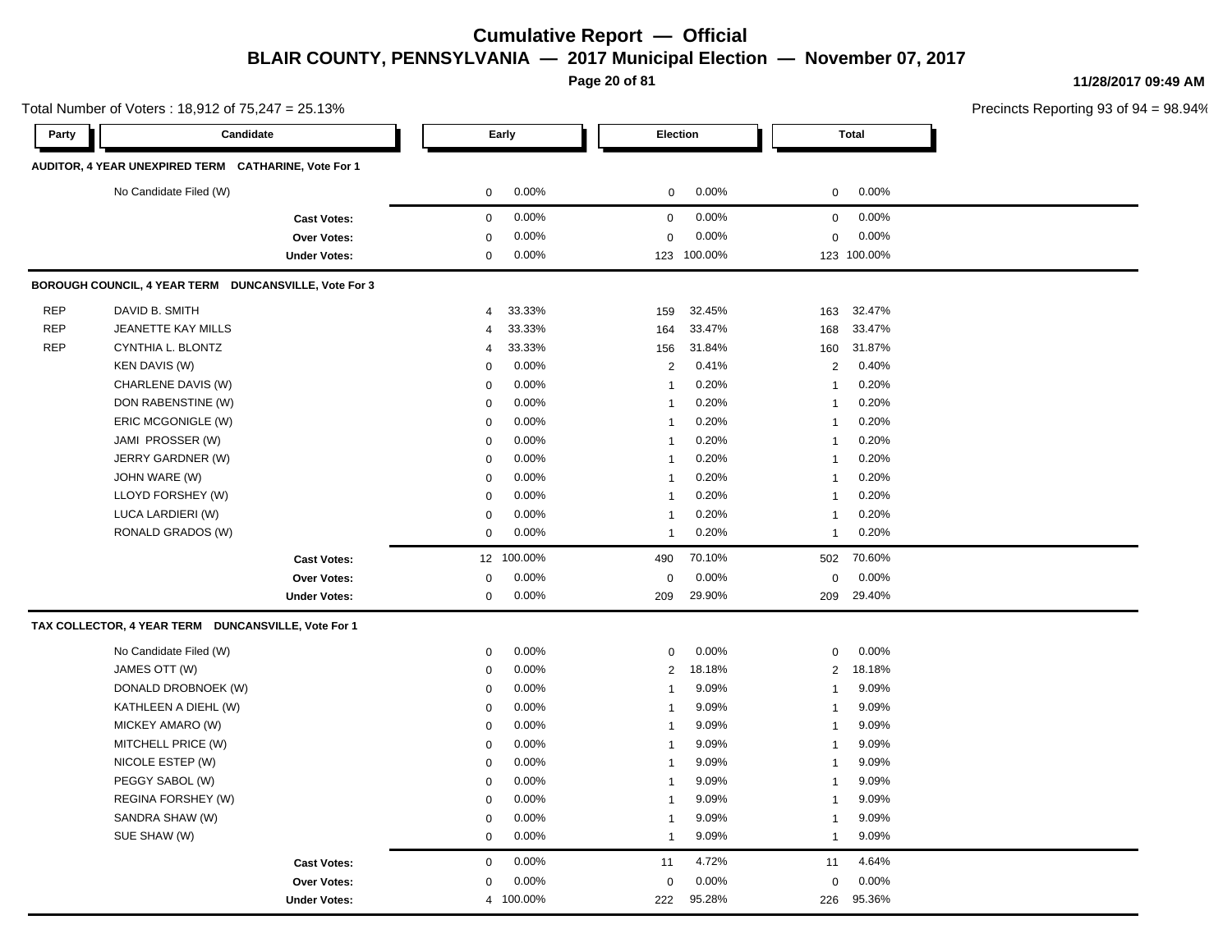**Page 20 of 81**

**11/28/2017 09:49 AM**

Precincts Reporting 93 of 94 = 98.94%

0.00%

**Party Candidate Early Election Total AUDITOR, 4 YEAR UNEXPIRED TERM CATHARINE, Vote For 1** No Candidate Filed (W)  $0.00\%$  0.00% 0 0.00% 0 0.00% 0 0.00% **Cast Votes:** 0 0.00% 0 0.00% 0 0.00% **Over Votes:** 0 0.00% **Under Votes:** 0 0.00% 0 0.00% 123 123 0.00% 0 100.00% 100.00% **BOROUGH COUNCIL, 4 YEAR TERM DUNCANSVILLE, Vote For 3** REP DAVID B. SMITH 4 33.33% 159 32.45% 163 32.47% REP JEANETTE KAY MILLS 4 33.33% 164 33.47% 168 33.47% REP CYNTHIA L. BLONTZ 4 33.33% 156 31.84% 160 31.87% KEN DAVIS (W) 0 0.00% 2 0.41% 2 0.40% CHARLENE DAVIS (W)  $0.00\%$  1 0.20% 1 0.20% 1 0.20% DON RABENSTINE (W) 0 0.00% 1 0.20% 1 0.20% ERIC MCGONIGLE (W) 0 0.00% 1 0.20% 1 0.20% JAMI PROSSER (W) 0 0.00% 1 0.20% 1 0.20% JERRY GARDNER (W) 0 0.00% 1 0.20% 1 0.20% JOHN WARE (W) 0 0.00% 1 0.20% 1 0.20% LLOYD FORSHEY (W) 0 0.00% 1 0.20% 1 0.20% LUCA LARDIERI (W) 0 0.00% 1 0.20% 1 0.20% RONALD GRADOS (W) 0 0.00% 1 0.20% 1 0.20% **Cast Votes:** 12 100.00% 490 70.10% 502 70.60% **Over Votes:** 0 0.00% **Under Votes:** 0 0.00% 0 209 29.90% 209 209 29.90% 29.40% 0.00% 0 0.00% **TAX COLLECTOR, 4 YEAR TERM DUNCANSVILLE, Vote For 1** No Candidate Filed (W)  $0.00\%$  0.00% 0 0.00% 0 0.00% 0 0.00% JAMES OTT (W) 0 0.00% 2 18.18% 2 18.18% DONALD DROBNOEK (W) 0 0.00% 1 9.09% 1 9.09% KATHLEEN A DIEHL (W) 0 0.00% 1 9.09% 1 9.09% MICKEY AMARO (W) 0 0.00% 1 9.09% 1 9.09% MITCHELL PRICE (W) 0 0.00% 1 9.09% 1 9.09% NICOLE ESTEP (W) 0 0.00% 1 9.09% 1 9.09% PEGGY SABOL (W) 0 0.00% 1 9.09% 1 9.09% REGINA FORSHEY (W) 800% 1 9.09% 1 9.09% 1 9.09% 1 9.09% 1 9.09% 1 9.09% 1 9.09% 1 9.09% 1 9.09% 1 9.09% 1 9.09% 1 9.09% 1 9.09% 1 9.09% 1 9.09% 1 9.09% 1 9.09% 1 9.09% 1 9.09% 1 9.09% 1 9.09% 1 9.09% 1 9.09% 1 9.09% 1 9.09 SANDRA SHAW (W) 0 0.00% 1 9.09% 1 9.09% SUE SHAW (W) 0 0.00% 1 9.09% 1 9.09% **Cast Votes:** 0 0.00% 11 4.72% 11 4.64% **Over Votes:** 0 0.00% **Under Votes:** 0.00% 0 4 100.00% 222 95.28% 222 226 95.28% 95.36%0.00% 0 0.00%

Total Number of Voters : 18,912 of 75,247 = 25.13%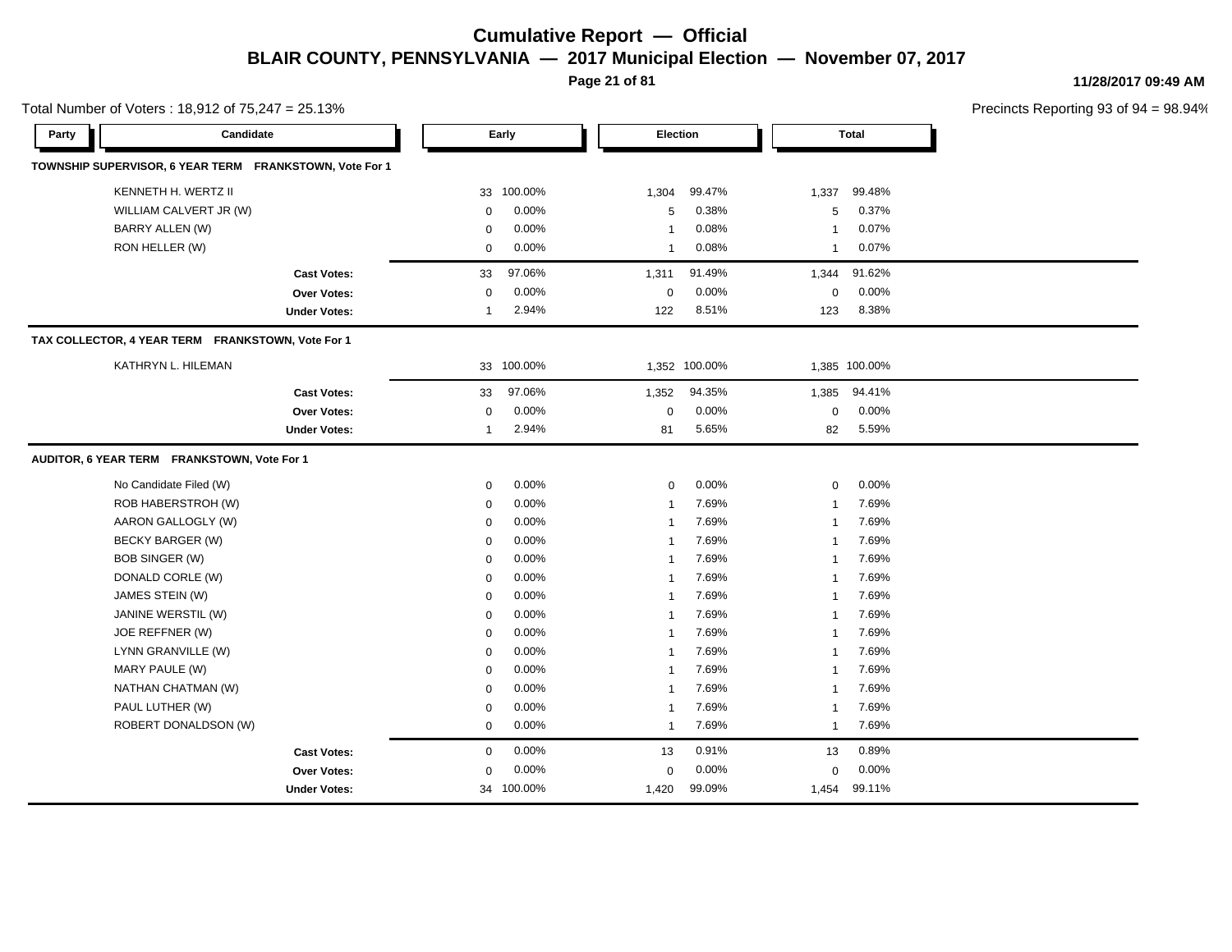**Page 21 of 81**

**11/28/2017 09:49 AM**

|       | Total Number of Voters: $18,912$ of $75,247 = 25.13\%$  |                     |                |            |                  |               |                |               | Precincts Reporting 93 of 9 |
|-------|---------------------------------------------------------|---------------------|----------------|------------|------------------|---------------|----------------|---------------|-----------------------------|
| Party | Candidate                                               |                     |                | Early      |                  | Election      |                | <b>Total</b>  |                             |
|       | TOWNSHIP SUPERVISOR, 6 YEAR TERM FRANKSTOWN, Vote For 1 |                     |                |            |                  |               |                |               |                             |
|       | KENNETH H. WERTZ II                                     |                     | 33             | 100.00%    | 1,304            | 99.47%        | 1,337          | 99.48%        |                             |
|       | WILLIAM CALVERT JR (W)                                  |                     | $\mathbf 0$    | 0.00%      | 5                | 0.38%         | 5              | 0.37%         |                             |
|       | <b>BARRY ALLEN (W)</b>                                  |                     | $\mathbf 0$    | 0.00%      | $\mathbf{1}$     | 0.08%         | 1              | 0.07%         |                             |
|       | RON HELLER (W)                                          |                     | $\mathbf 0$    | 0.00%      | $\mathbf{1}$     | 0.08%         | 1              | 0.07%         |                             |
|       |                                                         | <b>Cast Votes:</b>  | 33             | 97.06%     | 1,311            | 91.49%        | 1,344          | 91.62%        |                             |
|       |                                                         | <b>Over Votes:</b>  | $\pmb{0}$      | 0.00%      | $\boldsymbol{0}$ | 0.00%         | 0              | 0.00%         |                             |
|       |                                                         | <b>Under Votes:</b> | $\overline{1}$ | 2.94%      | 122              | 8.51%         | 123            | 8.38%         |                             |
|       | TAX COLLECTOR, 4 YEAR TERM FRANKSTOWN, Vote For 1       |                     |                |            |                  |               |                |               |                             |
|       | KATHRYN L. HILEMAN                                      |                     |                | 33 100.00% |                  | 1,352 100.00% |                | 1,385 100.00% |                             |
|       |                                                         | <b>Cast Votes:</b>  | 33             | 97.06%     | 1,352            | 94.35%        | 1,385          | 94.41%        |                             |
|       |                                                         | Over Votes:         | $\mathbf 0$    | 0.00%      | $\mathbf 0$      | 0.00%         | $\mathbf 0$    | 0.00%         |                             |
|       |                                                         | <b>Under Votes:</b> | 1              | 2.94%      | 81               | 5.65%         | 82             | 5.59%         |                             |
|       | AUDITOR, 6 YEAR TERM FRANKSTOWN, Vote For 1             |                     |                |            |                  |               |                |               |                             |
|       | No Candidate Filed (W)                                  |                     | $\mathbf 0$    | 0.00%      | 0                | 0.00%         | $\mathbf 0$    | 0.00%         |                             |
|       | ROB HABERSTROH (W)                                      |                     | $\mathbf 0$    | 0.00%      | $\mathbf{1}$     | 7.69%         | 1              | 7.69%         |                             |
|       | AARON GALLOGLY (W)                                      |                     | $\mathbf 0$    | 0.00%      | $\mathbf{1}$     | 7.69%         | 1              | 7.69%         |                             |
|       | <b>BECKY BARGER (W)</b>                                 |                     | $\mathbf 0$    | 0.00%      | $\mathbf 1$      | 7.69%         | 1              | 7.69%         |                             |
|       | <b>BOB SINGER (W)</b>                                   |                     | $\mathbf 0$    | 0.00%      | $\mathbf 1$      | 7.69%         |                | 7.69%         |                             |
|       | DONALD CORLE (W)                                        |                     | $\mathbf 0$    | 0.00%      | $\mathbf 1$      | 7.69%         | 1              | 7.69%         |                             |
|       | JAMES STEIN (W)                                         |                     | $\mathbf 0$    | 0.00%      | $\mathbf{1}$     | 7.69%         | 1              | 7.69%         |                             |
|       | JANINE WERSTIL (W)                                      |                     | $\mathbf 0$    | 0.00%      | -1               | 7.69%         | 1              | 7.69%         |                             |
|       | JOE REFFNER (W)                                         |                     | $\mathbf 0$    | 0.00%      | $\mathbf{1}$     | 7.69%         | 1              | 7.69%         |                             |
|       | LYNN GRANVILLE (W)                                      |                     | $\mathbf 0$    | 0.00%      | $\overline{1}$   | 7.69%         | 1              | 7.69%         |                             |
|       | MARY PAULE (W)                                          |                     | $\mathbf 0$    | 0.00%      | $\mathbf{1}$     | 7.69%         | -1             | 7.69%         |                             |
|       | NATHAN CHATMAN (W)                                      |                     | $\mathbf 0$    | 0.00%      | $\mathbf{1}$     | 7.69%         | -1             | 7.69%         |                             |
|       | PAUL LUTHER (W)                                         |                     | $\mathbf 0$    | 0.00%      | $\mathbf{1}$     | 7.69%         | $\mathbf{1}$   | 7.69%         |                             |
|       | ROBERT DONALDSON (W)                                    |                     | $\mathbf 0$    | 0.00%      | $\overline{1}$   | 7.69%         | $\overline{1}$ | 7.69%         |                             |
|       |                                                         | <b>Cast Votes:</b>  | 0              | 0.00%      | 13               | 0.91%         | 13             | 0.89%         |                             |
|       |                                                         | Over Votes:         | $\mathbf 0$    | 0.00%      | $\mathbf 0$      | 0.00%         | $\mathbf 0$    | 0.00%         |                             |
|       |                                                         | <b>Under Votes:</b> |                | 34 100.00% | 1,420            | 99.09%        |                | 1,454 99.11%  |                             |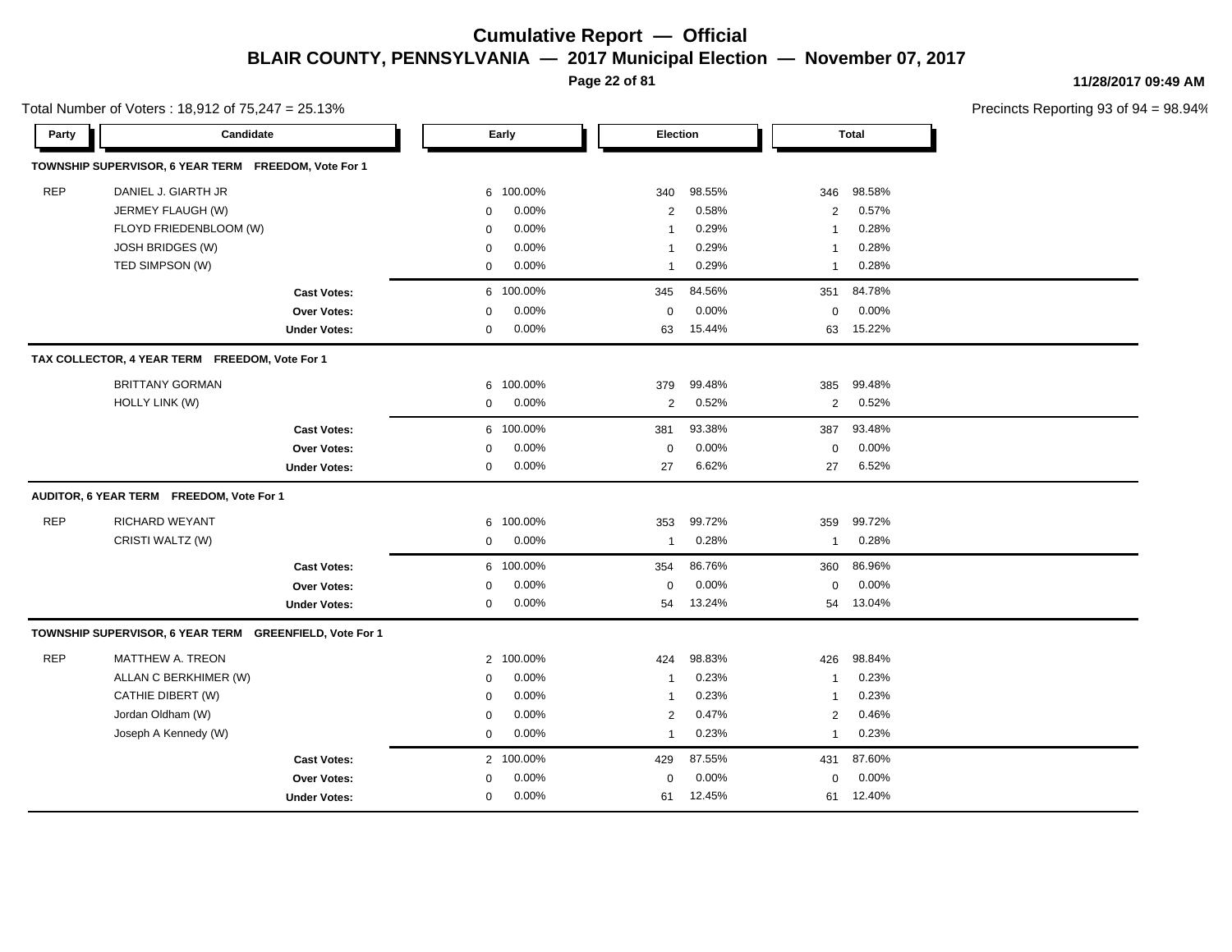**Page 22 of 81**

**11/28/2017 09:49 AM**

|            | Total Number of Voters: 18,912 of 75,247 = 25.13%       |                     |              |           |                |        |                |              | Precincts Reporting 93 of 9 |
|------------|---------------------------------------------------------|---------------------|--------------|-----------|----------------|--------|----------------|--------------|-----------------------------|
| Party      | Candidate                                               |                     |              | Early     | Election       |        |                | <b>Total</b> |                             |
|            | TOWNSHIP SUPERVISOR, 6 YEAR TERM FREEDOM, Vote For 1    |                     |              |           |                |        |                |              |                             |
| <b>REP</b> | DANIEL J. GIARTH JR                                     |                     | 6            | 100.00%   | 340            | 98.55% | 346            | 98.58%       |                             |
|            | JERMEY FLAUGH (W)                                       |                     | $\mathbf 0$  | 0.00%     | 2              | 0.58%  | 2              | 0.57%        |                             |
|            | FLOYD FRIEDENBLOOM (W)                                  |                     | $\mathbf 0$  | 0.00%     | $\overline{1}$ | 0.29%  | $\mathbf{1}$   | 0.28%        |                             |
|            | <b>JOSH BRIDGES (W)</b>                                 |                     | $\Omega$     | 0.00%     | $\mathbf{1}$   | 0.29%  | $\mathbf{1}$   | 0.28%        |                             |
|            | TED SIMPSON (W)                                         |                     | $\mathbf 0$  | 0.00%     | $\mathbf{1}$   | 0.29%  | $\mathbf{1}$   | 0.28%        |                             |
|            |                                                         | <b>Cast Votes:</b>  |              | 6 100.00% | 345            | 84.56% | 351            | 84.78%       |                             |
|            |                                                         | Over Votes:         | $\Omega$     | 0.00%     | $\mathbf 0$    | 0.00%  | $\mathbf 0$    | 0.00%        |                             |
|            |                                                         | <b>Under Votes:</b> | 0            | 0.00%     | 63             | 15.44% | 63             | 15.22%       |                             |
|            | TAX COLLECTOR, 4 YEAR TERM FREEDOM, Vote For 1          |                     |              |           |                |        |                |              |                             |
|            | <b>BRITTANY GORMAN</b>                                  |                     | 6            | 100.00%   | 379            | 99.48% | 385            | 99.48%       |                             |
|            | <b>HOLLY LINK (W)</b>                                   |                     | $\mathbf 0$  | 0.00%     | $\overline{c}$ | 0.52%  | $\overline{2}$ | 0.52%        |                             |
|            |                                                         | <b>Cast Votes:</b>  |              | 6 100.00% | 381            | 93.38% | 387            | 93.48%       |                             |
|            |                                                         | <b>Over Votes:</b>  | $\mathbf 0$  | 0.00%     | $\mathbf 0$    | 0.00%  | $\mathbf 0$    | 0.00%        |                             |
|            |                                                         | <b>Under Votes:</b> | $\mathbf 0$  | 0.00%     | 27             | 6.62%  | 27             | 6.52%        |                             |
|            | AUDITOR, 6 YEAR TERM FREEDOM, Vote For 1                |                     |              |           |                |        |                |              |                             |
| <b>REP</b> | <b>RICHARD WEYANT</b>                                   |                     | 6            | 100.00%   | 353            | 99.72% | 359            | 99.72%       |                             |
|            | CRISTI WALTZ (W)                                        |                     | 0            | 0.00%     | -1             | 0.28%  | -1             | 0.28%        |                             |
|            |                                                         | <b>Cast Votes:</b>  |              | 6 100.00% | 354            | 86.76% | 360            | 86.96%       |                             |
|            |                                                         | Over Votes:         | $\Omega$     | 0.00%     | $\mathbf 0$    | 0.00%  | $\mathbf 0$    | 0.00%        |                             |
|            |                                                         | <b>Under Votes:</b> | 0            | 0.00%     | 54             | 13.24% | 54             | 13.04%       |                             |
|            | TOWNSHIP SUPERVISOR, 6 YEAR TERM GREENFIELD, Vote For 1 |                     |              |           |                |        |                |              |                             |
| <b>REP</b> | MATTHEW A. TREON                                        |                     | $\mathbf{2}$ | 100.00%   | 424            | 98.83% | 426            | 98.84%       |                             |
|            | ALLAN C BERKHIMER (W)                                   |                     | $\mathbf 0$  | 0.00%     | $\mathbf{1}$   | 0.23%  | -1             | 0.23%        |                             |
|            | CATHIE DIBERT (W)                                       |                     | $\mathbf 0$  | 0.00%     | $\mathbf{1}$   | 0.23%  | $\mathbf{1}$   | 0.23%        |                             |
|            | Jordan Oldham (W)                                       |                     | $\mathbf 0$  | 0.00%     | $\overline{c}$ | 0.47%  | $\overline{2}$ | 0.46%        |                             |
|            | Joseph A Kennedy (W)                                    |                     | $\mathbf 0$  | 0.00%     | $\overline{1}$ | 0.23%  | $\mathbf{1}$   | 0.23%        |                             |
|            |                                                         | <b>Cast Votes:</b>  |              | 2 100.00% | 429            | 87.55% | 431            | 87.60%       |                             |
|            |                                                         | Over Votes:         | $\Omega$     | 0.00%     | $\mathbf 0$    | 0.00%  | $\mathbf 0$    | 0.00%        |                             |
|            |                                                         | <b>Under Votes:</b> | $\mathbf 0$  | 0.00%     | 61             | 12.45% | 61             | 12.40%       |                             |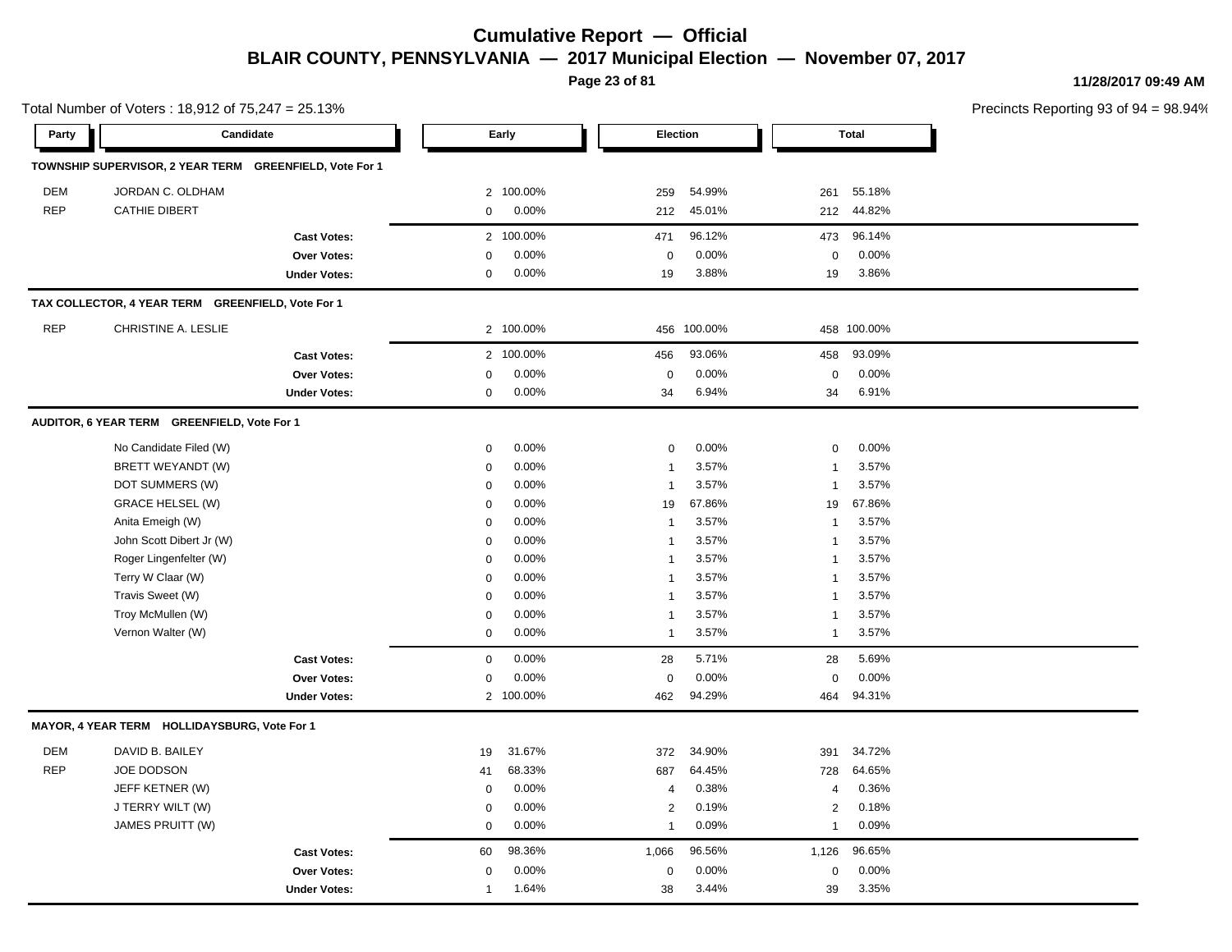**Page 23 of 81**

**11/28/2017 09:49 AM**

| Total Number of Voters: 18,912 of 75,247 = 25.13% |                                                         |                     |                |           |                 |             |                | Precincts Reporting 93 of 9 |  |
|---------------------------------------------------|---------------------------------------------------------|---------------------|----------------|-----------|-----------------|-------------|----------------|-----------------------------|--|
| Party                                             | Candidate                                               |                     |                | Early     | <b>Election</b> |             |                | <b>Total</b>                |  |
|                                                   | TOWNSHIP SUPERVISOR, 2 YEAR TERM GREENFIELD, Vote For 1 |                     |                |           |                 |             |                |                             |  |
| <b>DEM</b>                                        | JORDAN C. OLDHAM                                        |                     |                | 2 100.00% | 259             | 54.99%      | 261            | 55.18%                      |  |
| <b>REP</b>                                        | <b>CATHIE DIBERT</b>                                    |                     | $\mathbf 0$    | 0.00%     | 212             | 45.01%      | 212            | 44.82%                      |  |
|                                                   |                                                         | <b>Cast Votes:</b>  | $\overline{2}$ | 100.00%   | 471             | 96.12%      | 473            | 96.14%                      |  |
|                                                   |                                                         | Over Votes:         | $\Omega$       | 0.00%     | $\mathbf 0$     | 0.00%       | 0              | 0.00%                       |  |
|                                                   |                                                         | <b>Under Votes:</b> | 0              | 0.00%     | 19              | 3.88%       | 19             | 3.86%                       |  |
|                                                   | TAX COLLECTOR, 4 YEAR TERM GREENFIELD, Vote For 1       |                     |                |           |                 |             |                |                             |  |
| <b>REP</b>                                        | CHRISTINE A. LESLIE                                     |                     |                | 2 100.00% |                 | 456 100.00% |                | 458 100.00%                 |  |
|                                                   |                                                         | <b>Cast Votes:</b>  | $\overline{2}$ | 100.00%   | 456             | 93.06%      | 458            | 93.09%                      |  |
|                                                   |                                                         | Over Votes:         | $\Omega$       | 0.00%     | $\mathbf 0$     | 0.00%       | 0              | 0.00%                       |  |
|                                                   |                                                         | <b>Under Votes:</b> | $\mathbf 0$    | 0.00%     | 34              | 6.94%       | 34             | 6.91%                       |  |
|                                                   | AUDITOR, 6 YEAR TERM GREENFIELD, Vote For 1             |                     |                |           |                 |             |                |                             |  |
|                                                   | No Candidate Filed (W)                                  |                     | $\mathbf 0$    | 0.00%     | 0               | 0.00%       | $\mathbf 0$    | 0.00%                       |  |
|                                                   | BRETT WEYANDT (W)                                       |                     | $\mathbf 0$    | 0.00%     | $\overline{1}$  | 3.57%       | $\mathbf{1}$   | 3.57%                       |  |
|                                                   | DOT SUMMERS (W)                                         |                     | $\mathbf 0$    | 0.00%     | $\overline{1}$  | 3.57%       | -1             | 3.57%                       |  |
|                                                   | <b>GRACE HELSEL (W)</b>                                 |                     | $\Omega$       | 0.00%     | 19              | 67.86%      | 19             | 67.86%                      |  |
|                                                   | Anita Emeigh (W)                                        |                     | $\mathbf 0$    | 0.00%     | $\overline{1}$  | 3.57%       | $\overline{1}$ | 3.57%                       |  |
|                                                   | John Scott Dibert Jr (W)                                |                     | 0              | 0.00%     | $\overline{1}$  | 3.57%       | -1             | 3.57%                       |  |
|                                                   | Roger Lingenfelter (W)                                  |                     | 0              | 0.00%     | $\overline{1}$  | 3.57%       | -1             | 3.57%                       |  |
|                                                   | Terry W Claar (W)                                       |                     | $\Omega$       | 0.00%     | $\overline{1}$  | 3.57%       | -1             | 3.57%                       |  |
|                                                   | Travis Sweet (W)                                        |                     | 0              | 0.00%     | $\overline{1}$  | 3.57%       | -1             | 3.57%                       |  |
|                                                   | Troy McMullen (W)                                       |                     | 0              | 0.00%     | $\overline{1}$  | 3.57%       | 1              | 3.57%                       |  |
|                                                   | Vernon Walter (W)                                       |                     | $\mathbf 0$    | 0.00%     | $\overline{1}$  | 3.57%       | $\mathbf{1}$   | 3.57%                       |  |
|                                                   |                                                         | <b>Cast Votes:</b>  | $\mathbf 0$    | 0.00%     | 28              | 5.71%       | 28             | 5.69%                       |  |
|                                                   |                                                         | Over Votes:         | 0              | 0.00%     | $\mathbf 0$     | 0.00%       | 0              | 0.00%                       |  |
|                                                   |                                                         | <b>Under Votes:</b> |                | 2 100.00% | 462             | 94.29%      | 464            | 94.31%                      |  |
|                                                   | MAYOR, 4 YEAR TERM HOLLIDAYSBURG, Vote For 1            |                     |                |           |                 |             |                |                             |  |
| <b>DEM</b>                                        | DAVID B. BAILEY                                         |                     | 19             | 31.67%    | 372             | 34.90%      | 391            | 34.72%                      |  |
| <b>REP</b>                                        | <b>JOE DODSON</b>                                       |                     | 41             | 68.33%    | 687             | 64.45%      | 728            | 64.65%                      |  |
|                                                   | JEFF KETNER (W)                                         |                     | $\mathbf 0$    | 0.00%     | $\overline{4}$  | 0.38%       | $\overline{4}$ | 0.36%                       |  |
|                                                   | J TERRY WILT (W)                                        |                     | 0              | 0.00%     | 2               | 0.19%       | $\overline{2}$ | 0.18%                       |  |
|                                                   | JAMES PRUITT (W)                                        |                     | $\mathbf 0$    | 0.00%     | 1               | 0.09%       | $\mathbf{1}$   | 0.09%                       |  |
|                                                   |                                                         | <b>Cast Votes:</b>  | 60             | 98.36%    | 1,066           | 96.56%      | 1,126          | 96.65%                      |  |
|                                                   |                                                         | <b>Over Votes:</b>  | 0              | 0.00%     | $\mathbf 0$     | 0.00%       | 0              | 0.00%                       |  |
|                                                   |                                                         | <b>Under Votes:</b> | $\overline{1}$ | 1.64%     | 38              | 3.44%       | 39             | 3.35%                       |  |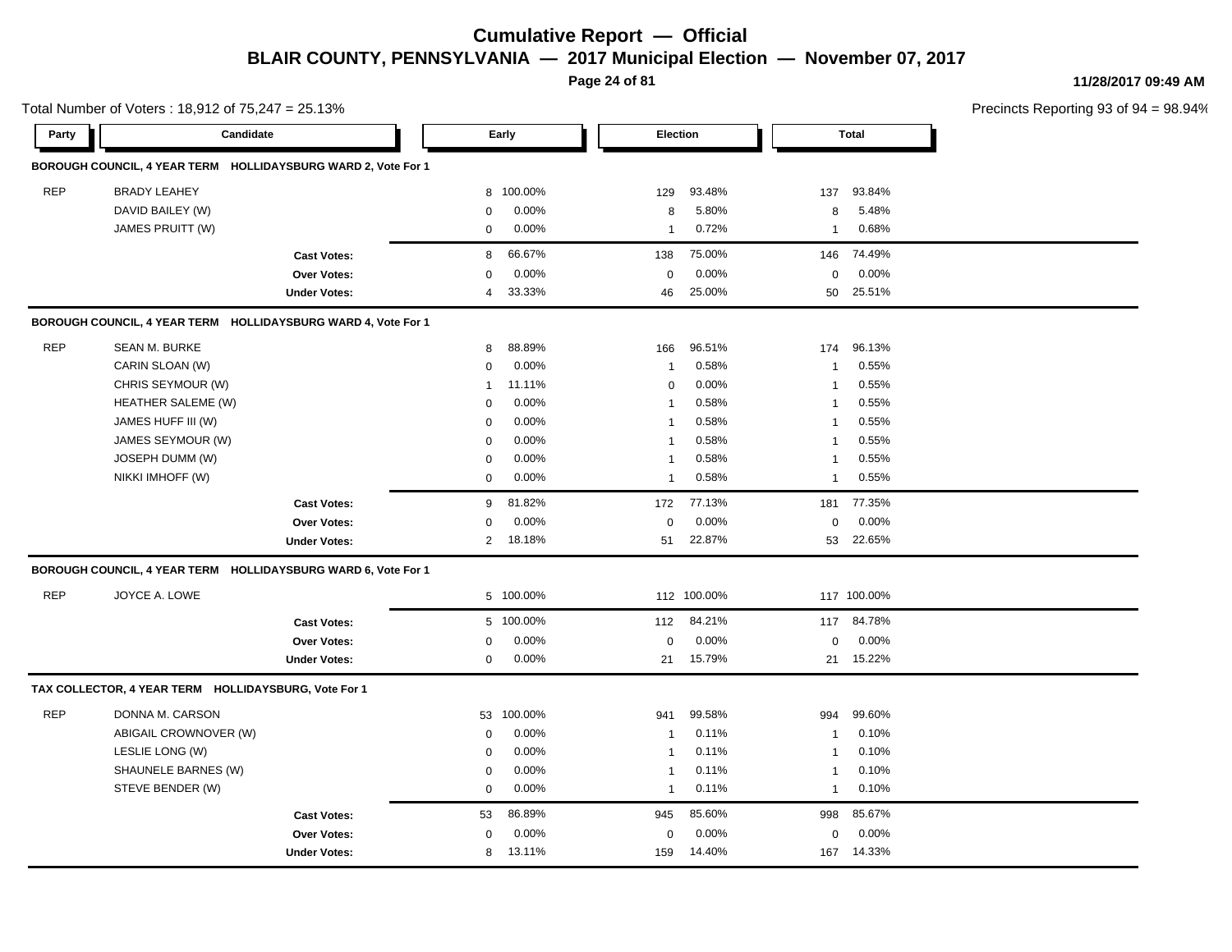**Page 24 of 81**

**11/28/2017 09:49 AM**

|            | Total Number of Voters: 18,912 of 75,247 = 25.13%             |                     |                |           |                |             |                | Precincts Reporting 93 of 9 |  |
|------------|---------------------------------------------------------------|---------------------|----------------|-----------|----------------|-------------|----------------|-----------------------------|--|
| Party      | Candidate                                                     |                     |                | Early     | Election       |             |                | <b>Total</b>                |  |
|            | BOROUGH COUNCIL, 4 YEAR TERM HOLLIDAYSBURG WARD 2, Vote For 1 |                     |                |           |                |             |                |                             |  |
| <b>REP</b> | <b>BRADY LEAHEY</b>                                           |                     | 8              | 100.00%   | 129            | 93.48%      | 137            | 93.84%                      |  |
|            | DAVID BAILEY (W)                                              |                     | 0              | 0.00%     | 8              | 5.80%       | 8              | 5.48%                       |  |
|            | JAMES PRUITT (W)                                              |                     | $\mathbf 0$    | 0.00%     | 1              | 0.72%       | 1              | 0.68%                       |  |
|            |                                                               | <b>Cast Votes:</b>  | 8              | 66.67%    | 138            | 75.00%      | 146            | 74.49%                      |  |
|            |                                                               | Over Votes:         | 0              | 0.00%     | $\mathbf 0$    | 0.00%       | $\mathbf 0$    | 0.00%                       |  |
|            |                                                               | <b>Under Votes:</b> | 4              | 33.33%    | 46             | 25.00%      | 50             | 25.51%                      |  |
|            | BOROUGH COUNCIL, 4 YEAR TERM HOLLIDAYSBURG WARD 4, Vote For 1 |                     |                |           |                |             |                |                             |  |
| <b>REP</b> | SEAN M. BURKE                                                 |                     | 8              | 88.89%    | 166            | 96.51%      | 174            | 96.13%                      |  |
|            | CARIN SLOAN (W)                                               |                     | 0              | 0.00%     | $\overline{1}$ | 0.58%       | $\overline{1}$ | 0.55%                       |  |
|            | CHRIS SEYMOUR (W)                                             |                     | 1              | 11.11%    | 0              | 0.00%       | $\mathbf 1$    | 0.55%                       |  |
|            | HEATHER SALEME (W)                                            |                     | $\mathbf 0$    | 0.00%     | $\overline{1}$ | 0.58%       | $\mathbf 1$    | 0.55%                       |  |
|            | JAMES HUFF III (W)                                            |                     | $\mathbf 0$    | 0.00%     | $\overline{1}$ | 0.58%       | $\mathbf 1$    | 0.55%                       |  |
|            | JAMES SEYMOUR (W)                                             |                     | $\mathbf 0$    | 0.00%     | $\overline{1}$ | 0.58%       | $\mathbf 1$    | 0.55%                       |  |
|            | JOSEPH DUMM (W)                                               |                     | $\mathbf 0$    | 0.00%     | $\overline{1}$ | 0.58%       | $\mathbf 1$    | 0.55%                       |  |
|            | NIKKI IMHOFF (W)                                              |                     | 0              | 0.00%     | 1              | 0.58%       | $\mathbf{1}$   | 0.55%                       |  |
|            |                                                               | <b>Cast Votes:</b>  | 9              | 81.82%    | 172            | 77.13%      | 181            | 77.35%                      |  |
|            |                                                               | Over Votes:         | 0              | 0.00%     | $\mathbf 0$    | 0.00%       | 0              | 0.00%                       |  |
|            |                                                               | <b>Under Votes:</b> | $\overline{2}$ | 18.18%    | 51             | 22.87%      |                | 53 22.65%                   |  |
|            | BOROUGH COUNCIL, 4 YEAR TERM HOLLIDAYSBURG WARD 6, Vote For 1 |                     |                |           |                |             |                |                             |  |
| <b>REP</b> | JOYCE A. LOWE                                                 |                     |                | 5 100.00% |                | 112 100.00% |                | 117 100.00%                 |  |
|            |                                                               | <b>Cast Votes:</b>  |                | 5 100.00% | 112            | 84.21%      |                | 117 84.78%                  |  |
|            |                                                               | Over Votes:         | 0              | 0.00%     | $\mathbf 0$    | 0.00%       | 0              | 0.00%                       |  |
|            |                                                               | <b>Under Votes:</b> | 0              | 0.00%     | 21             | 15.79%      | 21             | 15.22%                      |  |
|            | TAX COLLECTOR, 4 YEAR TERM HOLLIDAYSBURG, Vote For 1          |                     |                |           |                |             |                |                             |  |
| <b>REP</b> | DONNA M. CARSON                                               |                     | 53             | 100.00%   | 941            | 99.58%      | 994            | 99.60%                      |  |
|            | ABIGAIL CROWNOVER (W)                                         |                     | 0              | 0.00%     | $\overline{1}$ | 0.11%       | $\overline{1}$ | 0.10%                       |  |
|            | LESLIE LONG (W)                                               |                     | 0              | 0.00%     | -1             | 0.11%       | -1             | 0.10%                       |  |
|            | SHAUNELE BARNES (W)                                           |                     | $\mathbf 0$    | 0.00%     | $\mathbf 1$    | 0.11%       | $\mathbf 1$    | 0.10%                       |  |
|            | STEVE BENDER (W)                                              |                     | 0              | 0.00%     | $\overline{1}$ | 0.11%       | $\mathbf{1}$   | 0.10%                       |  |
|            |                                                               | <b>Cast Votes:</b>  | 53             | 86.89%    | 945            | 85.60%      | 998            | 85.67%                      |  |
|            |                                                               | Over Votes:         | 0              | 0.00%     | 0              | 0.00%       | 0              | 0.00%                       |  |
|            |                                                               | <b>Under Votes:</b> | 8              | 13.11%    | 159            | 14.40%      |                | 167 14.33%                  |  |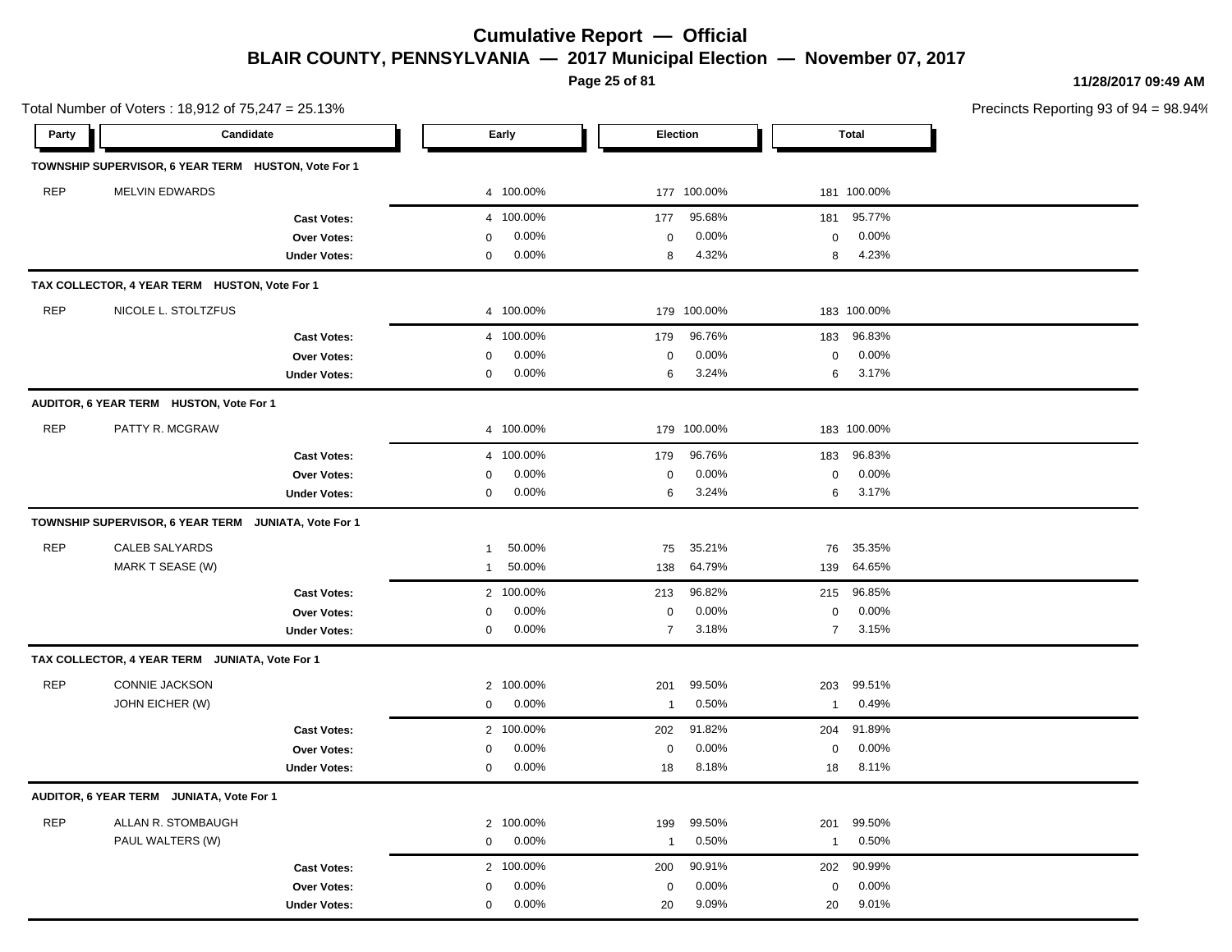**Page 25 of 81**

20 9.09%

20 20

9.09% 9.01%

**11/28/2017 09:49 AM**

Precincts Reporting 93 of 94 = 98.94%

**Party Candidate Early Election Total TOWNSHIP SUPERVISOR, 6 YEAR TERM HUSTON, Vote For 1** REP MELVIN EDWARDS 4 100.00% 177 100.00% 181 100.00% **Cast Votes:** 181 0000 177 95.68% 181 95.77% **Over Votes:** 0 0.00% **Under Votes:** 0 0.00% 0 8 4.32% 8 8 4.32% 4.23% 0.00% 0 0.00% **TAX COLLECTOR, 4 YEAR TERM HUSTON, Vote For 1** REP NICOLE L. STOLTZFUS 4 100.00% 179 100.00% 183 100.00% **Cast Votes:** 4 100.00% 179 96.76% 183 96.83% **Over Votes:** 0 0.00% **Under Votes:** 0 0.00% 0 6 3.24% 6 6 3.24% 3.17% 0.00% 0 0.00% **AUDITOR, 6 YEAR TERM HUSTON, Vote For 1** REP PATTY R. MCGRAW 4 100.00% 179 100.00% 183 100.00% **Cast Votes:** 4 100.00% 179 96.76% 183 96.83% **Over Votes:** 0 0.00% **Under Votes:** 0 0.00% 0 0.00% 6 6 0.00% 0 0.00% 3.24% 3.17% **TOWNSHIP SUPERVISOR, 6 YEAR TERM JUNIATA, Vote For 1** REP CALEB SALYARDS 1 50.00% 75 35.21% 76 35.35% MARK T SEASE (W) 1 50.00% 138 64.79% 139 64.65% **Cast Votes:** 2 100.00% 213 96.82% 215 96.85% **Over Votes:** 0 0.00% **Under Votes:** 0 0.00% 0 7 3.18% 7 7 3.18% 3.15% 0.00% 0 0.00% **TAX COLLECTOR, 4 YEAR TERM JUNIATA, Vote For 1** REP CONNIE JACKSON 2 100.00% 201 99.50% 203 99.51% JOHN EICHER (W) 0 0.00% 1 0.50% 1 0.49% **Cast Votes:** 2 100.00% 202 91.82% 204 91.89% **Over Votes:** 0 0.00% **Under Votes:** 0 0.00% 0 18 8.18% 18 8.18% 18 8.11% 0.00% 0 0.00% 8.18% 18 8.11% **AUDITOR, 6 YEAR TERM JUNIATA, Vote For 1** REP ALLAN R. STOMBAUGH 2 100.00% 199 99.50% 201 99.50% PAUL WALTERS (W) 0 0.00% 1 0.50% 1 0.50% **Cast Votes:** 2 100.00% 200 90.91% 202 90.99% **Over Votes:** 0 0.00% 0.00% 0 0.00% 0 0.00%

**Under Votes:** 0

Total Number of Voters : 18,912 of 75,247 = 25.13%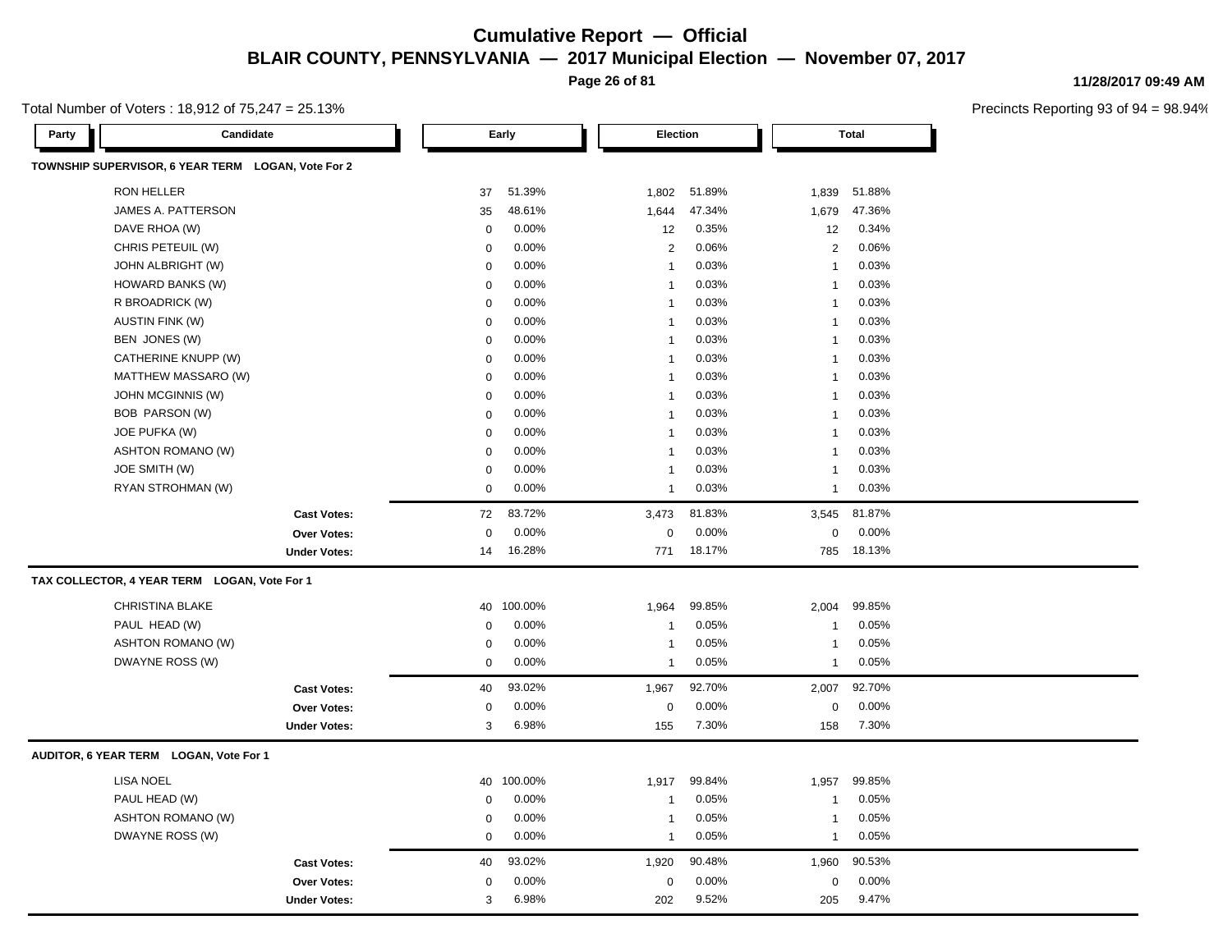**Page 26 of 81**

Total Number of Voters : 18,912 of 75,247 = 25.13%

| Candidate<br>Party                                 |                        |             | Early   | Election     |        |                | <b>Total</b> |
|----------------------------------------------------|------------------------|-------------|---------|--------------|--------|----------------|--------------|
| TOWNSHIP SUPERVISOR, 6 YEAR TERM LOGAN, Vote For 2 |                        |             |         |              |        |                |              |
| RON HELLER                                         |                        | 37          | 51.39%  | 1,802        | 51.89% | 1,839          | 51.88%       |
| JAMES A. PATTERSON                                 |                        | 35          | 48.61%  | 1,644        | 47.34% | 1,679          | 47.36%       |
| DAVE RHOA (W)                                      |                        | 0           | 0.00%   | 12           | 0.35%  | 12             | 0.34%        |
| CHRIS PETEUIL (W)                                  |                        | 0           | 0.00%   | 2            | 0.06%  | 2              | 0.06%        |
| <b>JOHN ALBRIGHT (W)</b>                           |                        | 0           | 0.00%   | $\mathbf{1}$ | 0.03%  | $\mathbf{1}$   | 0.03%        |
| HOWARD BANKS (W)                                   |                        | 0           | 0.00%   | $\mathbf{1}$ | 0.03%  | $\mathbf{1}$   | 0.03%        |
| R BROADRICK (W)                                    | <b>AUSTIN FINK (W)</b> |             | 0.00%   | $\mathbf{1}$ | 0.03%  | $\mathbf{1}$   | 0.03%        |
|                                                    |                        |             | 0.00%   | $\mathbf{1}$ | 0.03%  | $\mathbf{1}$   | 0.03%        |
| BEN JONES (W)                                      |                        | $\mathbf 0$ | 0.00%   | $\mathbf{1}$ | 0.03%  | $\mathbf{1}$   | 0.03%        |
| CATHERINE KNUPP (W)                                |                        | 0           | 0.00%   | $\mathbf{1}$ | 0.03%  | $\overline{1}$ | 0.03%        |
| MATTHEW MASSARO (W)                                |                        | 0           | 0.00%   | $\mathbf{1}$ | 0.03%  | $\mathbf{1}$   | 0.03%        |
| <b>JOHN MCGINNIS (W)</b>                           |                        | $\mathbf 0$ | 0.00%   | $\mathbf{1}$ | 0.03%  | $\mathbf{1}$   | 0.03%        |
| BOB PARSON (W)                                     |                        | 0           | 0.00%   | $\mathbf{1}$ | 0.03%  | $\mathbf{1}$   | 0.03%        |
| JOE PUFKA (W)                                      |                        | $\mathbf 0$ | 0.00%   | $\mathbf{1}$ | 0.03%  | 1              | 0.03%        |
| <b>ASHTON ROMANO (W)</b>                           |                        | 0           | 0.00%   | $\mathbf{1}$ | 0.03%  | 1              | 0.03%        |
| JOE SMITH (W)                                      |                        | 0           | 0.00%   | $\mathbf{1}$ | 0.03%  | $\mathbf{1}$   | 0.03%        |
| RYAN STROHMAN (W)                                  |                        | 0           | 0.00%   | $\mathbf{1}$ | 0.03%  | $\mathbf{1}$   | 0.03%        |
|                                                    | <b>Cast Votes:</b>     | 72          | 83.72%  | 3,473        | 81.83% | 3,545          | 81.87%       |
|                                                    | Over Votes:            | $\mathbf 0$ | 0.00%   | $\pmb{0}$    | 0.00%  | $\mathsf 0$    | 0.00%        |
|                                                    | <b>Under Votes:</b>    | 14          | 16.28%  | 771          | 18.17% | 785            | 18.13%       |
| TAX COLLECTOR, 4 YEAR TERM LOGAN, Vote For 1       |                        |             |         |              |        |                |              |
| <b>CHRISTINA BLAKE</b>                             |                        | 40          | 100.00% | 1,964        | 99.85% | 2,004          | 99.85%       |
| PAUL HEAD (W)                                      |                        | 0           | 0.00%   | $\mathbf{1}$ | 0.05%  | $\mathbf{1}$   | 0.05%        |
| <b>ASHTON ROMANO (W)</b>                           |                        | 0           | 0.00%   | $\mathbf{1}$ | 0.05%  | $\mathbf{1}$   | 0.05%        |
| DWAYNE ROSS (W)                                    |                        | 0           | 0.00%   | $\mathbf{1}$ | 0.05%  | $\mathbf{1}$   | 0.05%        |
|                                                    | <b>Cast Votes:</b>     | 40          | 93.02%  | 1,967        | 92.70% | 2,007          | 92.70%       |
|                                                    | <b>Over Votes:</b>     | 0           | 0.00%   | 0            | 0.00%  | 0              | 0.00%        |
|                                                    | <b>Under Votes:</b>    | 3           | 6.98%   | 155          | 7.30%  | 158            | 7.30%        |
| AUDITOR, 6 YEAR TERM LOGAN, Vote For 1             |                        |             |         |              |        |                |              |
| <b>LISA NOEL</b>                                   |                        | 40          | 100.00% | 1,917        | 99.84% | 1,957          | 99.85%       |
| PAUL HEAD (W)                                      |                        | 0           | 0.00%   | $\mathbf{1}$ | 0.05%  | $\mathbf{1}$   | 0.05%        |
| <b>ASHTON ROMANO (W)</b>                           |                        | 0           | 0.00%   | $\mathbf{1}$ | 0.05%  | $\mathbf{1}$   | 0.05%        |
| DWAYNE ROSS (W)                                    |                        | 0           | 0.00%   | $\mathbf{1}$ | 0.05%  | $\mathbf{1}$   | 0.05%        |
|                                                    | <b>Cast Votes:</b>     | 40          | 93.02%  | 1,920        | 90.48% | 1,960          | 90.53%       |
|                                                    | <b>Over Votes:</b>     | 0           | 0.00%   | 0            | 0.00%  | 0              | 0.00%        |
|                                                    | <b>Under Votes:</b>    | 3           | 6.98%   | 202          | 9.52%  | 205            | 9.47%        |

**11/28/2017 09:49 AM**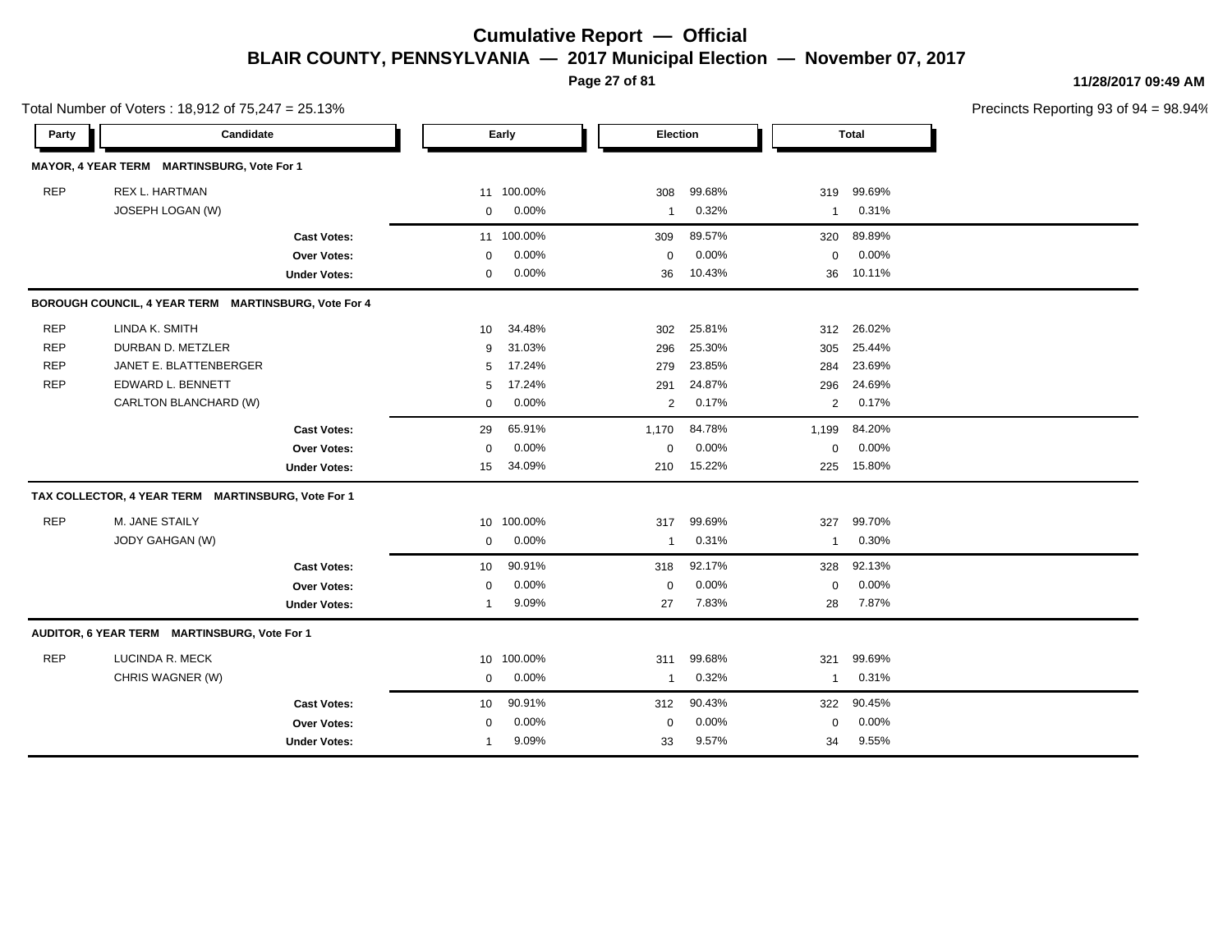**Page 27 of 81**

**11/28/2017 09:49 AM**

| Total Number of Voters: 18,912 of 75,247 = 25.13% |                                                      |                     |                 |         |              |        |              |              | Precincts Reporting 93 of 9 |
|---------------------------------------------------|------------------------------------------------------|---------------------|-----------------|---------|--------------|--------|--------------|--------------|-----------------------------|
| Party                                             | Candidate                                            |                     |                 | Early   | Election     |        |              | <b>Total</b> |                             |
|                                                   | MAYOR, 4 YEAR TERM MARTINSBURG, Vote For 1           |                     |                 |         |              |        |              |              |                             |
| <b>REP</b>                                        | REX L. HARTMAN                                       |                     | 11              | 100.00% | 308          | 99.68% | 319          | 99.69%       |                             |
|                                                   | JOSEPH LOGAN (W)                                     |                     | 0               | 0.00%   | -1           | 0.32%  | 1            | 0.31%        |                             |
|                                                   |                                                      | <b>Cast Votes:</b>  | 11              | 100.00% | 309          | 89.57% | 320          | 89.89%       |                             |
|                                                   |                                                      | Over Votes:         | $\mathbf 0$     | 0.00%   | $\mathbf 0$  | 0.00%  | $\mathbf 0$  | 0.00%        |                             |
|                                                   |                                                      | <b>Under Votes:</b> | $\mathbf 0$     | 0.00%   | 36           | 10.43% | 36           | 10.11%       |                             |
|                                                   | BOROUGH COUNCIL, 4 YEAR TERM MARTINSBURG, Vote For 4 |                     |                 |         |              |        |              |              |                             |
| <b>REP</b>                                        | LINDA K. SMITH                                       |                     | 10              | 34.48%  | 302          | 25.81% | 312          | 26.02%       |                             |
| <b>REP</b>                                        | DURBAN D. METZLER                                    |                     | 9               | 31.03%  | 296          | 25.30% | 305          | 25.44%       |                             |
| <b>REP</b>                                        | JANET E. BLATTENBERGER                               |                     | 5               | 17.24%  | 279          | 23.85% | 284          | 23.69%       |                             |
| <b>REP</b>                                        | EDWARD L. BENNETT                                    |                     | 5               | 17.24%  | 291          | 24.87% | 296          | 24.69%       |                             |
|                                                   | CARLTON BLANCHARD (W)                                |                     | $\mathbf 0$     | 0.00%   | 2            | 0.17%  | 2            | 0.17%        |                             |
|                                                   |                                                      | <b>Cast Votes:</b>  | 29              | 65.91%  | 1,170        | 84.78% | 1,199        | 84.20%       |                             |
|                                                   |                                                      | Over Votes:         | 0               | 0.00%   | 0            | 0.00%  | $\mathbf 0$  | 0.00%        |                             |
|                                                   |                                                      | <b>Under Votes:</b> | 15              | 34.09%  | 210          | 15.22% | 225          | 15.80%       |                             |
|                                                   | TAX COLLECTOR, 4 YEAR TERM MARTINSBURG, Vote For 1   |                     |                 |         |              |        |              |              |                             |
| <b>REP</b>                                        | M. JANE STAILY                                       |                     | 10 <sup>1</sup> | 100.00% | 317          | 99.69% | 327          | 99.70%       |                             |
|                                                   | JODY GAHGAN (W)                                      |                     | $\mathbf 0$     | 0.00%   | -1           | 0.31%  | $\mathbf{1}$ | 0.30%        |                             |
|                                                   |                                                      | <b>Cast Votes:</b>  | 10              | 90.91%  | 318          | 92.17% | 328          | 92.13%       |                             |
|                                                   |                                                      | Over Votes:         | $\mathbf 0$     | 0.00%   | $\mathbf 0$  | 0.00%  | $\mathbf 0$  | 0.00%        |                             |
|                                                   |                                                      | <b>Under Votes:</b> | -1              | 9.09%   | 27           | 7.83%  | 28           | 7.87%        |                             |
|                                                   | AUDITOR, 6 YEAR TERM MARTINSBURG, Vote For 1         |                     |                 |         |              |        |              |              |                             |
| <b>REP</b>                                        | LUCINDA R. MECK                                      |                     | 10 <sup>1</sup> | 100.00% | 311          | 99.68% | 321          | 99.69%       |                             |
|                                                   | CHRIS WAGNER (W)                                     |                     | $\mathbf 0$     | 0.00%   | $\mathbf{1}$ | 0.32%  | $\mathbf{1}$ | 0.31%        |                             |
|                                                   |                                                      | <b>Cast Votes:</b>  | 10              | 90.91%  | 312          | 90.43% | 322          | 90.45%       |                             |
|                                                   |                                                      | Over Votes:         | $\mathbf 0$     | 0.00%   | $\mathbf 0$  | 0.00%  | $\mathbf 0$  | 0.00%        |                             |
|                                                   |                                                      | <b>Under Votes:</b> | $\overline{1}$  | 9.09%   | 33           | 9.57%  | 34           | 9.55%        |                             |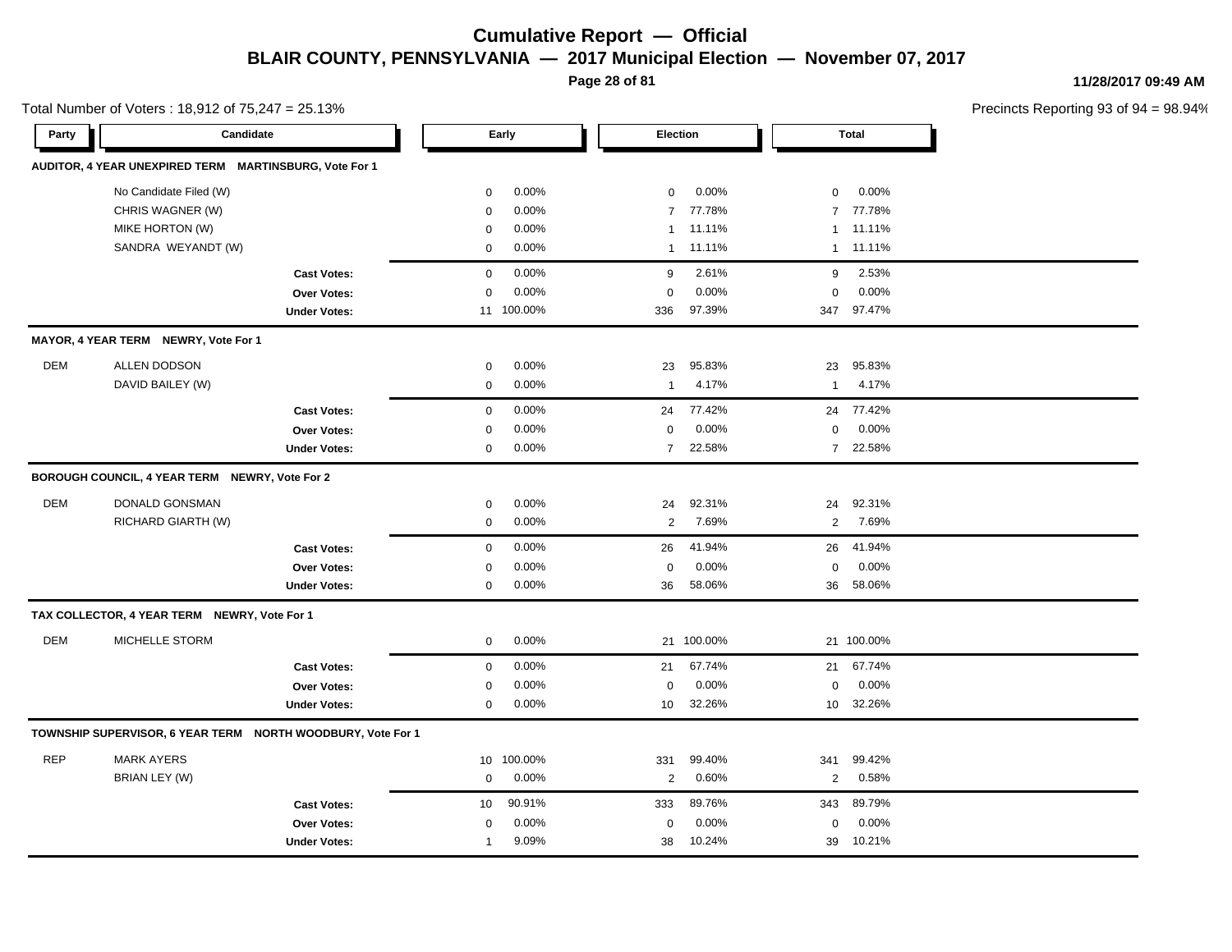**Page 28 of 81**

**11/28/2017 09:49 AM**

| Total Number of Voters: 18,912 of 75,247 = 25.13% |                                                        |                                                             |             |            |                |            |                 |              | Precincts Reporting 93 of 9 |
|---------------------------------------------------|--------------------------------------------------------|-------------------------------------------------------------|-------------|------------|----------------|------------|-----------------|--------------|-----------------------------|
| Party                                             | Candidate                                              |                                                             |             | Early      | Election       |            |                 | <b>Total</b> |                             |
|                                                   | AUDITOR, 4 YEAR UNEXPIRED TERM MARTINSBURG, Vote For 1 |                                                             |             |            |                |            |                 |              |                             |
|                                                   | No Candidate Filed (W)                                 |                                                             | 0           | 0.00%      | $\mathbf 0$    | 0.00%      | 0               | 0.00%        |                             |
|                                                   | CHRIS WAGNER (W)                                       |                                                             | $\mathbf 0$ | 0.00%      | $\overline{7}$ | 77.78%     | $\overline{7}$  | 77.78%       |                             |
|                                                   | MIKE HORTON (W)                                        |                                                             | $\mathbf 0$ | $0.00\%$   | $\mathbf{1}$   | 11.11%     | $\mathbf{1}$    | 11.11%       |                             |
|                                                   | SANDRA WEYANDT (W)                                     |                                                             | $\mathbf 0$ | 0.00%      | $\mathbf{1}$   | 11.11%     | $\mathbf{1}$    | 11.11%       |                             |
|                                                   |                                                        | <b>Cast Votes:</b>                                          | $\mathbf 0$ | 0.00%      | 9              | 2.61%      | 9               | 2.53%        |                             |
|                                                   |                                                        | <b>Over Votes:</b>                                          | $\mathbf 0$ | 0.00%      | $\mathbf 0$    | 0.00%      | $\mathbf 0$     | 0.00%        |                             |
|                                                   |                                                        | <b>Under Votes:</b>                                         |             | 11 100.00% | 336            | 97.39%     |                 | 347 97.47%   |                             |
|                                                   | MAYOR, 4 YEAR TERM NEWRY, Vote For 1                   |                                                             |             |            |                |            |                 |              |                             |
| DEM                                               | ALLEN DODSON                                           |                                                             | $\pmb{0}$   | 0.00%      | 23             | 95.83%     | 23              | 95.83%       |                             |
|                                                   | DAVID BAILEY (W)                                       |                                                             | 0           | 0.00%      | $\mathbf{1}$   | 4.17%      | $\mathbf{1}$    | 4.17%        |                             |
|                                                   |                                                        | <b>Cast Votes:</b>                                          | $\mathbf 0$ | 0.00%      | 24             | 77.42%     | 24              | 77.42%       |                             |
|                                                   |                                                        | Over Votes:                                                 | $\mathbf 0$ | 0.00%      | $\mathsf 0$    | 0.00%      | $\mathsf 0$     | 0.00%        |                             |
|                                                   |                                                        | <b>Under Votes:</b>                                         | $\mathbf 0$ | 0.00%      | $\overline{7}$ | 22.58%     |                 | 7 22.58%     |                             |
|                                                   | BOROUGH COUNCIL, 4 YEAR TERM NEWRY, Vote For 2         |                                                             |             |            |                |            |                 |              |                             |
| DEM                                               | DONALD GONSMAN                                         |                                                             | $\mathbf 0$ | 0.00%      | 24             | 92.31%     | 24              | 92.31%       |                             |
|                                                   | RICHARD GIARTH (W)                                     |                                                             | $\mathbf 0$ | 0.00%      | $\sqrt{2}$     | 7.69%      | $\overline{2}$  | 7.69%        |                             |
|                                                   |                                                        | <b>Cast Votes:</b>                                          | $\mathbf 0$ | 0.00%      | 26             | 41.94%     | 26              | 41.94%       |                             |
|                                                   |                                                        | Over Votes:                                                 | 0           | 0.00%      | 0              | 0.00%      | 0               | 0.00%        |                             |
|                                                   |                                                        | <b>Under Votes:</b>                                         | 0           | 0.00%      | 36             | 58.06%     |                 | 36 58.06%    |                             |
|                                                   | TAX COLLECTOR, 4 YEAR TERM NEWRY, Vote For 1           |                                                             |             |            |                |            |                 |              |                             |
| <b>DEM</b>                                        | MICHELLE STORM                                         |                                                             | 0           | 0.00%      |                | 21 100.00% |                 | 21 100.00%   |                             |
|                                                   |                                                        | <b>Cast Votes:</b>                                          | $\mathbf 0$ | 0.00%      | 21             | 67.74%     | 21              | 67.74%       |                             |
|                                                   |                                                        | Over Votes:                                                 | 0           | 0.00%      | $\mathbf 0$    | 0.00%      | $\Omega$        | 0.00%        |                             |
|                                                   |                                                        | <b>Under Votes:</b>                                         | $\mathbf 0$ | 0.00%      | 10             | 32.26%     | 10 <sup>1</sup> | 32.26%       |                             |
|                                                   |                                                        | TOWNSHIP SUPERVISOR, 6 YEAR TERM NORTH WOODBURY, Vote For 1 |             |            |                |            |                 |              |                             |
| <b>REP</b>                                        | <b>MARK AYERS</b>                                      |                                                             | 10          | 100.00%    | 331            | 99.40%     | 341             | 99.42%       |                             |
|                                                   | BRIAN LEY (W)                                          |                                                             | $\mathbf 0$ | 0.00%      | 2              | 0.60%      | $\overline{2}$  | 0.58%        |                             |
|                                                   |                                                        | <b>Cast Votes:</b>                                          | 10          | 90.91%     | 333            | 89.76%     | 343             | 89.79%       |                             |
|                                                   |                                                        | Over Votes:                                                 | $\mathbf 0$ | $0.00\%$   | $\mathbf 0$    | 0.00%      | $\mathbf 0$     | 0.00%        |                             |
|                                                   |                                                        | <b>Under Votes:</b>                                         | 1           | 9.09%      | 38             | 10.24%     | 39              | 10.21%       |                             |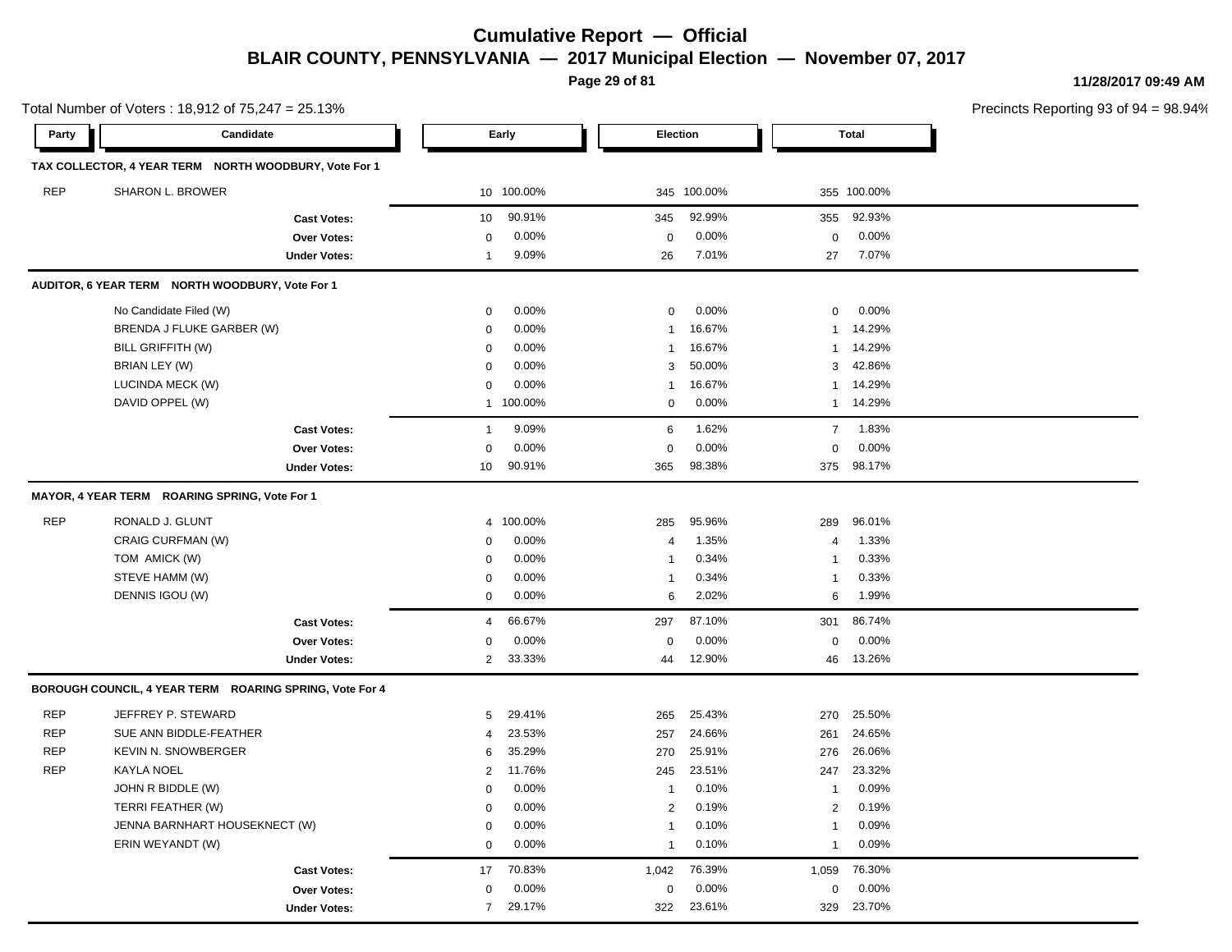**Page 29 of 81**

0.00% 0

29.17% 322 329

23.61% 23.70%

0.00% 0 0.00%

**11/28/2017 09:49 AM**

Precincts Reporting 93 of 94 = 98.94%

| Party      | Candidate                                               |                     |                | Early      |                 | <b>Election</b> |                | <b>Total</b> |  |
|------------|---------------------------------------------------------|---------------------|----------------|------------|-----------------|-----------------|----------------|--------------|--|
|            | TAX COLLECTOR, 4 YEAR TERM NORTH WOODBURY, Vote For 1   |                     |                |            |                 |                 |                |              |  |
| <b>REP</b> | SHARON L. BROWER                                        |                     |                | 10 100.00% |                 | 345 100.00%     |                | 355 100.00%  |  |
|            |                                                         | <b>Cast Votes:</b>  | 10             | 90.91%     | 345             | 92.99%          | 355            | 92.93%       |  |
|            |                                                         | <b>Over Votes:</b>  | $\mathbf 0$    | 0.00%      | $\mathbf 0$     | 0.00%           | $\mathbf 0$    | 0.00%        |  |
|            |                                                         | <b>Under Votes:</b> | 1              | 9.09%      | 26              | 7.01%           | 27             | 7.07%        |  |
|            | AUDITOR, 6 YEAR TERM NORTH WOODBURY, Vote For 1         |                     |                |            |                 |                 |                |              |  |
|            | No Candidate Filed (W)                                  |                     | $\mathbf 0$    | 0.00%      | $\mathbf 0$     | 0.00%           | $\mathbf 0$    | 0.00%        |  |
|            | BRENDA J FLUKE GARBER (W)                               |                     | $\mathbf 0$    | 0.00%      | $\mathbf{1}$    | 16.67%          | $\mathbf{1}$   | 14.29%       |  |
|            | BILL GRIFFITH (W)                                       |                     | 0              | 0.00%      | $\mathbf{1}$    | 16.67%          | $\mathbf{1}$   | 14.29%       |  |
|            | BRIAN LEY (W)                                           |                     | 0              | 0.00%      | 3               | 50.00%          | 3              | 42.86%       |  |
|            | LUCINDA MECK (W)                                        |                     | $\Omega$       | 0.00%      | $\mathbf{1}$    | 16.67%          | 1              | 14.29%       |  |
|            | DAVID OPPEL (W)                                         |                     |                | 1 100.00%  | $\mathbf 0$     | 0.00%           | $\mathbf{1}$   | 14.29%       |  |
|            |                                                         | <b>Cast Votes:</b>  | $\mathbf{1}$   | 9.09%      | $6\phantom{1}6$ | 1.62%           | $\overline{7}$ | 1.83%        |  |
|            |                                                         | Over Votes:         | 0              | 0.00%      | $\pmb{0}$       | 0.00%           | 0              | 0.00%        |  |
|            |                                                         | <b>Under Votes:</b> | 10             | 90.91%     | 365             | 98.38%          | 375            | 98.17%       |  |
|            | MAYOR, 4 YEAR TERM ROARING SPRING, Vote For 1           |                     |                |            |                 |                 |                |              |  |
| <b>REP</b> | RONALD J. GLUNT                                         |                     | 4              | 100.00%    | 285             | 95.96%          | 289            | 96.01%       |  |
|            | <b>CRAIG CURFMAN (W)</b>                                |                     | 0              | 0.00%      | $\overline{4}$  | 1.35%           | 4              | 1.33%        |  |
|            | TOM AMICK (W)                                           |                     | $\mathbf 0$    | 0.00%      | $\mathbf{1}$    | 0.34%           | $\mathbf{1}$   | 0.33%        |  |
|            | STEVE HAMM (W)                                          |                     | 0              | 0.00%      | $\mathbf{1}$    | 0.34%           | $\mathbf{1}$   | 0.33%        |  |
|            | DENNIS IGOU (W)                                         |                     | $\mathbf 0$    | 0.00%      | 6               | 2.02%           | 6              | 1.99%        |  |
|            |                                                         | <b>Cast Votes:</b>  | 4              | 66.67%     | 297             | 87.10%          | 301            | 86.74%       |  |
|            |                                                         | <b>Over Votes:</b>  | 0              | 0.00%      | $\mathbf 0$     | 0.00%           | $\mathbf 0$    | 0.00%        |  |
|            |                                                         | <b>Under Votes:</b> | 2              | 33.33%     | 44              | 12.90%          | 46             | 13.26%       |  |
|            | BOROUGH COUNCIL, 4 YEAR TERM ROARING SPRING, Vote For 4 |                     |                |            |                 |                 |                |              |  |
| <b>REP</b> | JEFFREY P. STEWARD                                      |                     | 5              | 29.41%     | 265             | 25.43%          | 270            | 25.50%       |  |
| <b>REP</b> | SUE ANN BIDDLE-FEATHER                                  |                     | $\overline{4}$ | 23.53%     | 257             | 24.66%          | 261            | 24.65%       |  |
| <b>REP</b> | <b>KEVIN N. SNOWBERGER</b>                              |                     | 6              | 35.29%     | 270             | 25.91%          | 276            | 26.06%       |  |
| <b>REP</b> | <b>KAYLA NOEL</b>                                       |                     | $\overline{2}$ | 11.76%     | 245             | 23.51%          | 247            | 23.32%       |  |
|            | JOHN R BIDDLE (W)                                       |                     | 0              | 0.00%      | $\overline{1}$  | 0.10%           | $\mathbf{1}$   | 0.09%        |  |
|            | TERRI FEATHER (W)                                       |                     | 0              | 0.00%      | 2               | 0.19%           | $\overline{2}$ | 0.19%        |  |
|            | JENNA BARNHART HOUSEKNECT (W)                           |                     | $\mathbf 0$    | 0.00%      | $\mathbf{1}$    | 0.10%           | $\mathbf{1}$   | 0.09%        |  |
|            | ERIN WEYANDT (W)                                        |                     | $\mathbf 0$    | 0.00%      | $\mathbf{1}$    | 0.10%           | $\mathbf{1}$   | 0.09%        |  |
|            |                                                         | <b>Cast Votes:</b>  | 17             | 70.83%     | 1,042           | 76.39%          | 1,059          | 76.30%       |  |

**Over Votes:** 0 0.00% Under Votes: 29.17%

Total Number of Voters : 18,912 of 75,247 = 25.13%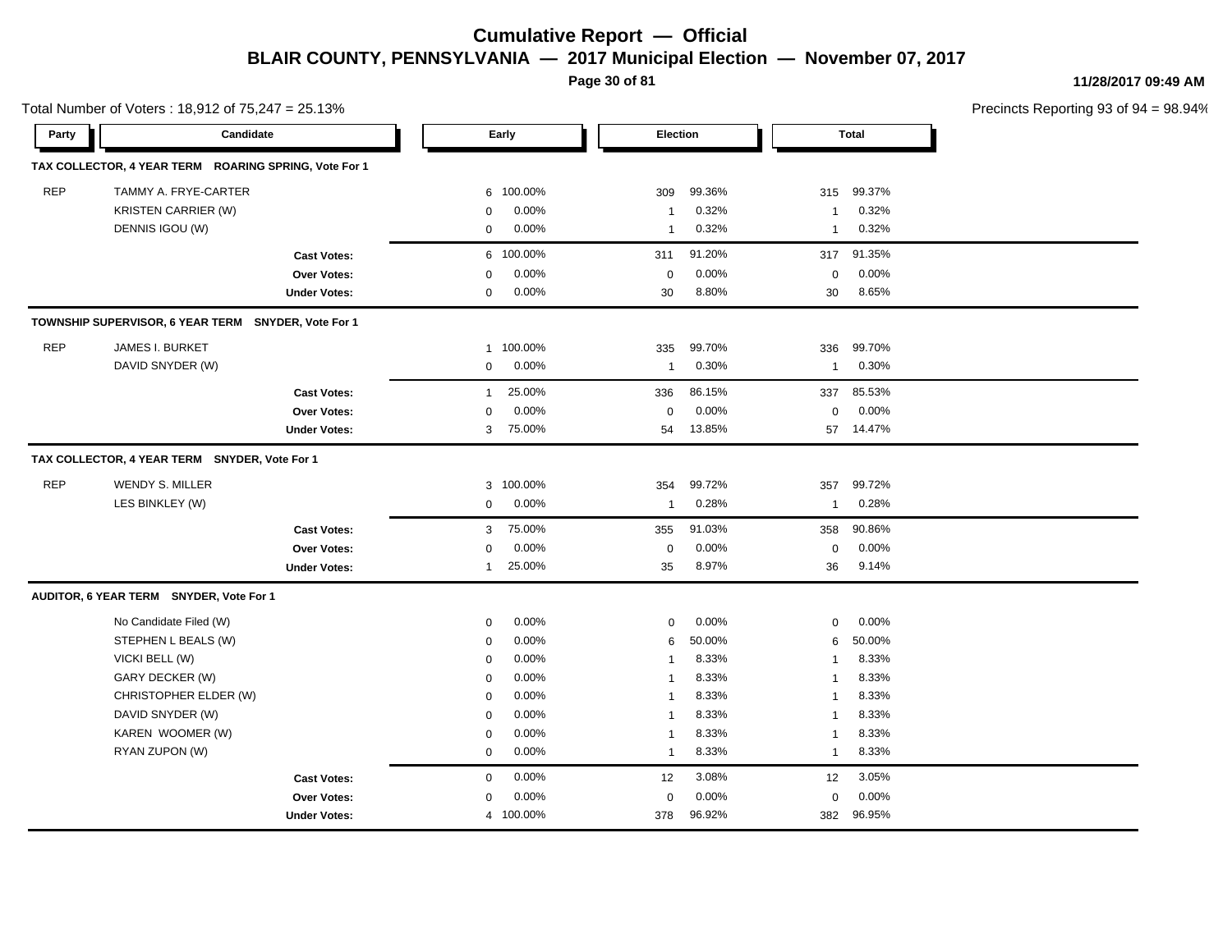**Page 30 of 81**

**11/28/2017 09:49 AM**

|            | Total Number of Voters: 18,912 of 75,247 = 25.13%     |                     |              |           |                         |        |                |              | Precincts Reporting 93 of 9 |
|------------|-------------------------------------------------------|---------------------|--------------|-----------|-------------------------|--------|----------------|--------------|-----------------------------|
| Party      | Candidate                                             |                     |              | Early     | Election                |        |                | <b>Total</b> |                             |
|            | TAX COLLECTOR, 4 YEAR TERM ROARING SPRING, Vote For 1 |                     |              |           |                         |        |                |              |                             |
| <b>REP</b> | TAMMY A. FRYE-CARTER                                  |                     | 6            | 100.00%   | 309                     | 99.36% | 315            | 99.37%       |                             |
|            | <b>KRISTEN CARRIER (W)</b>                            |                     | 0            | 0.00%     | $\overline{1}$          | 0.32%  | -1             | 0.32%        |                             |
|            | DENNIS IGOU (W)                                       |                     | 0            | 0.00%     | $\overline{1}$          | 0.32%  | -1             | 0.32%        |                             |
|            |                                                       | <b>Cast Votes:</b>  | 6            | 100.00%   | 311                     | 91.20% | 317            | 91.35%       |                             |
|            |                                                       | Over Votes:         | $\Omega$     | 0.00%     | $\mathbf 0$             | 0.00%  | 0              | 0.00%        |                             |
|            |                                                       | <b>Under Votes:</b> | 0            | 0.00%     | 30                      | 8.80%  | 30             | 8.65%        |                             |
|            | TOWNSHIP SUPERVISOR, 6 YEAR TERM SNYDER, Vote For 1   |                     |              |           |                         |        |                |              |                             |
| <b>REP</b> | JAMES I. BURKET                                       |                     |              | 1 100.00% | 335                     | 99.70% | 336            | 99.70%       |                             |
|            | DAVID SNYDER (W)                                      |                     | 0            | 0.00%     | $\overline{1}$          | 0.30%  | -1             | 0.30%        |                             |
|            |                                                       | <b>Cast Votes:</b>  | $\mathbf{1}$ | 25.00%    | 336                     | 86.15% | 337            | 85.53%       |                             |
|            |                                                       | Over Votes:         | 0            | 0.00%     | $\mathbf 0$             | 0.00%  | 0              | 0.00%        |                             |
|            |                                                       | <b>Under Votes:</b> | 3            | 75.00%    | 54                      | 13.85% |                | 57 14.47%    |                             |
|            | TAX COLLECTOR, 4 YEAR TERM SNYDER, Vote For 1         |                     |              |           |                         |        |                |              |                             |
| <b>REP</b> | <b>WENDY S. MILLER</b>                                |                     |              | 3 100.00% | 354                     | 99.72% | 357            | 99.72%       |                             |
|            | LES BINKLEY (W)                                       |                     | $\mathbf{0}$ | 0.00%     | $\overline{1}$          | 0.28%  | -1             | 0.28%        |                             |
|            |                                                       | <b>Cast Votes:</b>  | 3            | 75.00%    | 355                     | 91.03% | 358            | 90.86%       |                             |
|            |                                                       | Over Votes:         | 0            | 0.00%     | $\mathbf 0$             | 0.00%  | $\mathbf 0$    | 0.00%        |                             |
|            |                                                       | <b>Under Votes:</b> | $\mathbf{1}$ | 25.00%    | 35                      | 8.97%  | 36             | 9.14%        |                             |
|            | AUDITOR, 6 YEAR TERM SNYDER, Vote For 1               |                     |              |           |                         |        |                |              |                             |
|            | No Candidate Filed (W)                                |                     | $\mathbf 0$  | 0.00%     | 0                       | 0.00%  | 0              | 0.00%        |                             |
|            | STEPHEN L BEALS (W)                                   |                     | $\mathbf 0$  | 0.00%     | 6                       | 50.00% | 6              | 50.00%       |                             |
|            | VICKI BELL (W)                                        |                     | $\mathbf 0$  | 0.00%     | $\overline{\mathbf{1}}$ | 8.33%  | -1             | 8.33%        |                             |
|            | GARY DECKER (W)                                       |                     | $\Omega$     | 0.00%     | $\overline{1}$          | 8.33%  | -1             | 8.33%        |                             |
|            | CHRISTOPHER ELDER (W)                                 |                     | $\mathbf 0$  | 0.00%     | $\overline{1}$          | 8.33%  | 1              | 8.33%        |                             |
|            | DAVID SNYDER (W)                                      |                     | 0            | 0.00%     | $\overline{1}$          | 8.33%  | -1             | 8.33%        |                             |
|            | KAREN WOOMER (W)                                      |                     | $\mathbf 0$  | 0.00%     | $\overline{1}$          | 8.33%  | $\mathbf{1}$   | 8.33%        |                             |
|            | RYAN ZUPON (W)                                        |                     | $\mathbf 0$  | 0.00%     | $\overline{1}$          | 8.33%  | $\overline{1}$ | 8.33%        |                             |
|            |                                                       | <b>Cast Votes:</b>  | $\mathbf 0$  | 0.00%     | 12                      | 3.08%  | 12             | 3.05%        |                             |
|            |                                                       | Over Votes:         | $\mathbf 0$  | 0.00%     | $\mathbf 0$             | 0.00%  | $\mathbf 0$    | 0.00%        |                             |
|            |                                                       | <b>Under Votes:</b> |              | 4 100.00% | 378                     | 96.92% | 382            | 96.95%       |                             |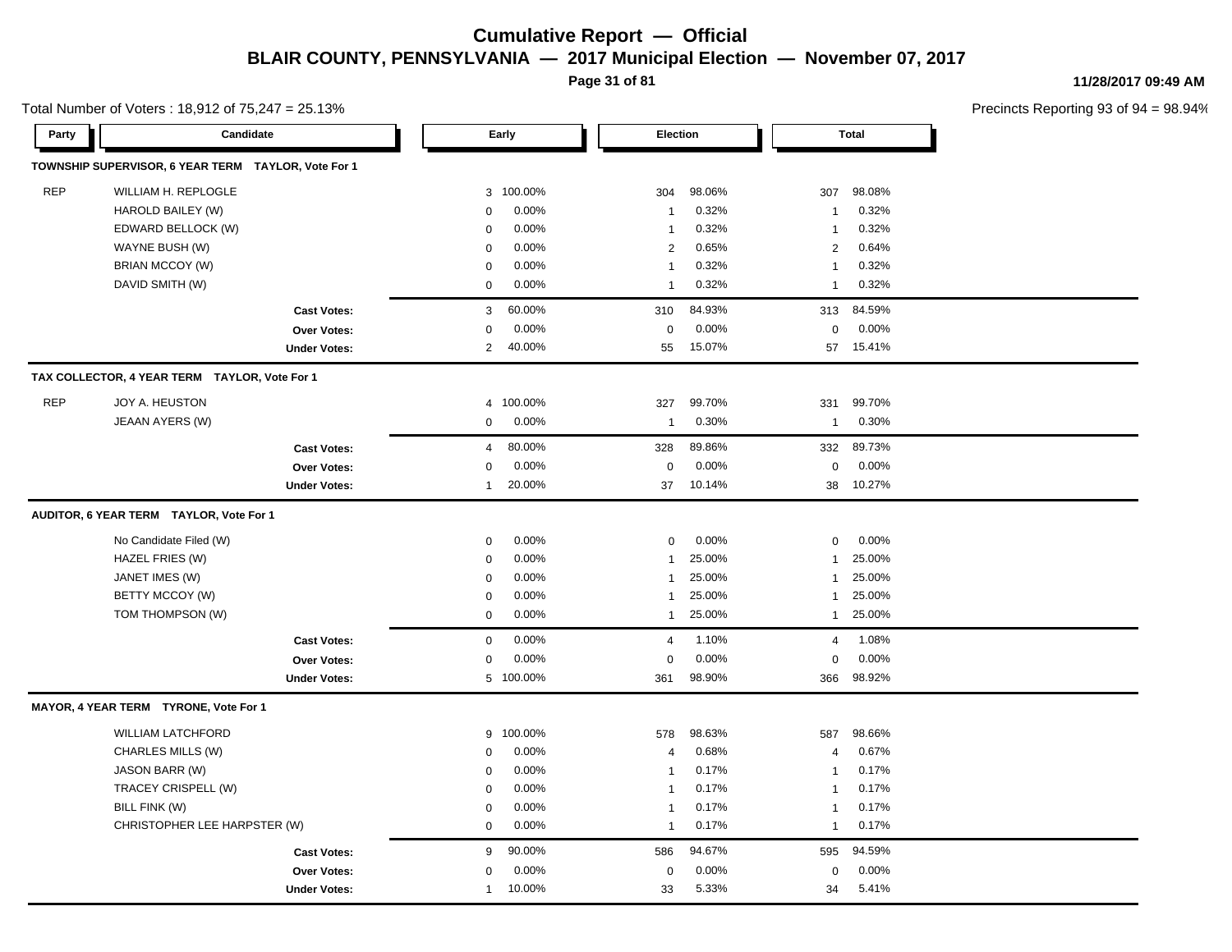**Page 31 of 81**

**11/28/2017 09:49 AM**

|            | Total Number of Voters: 18,912 of 75,247 = 25.13%   |              |           |                |        |                |              | Precincts Reporting 93 of 9 |
|------------|-----------------------------------------------------|--------------|-----------|----------------|--------|----------------|--------------|-----------------------------|
| Party      | Candidate                                           |              | Early     | Election       |        |                | <b>Total</b> |                             |
|            | TOWNSHIP SUPERVISOR, 6 YEAR TERM TAYLOR, Vote For 1 |              |           |                |        |                |              |                             |
| <b>REP</b> | WILLIAM H. REPLOGLE                                 | 3            | 100.00%   | 304            | 98.06% | 307            | 98.08%       |                             |
|            | HAROLD BAILEY (W)                                   | 0            | 0.00%     | $\overline{1}$ | 0.32%  | $\overline{1}$ | 0.32%        |                             |
|            | EDWARD BELLOCK (W)                                  | 0            | 0.00%     | $\overline{1}$ | 0.32%  | $\overline{1}$ | 0.32%        |                             |
|            | WAYNE BUSH (W)                                      | 0            | 0.00%     | $\overline{2}$ | 0.65%  | $\overline{2}$ | 0.64%        |                             |
|            | BRIAN MCCOY (W)                                     | 0            | 0.00%     | $\overline{1}$ | 0.32%  | $\overline{1}$ | 0.32%        |                             |
|            | DAVID SMITH (W)                                     | 0            | 0.00%     | $\overline{1}$ | 0.32%  | $\overline{1}$ | 0.32%        |                             |
|            | <b>Cast Votes:</b>                                  | 3            | 60.00%    | 310            | 84.93% | 313            | 84.59%       |                             |
|            | Over Votes:                                         | $\mathbf 0$  | 0.00%     | $\pmb{0}$      | 0.00%  | $\mathbf 0$    | 0.00%        |                             |
|            | <b>Under Votes:</b>                                 | 2            | 40.00%    | 55             | 15.07% |                | 57 15.41%    |                             |
|            | TAX COLLECTOR, 4 YEAR TERM TAYLOR, Vote For 1       |              |           |                |        |                |              |                             |
| <b>REP</b> | JOY A. HEUSTON                                      | 4            | 100.00%   | 327            | 99.70% | 331            | 99.70%       |                             |
|            | JEAAN AYERS (W)                                     | 0            | 0.00%     | $\overline{1}$ | 0.30%  | $\mathbf{1}$   | 0.30%        |                             |
|            | <b>Cast Votes:</b>                                  | 4            | 80.00%    | 328            | 89.86% | 332            | 89.73%       |                             |
|            | <b>Over Votes:</b>                                  | 0            | 0.00%     | $\mathbf 0$    | 0.00%  | $\mathbf 0$    | 0.00%        |                             |
|            | <b>Under Votes:</b>                                 | $\mathbf{1}$ | 20.00%    | 37             | 10.14% | 38             | 10.27%       |                             |
|            | AUDITOR, 6 YEAR TERM TAYLOR, Vote For 1             |              |           |                |        |                |              |                             |
|            | No Candidate Filed (W)                              | 0            | 0.00%     | $\mathbf 0$    | 0.00%  | $\mathbf 0$    | 0.00%        |                             |
|            | HAZEL FRIES (W)                                     | 0            | 0.00%     | $\mathbf{1}$   | 25.00% | $\overline{1}$ | 25.00%       |                             |
|            | JANET IMES (W)                                      | 0            | 0.00%     | $\mathbf{1}$   | 25.00% | $\mathbf{1}$   | 25.00%       |                             |
|            | BETTY MCCOY (W)                                     | 0            | 0.00%     | $\mathbf{1}$   | 25.00% | $\overline{1}$ | 25.00%       |                             |
|            | TOM THOMPSON (W)                                    | 0            | 0.00%     | $\mathbf{1}$   | 25.00% | $\mathbf{1}$   | 25.00%       |                             |
|            | <b>Cast Votes:</b>                                  | 0            | 0.00%     | $\overline{4}$ | 1.10%  | $\overline{a}$ | 1.08%        |                             |
|            | Over Votes:                                         | 0            | 0.00%     | $\mathbf 0$    | 0.00%  | $\mathbf 0$    | 0.00%        |                             |
|            | <b>Under Votes:</b>                                 |              | 5 100.00% | 361            | 98.90% | 366            | 98.92%       |                             |
|            | MAYOR, 4 YEAR TERM TYRONE, Vote For 1               |              |           |                |        |                |              |                             |
|            | <b>WILLIAM LATCHFORD</b>                            | 9            | 100.00%   | 578            | 98.63% | 587            | 98.66%       |                             |
|            | CHARLES MILLS (W)                                   | 0            | 0.00%     | $\overline{4}$ | 0.68%  | $\overline{4}$ | 0.67%        |                             |
|            | JASON BARR (W)                                      | 0            | 0.00%     | $\overline{1}$ | 0.17%  | $\overline{1}$ | 0.17%        |                             |
|            | TRACEY CRISPELL (W)                                 | 0            | 0.00%     | $\overline{1}$ | 0.17%  | $\overline{1}$ | 0.17%        |                             |
|            | BILL FINK (W)                                       | 0            | 0.00%     | $\overline{1}$ | 0.17%  | $\overline{1}$ | 0.17%        |                             |
|            | CHRISTOPHER LEE HARPSTER (W)                        | 0            | 0.00%     | $\mathbf{1}$   | 0.17%  | $\overline{1}$ | 0.17%        |                             |
|            | <b>Cast Votes:</b>                                  | 9            | 90.00%    | 586            | 94.67% | 595            | 94.59%       |                             |
|            | Over Votes:                                         | 0            | 0.00%     | $\mathbf 0$    | 0.00%  | $\mathbf 0$    | 0.00%        |                             |
|            | <b>Under Votes:</b>                                 | $\mathbf{1}$ | 10.00%    | 33             | 5.33%  | 34             | 5.41%        |                             |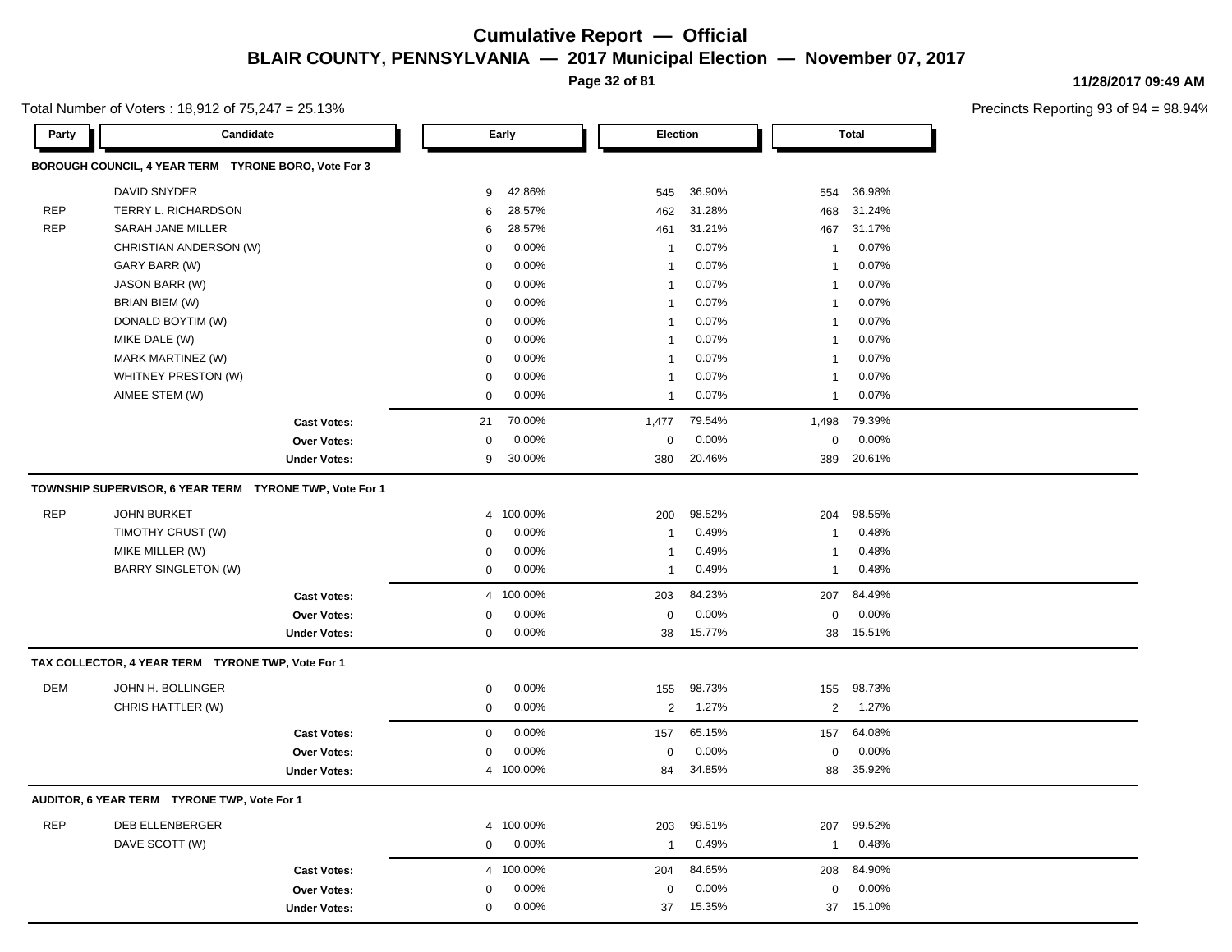**Page 32 of 81**

**11/28/2017 09:49 AM**

| Total Number of Voters: 18,912 of $75,247 = 25.13\%$ |  |
|------------------------------------------------------|--|
|------------------------------------------------------|--|

| Party      | Candidate                                               |                     |                | Early     | Election       |        |                         | <b>Total</b> |
|------------|---------------------------------------------------------|---------------------|----------------|-----------|----------------|--------|-------------------------|--------------|
|            | BOROUGH COUNCIL, 4 YEAR TERM TYRONE BORO, Vote For 3    |                     |                |           |                |        |                         |              |
|            | <b>DAVID SNYDER</b>                                     |                     | 9              | 42.86%    | 545            | 36.90% | 554                     | 36.98%       |
| <b>REP</b> | TERRY L. RICHARDSON                                     |                     | 6              | 28.57%    | 462            | 31.28% | 468                     | 31.24%       |
| <b>REP</b> | SARAH JANE MILLER                                       |                     | 6              | 28.57%    | 461            | 31.21% | 467                     | 31.17%       |
|            | CHRISTIAN ANDERSON (W)                                  |                     | $\mathbf 0$    | 0.00%     | $\mathbf{1}$   | 0.07%  | $\overline{\mathbf{1}}$ | 0.07%        |
|            | GARY BARR (W)                                           |                     | $\mathbf 0$    | 0.00%     | -1             | 0.07%  | $\overline{1}$          | 0.07%        |
|            | JASON BARR (W)                                          |                     | $\mathbf 0$    | 0.00%     | $\mathbf{1}$   | 0.07%  | $\overline{\mathbf{1}}$ | 0.07%        |
|            | BRIAN BIEM (W)                                          |                     | $\mathbf 0$    | 0.00%     | $\mathbf{1}$   | 0.07%  | $\overline{1}$          | 0.07%        |
|            | DONALD BOYTIM (W)                                       |                     | $\mathbf 0$    | 0.00%     | $\mathbf{1}$   | 0.07%  | $\overline{1}$          | 0.07%        |
|            | MIKE DALE (W)                                           |                     | $\mathbf 0$    | 0.00%     | $\mathbf{1}$   | 0.07%  | $\mathbf{1}$            | 0.07%        |
|            | MARK MARTINEZ (W)                                       |                     | $\mathbf 0$    | 0.00%     | $\mathbf{1}$   | 0.07%  | $\overline{1}$          | 0.07%        |
|            | WHITNEY PRESTON (W)                                     |                     | $\mathbf 0$    | 0.00%     | $\mathbf{1}$   | 0.07%  | $\overline{1}$          | 0.07%        |
|            | AIMEE STEM (W)                                          |                     | $\mathbf 0$    | 0.00%     | $\mathbf{1}$   | 0.07%  | $\overline{1}$          | 0.07%        |
|            |                                                         | <b>Cast Votes:</b>  | 21             | 70.00%    | 1,477          | 79.54% | 1,498                   | 79.39%       |
|            |                                                         | <b>Over Votes:</b>  | $\mathbf 0$    | 0.00%     | 0              | 0.00%  | 0                       | 0.00%        |
|            |                                                         | <b>Under Votes:</b> | 9              | 30.00%    | 380            | 20.46% | 389                     | 20.61%       |
|            | TOWNSHIP SUPERVISOR, 6 YEAR TERM TYRONE TWP, Vote For 1 |                     |                |           |                |        |                         |              |
| <b>REP</b> | <b>JOHN BURKET</b>                                      |                     | $\overline{4}$ | 100.00%   | 200            | 98.52% | 204                     | 98.55%       |
|            | TIMOTHY CRUST (W)                                       |                     | $\mathbf 0$    | 0.00%     | -1             | 0.49%  | $\overline{1}$          | 0.48%        |
|            | MIKE MILLER (W)                                         |                     | $\mathbf 0$    | 0.00%     | $\mathbf{1}$   | 0.49%  | $\overline{1}$          | 0.48%        |
|            | <b>BARRY SINGLETON (W)</b>                              |                     | $\mathsf 0$    | 0.00%     | $\mathbf{1}$   | 0.49%  | $\mathbf{1}$            | 0.48%        |
|            |                                                         | <b>Cast Votes:</b>  |                | 4 100.00% | 203            | 84.23% | 207                     | 84.49%       |
|            |                                                         | Over Votes:         | $\mathbf 0$    | 0.00%     | 0              | 0.00%  | 0                       | 0.00%        |
|            |                                                         | <b>Under Votes:</b> | $\mathbf 0$    | 0.00%     | 38             | 15.77% | 38                      | 15.51%       |
|            | TAX COLLECTOR, 4 YEAR TERM TYRONE TWP, Vote For 1       |                     |                |           |                |        |                         |              |
| <b>DEM</b> | JOHN H. BOLLINGER                                       |                     | $\mathbf 0$    | 0.00%     | 155            | 98.73% | 155                     | 98.73%       |
|            | CHRIS HATTLER (W)                                       |                     | $\mathbf 0$    | 0.00%     | $\overline{2}$ | 1.27%  | 2                       | 1.27%        |
|            |                                                         | <b>Cast Votes:</b>  | $\mathbf 0$    | 0.00%     | 157            | 65.15% | 157                     | 64.08%       |
|            |                                                         | Over Votes:         | $\pmb{0}$      | 0.00%     | 0              | 0.00%  | 0                       | 0.00%        |
|            |                                                         | <b>Under Votes:</b> |                | 4 100.00% | 84             | 34.85% | 88                      | 35.92%       |
|            | AUDITOR, 6 YEAR TERM TYRONE TWP, Vote For 1             |                     |                |           |                |        |                         |              |
| <b>REP</b> | <b>DEB ELLENBERGER</b>                                  |                     | $\overline{4}$ | 100.00%   | 203            | 99.51% | 207                     | 99.52%       |
|            | DAVE SCOTT (W)                                          |                     | $\mathbf 0$    | 0.00%     | $\mathbf{1}$   | 0.49%  | $\overline{1}$          | 0.48%        |
|            |                                                         | <b>Cast Votes:</b>  |                | 4 100.00% | 204            | 84.65% | 208                     | 84.90%       |
|            |                                                         | <b>Over Votes:</b>  | 0              | 0.00%     | 0              | 0.00%  | 0                       | 0.00%        |
|            |                                                         | <b>Under Votes:</b> | $\mathbf 0$    | 0.00%     | 37             | 15.35% | 37                      | 15.10%       |
|            |                                                         |                     |                |           |                |        |                         |              |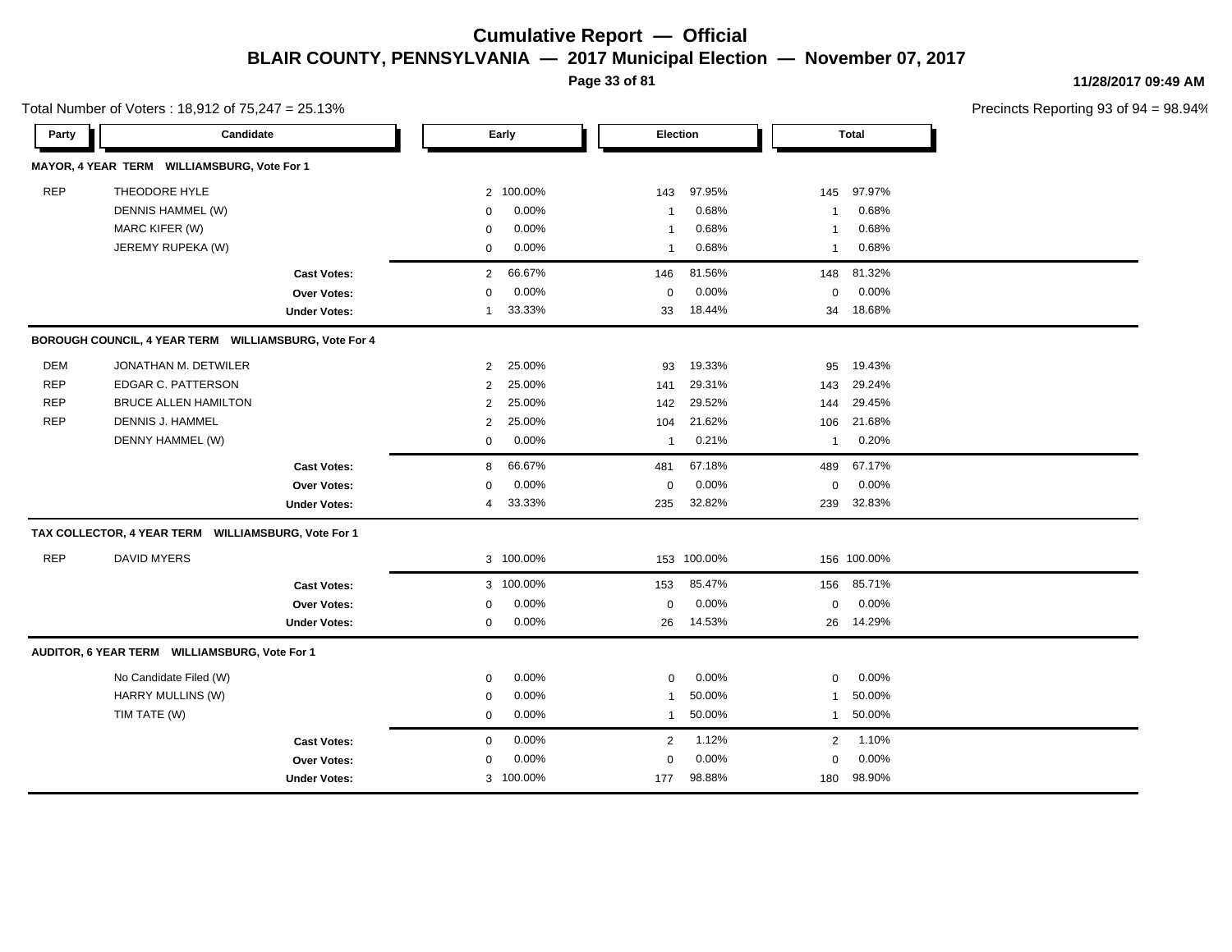**Page 33 of 81**

**11/28/2017 09:49 AM**

| Total Number of Voters: 18,912 of 75,247 = 25.13% |                                                       |                     |                |           |              |             |              |              | Precincts Reporting 93 of 9 |
|---------------------------------------------------|-------------------------------------------------------|---------------------|----------------|-----------|--------------|-------------|--------------|--------------|-----------------------------|
| Party                                             | Candidate                                             |                     |                | Early     |              | Election    |              | <b>Total</b> |                             |
|                                                   | MAYOR, 4 YEAR TERM WILLIAMSBURG, Vote For 1           |                     |                |           |              |             |              |              |                             |
| <b>REP</b>                                        | THEODORE HYLE                                         |                     |                | 2 100.00% | 143          | 97.95%      | 145          | 97.97%       |                             |
|                                                   | DENNIS HAMMEL (W)                                     |                     | 0              | 0.00%     | $\mathbf{1}$ | 0.68%       | $\mathbf 1$  | 0.68%        |                             |
|                                                   | MARC KIFER (W)                                        |                     | $\mathbf 0$    | 0.00%     | $\mathbf{1}$ | 0.68%       | $\mathbf{1}$ | 0.68%        |                             |
|                                                   | JEREMY RUPEKA (W)                                     |                     | $\mathbf 0$    | 0.00%     | $\mathbf{1}$ | 0.68%       | $\mathbf{1}$ | 0.68%        |                             |
|                                                   |                                                       | <b>Cast Votes:</b>  | $\overline{2}$ | 66.67%    | 146          | 81.56%      | 148          | 81.32%       |                             |
|                                                   |                                                       | <b>Over Votes:</b>  | $\Omega$       | 0.00%     | $\mathbf 0$  | 0.00%       | $\mathbf 0$  | 0.00%        |                             |
|                                                   |                                                       | <b>Under Votes:</b> | $\mathbf 1$    | 33.33%    | 33           | 18.44%      | 34           | 18.68%       |                             |
|                                                   | BOROUGH COUNCIL, 4 YEAR TERM WILLIAMSBURG, Vote For 4 |                     |                |           |              |             |              |              |                             |
| <b>DEM</b>                                        | JONATHAN M. DETWILER                                  |                     | $\overline{2}$ | 25.00%    | 93           | 19.33%      | 95           | 19.43%       |                             |
| <b>REP</b>                                        | EDGAR C. PATTERSON                                    |                     | $\overline{2}$ | 25.00%    | 141          | 29.31%      | 143          | 29.24%       |                             |
| <b>REP</b>                                        | <b>BRUCE ALLEN HAMILTON</b>                           |                     | $\overline{2}$ | 25.00%    | 142          | 29.52%      | 144          | 29.45%       |                             |
| <b>REP</b>                                        | DENNIS J. HAMMEL                                      |                     | $\overline{2}$ | 25.00%    | 104          | 21.62%      | 106          | 21.68%       |                             |
|                                                   | DENNY HAMMEL (W)                                      |                     | $\mathbf 0$    | 0.00%     | $\mathbf{1}$ | 0.21%       | $\mathbf{1}$ | 0.20%        |                             |
|                                                   |                                                       | <b>Cast Votes:</b>  | 8              | 66.67%    | 481          | 67.18%      | 489          | 67.17%       |                             |
|                                                   |                                                       | <b>Over Votes:</b>  | $\mathbf 0$    | 0.00%     | $\mathbf 0$  | 0.00%       | $\mathbf 0$  | 0.00%        |                             |
|                                                   |                                                       | <b>Under Votes:</b> | 4              | 33.33%    | 235          | 32.82%      | 239          | 32.83%       |                             |
|                                                   | TAX COLLECTOR, 4 YEAR TERM WILLIAMSBURG, Vote For 1   |                     |                |           |              |             |              |              |                             |
| <b>REP</b>                                        | <b>DAVID MYERS</b>                                    |                     |                | 3 100.00% |              | 153 100.00% |              | 156 100.00%  |                             |
|                                                   |                                                       | <b>Cast Votes:</b>  |                | 3 100.00% | 153          | 85.47%      | 156          | 85.71%       |                             |
|                                                   |                                                       | <b>Over Votes:</b>  | $\mathbf 0$    | 0.00%     | $\mathbf 0$  | 0.00%       | $\mathbf 0$  | 0.00%        |                             |
|                                                   |                                                       | <b>Under Votes:</b> | $\mathbf 0$    | 0.00%     | 26           | 14.53%      | 26           | 14.29%       |                             |
|                                                   | AUDITOR, 6 YEAR TERM WILLIAMSBURG, Vote For 1         |                     |                |           |              |             |              |              |                             |
|                                                   | No Candidate Filed (W)                                |                     | $\mathbf 0$    | 0.00%     | $\mathbf 0$  | 0.00%       | $\mathbf 0$  | 0.00%        |                             |
|                                                   | HARRY MULLINS (W)                                     |                     | $\mathbf 0$    | 0.00%     | $\mathbf{1}$ | 50.00%      | $\mathbf{1}$ | 50.00%       |                             |
|                                                   | TIM TATE (W)                                          |                     | $\mathbf 0$    | 0.00%     | $\mathbf{1}$ | 50.00%      | $\mathbf{1}$ | 50.00%       |                             |
|                                                   |                                                       | <b>Cast Votes:</b>  | $\mathbf 0$    | 0.00%     | 2            | 1.12%       | 2            | 1.10%        |                             |
|                                                   |                                                       | <b>Over Votes:</b>  | $\mathbf 0$    | 0.00%     | $\mathbf 0$  | 0.00%       | $\mathbf 0$  | 0.00%        |                             |
|                                                   |                                                       | <b>Under Votes:</b> |                | 3 100.00% | 177          | 98.88%      | 180          | 98.90%       |                             |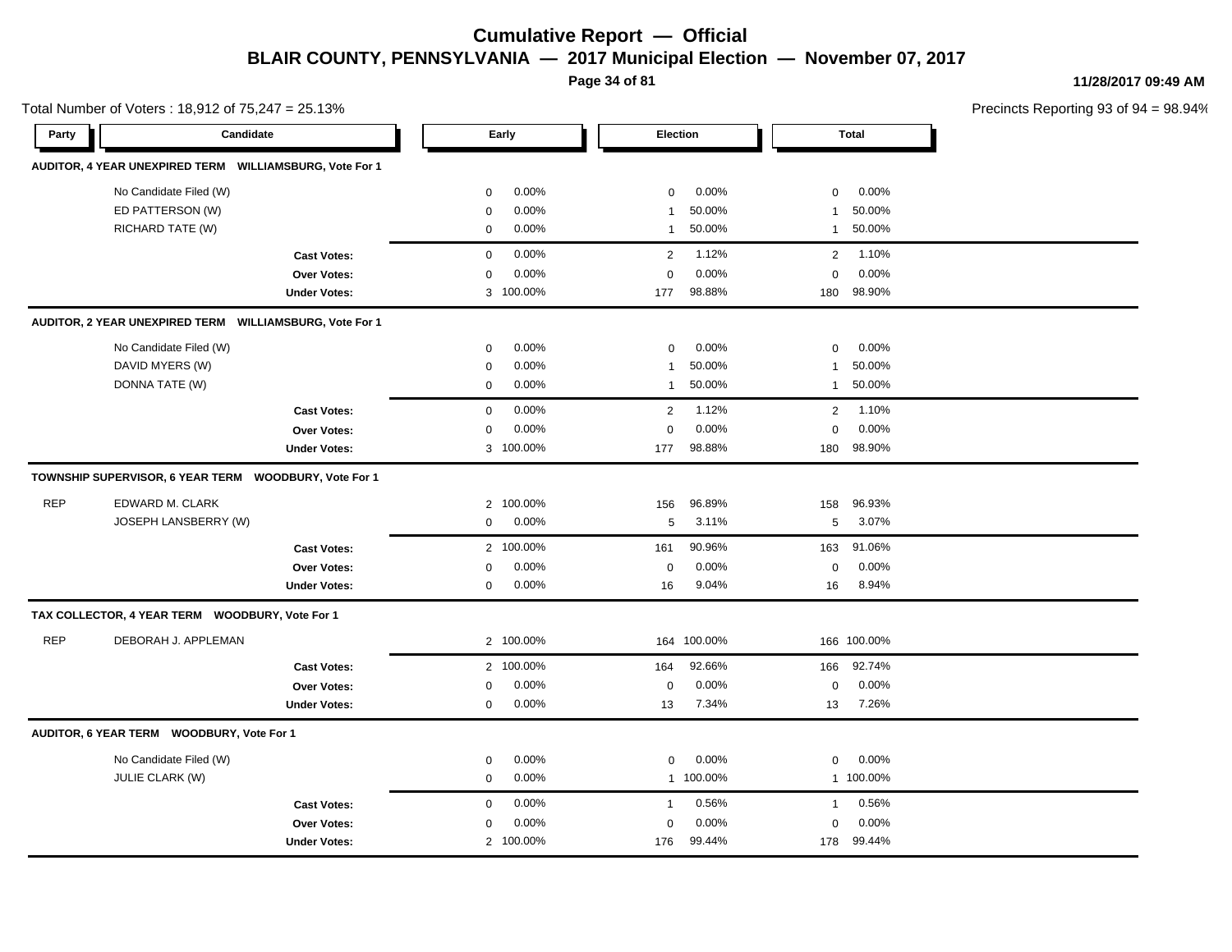**Page 34 of 81**

**11/28/2017 09:49 AM**

| Total Number of Voters: 18,912 of 75,247 = 25.13% |                                                         |                     |                |           |                |           |              |              | Precincts Reporting 93 of 9 |
|---------------------------------------------------|---------------------------------------------------------|---------------------|----------------|-----------|----------------|-----------|--------------|--------------|-----------------------------|
| Party                                             | Candidate                                               |                     |                | Early     | Election       |           |              | <b>Total</b> |                             |
|                                                   | AUDITOR, 4 YEAR UNEXPIRED TERM WILLIAMSBURG, Vote For 1 |                     |                |           |                |           |              |              |                             |
|                                                   | No Candidate Filed (W)                                  |                     | $\mathbf 0$    | 0.00%     | $\mathbf 0$    | 0.00%     | $\mathbf 0$  | 0.00%        |                             |
|                                                   | ED PATTERSON (W)                                        |                     | $\mathbf 0$    | 0.00%     | $\mathbf{1}$   | 50.00%    | 1            | 50.00%       |                             |
|                                                   | RICHARD TATE (W)                                        |                     | $\mathbf 0$    | 0.00%     | $\mathbf{1}$   | 50.00%    | $\mathbf{1}$ | 50.00%       |                             |
|                                                   |                                                         | <b>Cast Votes:</b>  | $\mathbf 0$    | 0.00%     | 2              | 1.12%     | 2            | 1.10%        |                             |
|                                                   |                                                         | <b>Over Votes:</b>  | 0              | 0.00%     | $\mathbf 0$    | 0.00%     | $\mathbf 0$  | 0.00%        |                             |
|                                                   |                                                         | <b>Under Votes:</b> |                | 3 100.00% | 177            | 98.88%    | 180          | 98.90%       |                             |
|                                                   | AUDITOR, 2 YEAR UNEXPIRED TERM WILLIAMSBURG, Vote For 1 |                     |                |           |                |           |              |              |                             |
|                                                   | No Candidate Filed (W)                                  |                     | $\mathbf 0$    | 0.00%     | $\mathbf 0$    | 0.00%     | $\mathbf 0$  | 0.00%        |                             |
|                                                   | DAVID MYERS (W)                                         |                     | $\mathbf 0$    | 0.00%     | $\mathbf{1}$   | 50.00%    | 1            | 50.00%       |                             |
|                                                   | DONNA TATE (W)                                          |                     | $\mathbf 0$    | 0.00%     | $\mathbf{1}$   | 50.00%    | $\mathbf{1}$ | 50.00%       |                             |
|                                                   |                                                         | <b>Cast Votes:</b>  | $\mathbf 0$    | 0.00%     | $\overline{2}$ | 1.12%     | 2            | 1.10%        |                             |
|                                                   |                                                         | Over Votes:         | 0              | 0.00%     | $\mathbf 0$    | 0.00%     | $\Omega$     | 0.00%        |                             |
|                                                   |                                                         | <b>Under Votes:</b> |                | 3 100.00% | 177            | 98.88%    | 180          | 98.90%       |                             |
|                                                   | TOWNSHIP SUPERVISOR, 6 YEAR TERM WOODBURY, Vote For 1   |                     |                |           |                |           |              |              |                             |
| <b>REP</b>                                        | EDWARD M. CLARK                                         |                     | $\overline{2}$ | 100.00%   | 156            | 96.89%    | 158          | 96.93%       |                             |
|                                                   | JOSEPH LANSBERRY (W)                                    |                     | 0              | 0.00%     | 5              | 3.11%     | 5            | 3.07%        |                             |
|                                                   |                                                         | <b>Cast Votes:</b>  |                | 2 100.00% | 161            | 90.96%    | 163          | 91.06%       |                             |
|                                                   |                                                         | Over Votes:         | $\mathbf 0$    | 0.00%     | $\mathbf 0$    | 0.00%     | $\mathbf 0$  | 0.00%        |                             |
|                                                   |                                                         | <b>Under Votes:</b> | 0              | 0.00%     | 16             | 9.04%     | 16           | 8.94%        |                             |
|                                                   | TAX COLLECTOR, 4 YEAR TERM WOODBURY, Vote For 1         |                     |                |           |                |           |              |              |                             |
| <b>REP</b>                                        | DEBORAH J. APPLEMAN                                     |                     |                | 2 100.00% | 164            | 100.00%   |              | 166 100.00%  |                             |
|                                                   |                                                         | <b>Cast Votes:</b>  |                | 2 100.00% | 164            | 92.66%    | 166          | 92.74%       |                             |
|                                                   |                                                         | Over Votes:         | 0              | 0.00%     | 0              | 0.00%     | $\mathbf 0$  | 0.00%        |                             |
|                                                   |                                                         | <b>Under Votes:</b> | $\mathbf 0$    | $0.00\%$  | 13             | 7.34%     | 13           | 7.26%        |                             |
|                                                   | AUDITOR, 6 YEAR TERM WOODBURY, Vote For 1               |                     |                |           |                |           |              |              |                             |
|                                                   | No Candidate Filed (W)                                  |                     | $\mathbf 0$    | 0.00%     | $\mathbf 0$    | 0.00%     | $\mathbf 0$  | 0.00%        |                             |
|                                                   | <b>JULIE CLARK (W)</b>                                  |                     | $\mathbf 0$    | 0.00%     |                | 1 100.00% |              | 1 100.00%    |                             |
|                                                   |                                                         | <b>Cast Votes:</b>  | $\mathbf 0$    | 0.00%     | $\mathbf{1}$   | 0.56%     | $\mathbf{1}$ | 0.56%        |                             |
|                                                   |                                                         | Over Votes:         | $\mathbf 0$    | 0.00%     | $\mathbf 0$    | 0.00%     | $\Omega$     | 0.00%        |                             |
|                                                   |                                                         | <b>Under Votes:</b> |                | 2 100.00% | 176            | 99.44%    | 178          | 99.44%       |                             |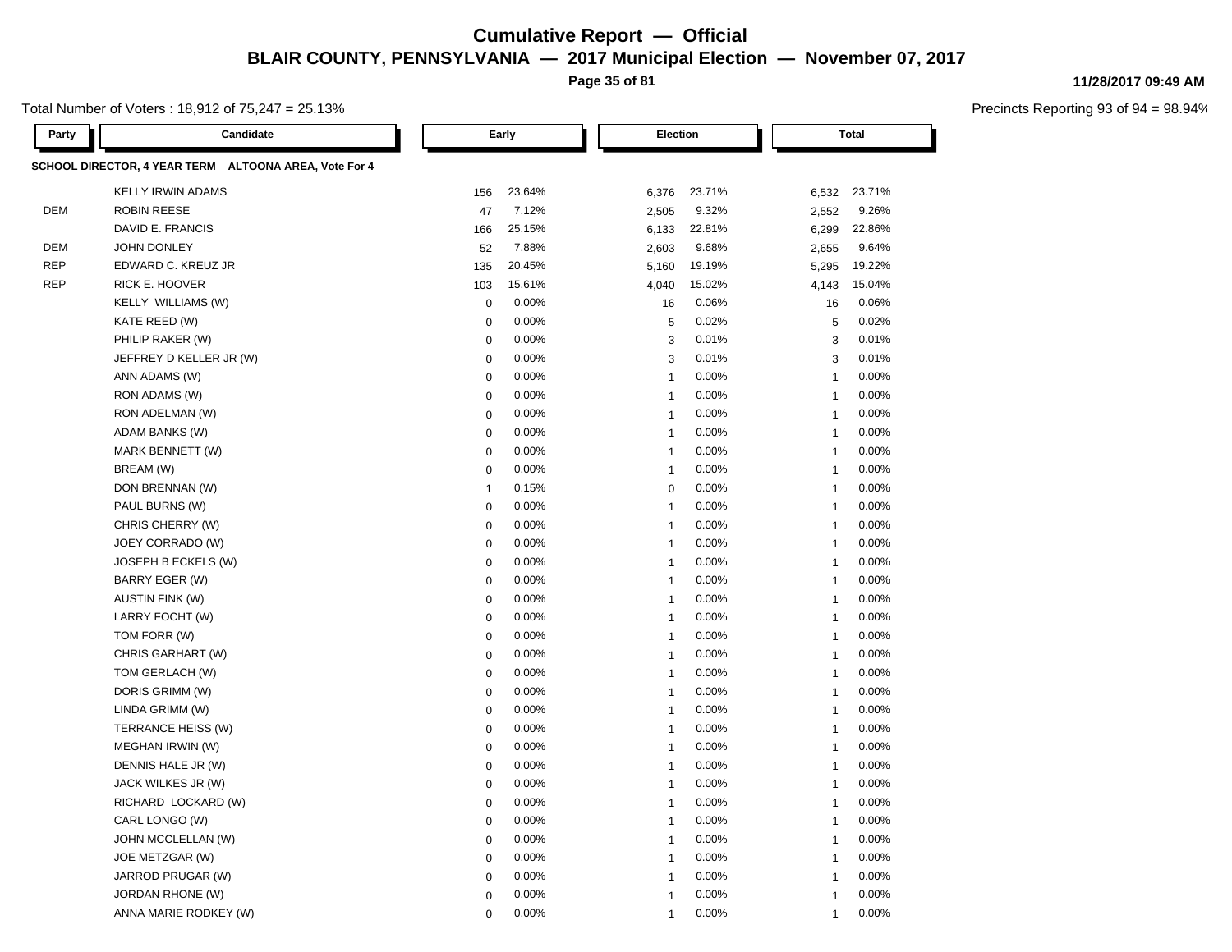**Page 35 of 81**

#### Total Number of Voters : 18,912 of 75,247 = 25.13%

**11/28/2017 09:49 AM**

| Party      | Candidate                                             |                | Early  | Election                |        |                | <b>Total</b> |
|------------|-------------------------------------------------------|----------------|--------|-------------------------|--------|----------------|--------------|
|            | SCHOOL DIRECTOR, 4 YEAR TERM ALTOONA AREA, Vote For 4 |                |        |                         |        |                |              |
|            | <b>KELLY IRWIN ADAMS</b>                              | 156            | 23.64% | 6,376                   | 23.71% | 6,532          | 23.71%       |
| DEM        | <b>ROBIN REESE</b>                                    | 47             | 7.12%  | 2,505                   | 9.32%  | 2,552          | 9.26%        |
|            | DAVID E. FRANCIS                                      | 166            | 25.15% | 6,133                   | 22.81% | 6,299          | 22.86%       |
| DEM        | JOHN DONLEY                                           | 52             | 7.88%  | 2,603                   | 9.68%  | 2,655          | 9.64%        |
| <b>REP</b> | EDWARD C. KREUZ JR                                    | 135            | 20.45% | 5,160                   | 19.19% | 5,295          | 19.22%       |
| <b>REP</b> | RICK E. HOOVER                                        | 103            | 15.61% | 4,040                   | 15.02% | 4,143          | 15.04%       |
|            | KELLY WILLIAMS (W)                                    | $\mathbf 0$    | 0.00%  | 16                      | 0.06%  | 16             | 0.06%        |
|            | KATE REED (W)                                         | $\mathbf 0$    | 0.00%  | 5                       | 0.02%  | 5              | 0.02%        |
|            | PHILIP RAKER (W)                                      | $\mathbf 0$    | 0.00%  | 3                       | 0.01%  | 3              | 0.01%        |
|            | JEFFREY D KELLER JR (W)                               | 0              | 0.00%  | 3                       | 0.01%  | 3              | 0.01%        |
|            | ANN ADAMS (W)                                         | $\mathbf 0$    | 0.00%  | $\overline{1}$          | 0.00%  | $\mathbf 1$    | 0.00%        |
|            | RON ADAMS (W)                                         | 0              | 0.00%  | $\mathbf{1}$            | 0.00%  | $\overline{1}$ | 0.00%        |
|            | RON ADELMAN (W)                                       | $\mathbf 0$    | 0.00%  | $\overline{1}$          | 0.00%  | $\overline{1}$ | 0.00%        |
|            | ADAM BANKS (W)                                        | 0              | 0.00%  | $\overline{1}$          | 0.00%  | $\overline{1}$ | 0.00%        |
|            | MARK BENNETT (W)                                      | $\mathbf 0$    | 0.00%  | $\overline{1}$          | 0.00%  | 1              | 0.00%        |
|            | BREAM (W)                                             | $\mathbf 0$    | 0.00%  | $\overline{1}$          | 0.00%  | $\overline{1}$ | 0.00%        |
|            | DON BRENNAN (W)                                       | $\overline{1}$ | 0.15%  | $\mathbf 0$             | 0.00%  | $\overline{1}$ | 0.00%        |
|            | PAUL BURNS (W)                                        | $\mathbf 0$    | 0.00%  | $\overline{\mathbf{1}}$ | 0.00%  | $\overline{1}$ | 0.00%        |
|            | CHRIS CHERRY (W)                                      | $\mathbf 0$    | 0.00%  | $\overline{1}$          | 0.00%  | $\overline{1}$ | 0.00%        |
|            | JOEY CORRADO (W)                                      | $\mathbf 0$    | 0.00%  | $\mathbf{1}$            | 0.00%  | $\overline{1}$ | 0.00%        |
|            | JOSEPH B ECKELS (W)                                   | $\mathbf 0$    | 0.00%  | $\overline{1}$          | 0.00%  | $\overline{1}$ | 0.00%        |
|            | <b>BARRY EGER (W)</b>                                 | $\mathbf 0$    | 0.00%  | $\overline{1}$          | 0.00%  | $\overline{1}$ | 0.00%        |
|            | <b>AUSTIN FINK (W)</b>                                | $\mathsf 0$    | 0.00%  | $\overline{1}$          | 0.00%  | $\overline{1}$ | 0.00%        |
|            | LARRY FOCHT (W)                                       | $\mathbf 0$    | 0.00%  | $\mathbf{1}$            | 0.00%  | $\overline{1}$ | 0.00%        |
|            | TOM FORR (W)                                          | $\mathbf 0$    | 0.00%  | $\overline{1}$          | 0.00%  | $\overline{1}$ | 0.00%        |
|            | CHRIS GARHART (W)                                     | $\mathsf 0$    | 0.00%  | $\mathbf{1}$            | 0.00%  | $\overline{1}$ | 0.00%        |
|            | TOM GERLACH (W)                                       | $\mathbf 0$    | 0.00%  | $\mathbf{1}$            | 0.00%  | $\overline{1}$ | 0.00%        |
|            | DORIS GRIMM (W)                                       | $\mathbf 0$    | 0.00%  | $\mathbf{1}$            | 0.00%  | $\overline{1}$ | 0.00%        |
|            | LINDA GRIMM (W)                                       | $\mathbf 0$    | 0.00%  | $\mathbf{1}$            | 0.00%  | $\overline{1}$ | 0.00%        |
|            | TERRANCE HEISS (W)                                    | $\mathbf 0$    | 0.00%  | $\mathbf{1}$            | 0.00%  | $\overline{1}$ | 0.00%        |
|            | MEGHAN IRWIN (W)                                      | $\mathbf 0$    | 0.00%  | $\mathbf{1}$            | 0.00%  | $\overline{1}$ | 0.00%        |
|            | DENNIS HALE JR (W)                                    | $\mathbf 0$    | 0.00%  | $\overline{1}$          | 0.00%  | $\overline{1}$ | 0.00%        |
|            | JACK WILKES JR (W)                                    | $\mathbf 0$    | 0.00%  | $\mathbf{1}$            | 0.00%  | $\overline{1}$ | 0.00%        |
|            | RICHARD LOCKARD (W)                                   | $\mathbf 0$    | 0.00%  | $\mathbf{1}$            | 0.00%  | $\overline{1}$ | 0.00%        |
|            | CARL LONGO (W)                                        | $\mathbf 0$    | 0.00%  | $\overline{1}$          | 0.00%  | $\overline{1}$ | 0.00%        |
|            | JOHN MCCLELLAN (W)                                    | $\mathbf 0$    | 0.00%  | $\overline{1}$          | 0.00%  | $\overline{1}$ | 0.00%        |
|            | JOE METZGAR (W)                                       | $\mathsf 0$    | 0.00%  | $\mathbf{1}$            | 0.00%  | $\overline{1}$ | 0.00%        |
|            | JARROD PRUGAR (W)                                     | $\mathbf 0$    | 0.00%  | $\mathbf{1}$            | 0.00%  | $\overline{1}$ | 0.00%        |
|            | JORDAN RHONE (W)                                      | $\mathbf 0$    | 0.00%  | $\mathbf{1}$            | 0.00%  | $\overline{1}$ | 0.00%        |
|            | ANNA MARIE RODKEY (W)                                 | 0              | 0.00%  | $\overline{1}$          | 0.00%  | 1              | 0.00%        |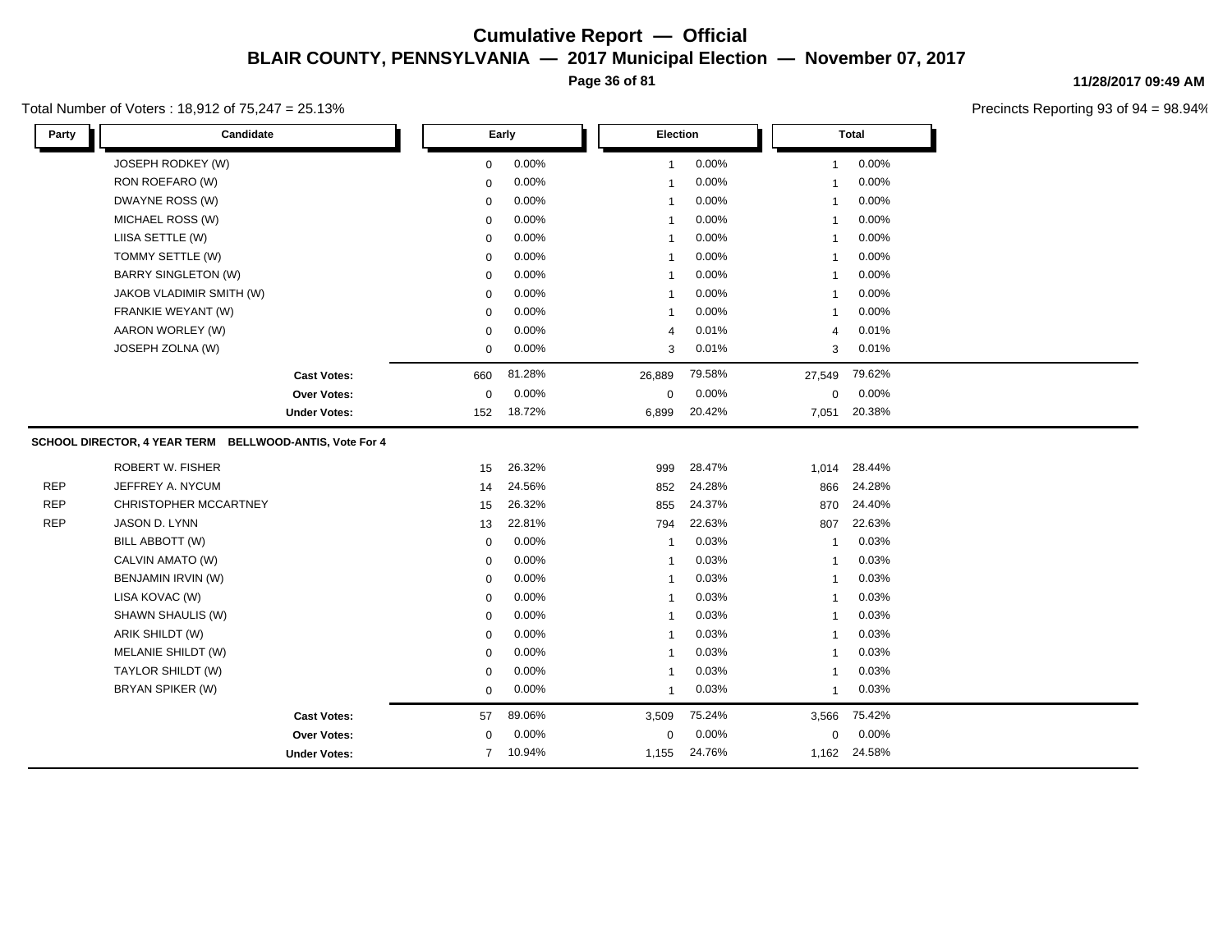**Page 36 of 81**

#### Total Number of Voters : 18,912 of 75,247 = 25.13%

**11/28/2017 09:49 AM**

| 0.00%<br>0.00%<br>0.00%<br>JOSEPH RODKEY (W)<br>0<br>$\overline{1}$<br>-1<br>RON ROEFARO (W)<br>0.00%<br>0.00%<br>0.00%<br>0<br>$\mathbf{1}$<br>-1<br>DWAYNE ROSS (W)<br>0.00%<br>0.00%<br>0.00%<br>$\mathbf 0$<br>-1<br>0.00%<br>0.00%<br>MICHAEL ROSS (W)<br>0.00%<br>$\mathbf 0$<br>$\overline{1}$<br>-1<br>LIISA SETTLE (W)<br>0.00%<br>0.00%<br>0.00%<br>$\mathbf 0$<br>$\overline{1}$<br>-1<br>TOMMY SETTLE (W)<br>0.00%<br>0.00%<br>0.00%<br>0<br>-1<br>-1<br><b>BARRY SINGLETON (W)</b><br>0.00%<br>0.00%<br>0.00%<br>0<br>-1<br>-1<br>0.00%<br>0.00%<br>0.00%<br>JAKOB VLADIMIR SMITH (W)<br>0<br>-1<br>-1<br>0.00%<br>0.00%<br>0.00%<br>FRANKIE WEYANT (W)<br>0<br>$\mathbf{1}$<br>-1<br>0.01%<br>AARON WORLEY (W)<br>0.00%<br>0.01%<br>0<br>$\overline{4}$<br>$\overline{4}$<br>JOSEPH ZOLNA (W)<br>0.00%<br>0.01%<br>0.01%<br>0<br>3<br>3<br>79.62%<br>81.28%<br>79.58%<br>26,889<br>27,549<br><b>Cast Votes:</b><br>660<br>0.00%<br>0.00%<br>0.00%<br>$\mathbf 0$<br>$\mathbf 0$<br>Over Votes:<br>0<br>20.42%<br>20.38%<br>18.72%<br><b>Under Votes:</b><br>152<br>6,899<br>7,051<br>SCHOOL DIRECTOR, 4 YEAR TERM BELLWOOD-ANTIS, Vote For 4<br><b>ROBERT W. FISHER</b><br>28.47%<br>26.32%<br>999<br>1,014<br>28.44%<br>15<br><b>REP</b><br>JEFFREY A. NYCUM<br>24.56%<br>24.28%<br>24.28%<br>852<br>866<br>14<br><b>REP</b><br>CHRISTOPHER MCCARTNEY<br>26.32%<br>24.37%<br>24.40%<br>15<br>855<br>870<br><b>REP</b><br>JASON D. LYNN<br>22.81%<br>22.63%<br>22.63%<br>13<br>794<br>807<br>BILL ABBOTT (W)<br>0.00%<br>0.03%<br>0.03%<br>$\mathbf 0$<br>-1<br>0.00%<br>CALVIN AMATO (W)<br>0.03%<br>0.03%<br>0<br>-1<br>-1<br>BENJAMIN IRVIN (W)<br>0.00%<br>0.03%<br>0.03%<br>$\mathbf 0$<br>$\mathbf 1$<br>-1<br>0.03%<br>LISA KOVAC (W)<br>0.00%<br>0.03%<br>0<br>1<br>-1<br>SHAWN SHAULIS (W)<br>0.00%<br>0.03%<br>0.03%<br>$\mathbf 0$<br>1<br>-1<br>ARIK SHILDT (W)<br>0.00%<br>0.03%<br>0.03%<br>$\mathbf 0$<br>$\overline{1}$<br>-1<br>MELANIE SHILDT (W)<br>0.00%<br>0.03%<br>0.03%<br>$\mathbf 0$<br>$\mathbf{1}$<br>$\overline{1}$<br>TAYLOR SHILDT (W)<br>0.03%<br>$0.00\%$<br>0.03%<br>0<br>-1<br>-1<br>BRYAN SPIKER (W)<br>0.00%<br>0.03%<br>0.03%<br>0<br>-1<br>$\mathbf{1}$<br>89.06%<br>75.24%<br>75.42%<br>57<br>3,509<br>3,566<br><b>Cast Votes:</b><br>0.00%<br>0.00%<br>0.00%<br>Over Votes:<br>0<br>0<br>0<br>10.94%<br>24.76%<br>$\overline{7}$<br>1,155<br>1,162 24.58%<br><b>Under Votes:</b> | Party | Candidate | Early |  | Election |  | <b>Total</b> |  |  |  |
|----------------------------------------------------------------------------------------------------------------------------------------------------------------------------------------------------------------------------------------------------------------------------------------------------------------------------------------------------------------------------------------------------------------------------------------------------------------------------------------------------------------------------------------------------------------------------------------------------------------------------------------------------------------------------------------------------------------------------------------------------------------------------------------------------------------------------------------------------------------------------------------------------------------------------------------------------------------------------------------------------------------------------------------------------------------------------------------------------------------------------------------------------------------------------------------------------------------------------------------------------------------------------------------------------------------------------------------------------------------------------------------------------------------------------------------------------------------------------------------------------------------------------------------------------------------------------------------------------------------------------------------------------------------------------------------------------------------------------------------------------------------------------------------------------------------------------------------------------------------------------------------------------------------------------------------------------------------------------------------------------------------------------------------------------------------------------------------------------------------------------------------------------------------------------------------------------------------------------------------------------------------------------------------------------------------------------------------------------------------------------------------------------------------------------------------|-------|-----------|-------|--|----------|--|--------------|--|--|--|
|                                                                                                                                                                                                                                                                                                                                                                                                                                                                                                                                                                                                                                                                                                                                                                                                                                                                                                                                                                                                                                                                                                                                                                                                                                                                                                                                                                                                                                                                                                                                                                                                                                                                                                                                                                                                                                                                                                                                                                                                                                                                                                                                                                                                                                                                                                                                                                                                                                        |       |           |       |  |          |  |              |  |  |  |
|                                                                                                                                                                                                                                                                                                                                                                                                                                                                                                                                                                                                                                                                                                                                                                                                                                                                                                                                                                                                                                                                                                                                                                                                                                                                                                                                                                                                                                                                                                                                                                                                                                                                                                                                                                                                                                                                                                                                                                                                                                                                                                                                                                                                                                                                                                                                                                                                                                        |       |           |       |  |          |  |              |  |  |  |
|                                                                                                                                                                                                                                                                                                                                                                                                                                                                                                                                                                                                                                                                                                                                                                                                                                                                                                                                                                                                                                                                                                                                                                                                                                                                                                                                                                                                                                                                                                                                                                                                                                                                                                                                                                                                                                                                                                                                                                                                                                                                                                                                                                                                                                                                                                                                                                                                                                        |       |           |       |  |          |  |              |  |  |  |
|                                                                                                                                                                                                                                                                                                                                                                                                                                                                                                                                                                                                                                                                                                                                                                                                                                                                                                                                                                                                                                                                                                                                                                                                                                                                                                                                                                                                                                                                                                                                                                                                                                                                                                                                                                                                                                                                                                                                                                                                                                                                                                                                                                                                                                                                                                                                                                                                                                        |       |           |       |  |          |  |              |  |  |  |
|                                                                                                                                                                                                                                                                                                                                                                                                                                                                                                                                                                                                                                                                                                                                                                                                                                                                                                                                                                                                                                                                                                                                                                                                                                                                                                                                                                                                                                                                                                                                                                                                                                                                                                                                                                                                                                                                                                                                                                                                                                                                                                                                                                                                                                                                                                                                                                                                                                        |       |           |       |  |          |  |              |  |  |  |
|                                                                                                                                                                                                                                                                                                                                                                                                                                                                                                                                                                                                                                                                                                                                                                                                                                                                                                                                                                                                                                                                                                                                                                                                                                                                                                                                                                                                                                                                                                                                                                                                                                                                                                                                                                                                                                                                                                                                                                                                                                                                                                                                                                                                                                                                                                                                                                                                                                        |       |           |       |  |          |  |              |  |  |  |
|                                                                                                                                                                                                                                                                                                                                                                                                                                                                                                                                                                                                                                                                                                                                                                                                                                                                                                                                                                                                                                                                                                                                                                                                                                                                                                                                                                                                                                                                                                                                                                                                                                                                                                                                                                                                                                                                                                                                                                                                                                                                                                                                                                                                                                                                                                                                                                                                                                        |       |           |       |  |          |  |              |  |  |  |
|                                                                                                                                                                                                                                                                                                                                                                                                                                                                                                                                                                                                                                                                                                                                                                                                                                                                                                                                                                                                                                                                                                                                                                                                                                                                                                                                                                                                                                                                                                                                                                                                                                                                                                                                                                                                                                                                                                                                                                                                                                                                                                                                                                                                                                                                                                                                                                                                                                        |       |           |       |  |          |  |              |  |  |  |
|                                                                                                                                                                                                                                                                                                                                                                                                                                                                                                                                                                                                                                                                                                                                                                                                                                                                                                                                                                                                                                                                                                                                                                                                                                                                                                                                                                                                                                                                                                                                                                                                                                                                                                                                                                                                                                                                                                                                                                                                                                                                                                                                                                                                                                                                                                                                                                                                                                        |       |           |       |  |          |  |              |  |  |  |
|                                                                                                                                                                                                                                                                                                                                                                                                                                                                                                                                                                                                                                                                                                                                                                                                                                                                                                                                                                                                                                                                                                                                                                                                                                                                                                                                                                                                                                                                                                                                                                                                                                                                                                                                                                                                                                                                                                                                                                                                                                                                                                                                                                                                                                                                                                                                                                                                                                        |       |           |       |  |          |  |              |  |  |  |
|                                                                                                                                                                                                                                                                                                                                                                                                                                                                                                                                                                                                                                                                                                                                                                                                                                                                                                                                                                                                                                                                                                                                                                                                                                                                                                                                                                                                                                                                                                                                                                                                                                                                                                                                                                                                                                                                                                                                                                                                                                                                                                                                                                                                                                                                                                                                                                                                                                        |       |           |       |  |          |  |              |  |  |  |
|                                                                                                                                                                                                                                                                                                                                                                                                                                                                                                                                                                                                                                                                                                                                                                                                                                                                                                                                                                                                                                                                                                                                                                                                                                                                                                                                                                                                                                                                                                                                                                                                                                                                                                                                                                                                                                                                                                                                                                                                                                                                                                                                                                                                                                                                                                                                                                                                                                        |       |           |       |  |          |  |              |  |  |  |
|                                                                                                                                                                                                                                                                                                                                                                                                                                                                                                                                                                                                                                                                                                                                                                                                                                                                                                                                                                                                                                                                                                                                                                                                                                                                                                                                                                                                                                                                                                                                                                                                                                                                                                                                                                                                                                                                                                                                                                                                                                                                                                                                                                                                                                                                                                                                                                                                                                        |       |           |       |  |          |  |              |  |  |  |
|                                                                                                                                                                                                                                                                                                                                                                                                                                                                                                                                                                                                                                                                                                                                                                                                                                                                                                                                                                                                                                                                                                                                                                                                                                                                                                                                                                                                                                                                                                                                                                                                                                                                                                                                                                                                                                                                                                                                                                                                                                                                                                                                                                                                                                                                                                                                                                                                                                        |       |           |       |  |          |  |              |  |  |  |
|                                                                                                                                                                                                                                                                                                                                                                                                                                                                                                                                                                                                                                                                                                                                                                                                                                                                                                                                                                                                                                                                                                                                                                                                                                                                                                                                                                                                                                                                                                                                                                                                                                                                                                                                                                                                                                                                                                                                                                                                                                                                                                                                                                                                                                                                                                                                                                                                                                        |       |           |       |  |          |  |              |  |  |  |
|                                                                                                                                                                                                                                                                                                                                                                                                                                                                                                                                                                                                                                                                                                                                                                                                                                                                                                                                                                                                                                                                                                                                                                                                                                                                                                                                                                                                                                                                                                                                                                                                                                                                                                                                                                                                                                                                                                                                                                                                                                                                                                                                                                                                                                                                                                                                                                                                                                        |       |           |       |  |          |  |              |  |  |  |
|                                                                                                                                                                                                                                                                                                                                                                                                                                                                                                                                                                                                                                                                                                                                                                                                                                                                                                                                                                                                                                                                                                                                                                                                                                                                                                                                                                                                                                                                                                                                                                                                                                                                                                                                                                                                                                                                                                                                                                                                                                                                                                                                                                                                                                                                                                                                                                                                                                        |       |           |       |  |          |  |              |  |  |  |
|                                                                                                                                                                                                                                                                                                                                                                                                                                                                                                                                                                                                                                                                                                                                                                                                                                                                                                                                                                                                                                                                                                                                                                                                                                                                                                                                                                                                                                                                                                                                                                                                                                                                                                                                                                                                                                                                                                                                                                                                                                                                                                                                                                                                                                                                                                                                                                                                                                        |       |           |       |  |          |  |              |  |  |  |
|                                                                                                                                                                                                                                                                                                                                                                                                                                                                                                                                                                                                                                                                                                                                                                                                                                                                                                                                                                                                                                                                                                                                                                                                                                                                                                                                                                                                                                                                                                                                                                                                                                                                                                                                                                                                                                                                                                                                                                                                                                                                                                                                                                                                                                                                                                                                                                                                                                        |       |           |       |  |          |  |              |  |  |  |
|                                                                                                                                                                                                                                                                                                                                                                                                                                                                                                                                                                                                                                                                                                                                                                                                                                                                                                                                                                                                                                                                                                                                                                                                                                                                                                                                                                                                                                                                                                                                                                                                                                                                                                                                                                                                                                                                                                                                                                                                                                                                                                                                                                                                                                                                                                                                                                                                                                        |       |           |       |  |          |  |              |  |  |  |
|                                                                                                                                                                                                                                                                                                                                                                                                                                                                                                                                                                                                                                                                                                                                                                                                                                                                                                                                                                                                                                                                                                                                                                                                                                                                                                                                                                                                                                                                                                                                                                                                                                                                                                                                                                                                                                                                                                                                                                                                                                                                                                                                                                                                                                                                                                                                                                                                                                        |       |           |       |  |          |  |              |  |  |  |
|                                                                                                                                                                                                                                                                                                                                                                                                                                                                                                                                                                                                                                                                                                                                                                                                                                                                                                                                                                                                                                                                                                                                                                                                                                                                                                                                                                                                                                                                                                                                                                                                                                                                                                                                                                                                                                                                                                                                                                                                                                                                                                                                                                                                                                                                                                                                                                                                                                        |       |           |       |  |          |  |              |  |  |  |
|                                                                                                                                                                                                                                                                                                                                                                                                                                                                                                                                                                                                                                                                                                                                                                                                                                                                                                                                                                                                                                                                                                                                                                                                                                                                                                                                                                                                                                                                                                                                                                                                                                                                                                                                                                                                                                                                                                                                                                                                                                                                                                                                                                                                                                                                                                                                                                                                                                        |       |           |       |  |          |  |              |  |  |  |
|                                                                                                                                                                                                                                                                                                                                                                                                                                                                                                                                                                                                                                                                                                                                                                                                                                                                                                                                                                                                                                                                                                                                                                                                                                                                                                                                                                                                                                                                                                                                                                                                                                                                                                                                                                                                                                                                                                                                                                                                                                                                                                                                                                                                                                                                                                                                                                                                                                        |       |           |       |  |          |  |              |  |  |  |
|                                                                                                                                                                                                                                                                                                                                                                                                                                                                                                                                                                                                                                                                                                                                                                                                                                                                                                                                                                                                                                                                                                                                                                                                                                                                                                                                                                                                                                                                                                                                                                                                                                                                                                                                                                                                                                                                                                                                                                                                                                                                                                                                                                                                                                                                                                                                                                                                                                        |       |           |       |  |          |  |              |  |  |  |
|                                                                                                                                                                                                                                                                                                                                                                                                                                                                                                                                                                                                                                                                                                                                                                                                                                                                                                                                                                                                                                                                                                                                                                                                                                                                                                                                                                                                                                                                                                                                                                                                                                                                                                                                                                                                                                                                                                                                                                                                                                                                                                                                                                                                                                                                                                                                                                                                                                        |       |           |       |  |          |  |              |  |  |  |
|                                                                                                                                                                                                                                                                                                                                                                                                                                                                                                                                                                                                                                                                                                                                                                                                                                                                                                                                                                                                                                                                                                                                                                                                                                                                                                                                                                                                                                                                                                                                                                                                                                                                                                                                                                                                                                                                                                                                                                                                                                                                                                                                                                                                                                                                                                                                                                                                                                        |       |           |       |  |          |  |              |  |  |  |
|                                                                                                                                                                                                                                                                                                                                                                                                                                                                                                                                                                                                                                                                                                                                                                                                                                                                                                                                                                                                                                                                                                                                                                                                                                                                                                                                                                                                                                                                                                                                                                                                                                                                                                                                                                                                                                                                                                                                                                                                                                                                                                                                                                                                                                                                                                                                                                                                                                        |       |           |       |  |          |  |              |  |  |  |
|                                                                                                                                                                                                                                                                                                                                                                                                                                                                                                                                                                                                                                                                                                                                                                                                                                                                                                                                                                                                                                                                                                                                                                                                                                                                                                                                                                                                                                                                                                                                                                                                                                                                                                                                                                                                                                                                                                                                                                                                                                                                                                                                                                                                                                                                                                                                                                                                                                        |       |           |       |  |          |  |              |  |  |  |
|                                                                                                                                                                                                                                                                                                                                                                                                                                                                                                                                                                                                                                                                                                                                                                                                                                                                                                                                                                                                                                                                                                                                                                                                                                                                                                                                                                                                                                                                                                                                                                                                                                                                                                                                                                                                                                                                                                                                                                                                                                                                                                                                                                                                                                                                                                                                                                                                                                        |       |           |       |  |          |  |              |  |  |  |
|                                                                                                                                                                                                                                                                                                                                                                                                                                                                                                                                                                                                                                                                                                                                                                                                                                                                                                                                                                                                                                                                                                                                                                                                                                                                                                                                                                                                                                                                                                                                                                                                                                                                                                                                                                                                                                                                                                                                                                                                                                                                                                                                                                                                                                                                                                                                                                                                                                        |       |           |       |  |          |  |              |  |  |  |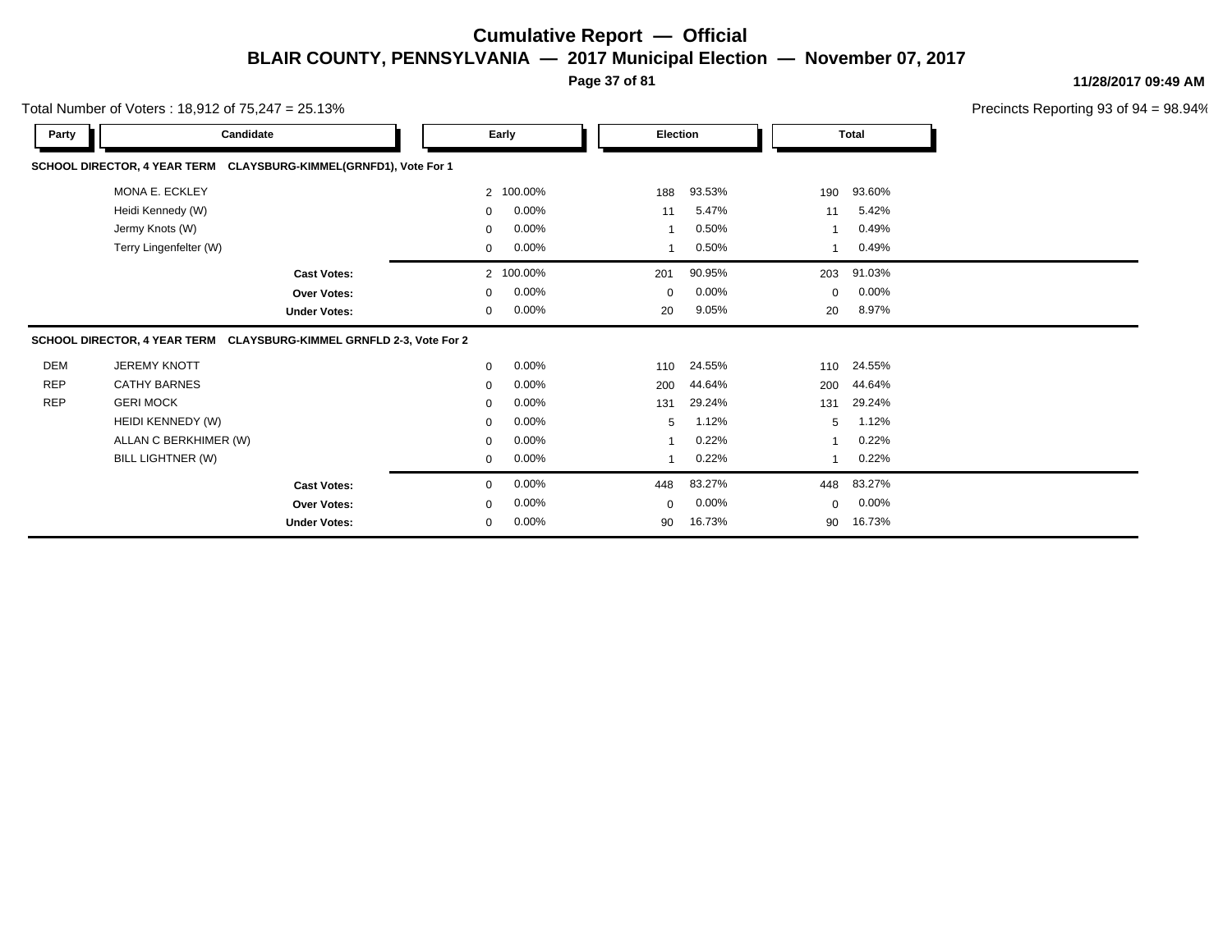**Page 37 of 81**

**11/28/2017 09:49 AM**

|            | Total Number of Voters: 18,912 of 75,247 = 25.13%                    |                     |                |           |             |          |              |              | Precincts Reporting 93 of 9 |
|------------|----------------------------------------------------------------------|---------------------|----------------|-----------|-------------|----------|--------------|--------------|-----------------------------|
| Party      | Candidate                                                            |                     |                | Early     |             | Election |              | <b>Total</b> |                             |
|            | SCHOOL DIRECTOR, 4 YEAR TERM CLAYSBURG-KIMMEL(GRNFD1), Vote For 1    |                     |                |           |             |          |              |              |                             |
|            | MONA E. ECKLEY                                                       |                     | $\overline{2}$ | 100.00%   | 188         | 93.53%   | 190          | 93.60%       |                             |
|            | Heidi Kennedy (W)                                                    |                     | 0              | 0.00%     | 11          | 5.47%    | 11           | 5.42%        |                             |
|            | Jermy Knots (W)                                                      |                     | $\mathbf{0}$   | 0.00%     | 1           | 0.50%    | 1            | 0.49%        |                             |
|            | Terry Lingenfelter (W)                                               |                     | $\mathbf{0}$   | 0.00%     | 1           | 0.50%    | $\mathbf{1}$ | 0.49%        |                             |
|            |                                                                      | <b>Cast Votes:</b>  |                | 2 100.00% | 201         | 90.95%   | 203          | 91.03%       |                             |
|            |                                                                      | Over Votes:         | 0              | 0.00%     | $\mathbf 0$ | 0.00%    | $\mathbf 0$  | 0.00%        |                             |
|            |                                                                      | <b>Under Votes:</b> | $\mathbf{0}$   | 0.00%     | 20          | 9.05%    | 20           | 8.97%        |                             |
|            | SCHOOL DIRECTOR, 4 YEAR TERM CLAYSBURG-KIMMEL GRNFLD 2-3, Vote For 2 |                     |                |           |             |          |              |              |                             |
| DEM        | <b>JEREMY KNOTT</b>                                                  |                     | 0              | 0.00%     | 110         | 24.55%   | 110          | 24.55%       |                             |
| <b>REP</b> | <b>CATHY BARNES</b>                                                  |                     | $\mathbf 0$    | 0.00%     | 200         | 44.64%   | 200          | 44.64%       |                             |
| <b>REP</b> | <b>GERI MOCK</b>                                                     |                     | $\mathbf{0}$   | 0.00%     | 131         | 29.24%   | 131          | 29.24%       |                             |
|            | HEIDI KENNEDY (W)                                                    |                     | $\mathbf{0}$   | 0.00%     | 5           | 1.12%    | 5            | 1.12%        |                             |
|            | ALLAN C BERKHIMER (W)                                                |                     | $\mathbf 0$    | 0.00%     |             | 0.22%    |              | 0.22%        |                             |
|            | BILL LIGHTNER (W)                                                    |                     | 0              | 0.00%     |             | 0.22%    |              | 0.22%        |                             |
|            |                                                                      | <b>Cast Votes:</b>  | $\mathbf{0}$   | 0.00%     | 448         | 83.27%   | 448          | 83.27%       |                             |
|            |                                                                      | Over Votes:         | 0              | 0.00%     | $\mathbf 0$ | 0.00%    | $\mathbf 0$  | 0.00%        |                             |
|            |                                                                      | <b>Under Votes:</b> | $\mathbf 0$    | 0.00%     | 90          | 16.73%   | 90           | 16.73%       |                             |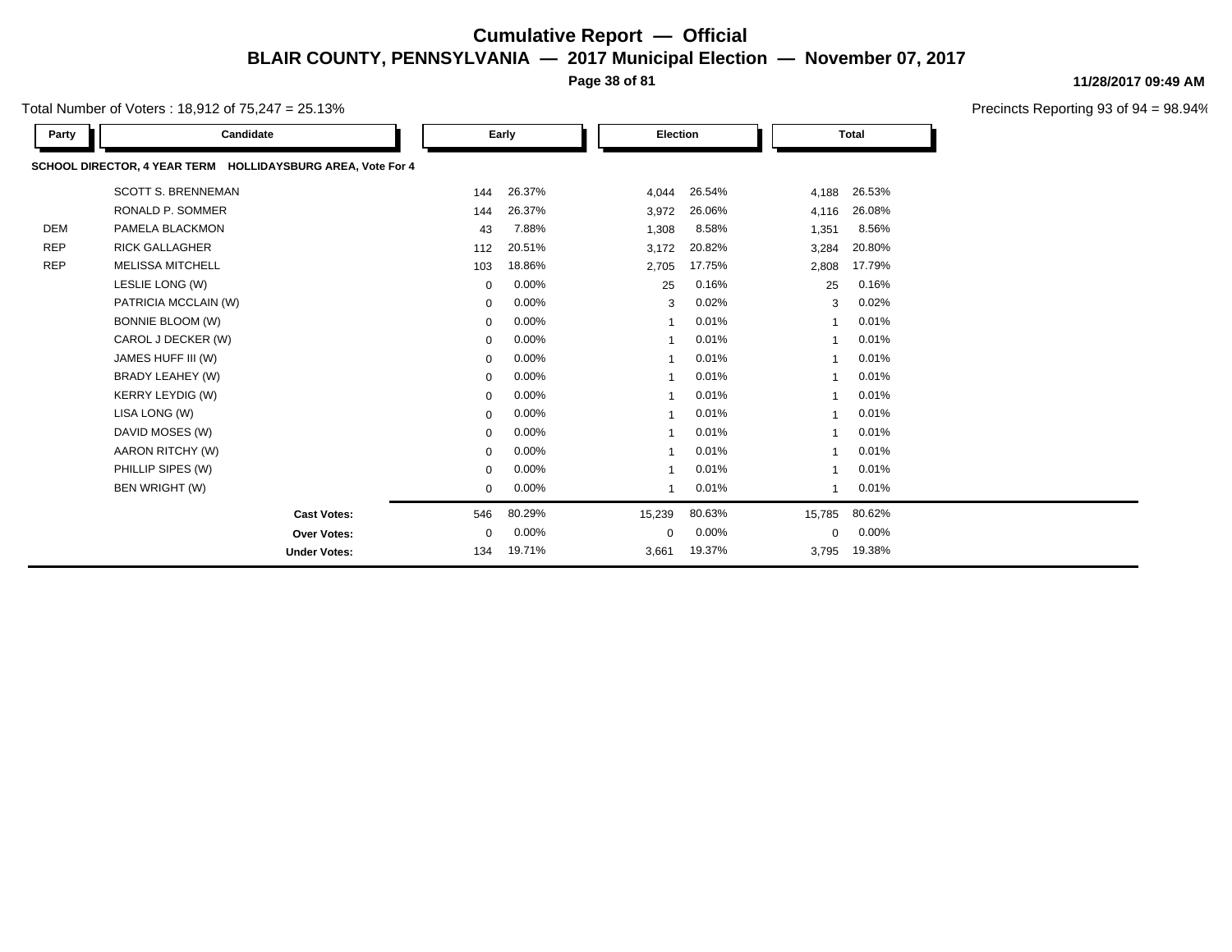**Page 38 of 81**

Total Number of Voters : 18,912 of 75,247 = 25.13%

| Party      | Candidate                                                   |             | Early  | <b>Election</b> |        |          | <b>Total</b> |  |
|------------|-------------------------------------------------------------|-------------|--------|-----------------|--------|----------|--------------|--|
|            | SCHOOL DIRECTOR, 4 YEAR TERM HOLLIDAYSBURG AREA, Vote For 4 |             |        |                 |        |          |              |  |
|            | <b>SCOTT S. BRENNEMAN</b>                                   | 144         | 26.37% | 4,044           | 26.54% | 4,188    | 26.53%       |  |
|            | RONALD P. SOMMER                                            | 144         | 26.37% | 3,972           | 26.06% | 4,116    | 26.08%       |  |
| <b>DEM</b> | PAMELA BLACKMON                                             | 43          | 7.88%  | 1,308           | 8.58%  | 1,351    | 8.56%        |  |
| <b>REP</b> | <b>RICK GALLAGHER</b>                                       | 112         | 20.51% | 3,172           | 20.82% | 3,284    | 20.80%       |  |
| <b>REP</b> | <b>MELISSA MITCHELL</b>                                     | 103         | 18.86% | 2,705           | 17.75% | 2,808    | 17.79%       |  |
|            | LESLIE LONG (W)                                             | $\mathbf 0$ | 0.00%  | 25              | 0.16%  | 25       | 0.16%        |  |
|            | PATRICIA MCCLAIN (W)                                        | $\mathbf 0$ | 0.00%  | 3               | 0.02%  | 3        | 0.02%        |  |
|            | <b>BONNIE BLOOM (W)</b>                                     | $\mathbf 0$ | 0.00%  |                 | 0.01%  |          | 0.01%        |  |
|            | CAROL J DECKER (W)                                          | 0           | 0.00%  |                 | 0.01%  |          | 0.01%        |  |
|            | JAMES HUFF III (W)                                          | $\mathbf 0$ | 0.00%  |                 | 0.01%  |          | 0.01%        |  |
|            | BRADY LEAHEY (W)                                            | $\mathbf 0$ | 0.00%  |                 | 0.01%  |          | 0.01%        |  |
|            | <b>KERRY LEYDIG (W)</b>                                     | 0           | 0.00%  |                 | 0.01%  |          | 0.01%        |  |
|            | LISA LONG (W)                                               | 0           | 0.00%  |                 | 0.01%  |          | 0.01%        |  |
|            | DAVID MOSES (W)                                             | $\mathbf 0$ | 0.00%  | -1              | 0.01%  |          | 0.01%        |  |
|            | AARON RITCHY (W)                                            | $\mathbf 0$ | 0.00%  |                 | 0.01%  |          | 0.01%        |  |
|            | PHILLIP SIPES (W)                                           | 0           | 0.00%  |                 | 0.01%  |          | 0.01%        |  |
|            | BEN WRIGHT (W)                                              | $\mathbf 0$ | 0.00%  |                 | 0.01%  |          | 0.01%        |  |
|            | <b>Cast Votes:</b>                                          | 546         | 80.29% | 15,239          | 80.63% | 15,785   | 80.62%       |  |
|            | Over Votes:                                                 | $\mathbf 0$ | 0.00%  | 0               | 0.00%  | $\Omega$ | 0.00%        |  |
|            | <b>Under Votes:</b>                                         | 134         | 19.71% | 3,661           | 19.37% | 3,795    | 19.38%       |  |

#### **11/28/2017 09:49 AM**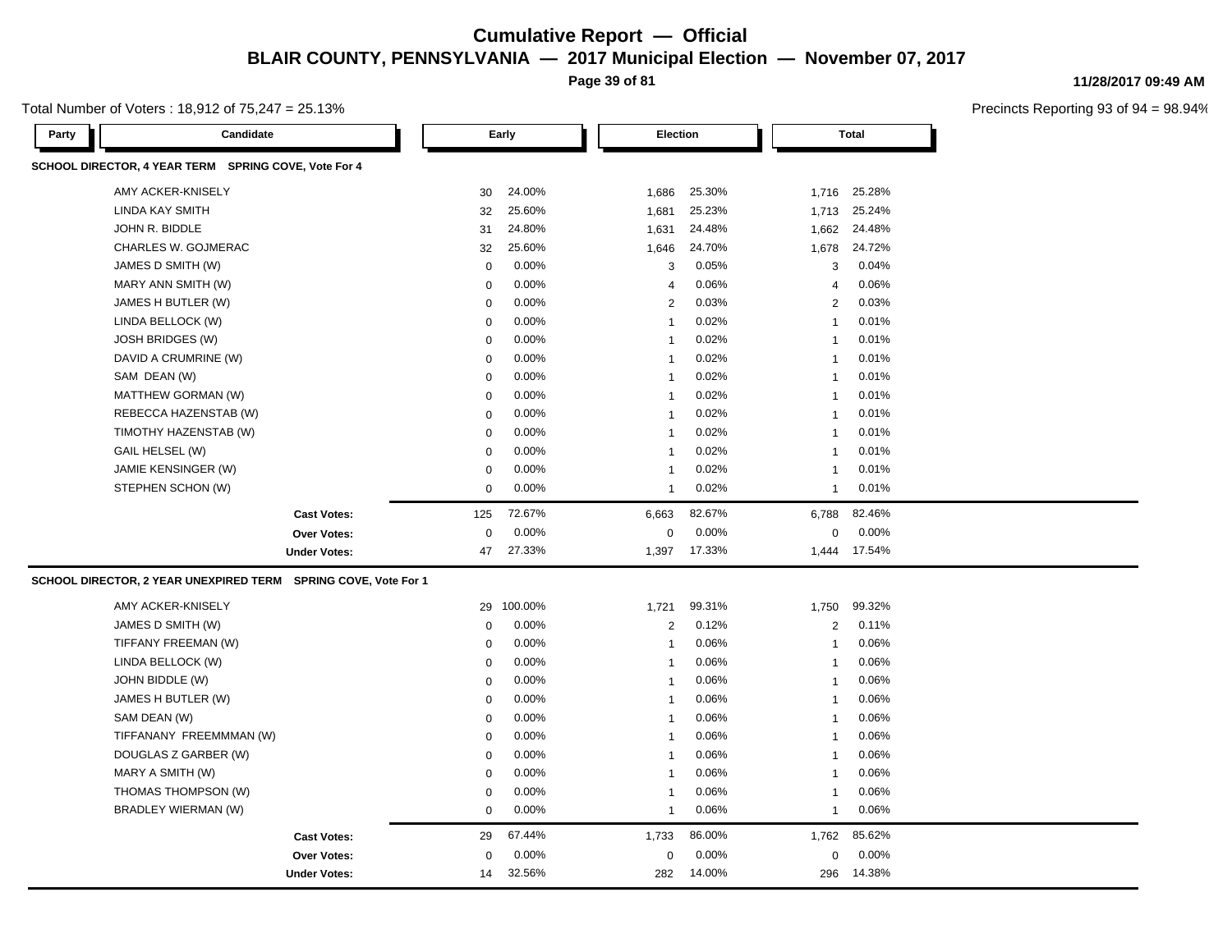**Page 39 of 81**

Total Number of Voters : 18,912 of 75,247 = 25.13%

**11/28/2017 09:49 AM**

| Candidate<br>Party                                             |                     |                | Early    | <b>Election</b>         |        |                | <b>Total</b> |  |
|----------------------------------------------------------------|---------------------|----------------|----------|-------------------------|--------|----------------|--------------|--|
| SCHOOL DIRECTOR, 4 YEAR TERM SPRING COVE, Vote For 4           |                     |                |          |                         |        |                |              |  |
| AMY ACKER-KNISELY                                              |                     | 30             | 24.00%   | 1,686                   | 25.30% | 1,716          | 25.28%       |  |
| <b>LINDA KAY SMITH</b>                                         |                     | 32             | 25.60%   | 1,681                   | 25.23% | 1,713          | 25.24%       |  |
| JOHN R. BIDDLE                                                 |                     | 31             | 24.80%   | 1,631                   | 24.48% | 1,662          | 24.48%       |  |
| CHARLES W. GOJMERAC                                            |                     | 32             | 25.60%   | 1,646                   | 24.70% | 1,678          | 24.72%       |  |
| JAMES D SMITH (W)                                              |                     | $\mathbf 0$    | 0.00%    | 3                       | 0.05%  | 3              | 0.04%        |  |
| MARY ANN SMITH (W)                                             |                     | $\mathbf 0$    | 0.00%    | 4                       | 0.06%  | 4              | 0.06%        |  |
| JAMES H BUTLER (W)                                             |                     | $\mathbf 0$    | 0.00%    | $\overline{\mathbf{c}}$ | 0.03%  | $\overline{2}$ | 0.03%        |  |
| LINDA BELLOCK (W)                                              |                     | $\Omega$       | 0.00%    | $\overline{1}$          | 0.02%  | $\mathbf{1}$   | 0.01%        |  |
| <b>JOSH BRIDGES (W)</b>                                        |                     | $\mathbf 0$    | 0.00%    | $\overline{1}$          | 0.02%  | $\mathbf{1}$   | 0.01%        |  |
| DAVID A CRUMRINE (W)                                           |                     | $\mathbf 0$    | 0.00%    | $\overline{1}$          | 0.02%  | $\mathbf{1}$   | 0.01%        |  |
| SAM DEAN (W)                                                   |                     | $\mathbf 0$    | 0.00%    | $\overline{1}$          | 0.02%  | $\mathbf{1}$   | 0.01%        |  |
| MATTHEW GORMAN (W)                                             |                     | $\mathbf 0$    | 0.00%    | $\overline{1}$          | 0.02%  | $\mathbf 1$    | 0.01%        |  |
| REBECCA HAZENSTAB (W)                                          |                     | $\mathbf 0$    | $0.00\%$ | $\overline{1}$          | 0.02%  | $\mathbf{1}$   | 0.01%        |  |
| TIMOTHY HAZENSTAB (W)                                          |                     | $\mathbf 0$    | 0.00%    | $\overline{1}$          | 0.02%  | $\mathbf{1}$   | 0.01%        |  |
| GAIL HELSEL (W)                                                |                     | $\mathbf 0$    | 0.00%    | $\overline{1}$          | 0.02%  | $\mathbf{1}$   | 0.01%        |  |
| JAMIE KENSINGER (W)                                            |                     | 0              | 0.00%    | $\overline{1}$          | 0.02%  | 1              | 0.01%        |  |
| STEPHEN SCHON (W)                                              |                     | $\mathbf 0$    | 0.00%    | 1                       | 0.02%  | $\mathbf{1}$   | 0.01%        |  |
|                                                                | <b>Cast Votes:</b>  | 125            | 72.67%   | 6,663                   | 82.67% | 6,788          | 82.46%       |  |
|                                                                | Over Votes:         | $\overline{0}$ | 0.00%    | $\mathbf 0$             | 0.00%  | $\mathbf 0$    | 0.00%        |  |
|                                                                | <b>Under Votes:</b> | 47             | 27.33%   | 1,397                   | 17.33% |                | 1,444 17.54% |  |
| SCHOOL DIRECTOR, 2 YEAR UNEXPIRED TERM SPRING COVE, Vote For 1 |                     |                |          |                         |        |                |              |  |
| AMY ACKER-KNISELY                                              |                     | 29             | 100.00%  | 1,721                   | 99.31% | 1,750          | 99.32%       |  |
| JAMES D SMITH (W)                                              |                     | $\mathbf 0$    | 0.00%    | $\overline{\mathbf{c}}$ | 0.12%  | $\sqrt{2}$     | 0.11%        |  |
| TIFFANY FREEMAN (W)                                            |                     | $\mathbf 0$    | 0.00%    | $\overline{1}$          | 0.06%  | $\mathbf{1}$   | 0.06%        |  |
| LINDA BELLOCK (W)                                              |                     | $\mathbf 0$    | 0.00%    | $\overline{1}$          | 0.06%  | $\mathbf{1}$   | 0.06%        |  |
| JOHN BIDDLE (W)                                                |                     | $\Omega$       | 0.00%    | $\overline{1}$          | 0.06%  | $\mathbf{1}$   | 0.06%        |  |
| JAMES H BUTLER (W)                                             |                     | $\mathbf 0$    | 0.00%    | $\overline{1}$          | 0.06%  | $\mathbf{1}$   | 0.06%        |  |
| SAM DEAN (W)                                                   |                     | $\mathbf 0$    | 0.00%    | $\overline{1}$          | 0.06%  | $\mathbf{1}$   | 0.06%        |  |
| TIFFANANY FREEMMMAN (W)                                        |                     | $\mathbf 0$    | 0.00%    | $\overline{1}$          | 0.06%  | $\mathbf{1}$   | 0.06%        |  |
| DOUGLAS Z GARBER (W)                                           |                     | $\mathbf 0$    | 0.00%    | $\overline{1}$          | 0.06%  | $\mathbf{1}$   | 0.06%        |  |
| MARY A SMITH (W)                                               |                     | $\mathbf 0$    | 0.00%    | $\overline{1}$          | 0.06%  | $\mathbf{1}$   | 0.06%        |  |
| THOMAS THOMPSON (W)                                            |                     | $\mathbf 0$    | 0.00%    | $\overline{1}$          | 0.06%  | $\mathbf{1}$   | 0.06%        |  |
| BRADLEY WIERMAN (W)                                            |                     | $\mathbf 0$    | 0.00%    | $\overline{1}$          | 0.06%  | $\mathbf{1}$   | 0.06%        |  |
|                                                                | <b>Cast Votes:</b>  | 29             | 67.44%   | 1,733                   | 86.00% | 1,762          | 85.62%       |  |
|                                                                | <b>Over Votes:</b>  | $\Omega$       | 0.00%    | $\mathbf 0$             | 0.00%  | $\mathbf 0$    | 0.00%        |  |
|                                                                | <b>Under Votes:</b> | 14             | 32.56%   | 282                     | 14.00% | 296            | 14.38%       |  |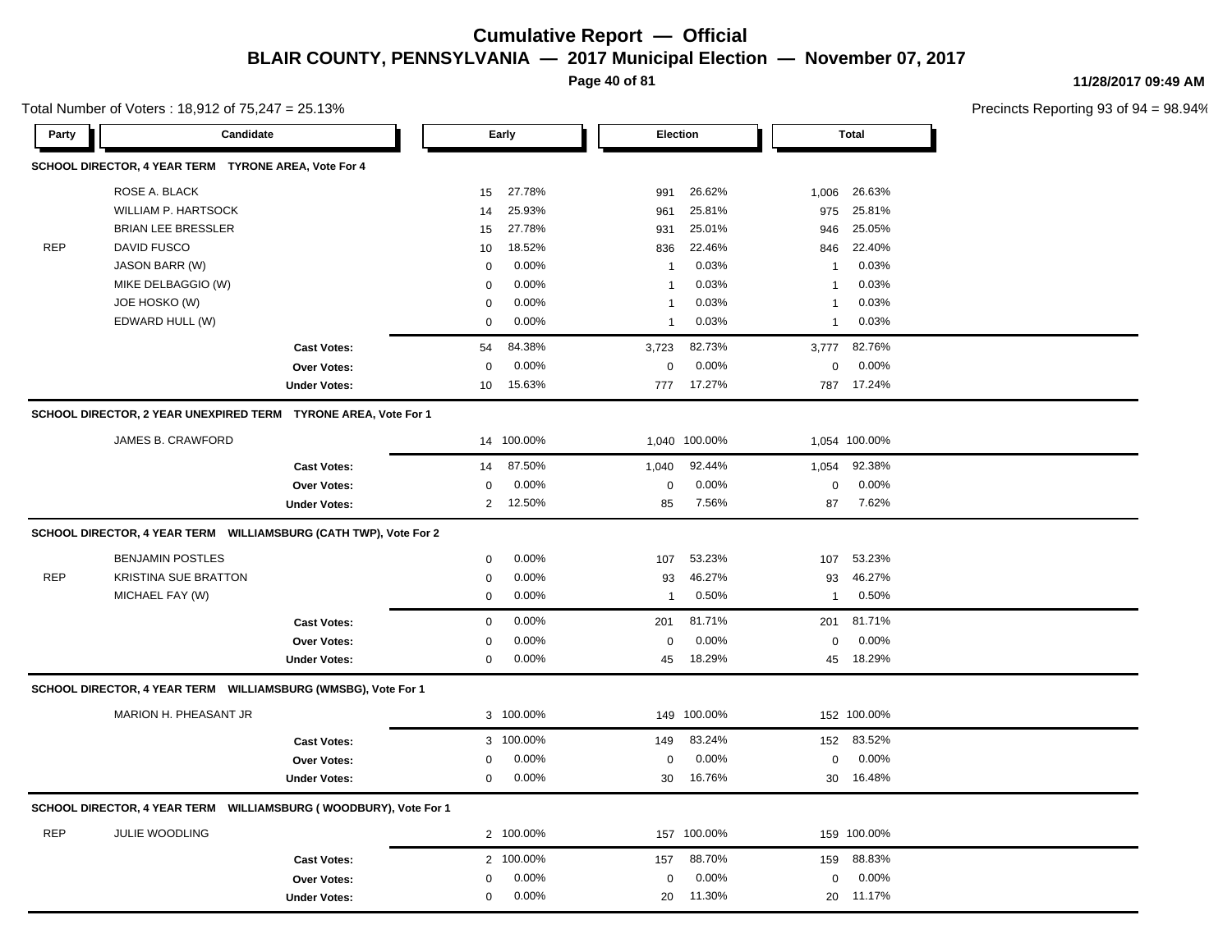**Page 40 of 81**

20 11.30%

20 20 11.30% 11.17%

**11/28/2017 09:49 AM**

Precincts Reporting 93 of 94 = 98.94%

|            | Total Number of Voters: 18,912 of $75,247 = 25.13\%$                 |                     |                |            |              |                 |              |               | <b>Precincts Reporti</b> |
|------------|----------------------------------------------------------------------|---------------------|----------------|------------|--------------|-----------------|--------------|---------------|--------------------------|
| Party      | Candidate                                                            |                     |                | Early      |              | <b>Election</b> |              | Total         |                          |
|            | SCHOOL DIRECTOR, 4 YEAR TERM TYRONE AREA, Vote For 4                 |                     |                |            |              |                 |              |               |                          |
|            | ROSE A. BLACK                                                        |                     | 15             | 27.78%     | 991          | 26.62%          | 1,006        | 26.63%        |                          |
|            | <b>WILLIAM P. HARTSOCK</b>                                           |                     | 14             | 25.93%     | 961          | 25.81%          | 975          | 25.81%        |                          |
|            | <b>BRIAN LEE BRESSLER</b>                                            |                     | 15             | 27.78%     | 931          | 25.01%          | 946          | 25.05%        |                          |
| <b>REP</b> | <b>DAVID FUSCO</b>                                                   |                     | 10             | 18.52%     | 836          | 22.46%          | 846          | 22.40%        |                          |
|            | <b>JASON BARR (W)</b>                                                |                     | 0              | 0.00%      | $\mathbf{1}$ | 0.03%           | $\mathbf{1}$ | 0.03%         |                          |
|            | MIKE DELBAGGIO (W)                                                   |                     | $\mathbf 0$    | 0.00%      | $\mathbf{1}$ | 0.03%           | $\mathbf{1}$ | 0.03%         |                          |
|            | JOE HOSKO (W)                                                        |                     | $\mathbf 0$    | $0.00\%$   | $\mathbf{1}$ | 0.03%           | $\mathbf{1}$ | 0.03%         |                          |
|            | EDWARD HULL (W)                                                      |                     | $\mathbf 0$    | 0.00%      | $\mathbf{1}$ | 0.03%           | $\mathbf{1}$ | 0.03%         |                          |
|            |                                                                      | <b>Cast Votes:</b>  | 54             | 84.38%     | 3,723        | 82.73%          | 3,777        | 82.76%        |                          |
|            |                                                                      | Over Votes:         | $\mathbf 0$    | 0.00%      | 0            | 0.00%           | $\mathbf 0$  | 0.00%         |                          |
|            |                                                                      | <b>Under Votes:</b> | 10             | 15.63%     | 777          | 17.27%          |              | 787 17.24%    |                          |
|            | SCHOOL DIRECTOR, 2 YEAR UNEXPIRED TERM TYRONE AREA, Vote For 1       |                     |                |            |              |                 |              |               |                          |
|            | JAMES B. CRAWFORD                                                    |                     |                | 14 100.00% |              | 1,040 100.00%   |              | 1,054 100.00% |                          |
|            |                                                                      | <b>Cast Votes:</b>  | 14             | 87.50%     | 1,040        | 92.44%          | 1,054        | 92.38%        |                          |
|            |                                                                      | Over Votes:         | 0              | 0.00%      | $\mathbf 0$  | 0.00%           | $\mathbf 0$  | 0.00%         |                          |
|            |                                                                      | <b>Under Votes:</b> | $\overline{2}$ | 12.50%     | 85           | 7.56%           | 87           | 7.62%         |                          |
|            | SCHOOL DIRECTOR, 4 YEAR TERM WILLIAMSBURG (CATH TWP), Vote For 2     |                     |                |            |              |                 |              |               |                          |
|            | <b>BENJAMIN POSTLES</b>                                              |                     | $\mathbf 0$    | 0.00%      | 107          | 53.23%          | 107          | 53.23%        |                          |
| <b>REP</b> | <b>KRISTINA SUE BRATTON</b>                                          |                     | $\mathbf 0$    | 0.00%      | 93           | 46.27%          | 93           | 46.27%        |                          |
|            | MICHAEL FAY (W)                                                      |                     | $\mathbf 0$    | $0.00\%$   | $\mathbf{1}$ | 0.50%           | $\mathbf{1}$ | 0.50%         |                          |
|            |                                                                      | <b>Cast Votes:</b>  | $\mathbf 0$    | 0.00%      | 201          | 81.71%          | 201          | 81.71%        |                          |
|            |                                                                      | Over Votes:         | $\mathbf 0$    | 0.00%      | 0            | 0.00%           | $\mathbf 0$  | 0.00%         |                          |
|            |                                                                      | <b>Under Votes:</b> | $\mathbf 0$    | $0.00\%$   | 45           | 18.29%          |              | 45 18.29%     |                          |
|            | SCHOOL DIRECTOR, 4 YEAR TERM WILLIAMSBURG (WMSBG), Vote For 1        |                     |                |            |              |                 |              |               |                          |
|            | MARION H. PHEASANT JR                                                |                     |                | 3 100.00%  |              | 149 100.00%     |              | 152 100.00%   |                          |
|            |                                                                      | <b>Cast Votes:</b>  |                | 3 100.00%  | 149          | 83.24%          | 152          | 83.52%        |                          |
|            |                                                                      | Over Votes:         | 0              | $0.00\%$   | 0            | 0.00%           | $\mathbf 0$  | 0.00%         |                          |
|            |                                                                      | <b>Under Votes:</b> | $\mathbf 0$    | 0.00%      | 30           | 16.76%          | 30           | 16.48%        |                          |
|            | SCHOOL DIRECTOR, 4 YEAR TERM     WILLIAMSBURG (WOODBURY), Vote For 1 |                     |                |            |              |                 |              |               |                          |
| <b>REP</b> | JULIE WOODLING                                                       |                     |                | 2 100.00%  |              | 157 100.00%     |              | 159 100.00%   |                          |
|            |                                                                      | <b>Cast Votes:</b>  |                | 2 100.00%  | 157          | 88.70%          | 159          | 88.83%        |                          |
|            |                                                                      | <b>Over Votes:</b>  | $\mathbf 0$    | 0.00%      | $\mathbf 0$  | 0.00%           | $\mathbf 0$  | 0.00%         |                          |

**Under Votes:** 0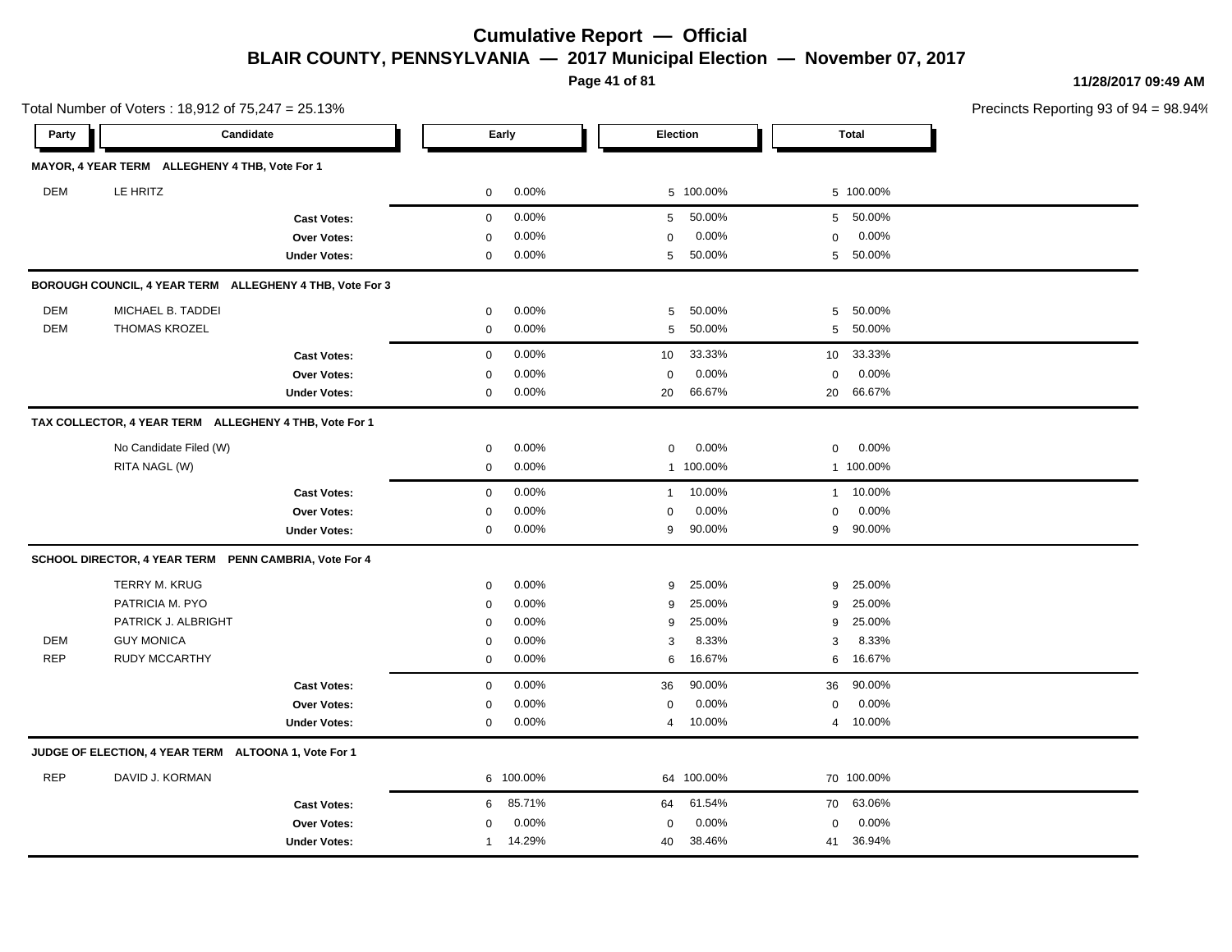**Page 41 of 81**

**11/28/2017 09:49 AM**

Precincts Reporting 93 of 94 = 98.94%

Total Number of Voters : 18,912 of 75,247 = 25.13%

| MAYOR, 4 YEAR TERM ALLEGHENY 4 THB, Vote For 1<br><b>DEM</b><br>LE HRITZ<br>0.00%<br>5 100.00%<br>0<br>0<br>0.00%<br>50.00%<br>5<br><b>Cast Votes:</b><br>0.00%<br>0.00%<br><b>Over Votes:</b><br>0<br>$\mathbf 0$<br>0.00%<br>50.00%<br>0<br>5<br><b>Under Votes:</b><br>BOROUGH COUNCIL, 4 YEAR TERM ALLEGHENY 4 THB, Vote For 3<br><b>DEM</b><br>MICHAEL B. TADDEI<br>0.00%<br>50.00%<br>5<br>0 | 5 100.00%<br>5 50.00%<br>0.00%<br>0<br>50.00%<br>5<br>50.00%<br>5<br>5<br>50.00% |
|----------------------------------------------------------------------------------------------------------------------------------------------------------------------------------------------------------------------------------------------------------------------------------------------------------------------------------------------------------------------------------------------------|----------------------------------------------------------------------------------|
|                                                                                                                                                                                                                                                                                                                                                                                                    |                                                                                  |
|                                                                                                                                                                                                                                                                                                                                                                                                    |                                                                                  |
|                                                                                                                                                                                                                                                                                                                                                                                                    |                                                                                  |
|                                                                                                                                                                                                                                                                                                                                                                                                    |                                                                                  |
|                                                                                                                                                                                                                                                                                                                                                                                                    |                                                                                  |
|                                                                                                                                                                                                                                                                                                                                                                                                    |                                                                                  |
|                                                                                                                                                                                                                                                                                                                                                                                                    |                                                                                  |
| <b>DEM</b><br>THOMAS KROZEL<br>0.00%<br>5<br>50.00%<br>0                                                                                                                                                                                                                                                                                                                                           |                                                                                  |
| 33.33%<br>0.00%<br><b>Cast Votes:</b><br>0<br>10                                                                                                                                                                                                                                                                                                                                                   | 33.33%<br>10 <sup>°</sup>                                                        |
| 0.00%<br>0.00%<br>0<br>$\mathbf 0$<br><b>Over Votes:</b>                                                                                                                                                                                                                                                                                                                                           | 0.00%<br>0                                                                       |
| 0.00%<br>66.67%<br><b>Under Votes:</b><br>0<br>20                                                                                                                                                                                                                                                                                                                                                  | 66.67%<br>20                                                                     |
| TAX COLLECTOR, 4 YEAR TERM ALLEGHENY 4 THB, Vote For 1                                                                                                                                                                                                                                                                                                                                             |                                                                                  |
| No Candidate Filed (W)<br>0.00%<br>0.00%<br>0<br>0                                                                                                                                                                                                                                                                                                                                                 | 0.00%<br>0                                                                       |
| RITA NAGL (W)<br>0.00%<br>1 100.00%<br>0                                                                                                                                                                                                                                                                                                                                                           | 1 100.00%                                                                        |
| 0.00%<br>10.00%<br>$\mathbf 0$<br><b>Cast Votes:</b><br>$\mathbf{1}$                                                                                                                                                                                                                                                                                                                               | 10.00%<br>$\mathbf{1}$                                                           |
| 0.00%<br>0.00%<br>Over Votes:<br>$\mathbf 0$<br>0                                                                                                                                                                                                                                                                                                                                                  | 0.00%<br>0                                                                       |
| 0.00%<br>9<br>90.00%<br><b>Under Votes:</b><br>0                                                                                                                                                                                                                                                                                                                                                   | 9<br>90.00%                                                                      |
| SCHOOL DIRECTOR, 4 YEAR TERM PENN CAMBRIA, Vote For 4                                                                                                                                                                                                                                                                                                                                              |                                                                                  |
| <b>TERRY M. KRUG</b><br>0.00%<br>25.00%<br>0<br>9                                                                                                                                                                                                                                                                                                                                                  | 25.00%<br>9                                                                      |
| PATRICIA M. PYO<br>0.00%<br>25.00%<br>9<br>0                                                                                                                                                                                                                                                                                                                                                       | 25.00%<br>9                                                                      |
| 25.00%<br>PATRICK J. ALBRIGHT<br>0.00%<br>9<br>$\mathbf 0$                                                                                                                                                                                                                                                                                                                                         | 25.00%<br>9                                                                      |
| <b>DEM</b><br><b>GUY MONICA</b><br>0.00%<br>8.33%<br>0<br>3                                                                                                                                                                                                                                                                                                                                        | 8.33%<br>3                                                                       |
| <b>REP</b><br><b>RUDY MCCARTHY</b><br>0.00%<br>16.67%<br>$\mathbf 0$<br>6                                                                                                                                                                                                                                                                                                                          | 16.67%<br>6                                                                      |
| 0.00%<br>90.00%<br>36<br><b>Cast Votes:</b><br>0                                                                                                                                                                                                                                                                                                                                                   | 90.00%<br>36                                                                     |
| 0.00%<br>0.00%<br><b>Over Votes:</b><br>0<br>0                                                                                                                                                                                                                                                                                                                                                     | 0.00%<br>0                                                                       |
| 0.00%<br>10.00%<br><b>Under Votes:</b><br>0<br>4                                                                                                                                                                                                                                                                                                                                                   | 4 10.00%                                                                         |
| JUDGE OF ELECTION, 4 YEAR TERM ALTOONA 1, Vote For 1                                                                                                                                                                                                                                                                                                                                               |                                                                                  |
| <b>REP</b><br>DAVID J. KORMAN<br>6 100.00%<br>64 100.00%                                                                                                                                                                                                                                                                                                                                           | 70 100.00%                                                                       |
| 85.71%<br>61.54%<br><b>Cast Votes:</b><br>6<br>64                                                                                                                                                                                                                                                                                                                                                  | 63.06%<br>70                                                                     |
| 0.00%<br>0.00%<br>Over Votes:<br>0<br>$\mathbf 0$                                                                                                                                                                                                                                                                                                                                                  |                                                                                  |
| 14.29%<br>38.46%<br><b>Under Votes:</b><br>40<br>$\mathbf{1}$                                                                                                                                                                                                                                                                                                                                      | 0.00%<br>0                                                                       |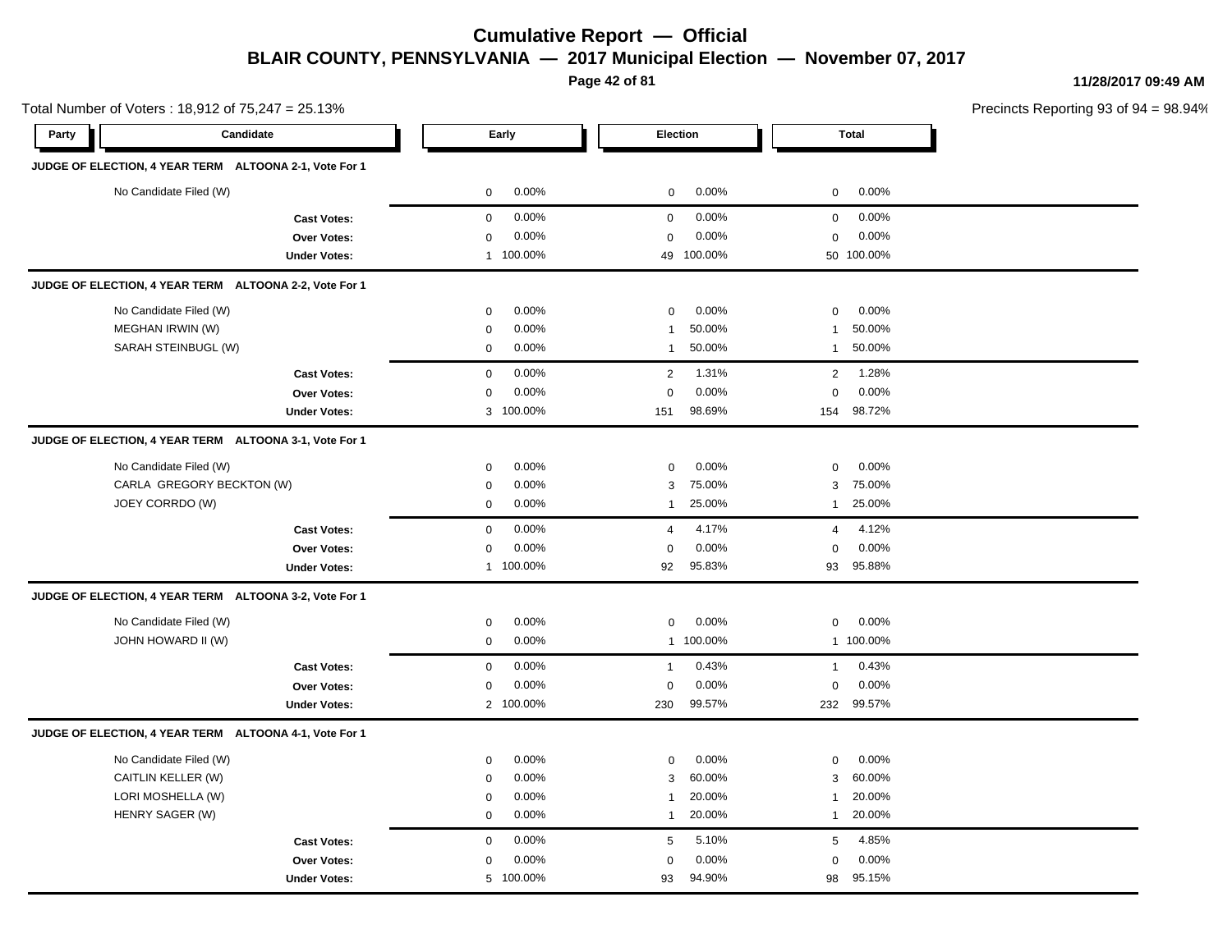**Page 42 of 81**

100.00%

93 98 94.90% 95.15%

**11/28/2017 09:49 AM**

Precincts Reporting 93 of 94 = 98.94%

**Party Candidate Early Election Total JUDGE OF ELECTION, 4 YEAR TERM ALTOONA 2-1, Vote For 1** No Candidate Filed (W)  $0.00\%$  0.00% 0 0.00% 0 0.00% 0 0.00% **Cast Votes:** 0 0.00% 0 0.00% 0 0.00% **Over Votes:** 0 Under Votes: 1 00.00% 0.00% 100.00% 49 50  $0.00%$ 0.00% 0 100.00% 100.00% 0.00% **JUDGE OF ELECTION, 4 YEAR TERM ALTOONA 2-2, Vote For 1** No Candidate Filed (W)  $0.00\%$  0.00% 0 0.00% 0 0.00% 0 0.00% MEGHAN IRWIN (W) 0 0.00% 1 50.00% 1 50.00% SARAH STEINBUGL (W)  $0.00\%$   $0.00\%$  1 50.00% 1 50.00% **Cast Votes:** 0 0.00% 2 1.31% 2 1.28% **Over Votes:** 0 **Under Votes:** 0.00% 100.00% 0.00% 151 154 98.69% 98.72% 0.00% 0 0.00% **JUDGE OF ELECTION, 4 YEAR TERM ALTOONA 3-1, Vote For 1** No Candidate Filed (W) 0 0.00% 0 0.00% 0 0.00% CARLA GREGORY BECKTON (W)  $0.00\%$  0.00% 3 75.00% 3 75.00% 3 75.00% JOEY CORRDO (W) 0 0.00% 1 25.00% 1 25.00% **Cast Votes:** 0 0.00% 4 4.17% 4 4.12% **Over Votes:** 0 0.00% **Under Votes:** 0.00% 0 1 100.00% 92 95.83% 92 93 95.83% 95.88% 0.00% 0 0.00% **JUDGE OF ELECTION, 4 YEAR TERM ALTOONA 3-2, Vote For 1** No Candidate Filed (W) 0 0.00% 0 0.00% 0 0.00% JOHN HOWARD II (W) 0 0.00% 1 100.00% 1 100.00% **Cast Votes:** 0 0.00% 1 0.43% 1 0.43% **Over Votes:** 0 0.00% **Under Votes:** 2 100.00% 0.00% 0 230 232 99.57% 99.57%  $0.00\%$  0.00% 0.00% **JUDGE OF ELECTION, 4 YEAR TERM ALTOONA 4-1, Vote For 1** No Candidate Filed (W) **0 0.00%** 0 0.00% 0 0.00% 0 0.00% 0 0.00% 0 0.00% 0 0.00% 0 0.00% 0 0.00% 0 0.00% 0 0.00% 0 0.00% 0 0.00% 0 0.00% 0 0.00% 0 0.00% 0 0.00% 0 0.00% 0 0.00% 0 0.00% 0 0.00% 0 0.00% 0 0.00% 0 0.00% 0 0.0 CAITLIN KELLER (W) 0 0.00% 3 60.00% 3 60.00% LORI MOSHELLA (W) 0 0.00% 1 20.00% 1 20.00% HENRY SAGER (W) 0 0.00% 1 20.00% 1 20.00% **Cast Votes:** 0 0.00% 5 5.10% 5 4.85% **Over Votes:** 0 0.00% 0.00% 0 0.00% 0 0.00%

**Under Votes:** 

Total Number of Voters : 18,912 of 75,247 = 25.13%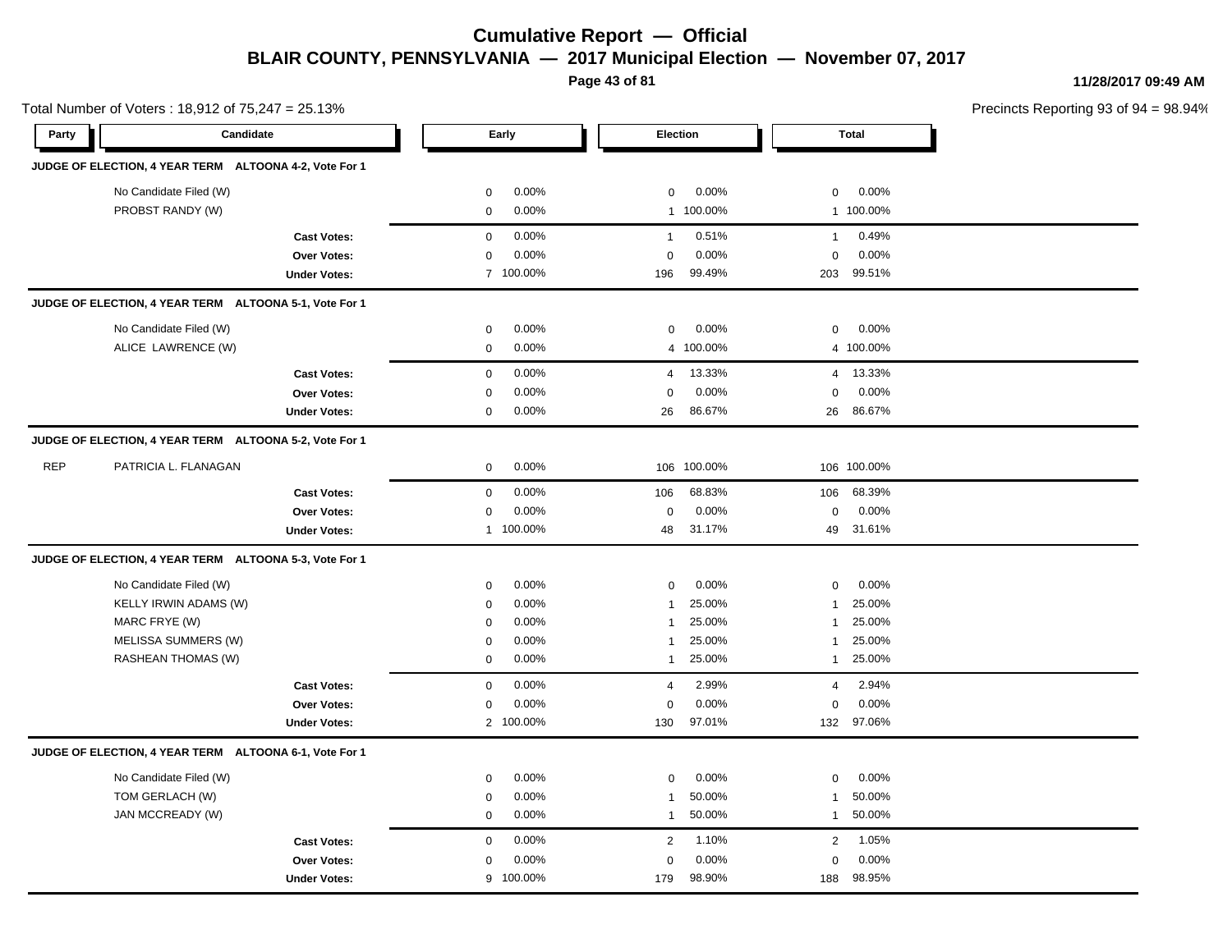**Page 43 of 81**

**11/28/2017 09:49 AM**

|            | Total Number of Voters: 18,912 of 75,247 = 25.13%      |                     |             |           |                |           |                |              | Precincts Reporting 93 of 9 |
|------------|--------------------------------------------------------|---------------------|-------------|-----------|----------------|-----------|----------------|--------------|-----------------------------|
| Party      | Candidate                                              |                     |             | Early     | Election       |           |                | <b>Total</b> |                             |
|            | JUDGE OF ELECTION, 4 YEAR TERM ALTOONA 4-2, Vote For 1 |                     |             |           |                |           |                |              |                             |
|            | No Candidate Filed (W)                                 |                     | $\mathbf 0$ | 0.00%     | $\mathbf 0$    | 0.00%     | $\mathbf 0$    | 0.00%        |                             |
|            | PROBST RANDY (W)                                       |                     | $\mathbf 0$ | 0.00%     |                | 1 100.00% |                | 1 100.00%    |                             |
|            |                                                        | <b>Cast Votes:</b>  | $\mathbf 0$ | 0.00%     | $\mathbf{1}$   | 0.51%     | $\mathbf{1}$   | 0.49%        |                             |
|            |                                                        | <b>Over Votes:</b>  | $\pmb{0}$   | 0.00%     | $\mathbf 0$    | 0.00%     | $\Omega$       | 0.00%        |                             |
|            |                                                        | <b>Under Votes:</b> |             | 7 100.00% | 196            | 99.49%    | 203            | 99.51%       |                             |
|            | JUDGE OF ELECTION, 4 YEAR TERM ALTOONA 5-1, Vote For 1 |                     |             |           |                |           |                |              |                             |
|            | No Candidate Filed (W)                                 |                     | $\mathbf 0$ | 0.00%     | $\mathbf 0$    | 0.00%     | $\mathbf 0$    | 0.00%        |                             |
|            | ALICE LAWRENCE (W)                                     |                     | $\mathbf 0$ | 0.00%     |                | 4 100.00% |                | 4 100.00%    |                             |
|            |                                                        | <b>Cast Votes:</b>  | $\mathbf 0$ | 0.00%     | $\overline{4}$ | 13.33%    | $\overline{4}$ | 13.33%       |                             |
|            |                                                        | <b>Over Votes:</b>  | $\mathbf 0$ | 0.00%     | $\mathbf 0$    | 0.00%     | 0              | 0.00%        |                             |
|            |                                                        | <b>Under Votes:</b> | $\mathbf 0$ | 0.00%     | 26             | 86.67%    |                | 26 86.67%    |                             |
|            | JUDGE OF ELECTION, 4 YEAR TERM ALTOONA 5-2, Vote For 1 |                     |             |           |                |           |                |              |                             |
| <b>REP</b> | PATRICIA L. FLANAGAN                                   |                     | $\mathbf 0$ | 0.00%     | 106            | 100.00%   |                | 106 100.00%  |                             |
|            |                                                        | <b>Cast Votes:</b>  | $\mathbf 0$ | 0.00%     | 106            | 68.83%    | 106            | 68.39%       |                             |
|            |                                                        | Over Votes:         | $\mathbf 0$ | 0.00%     | $\mathbf 0$    | 0.00%     | $\mathbf 0$    | 0.00%        |                             |
|            |                                                        | <b>Under Votes:</b> |             | 1 100.00% | 48             | 31.17%    | 49             | 31.61%       |                             |
|            | JUDGE OF ELECTION, 4 YEAR TERM ALTOONA 5-3, Vote For 1 |                     |             |           |                |           |                |              |                             |
|            | No Candidate Filed (W)                                 |                     | 0           | 0.00%     | $\mathbf 0$    | $0.00\%$  | 0              | 0.00%        |                             |
|            | KELLY IRWIN ADAMS (W)                                  |                     | $\mathbf 0$ | 0.00%     | $\overline{1}$ | 25.00%    | 1              | 25.00%       |                             |
|            | MARC FRYE (W)                                          |                     | $\mathbf 0$ | 0.00%     | $\overline{1}$ | 25.00%    | $\mathbf{1}$   | 25.00%       |                             |
|            | MELISSA SUMMERS (W)                                    |                     | $\mathbf 0$ | 0.00%     | $\mathbf{1}$   | 25.00%    | 1              | 25.00%       |                             |
|            | RASHEAN THOMAS (W)                                     |                     | $\mathbf 0$ | 0.00%     | $\mathbf{1}$   | 25.00%    | $\mathbf{1}$   | 25.00%       |                             |
|            |                                                        | <b>Cast Votes:</b>  | $\mathbf 0$ | 0.00%     | $\overline{4}$ | 2.99%     | 4              | 2.94%        |                             |
|            |                                                        | Over Votes:         | 0           | 0.00%     | $\mathbf 0$    | 0.00%     | $\mathbf 0$    | 0.00%        |                             |
|            |                                                        | <b>Under Votes:</b> |             | 2 100.00% | 130            | 97.01%    |                | 132 97.06%   |                             |
|            | JUDGE OF ELECTION, 4 YEAR TERM ALTOONA 6-1, Vote For 1 |                     |             |           |                |           |                |              |                             |
|            | No Candidate Filed (W)                                 |                     | $\mathbf 0$ | 0.00%     | $\mathbf 0$    | 0.00%     | 0              | 0.00%        |                             |
|            | TOM GERLACH (W)                                        |                     | $\mathbf 0$ | 0.00%     | $\mathbf{1}$   | 50.00%    | $\mathbf{1}$   | 50.00%       |                             |
|            | JAN MCCREADY (W)                                       |                     | $\mathbf 0$ | 0.00%     | $\mathbf{1}$   | 50.00%    | $\mathbf{1}$   | 50.00%       |                             |
|            |                                                        | <b>Cast Votes:</b>  | $\mathbf 0$ | 0.00%     | 2              | 1.10%     | 2              | 1.05%        |                             |
|            |                                                        | Over Votes:         | $\mathbf 0$ | 0.00%     | $\mathbf 0$    | 0.00%     | $\Omega$       | 0.00%        |                             |
|            |                                                        | <b>Under Votes:</b> |             | 9 100.00% | 179            | 98.90%    | 188            | 98.95%       |                             |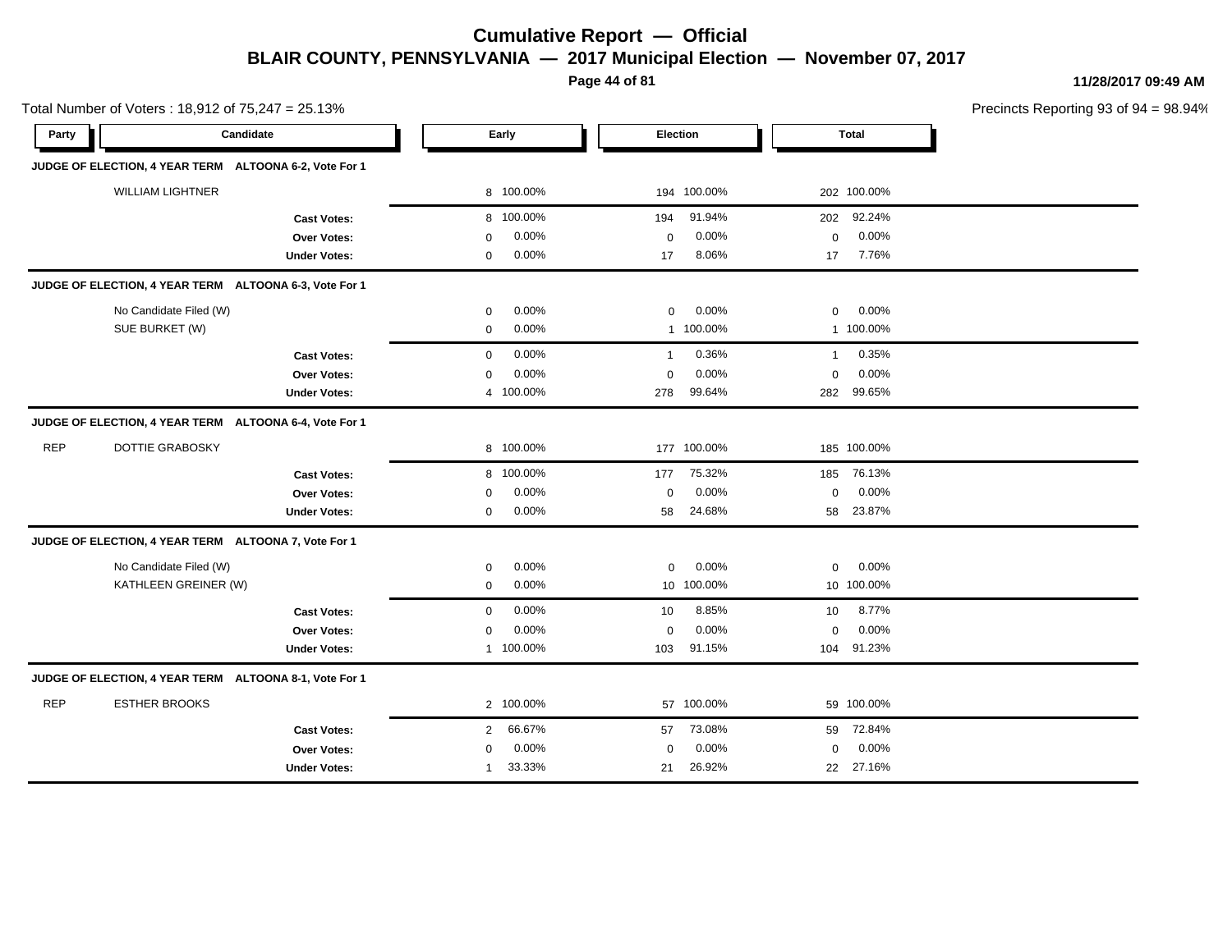**Page 44 of 81**

**11/28/2017 09:49 AM**

Precincts Reporting 93 of 94 = 98.94%

Total Number of Voters : 18,912 of 75,247 = 25.13%

| Party      | Candidate                                              |                     |                | Early     | <b>Election</b> |             |                | <b>Total</b> |  |
|------------|--------------------------------------------------------|---------------------|----------------|-----------|-----------------|-------------|----------------|--------------|--|
|            | JUDGE OF ELECTION, 4 YEAR TERM ALTOONA 6-2, Vote For 1 |                     |                |           |                 |             |                |              |  |
|            | <b>WILLIAM LIGHTNER</b>                                |                     |                | 8 100.00% |                 | 194 100.00% |                | 202 100.00%  |  |
|            |                                                        | <b>Cast Votes:</b>  |                | 8 100.00% | 194             | 91.94%      | 202            | 92.24%       |  |
|            |                                                        | <b>Over Votes:</b>  | $\mathbf 0$    | 0.00%     | $\mathbf 0$     | 0.00%       | $\mathbf 0$    | 0.00%        |  |
|            |                                                        | <b>Under Votes:</b> | 0              | 0.00%     | 17              | 8.06%       | 17             | 7.76%        |  |
|            | JUDGE OF ELECTION, 4 YEAR TERM ALTOONA 6-3, Vote For 1 |                     |                |           |                 |             |                |              |  |
|            | No Candidate Filed (W)                                 |                     | 0              | 0.00%     | $\mathbf 0$     | 0.00%       | $\mathbf 0$    | 0.00%        |  |
|            | SUE BURKET (W)                                         |                     | $\mathbf 0$    | 0.00%     |                 | 1 100.00%   |                | 1 100.00%    |  |
|            |                                                        | <b>Cast Votes:</b>  | $\mathbf 0$    | 0.00%     | $\mathbf{1}$    | 0.36%       | $\overline{1}$ | 0.35%        |  |
|            |                                                        | Over Votes:         | $\mathbf 0$    | 0.00%     | $\mathbf 0$     | 0.00%       | 0              | 0.00%        |  |
|            |                                                        | <b>Under Votes:</b> |                | 4 100.00% | 278             | 99.64%      | 282            | 99.65%       |  |
|            | JUDGE OF ELECTION, 4 YEAR TERM ALTOONA 6-4, Vote For 1 |                     |                |           |                 |             |                |              |  |
| <b>REP</b> | DOTTIE GRABOSKY                                        |                     |                | 8 100.00% |                 | 177 100.00% |                | 185 100.00%  |  |
|            |                                                        | <b>Cast Votes:</b>  |                | 8 100.00% | 177             | 75.32%      | 185            | 76.13%       |  |
|            |                                                        | Over Votes:         | $\mathbf 0$    | 0.00%     | $\mathbf 0$     | 0.00%       | $\mathbf 0$    | 0.00%        |  |
|            |                                                        | <b>Under Votes:</b> | $\mathbf 0$    | 0.00%     | 58              | 24.68%      | 58             | 23.87%       |  |
|            | JUDGE OF ELECTION, 4 YEAR TERM ALTOONA 7, Vote For 1   |                     |                |           |                 |             |                |              |  |
|            | No Candidate Filed (W)                                 |                     | 0              | 0.00%     | $\mathbf 0$     | 0.00%       | $\mathbf 0$    | 0.00%        |  |
|            | KATHLEEN GREINER (W)                                   |                     | $\mathbf 0$    | 0.00%     |                 | 10 100.00%  |                | 10 100.00%   |  |
|            |                                                        | <b>Cast Votes:</b>  | $\mathbf 0$    | 0.00%     | 10              | 8.85%       | 10             | 8.77%        |  |
|            |                                                        | Over Votes:         | $\mathbf 0$    | 0.00%     | $\mathbf 0$     | 0.00%       | $\mathbf 0$    | 0.00%        |  |
|            |                                                        | <b>Under Votes:</b> |                | 1 100.00% | 103             | 91.15%      | 104            | 91.23%       |  |
|            | JUDGE OF ELECTION, 4 YEAR TERM ALTOONA 8-1, Vote For 1 |                     |                |           |                 |             |                |              |  |
| <b>REP</b> | <b>ESTHER BROOKS</b>                                   |                     |                | 2 100.00% |                 | 57 100.00%  |                | 59 100.00%   |  |
|            |                                                        | <b>Cast Votes:</b>  | $\overline{2}$ | 66.67%    | 57              | 73.08%      | 59             | 72.84%       |  |
|            |                                                        | <b>Over Votes:</b>  | $\mathbf 0$    | 0.00%     | $\mathbf 0$     | 0.00%       | 0              | 0.00%        |  |
|            |                                                        | <b>Under Votes:</b> | $\mathbf{1}$   | 33.33%    | 21              | 26.92%      |                | 22 27.16%    |  |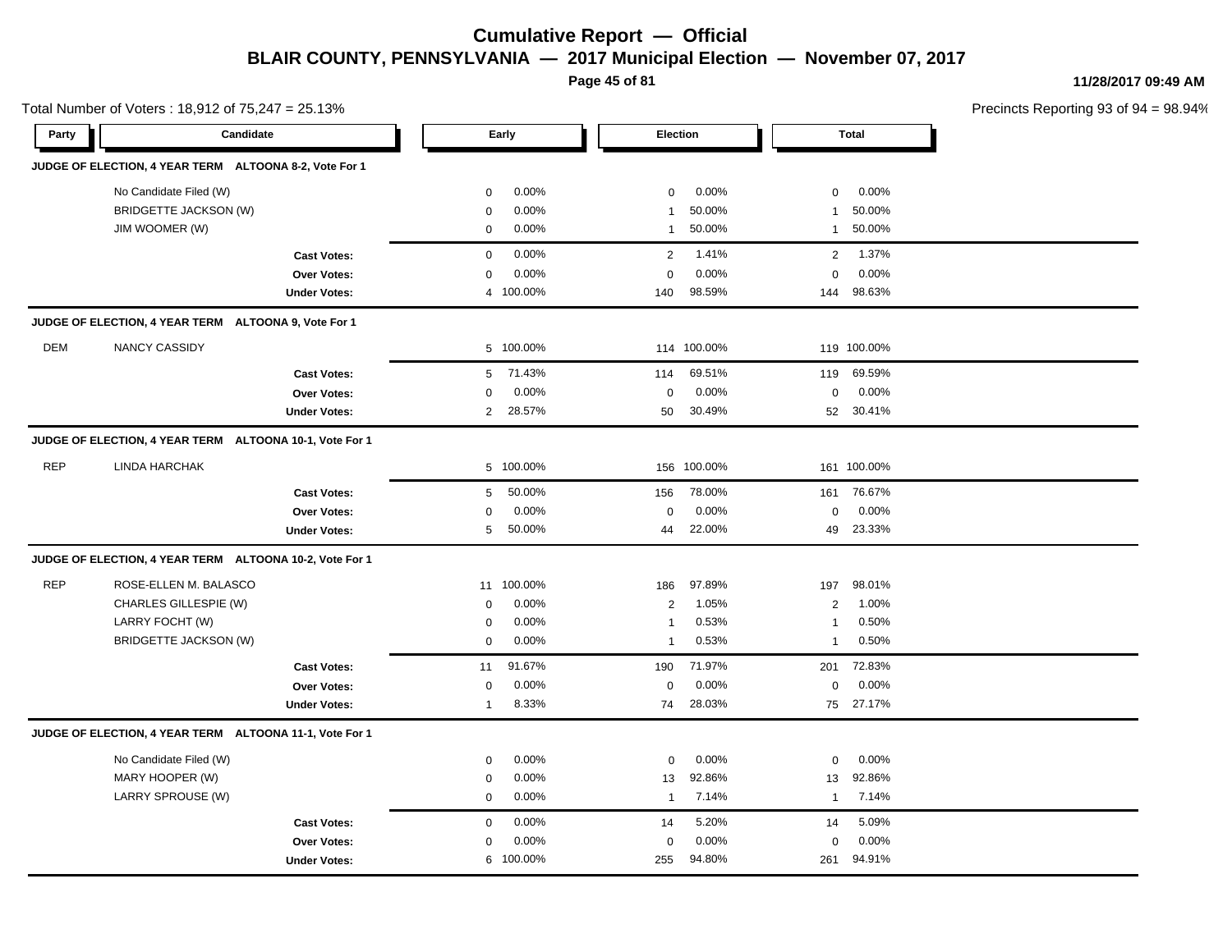**Page 45 of 81**

**11/28/2017 09:49 AM**

| Candidate<br><b>Total</b><br>Party<br>Early<br><b>Election</b><br>JUDGE OF ELECTION, 4 YEAR TERM ALTOONA 8-2, Vote For 1<br>No Candidate Filed (W)<br>0.00%<br>0.00%<br>0.00%<br>$\mathbf 0$<br>$\mathbf 0$<br>$\mathbf 0$<br>BRIDGETTE JACKSON (W)<br>0.00%<br>50.00%<br>50.00%<br>$\Omega$<br>$\mathbf{1}$<br>1<br>JIM WOOMER (W)<br>0.00%<br>50.00%<br>50.00%<br>$\mathbf 0$<br>$\mathbf{1}$<br>$\mathbf{1}$<br>0.00%<br>1.41%<br>1.37%<br>$\overline{2}$<br>$\overline{2}$<br>$\mathbf 0$<br><b>Cast Votes:</b><br>0.00%<br>0.00%<br>0.00%<br>$\mathbf 0$<br><b>Over Votes:</b><br>$\Omega$<br>$\mathbf 0$<br>4 100.00%<br>98.59%<br>98.63%<br><b>Under Votes:</b><br>140<br>144<br>JUDGE OF ELECTION, 4 YEAR TERM ALTOONA 9, Vote For 1<br><b>DEM</b><br><b>NANCY CASSIDY</b><br>5 100.00%<br>114 100.00%<br>119 100.00%<br>5 71.43%<br>69.51%<br>69.59%<br>114<br>119<br><b>Cast Votes:</b><br>0.00%<br>0.00%<br>0.00%<br>$\pmb{0}$<br>$\pmb{0}$<br>Over Votes:<br>$\Omega$<br>28.57%<br>30.49%<br>30.41%<br><b>Under Votes:</b><br>$\overline{2}$<br>50<br>52<br>JUDGE OF ELECTION, 4 YEAR TERM ALTOONA 10-1, Vote For 1<br><b>REP</b><br><b>LINDA HARCHAK</b><br>156 100.00%<br>5 100.00%<br>161 100.00%<br>50.00%<br>78.00%<br>76.67%<br>161<br><b>Cast Votes:</b><br>5<br>156<br>0.00%<br>0.00%<br>0.00%<br>Over Votes:<br>$\mathbf 0$<br>$\mathbf 0$<br>$\mathbf 0$<br>50.00%<br>22.00%<br>23.33%<br>5<br>49<br><b>Under Votes:</b><br>44<br>JUDGE OF ELECTION, 4 YEAR TERM ALTOONA 10-2, Vote For 1<br><b>REP</b><br>ROSE-ELLEN M. BALASCO<br>11 100.00%<br>97.89%<br>98.01%<br>186<br>197<br>CHARLES GILLESPIE (W)<br>0.00%<br>1.05%<br>1.00%<br>$\overline{c}$<br>$\overline{2}$<br>$\Omega$<br>LARRY FOCHT (W)<br>0.00%<br>0.53%<br>0.50%<br>$\mathbf 0$<br>$\mathbf{1}$<br>-1<br><b>BRIDGETTE JACKSON (W)</b><br>0.00%<br>0.53%<br>0.50%<br>$\mathbf 0$<br>$\mathbf{1}$<br>$\overline{1}$<br>91.67%<br>71.97%<br>72.83%<br>190<br>201<br><b>Cast Votes:</b><br>11<br>0.00%<br>0.00%<br>0.00%<br><b>Over Votes:</b><br>$\mathbf 0$<br>$\mathbf 0$<br>$\mathbf 0$<br>8.33%<br>74<br>28.03%<br>75 27.17%<br><b>Under Votes:</b><br>$\mathbf{1}$<br>JUDGE OF ELECTION, 4 YEAR TERM ALTOONA 11-1, Vote For 1<br>No Candidate Filed (W)<br>0.00%<br>0.00%<br>0.00%<br>$\mathbf 0$<br>0<br>$\mathbf 0$<br>MARY HOOPER (W)<br>0.00%<br>92.86%<br>92.86%<br>0<br>13<br>13 | Precincts Reporting 93 of 9 |
|----------------------------------------------------------------------------------------------------------------------------------------------------------------------------------------------------------------------------------------------------------------------------------------------------------------------------------------------------------------------------------------------------------------------------------------------------------------------------------------------------------------------------------------------------------------------------------------------------------------------------------------------------------------------------------------------------------------------------------------------------------------------------------------------------------------------------------------------------------------------------------------------------------------------------------------------------------------------------------------------------------------------------------------------------------------------------------------------------------------------------------------------------------------------------------------------------------------------------------------------------------------------------------------------------------------------------------------------------------------------------------------------------------------------------------------------------------------------------------------------------------------------------------------------------------------------------------------------------------------------------------------------------------------------------------------------------------------------------------------------------------------------------------------------------------------------------------------------------------------------------------------------------------------------------------------------------------------------------------------------------------------------------------------------------------------------------------------------------------------------------------------------------------------------------------------------------------------------------------------------------------------------------------------------------------------------------------------------------------------------------------|-----------------------------|
|                                                                                                                                                                                                                                                                                                                                                                                                                                                                                                                                                                                                                                                                                                                                                                                                                                                                                                                                                                                                                                                                                                                                                                                                                                                                                                                                                                                                                                                                                                                                                                                                                                                                                                                                                                                                                                                                                                                                                                                                                                                                                                                                                                                                                                                                                                                                                                                  |                             |
|                                                                                                                                                                                                                                                                                                                                                                                                                                                                                                                                                                                                                                                                                                                                                                                                                                                                                                                                                                                                                                                                                                                                                                                                                                                                                                                                                                                                                                                                                                                                                                                                                                                                                                                                                                                                                                                                                                                                                                                                                                                                                                                                                                                                                                                                                                                                                                                  |                             |
|                                                                                                                                                                                                                                                                                                                                                                                                                                                                                                                                                                                                                                                                                                                                                                                                                                                                                                                                                                                                                                                                                                                                                                                                                                                                                                                                                                                                                                                                                                                                                                                                                                                                                                                                                                                                                                                                                                                                                                                                                                                                                                                                                                                                                                                                                                                                                                                  |                             |
|                                                                                                                                                                                                                                                                                                                                                                                                                                                                                                                                                                                                                                                                                                                                                                                                                                                                                                                                                                                                                                                                                                                                                                                                                                                                                                                                                                                                                                                                                                                                                                                                                                                                                                                                                                                                                                                                                                                                                                                                                                                                                                                                                                                                                                                                                                                                                                                  |                             |
|                                                                                                                                                                                                                                                                                                                                                                                                                                                                                                                                                                                                                                                                                                                                                                                                                                                                                                                                                                                                                                                                                                                                                                                                                                                                                                                                                                                                                                                                                                                                                                                                                                                                                                                                                                                                                                                                                                                                                                                                                                                                                                                                                                                                                                                                                                                                                                                  |                             |
|                                                                                                                                                                                                                                                                                                                                                                                                                                                                                                                                                                                                                                                                                                                                                                                                                                                                                                                                                                                                                                                                                                                                                                                                                                                                                                                                                                                                                                                                                                                                                                                                                                                                                                                                                                                                                                                                                                                                                                                                                                                                                                                                                                                                                                                                                                                                                                                  |                             |
|                                                                                                                                                                                                                                                                                                                                                                                                                                                                                                                                                                                                                                                                                                                                                                                                                                                                                                                                                                                                                                                                                                                                                                                                                                                                                                                                                                                                                                                                                                                                                                                                                                                                                                                                                                                                                                                                                                                                                                                                                                                                                                                                                                                                                                                                                                                                                                                  |                             |
|                                                                                                                                                                                                                                                                                                                                                                                                                                                                                                                                                                                                                                                                                                                                                                                                                                                                                                                                                                                                                                                                                                                                                                                                                                                                                                                                                                                                                                                                                                                                                                                                                                                                                                                                                                                                                                                                                                                                                                                                                                                                                                                                                                                                                                                                                                                                                                                  |                             |
|                                                                                                                                                                                                                                                                                                                                                                                                                                                                                                                                                                                                                                                                                                                                                                                                                                                                                                                                                                                                                                                                                                                                                                                                                                                                                                                                                                                                                                                                                                                                                                                                                                                                                                                                                                                                                                                                                                                                                                                                                                                                                                                                                                                                                                                                                                                                                                                  |                             |
|                                                                                                                                                                                                                                                                                                                                                                                                                                                                                                                                                                                                                                                                                                                                                                                                                                                                                                                                                                                                                                                                                                                                                                                                                                                                                                                                                                                                                                                                                                                                                                                                                                                                                                                                                                                                                                                                                                                                                                                                                                                                                                                                                                                                                                                                                                                                                                                  |                             |
|                                                                                                                                                                                                                                                                                                                                                                                                                                                                                                                                                                                                                                                                                                                                                                                                                                                                                                                                                                                                                                                                                                                                                                                                                                                                                                                                                                                                                                                                                                                                                                                                                                                                                                                                                                                                                                                                                                                                                                                                                                                                                                                                                                                                                                                                                                                                                                                  |                             |
|                                                                                                                                                                                                                                                                                                                                                                                                                                                                                                                                                                                                                                                                                                                                                                                                                                                                                                                                                                                                                                                                                                                                                                                                                                                                                                                                                                                                                                                                                                                                                                                                                                                                                                                                                                                                                                                                                                                                                                                                                                                                                                                                                                                                                                                                                                                                                                                  |                             |
|                                                                                                                                                                                                                                                                                                                                                                                                                                                                                                                                                                                                                                                                                                                                                                                                                                                                                                                                                                                                                                                                                                                                                                                                                                                                                                                                                                                                                                                                                                                                                                                                                                                                                                                                                                                                                                                                                                                                                                                                                                                                                                                                                                                                                                                                                                                                                                                  |                             |
|                                                                                                                                                                                                                                                                                                                                                                                                                                                                                                                                                                                                                                                                                                                                                                                                                                                                                                                                                                                                                                                                                                                                                                                                                                                                                                                                                                                                                                                                                                                                                                                                                                                                                                                                                                                                                                                                                                                                                                                                                                                                                                                                                                                                                                                                                                                                                                                  |                             |
|                                                                                                                                                                                                                                                                                                                                                                                                                                                                                                                                                                                                                                                                                                                                                                                                                                                                                                                                                                                                                                                                                                                                                                                                                                                                                                                                                                                                                                                                                                                                                                                                                                                                                                                                                                                                                                                                                                                                                                                                                                                                                                                                                                                                                                                                                                                                                                                  |                             |
|                                                                                                                                                                                                                                                                                                                                                                                                                                                                                                                                                                                                                                                                                                                                                                                                                                                                                                                                                                                                                                                                                                                                                                                                                                                                                                                                                                                                                                                                                                                                                                                                                                                                                                                                                                                                                                                                                                                                                                                                                                                                                                                                                                                                                                                                                                                                                                                  |                             |
|                                                                                                                                                                                                                                                                                                                                                                                                                                                                                                                                                                                                                                                                                                                                                                                                                                                                                                                                                                                                                                                                                                                                                                                                                                                                                                                                                                                                                                                                                                                                                                                                                                                                                                                                                                                                                                                                                                                                                                                                                                                                                                                                                                                                                                                                                                                                                                                  |                             |
|                                                                                                                                                                                                                                                                                                                                                                                                                                                                                                                                                                                                                                                                                                                                                                                                                                                                                                                                                                                                                                                                                                                                                                                                                                                                                                                                                                                                                                                                                                                                                                                                                                                                                                                                                                                                                                                                                                                                                                                                                                                                                                                                                                                                                                                                                                                                                                                  |                             |
|                                                                                                                                                                                                                                                                                                                                                                                                                                                                                                                                                                                                                                                                                                                                                                                                                                                                                                                                                                                                                                                                                                                                                                                                                                                                                                                                                                                                                                                                                                                                                                                                                                                                                                                                                                                                                                                                                                                                                                                                                                                                                                                                                                                                                                                                                                                                                                                  |                             |
|                                                                                                                                                                                                                                                                                                                                                                                                                                                                                                                                                                                                                                                                                                                                                                                                                                                                                                                                                                                                                                                                                                                                                                                                                                                                                                                                                                                                                                                                                                                                                                                                                                                                                                                                                                                                                                                                                                                                                                                                                                                                                                                                                                                                                                                                                                                                                                                  |                             |
|                                                                                                                                                                                                                                                                                                                                                                                                                                                                                                                                                                                                                                                                                                                                                                                                                                                                                                                                                                                                                                                                                                                                                                                                                                                                                                                                                                                                                                                                                                                                                                                                                                                                                                                                                                                                                                                                                                                                                                                                                                                                                                                                                                                                                                                                                                                                                                                  |                             |
|                                                                                                                                                                                                                                                                                                                                                                                                                                                                                                                                                                                                                                                                                                                                                                                                                                                                                                                                                                                                                                                                                                                                                                                                                                                                                                                                                                                                                                                                                                                                                                                                                                                                                                                                                                                                                                                                                                                                                                                                                                                                                                                                                                                                                                                                                                                                                                                  |                             |
|                                                                                                                                                                                                                                                                                                                                                                                                                                                                                                                                                                                                                                                                                                                                                                                                                                                                                                                                                                                                                                                                                                                                                                                                                                                                                                                                                                                                                                                                                                                                                                                                                                                                                                                                                                                                                                                                                                                                                                                                                                                                                                                                                                                                                                                                                                                                                                                  |                             |
|                                                                                                                                                                                                                                                                                                                                                                                                                                                                                                                                                                                                                                                                                                                                                                                                                                                                                                                                                                                                                                                                                                                                                                                                                                                                                                                                                                                                                                                                                                                                                                                                                                                                                                                                                                                                                                                                                                                                                                                                                                                                                                                                                                                                                                                                                                                                                                                  |                             |
|                                                                                                                                                                                                                                                                                                                                                                                                                                                                                                                                                                                                                                                                                                                                                                                                                                                                                                                                                                                                                                                                                                                                                                                                                                                                                                                                                                                                                                                                                                                                                                                                                                                                                                                                                                                                                                                                                                                                                                                                                                                                                                                                                                                                                                                                                                                                                                                  |                             |
|                                                                                                                                                                                                                                                                                                                                                                                                                                                                                                                                                                                                                                                                                                                                                                                                                                                                                                                                                                                                                                                                                                                                                                                                                                                                                                                                                                                                                                                                                                                                                                                                                                                                                                                                                                                                                                                                                                                                                                                                                                                                                                                                                                                                                                                                                                                                                                                  |                             |
|                                                                                                                                                                                                                                                                                                                                                                                                                                                                                                                                                                                                                                                                                                                                                                                                                                                                                                                                                                                                                                                                                                                                                                                                                                                                                                                                                                                                                                                                                                                                                                                                                                                                                                                                                                                                                                                                                                                                                                                                                                                                                                                                                                                                                                                                                                                                                                                  |                             |
|                                                                                                                                                                                                                                                                                                                                                                                                                                                                                                                                                                                                                                                                                                                                                                                                                                                                                                                                                                                                                                                                                                                                                                                                                                                                                                                                                                                                                                                                                                                                                                                                                                                                                                                                                                                                                                                                                                                                                                                                                                                                                                                                                                                                                                                                                                                                                                                  |                             |
|                                                                                                                                                                                                                                                                                                                                                                                                                                                                                                                                                                                                                                                                                                                                                                                                                                                                                                                                                                                                                                                                                                                                                                                                                                                                                                                                                                                                                                                                                                                                                                                                                                                                                                                                                                                                                                                                                                                                                                                                                                                                                                                                                                                                                                                                                                                                                                                  |                             |
| LARRY SPROUSE (W)<br>0.00%<br>7.14%<br>7.14%<br>0<br>$\mathbf{1}$<br>$\overline{1}$                                                                                                                                                                                                                                                                                                                                                                                                                                                                                                                                                                                                                                                                                                                                                                                                                                                                                                                                                                                                                                                                                                                                                                                                                                                                                                                                                                                                                                                                                                                                                                                                                                                                                                                                                                                                                                                                                                                                                                                                                                                                                                                                                                                                                                                                                              |                             |
| 0.00%<br>5.20%<br>5.09%<br>$\mathbf 0$<br>14<br><b>Cast Votes:</b><br>14                                                                                                                                                                                                                                                                                                                                                                                                                                                                                                                                                                                                                                                                                                                                                                                                                                                                                                                                                                                                                                                                                                                                                                                                                                                                                                                                                                                                                                                                                                                                                                                                                                                                                                                                                                                                                                                                                                                                                                                                                                                                                                                                                                                                                                                                                                         |                             |
| 0.00%<br>0.00%<br>0.00%<br>Over Votes:<br>$\mathbf 0$<br>$\mathbf 0$<br>0                                                                                                                                                                                                                                                                                                                                                                                                                                                                                                                                                                                                                                                                                                                                                                                                                                                                                                                                                                                                                                                                                                                                                                                                                                                                                                                                                                                                                                                                                                                                                                                                                                                                                                                                                                                                                                                                                                                                                                                                                                                                                                                                                                                                                                                                                                        |                             |
| 6 100.00%<br>94.80%<br>94.91%<br><b>Under Votes:</b><br>255<br>261                                                                                                                                                                                                                                                                                                                                                                                                                                                                                                                                                                                                                                                                                                                                                                                                                                                                                                                                                                                                                                                                                                                                                                                                                                                                                                                                                                                                                                                                                                                                                                                                                                                                                                                                                                                                                                                                                                                                                                                                                                                                                                                                                                                                                                                                                                               |                             |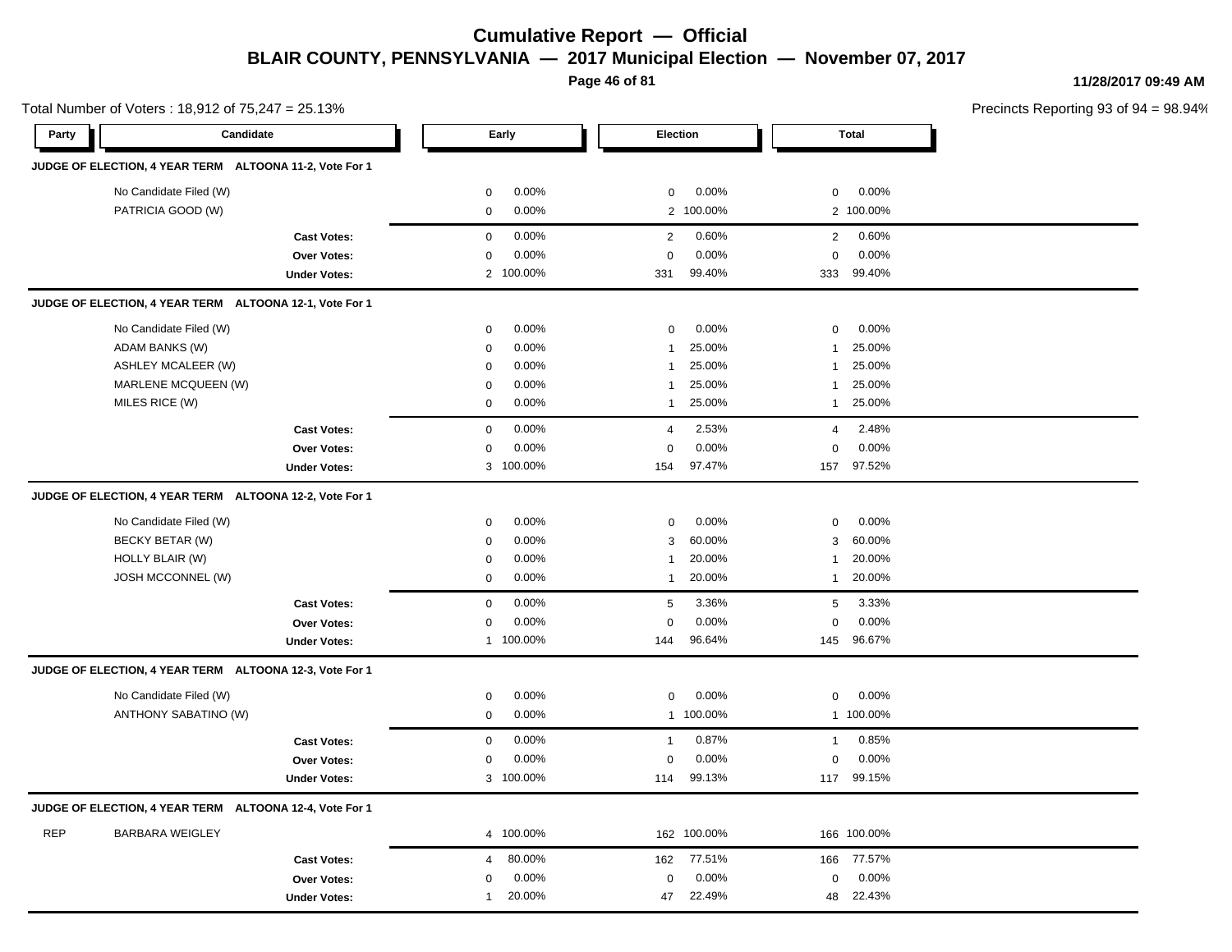**Page 46 of 81**

**11/28/2017 09:49 AM**

|            | Total Number of Voters: 18,912 of 75,247 = 25.13%       |                     |                     |           |                |           |                |              | Precincts Reporting 93 of 9 |
|------------|---------------------------------------------------------|---------------------|---------------------|-----------|----------------|-----------|----------------|--------------|-----------------------------|
| Party      | Candidate                                               |                     |                     | Early     |                | Election  |                | <b>Total</b> |                             |
|            | JUDGE OF ELECTION, 4 YEAR TERM ALTOONA 11-2, Vote For 1 |                     |                     |           |                |           |                |              |                             |
|            | No Candidate Filed (W)                                  |                     | $\mathbf 0$         | 0.00%     | 0              | 0.00%     | $\mathbf 0$    | 0.00%        |                             |
|            | PATRICIA GOOD (W)                                       |                     | $\mathbf 0$         | 0.00%     |                | 2 100.00% |                | 2 100.00%    |                             |
|            |                                                         | <b>Cast Votes:</b>  | $\mathbf 0$         | 0.00%     | $\overline{2}$ | 0.60%     | $\overline{2}$ | 0.60%        |                             |
|            |                                                         | Over Votes:         | $\mathbf 0$         | 0.00%     | $\mathsf 0$    | 0.00%     | $\mathbf 0$    | 0.00%        |                             |
|            |                                                         | <b>Under Votes:</b> |                     | 2 100.00% | 331            | 99.40%    |                | 333 99.40%   |                             |
|            | JUDGE OF ELECTION, 4 YEAR TERM ALTOONA 12-1, Vote For 1 |                     |                     |           |                |           |                |              |                             |
|            | No Candidate Filed (W)                                  |                     | $\mathbf 0$         | 0.00%     | $\mathbf 0$    | 0.00%     | $\mathbf 0$    | 0.00%        |                             |
|            | ADAM BANKS (W)                                          |                     | $\mathbf 0$         | 0.00%     | -1             | 25.00%    | 1              | 25.00%       |                             |
|            | ASHLEY MCALEER (W)                                      |                     | 0                   | 0.00%     | -1             | 25.00%    | 1              | 25.00%       |                             |
|            | MARLENE MCQUEEN (W)                                     |                     | $\mathbf 0$         | 0.00%     | $\mathbf{1}$   | 25.00%    | $\mathbf{1}$   | 25.00%       |                             |
|            | MILES RICE (W)                                          |                     | 0                   | 0.00%     | -1             | 25.00%    | $\mathbf{1}$   | 25.00%       |                             |
|            |                                                         | <b>Cast Votes:</b>  | $\mathbf 0$         | 0.00%     | 4              | 2.53%     | 4              | 2.48%        |                             |
|            |                                                         | Over Votes:         | $\mathbf 0$         | 0.00%     | 0              | 0.00%     | $\mathbf 0$    | 0.00%        |                             |
|            |                                                         | <b>Under Votes:</b> |                     | 3 100.00% | 154            | 97.47%    | 157            | 97.52%       |                             |
|            | JUDGE OF ELECTION, 4 YEAR TERM ALTOONA 12-2, Vote For 1 |                     |                     |           |                |           |                |              |                             |
|            | No Candidate Filed (W)                                  |                     | 0                   | 0.00%     | 0              | 0.00%     | 0              | 0.00%        |                             |
|            | BECKY BETAR (W)                                         |                     | $\mathbf 0$         | 0.00%     | 3              | 60.00%    | 3              | 60.00%       |                             |
|            | HOLLY BLAIR (W)                                         |                     | $\mathbf 0$         | 0.00%     | -1             | 20.00%    | $\mathbf{1}$   | 20.00%       |                             |
|            | <b>JOSH MCCONNEL (W)</b>                                |                     | $\mathbf 0$         | 0.00%     | $\mathbf{1}$   | 20.00%    | $\mathbf{1}$   | 20.00%       |                             |
|            |                                                         | <b>Cast Votes:</b>  | $\mathsf{O}\xspace$ | 0.00%     | $\sqrt{5}$     | 3.36%     | 5              | 3.33%        |                             |
|            |                                                         | Over Votes:         | $\mathbf 0$         | 0.00%     | $\pmb{0}$      | 0.00%     | $\mathbf 0$    | 0.00%        |                             |
|            |                                                         | <b>Under Votes:</b> |                     | 1 100.00% | 144            | 96.64%    |                | 145 96.67%   |                             |
|            | JUDGE OF ELECTION, 4 YEAR TERM ALTOONA 12-3, Vote For 1 |                     |                     |           |                |           |                |              |                             |
|            | No Candidate Filed (W)                                  |                     | $\mathbf 0$         | 0.00%     | 0              | 0.00%     | 0              | 0.00%        |                             |
|            | ANTHONY SABATINO (W)                                    |                     | $\mathbf 0$         | 0.00%     |                | 1 100.00% |                | 1 100.00%    |                             |
|            |                                                         | <b>Cast Votes:</b>  | $\mathbf 0$         | 0.00%     | $\mathbf{1}$   | 0.87%     | $\mathbf{1}$   | 0.85%        |                             |
|            |                                                         | Over Votes:         | 0                   | 0.00%     | 0              | 0.00%     | $\mathbf 0$    | 0.00%        |                             |
|            |                                                         | <b>Under Votes:</b> |                     | 3 100.00% | 114            | 99.13%    | 117            | 99.15%       |                             |
|            | JUDGE OF ELECTION, 4 YEAR TERM ALTOONA 12-4, Vote For 1 |                     |                     |           |                |           |                |              |                             |
| <b>REP</b> | <b>BARBARA WEIGLEY</b>                                  |                     |                     | 4 100.00% | 162            | 100.00%   |                | 166 100.00%  |                             |
|            |                                                         | <b>Cast Votes:</b>  | $\overline{4}$      | 80.00%    | 162            | 77.51%    | 166            | 77.57%       |                             |
|            |                                                         | Over Votes:         | $\mathbf 0$         | 0.00%     | 0              | 0.00%     | $\mathbf 0$    | 0.00%        |                             |
|            |                                                         | <b>Under Votes:</b> | $\mathbf{1}$        | 20.00%    | 47             | 22.49%    | 48             | 22.43%       |                             |
|            |                                                         |                     |                     |           |                |           |                |              |                             |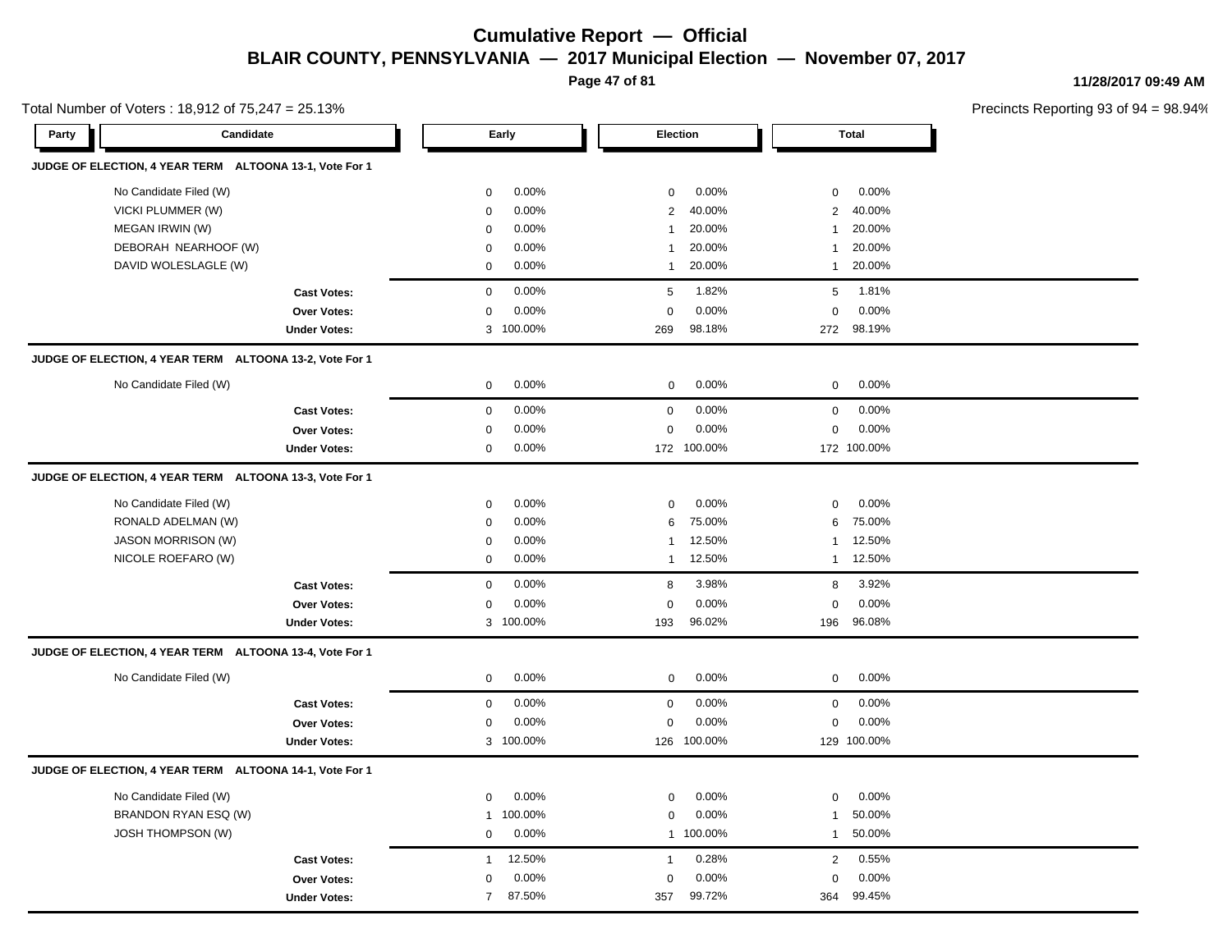**Page 47 of 81**

**11/28/2017 09:49 AM**

| Total Number of Voters: 18,912 of 75,247 = 25.13% |                                                         |                |           |                  |             |                  |              | Precincts Reporting 93 of 9 |
|---------------------------------------------------|---------------------------------------------------------|----------------|-----------|------------------|-------------|------------------|--------------|-----------------------------|
| Party                                             | Candidate                                               |                | Early     | Election         |             |                  | <b>Total</b> |                             |
|                                                   | JUDGE OF ELECTION, 4 YEAR TERM ALTOONA 13-1, Vote For 1 |                |           |                  |             |                  |              |                             |
|                                                   | No Candidate Filed (W)                                  | $\mathbf 0$    | 0.00%     | $\mathbf 0$      | 0.00%       | $\mathbf 0$      | 0.00%        |                             |
|                                                   | VICKI PLUMMER (W)                                       | $\mathbf 0$    | 0.00%     | 2                | 40.00%      | $\overline{2}$   | 40.00%       |                             |
|                                                   | MEGAN IRWIN (W)                                         | 0              | 0.00%     | $\mathbf{1}$     | 20.00%      | -1               | 20.00%       |                             |
|                                                   | DEBORAH NEARHOOF (W)                                    | $\mathbf 0$    | 0.00%     | $\mathbf{1}$     | 20.00%      | -1               | 20.00%       |                             |
|                                                   | DAVID WOLESLAGLE (W)                                    | $\mathbf 0$    | 0.00%     | $\mathbf{1}$     | 20.00%      | $\mathbf{1}$     | 20.00%       |                             |
|                                                   | <b>Cast Votes:</b>                                      | $\mathbf 0$    | 0.00%     | $\sqrt{5}$       | 1.82%       | 5                | 1.81%        |                             |
|                                                   | Over Votes:                                             | $\mathbf 0$    | 0.00%     | $\mathbf 0$      | 0.00%       | $\mathbf 0$      | 0.00%        |                             |
|                                                   | <b>Under Votes:</b>                                     |                | 3 100.00% | 269              | 98.18%      |                  | 272 98.19%   |                             |
|                                                   | JUDGE OF ELECTION, 4 YEAR TERM ALTOONA 13-2, Vote For 1 |                |           |                  |             |                  |              |                             |
|                                                   | No Candidate Filed (W)                                  | 0              | 0.00%     | 0                | 0.00%       | $\mathbf 0$      | 0.00%        |                             |
|                                                   | <b>Cast Votes:</b>                                      | $\mathbf 0$    | 0.00%     | $\mathbf 0$      | 0.00%       | 0                | 0.00%        |                             |
|                                                   | Over Votes:                                             | $\mathbf 0$    | 0.00%     | $\mathbf 0$      | 0.00%       | $\mathbf 0$      | 0.00%        |                             |
|                                                   | <b>Under Votes:</b>                                     | 0              | 0.00%     |                  | 172 100.00% |                  | 172 100.00%  |                             |
|                                                   | JUDGE OF ELECTION, 4 YEAR TERM ALTOONA 13-3, Vote For 1 |                |           |                  |             |                  |              |                             |
|                                                   | No Candidate Filed (W)                                  | $\mathbf 0$    | 0.00%     | 0                | 0.00%       | $\mathbf 0$      | 0.00%        |                             |
|                                                   | RONALD ADELMAN (W)                                      | 0              | 0.00%     | 6                | 75.00%      | 6                | 75.00%       |                             |
|                                                   | JASON MORRISON (W)                                      | 0              | 0.00%     | 1                | 12.50%      | -1               | 12.50%       |                             |
|                                                   | NICOLE ROEFARO (W)                                      | $\mathbf 0$    | 0.00%     | 1                | 12.50%      | $\mathbf{1}$     | 12.50%       |                             |
|                                                   | <b>Cast Votes:</b>                                      | $\mathbf 0$    | 0.00%     | 8                | 3.98%       | 8                | 3.92%        |                             |
|                                                   | Over Votes:                                             | $\mathbf 0$    | 0.00%     | $\mathbf 0$      | 0.00%       | $\mathbf 0$      | 0.00%        |                             |
|                                                   | <b>Under Votes:</b>                                     |                | 3 100.00% | 193              | 96.02%      | 196              | 96.08%       |                             |
|                                                   | JUDGE OF ELECTION, 4 YEAR TERM ALTOONA 13-4, Vote For 1 |                |           |                  |             |                  |              |                             |
|                                                   | No Candidate Filed (W)                                  | $\mathbf 0$    | 0.00%     | $\mathbf 0$      | 0.00%       | $\mathbf 0$      | 0.00%        |                             |
|                                                   | <b>Cast Votes:</b>                                      | $\mathbf 0$    | 0.00%     | $\boldsymbol{0}$ | 0.00%       | $\boldsymbol{0}$ | 0.00%        |                             |
|                                                   | Over Votes:                                             | 0              | 0.00%     | $\mathbf 0$      | 0.00%       | $\mathbf 0$      | 0.00%        |                             |
|                                                   | <b>Under Votes:</b>                                     |                | 3 100.00% |                  | 126 100.00% |                  | 129 100.00%  |                             |
|                                                   | JUDGE OF ELECTION, 4 YEAR TERM ALTOONA 14-1, Vote For 1 |                |           |                  |             |                  |              |                             |
|                                                   | No Candidate Filed (W)                                  | $\mathbf 0$    | 0.00%     | $\mathbf 0$      | 0.00%       | $\boldsymbol{0}$ | 0.00%        |                             |
|                                                   | BRANDON RYAN ESQ (W)                                    | $\mathbf{1}$   | 100.00%   | 0                | 0.00%       | 1                | 50.00%       |                             |
|                                                   | <b>JOSH THOMPSON (W)</b>                                | $\mathbf 0$    | 0.00%     |                  | 1 100.00%   | $\mathbf{1}$     | 50.00%       |                             |
|                                                   | <b>Cast Votes:</b>                                      | $\mathbf{1}$   | 12.50%    | $\mathbf{1}$     | 0.28%       | $\overline{2}$   | 0.55%        |                             |
|                                                   | Over Votes:                                             | $\mathbf 0$    | 0.00%     | 0                | 0.00%       | $\mathbf 0$      | 0.00%        |                             |
|                                                   | <b>Under Votes:</b>                                     | $\overline{7}$ | 87.50%    | 357              | 99.72%      | 364              | 99.45%       |                             |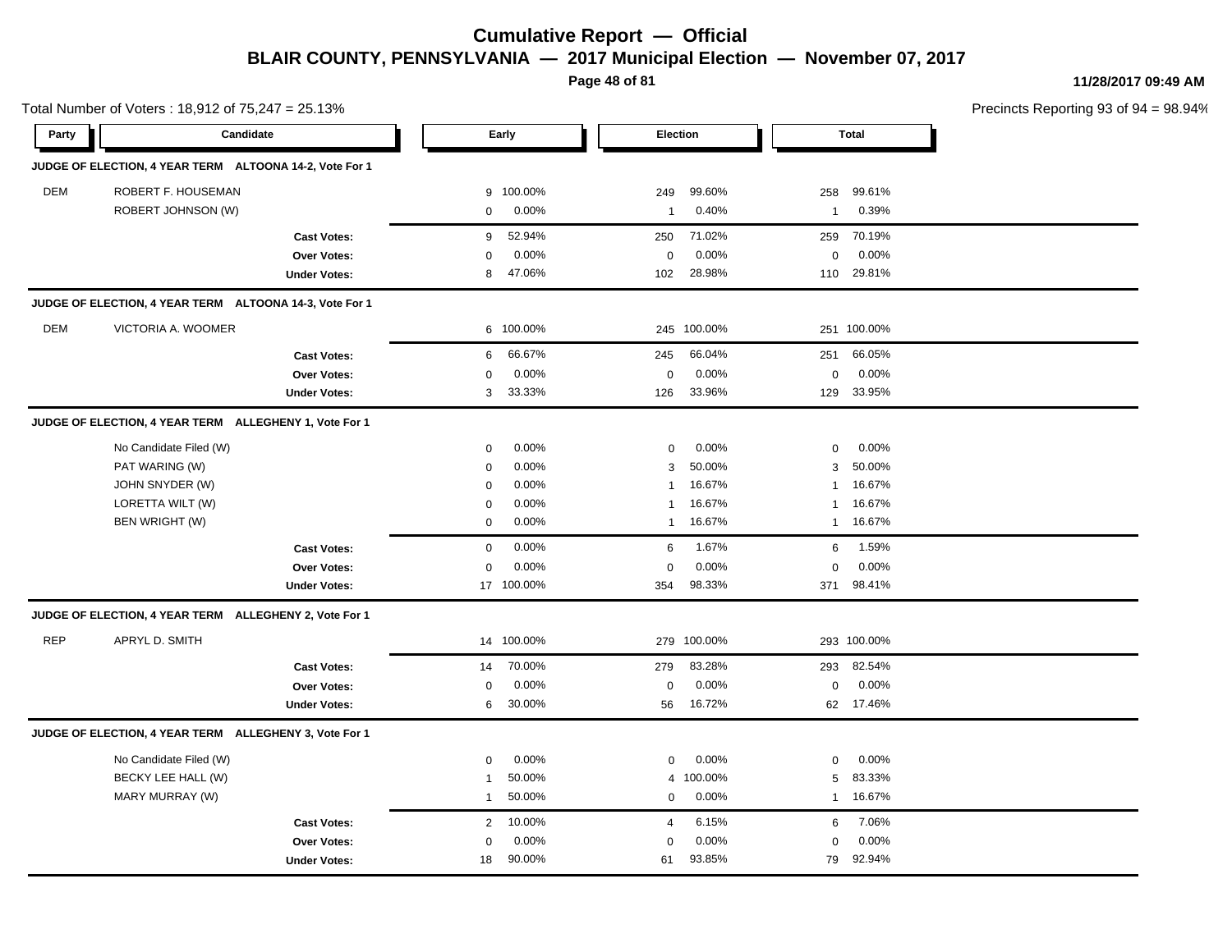**Page 48 of 81**

**11/28/2017 09:49 AM**

|            | Total Number of Voters: 18,912 of 75,247 = 25.13%       |                     |                |            |              |             |              |              | Precincts Reporting 93 of 9 |
|------------|---------------------------------------------------------|---------------------|----------------|------------|--------------|-------------|--------------|--------------|-----------------------------|
| Party      | Candidate                                               |                     |                | Early      |              | Election    |              | <b>Total</b> |                             |
|            | JUDGE OF ELECTION, 4 YEAR TERM ALTOONA 14-2, Vote For 1 |                     |                |            |              |             |              |              |                             |
| <b>DEM</b> | ROBERT F. HOUSEMAN                                      |                     | 9              | 100.00%    | 249          | 99.60%      | 258          | 99.61%       |                             |
|            | ROBERT JOHNSON (W)                                      |                     | $\mathbf 0$    | 0.00%      | 1            | 0.40%       | $\mathbf{1}$ | 0.39%        |                             |
|            |                                                         | <b>Cast Votes:</b>  | 9              | 52.94%     | 250          | 71.02%      | 259          | 70.19%       |                             |
|            |                                                         | Over Votes:         | 0              | 0.00%      | $\mathbf 0$  | 0.00%       | 0            | 0.00%        |                             |
|            |                                                         | <b>Under Votes:</b> | 8              | 47.06%     | 102          | 28.98%      |              | 110 29.81%   |                             |
|            | JUDGE OF ELECTION, 4 YEAR TERM ALTOONA 14-3, Vote For 1 |                     |                |            |              |             |              |              |                             |
| DEM        | VICTORIA A. WOOMER                                      |                     |                | 6 100.00%  |              | 245 100.00% |              | 251 100.00%  |                             |
|            |                                                         | <b>Cast Votes:</b>  | 6              | 66.67%     | 245          | 66.04%      | 251          | 66.05%       |                             |
|            |                                                         | Over Votes:         | $\mathbf 0$    | 0.00%      | 0            | 0.00%       | 0            | 0.00%        |                             |
|            |                                                         | <b>Under Votes:</b> | 3              | 33.33%     | 126          | 33.96%      | 129          | 33.95%       |                             |
|            | JUDGE OF ELECTION, 4 YEAR TERM ALLEGHENY 1, Vote For 1  |                     |                |            |              |             |              |              |                             |
|            | No Candidate Filed (W)                                  |                     | $\mathbf 0$    | 0.00%      | 0            | 0.00%       | 0            | 0.00%        |                             |
|            | PAT WARING (W)                                          |                     | $\mathbf 0$    | 0.00%      | 3            | 50.00%      | 3            | 50.00%       |                             |
|            | JOHN SNYDER (W)                                         |                     | $\mathbf 0$    | 0.00%      | $\mathbf{1}$ | 16.67%      | $\mathbf{1}$ | 16.67%       |                             |
|            | LORETTA WILT (W)                                        |                     | 0              | 0.00%      | 1            | 16.67%      | $\mathbf{1}$ | 16.67%       |                             |
|            | BEN WRIGHT (W)                                          |                     | 0              | 0.00%      | 1            | 16.67%      | 1            | 16.67%       |                             |
|            |                                                         | <b>Cast Votes:</b>  | $\mathbf 0$    | 0.00%      | 6            | 1.67%       | 6            | 1.59%        |                             |
|            |                                                         | Over Votes:         | $\mathbf 0$    | 0.00%      | 0            | 0.00%       | 0            | 0.00%        |                             |
|            |                                                         | <b>Under Votes:</b> |                | 17 100.00% | 354          | 98.33%      | 371          | 98.41%       |                             |
|            | JUDGE OF ELECTION, 4 YEAR TERM ALLEGHENY 2, Vote For 1  |                     |                |            |              |             |              |              |                             |
| <b>REP</b> | APRYL D. SMITH                                          |                     |                | 14 100.00% |              | 279 100.00% |              | 293 100.00%  |                             |
|            |                                                         | <b>Cast Votes:</b>  | 14             | 70.00%     | 279          | 83.28%      | 293          | 82.54%       |                             |
|            |                                                         | Over Votes:         | $\mathbf 0$    | 0.00%      | 0            | 0.00%       | $\mathsf 0$  | 0.00%        |                             |
|            |                                                         | <b>Under Votes:</b> | 6              | 30.00%     | 56           | 16.72%      |              | 62 17.46%    |                             |
|            | JUDGE OF ELECTION, 4 YEAR TERM ALLEGHENY 3, Vote For 1  |                     |                |            |              |             |              |              |                             |
|            | No Candidate Filed (W)                                  |                     | $\mathbf 0$    | 0.00%      | $\mathbf 0$  | 0.00%       | $\mathbf 0$  | 0.00%        |                             |
|            | BECKY LEE HALL (W)                                      |                     | $\mathbf 1$    | 50.00%     | 4            | 100.00%     | 5            | 83.33%       |                             |
|            | MARY MURRAY (W)                                         |                     | 1              | 50.00%     | 0            | 0.00%       | $\mathbf{1}$ | 16.67%       |                             |
|            |                                                         | <b>Cast Votes:</b>  | $\overline{2}$ | 10.00%     | 4            | 6.15%       | 6            | 7.06%        |                             |
|            |                                                         | Over Votes:         | $\mathbf 0$    | 0.00%      | $\mathbf 0$  | 0.00%       | 0            | 0.00%        |                             |
|            |                                                         | <b>Under Votes:</b> | 18             | 90.00%     | 61           | 93.85%      | 79           | 92.94%       |                             |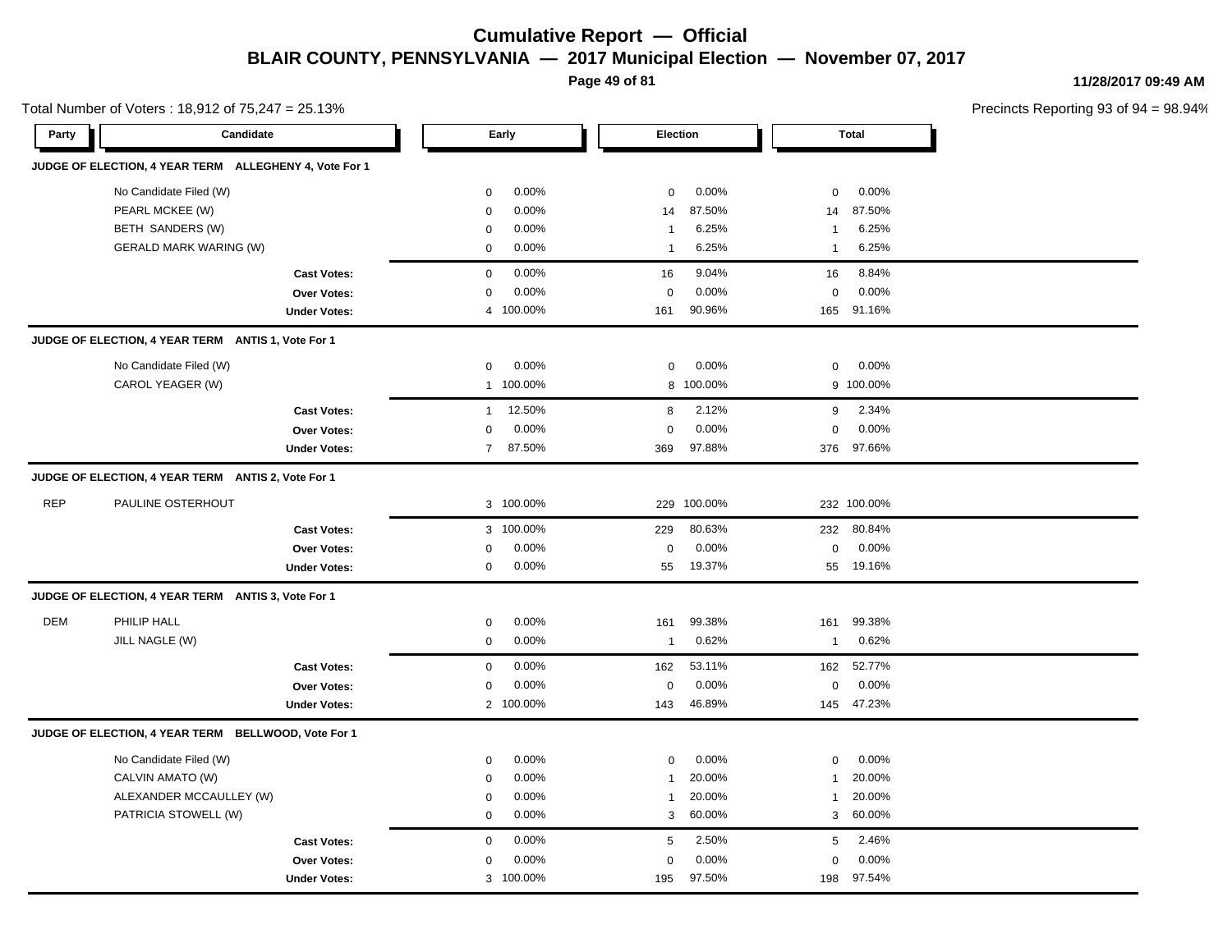**Page 49 of 81**

**11/28/2017 09:49 AM**

|            | Total Number of Voters: 18,912 of 75,247 = 25.13%      |                     |                |           |                |             |                  |              | Precincts Reporting 93 of 9 |
|------------|--------------------------------------------------------|---------------------|----------------|-----------|----------------|-------------|------------------|--------------|-----------------------------|
| Party      | Candidate                                              |                     |                | Early     |                | Election    |                  | <b>Total</b> |                             |
|            | JUDGE OF ELECTION, 4 YEAR TERM ALLEGHENY 4, Vote For 1 |                     |                |           |                |             |                  |              |                             |
|            | No Candidate Filed (W)                                 |                     | $\mathbf 0$    | 0.00%     | $\mathbf 0$    | 0.00%       | $\mathbf 0$      | 0.00%        |                             |
|            | PEARL MCKEE (W)                                        |                     | $\mathbf 0$    | 0.00%     | 14             | 87.50%      | 14               | 87.50%       |                             |
|            | BETH SANDERS (W)                                       |                     | $\mathbf 0$    | 0.00%     | $\overline{1}$ | 6.25%       | $\overline{1}$   | 6.25%        |                             |
|            | <b>GERALD MARK WARING (W)</b>                          |                     | $\mathbf{0}$   | 0.00%     | $\overline{1}$ | 6.25%       | $\overline{1}$   | 6.25%        |                             |
|            |                                                        | <b>Cast Votes:</b>  | $\mathbf 0$    | 0.00%     | 16             | 9.04%       | 16               | 8.84%        |                             |
|            |                                                        | Over Votes:         | $\mathbf 0$    | 0.00%     | $\mathbf 0$    | 0.00%       | $\mathbf 0$      | 0.00%        |                             |
|            |                                                        | <b>Under Votes:</b> | 4              | 100.00%   | 161            | 90.96%      | 165              | 91.16%       |                             |
|            | JUDGE OF ELECTION, 4 YEAR TERM ANTIS 1, Vote For 1     |                     |                |           |                |             |                  |              |                             |
|            | No Candidate Filed (W)                                 |                     | 0              | 0.00%     | $\mathbf 0$    | 0.00%       | $\mathbf 0$      | 0.00%        |                             |
|            | CAROL YEAGER (W)                                       |                     |                | 1 100.00% |                | 8 100.00%   |                  | 9 100.00%    |                             |
|            |                                                        | <b>Cast Votes:</b>  | $\mathbf{1}$   | 12.50%    | 8              | 2.12%       | 9                | 2.34%        |                             |
|            |                                                        | Over Votes:         | $\mathbf 0$    | 0.00%     | $\mathbf 0$    | 0.00%       | $\mathbf 0$      | 0.00%        |                             |
|            |                                                        | <b>Under Votes:</b> | $\overline{7}$ | 87.50%    | 369            | 97.88%      | 376              | 97.66%       |                             |
|            | JUDGE OF ELECTION, 4 YEAR TERM ANTIS 2, Vote For 1     |                     |                |           |                |             |                  |              |                             |
| <b>REP</b> | PAULINE OSTERHOUT                                      |                     |                | 3 100.00% |                | 229 100.00% |                  | 232 100.00%  |                             |
|            |                                                        | <b>Cast Votes:</b>  |                | 3 100.00% | 229            | 80.63%      | 232              | 80.84%       |                             |
|            |                                                        | Over Votes:         | 0              | 0.00%     | $\pmb{0}$      | 0.00%       | $\boldsymbol{0}$ | 0.00%        |                             |
|            |                                                        | <b>Under Votes:</b> | 0              | 0.00%     | 55             | 19.37%      | 55               | 19.16%       |                             |
|            | JUDGE OF ELECTION, 4 YEAR TERM ANTIS 3, Vote For 1     |                     |                |           |                |             |                  |              |                             |
| <b>DEM</b> | PHILIP HALL                                            |                     | 0              | 0.00%     | 161            | 99.38%      | 161              | 99.38%       |                             |
|            | JILL NAGLE (W)                                         |                     | 0              | 0.00%     | $\overline{1}$ | 0.62%       | $\mathbf{1}$     | 0.62%        |                             |
|            |                                                        | <b>Cast Votes:</b>  | $\mathbf 0$    | 0.00%     | 162            | 53.11%      | 162              | 52.77%       |                             |
|            |                                                        | Over Votes:         | 0              | 0.00%     | $\mathbf 0$    | 0.00%       | $\mathbf 0$      | 0.00%        |                             |
|            |                                                        | <b>Under Votes:</b> |                | 2 100.00% | 143            | 46.89%      |                  | 145 47.23%   |                             |
|            | JUDGE OF ELECTION, 4 YEAR TERM BELLWOOD, Vote For 1    |                     |                |           |                |             |                  |              |                             |
|            | No Candidate Filed (W)                                 |                     | $\mathbf 0$    | 0.00%     | $\Omega$       | 0.00%       | $\mathbf 0$      | 0.00%        |                             |
|            | CALVIN AMATO (W)                                       |                     | 0              | 0.00%     | $\overline{1}$ | 20.00%      | $\overline{1}$   | 20.00%       |                             |
|            | ALEXANDER MCCAULLEY (W)                                |                     | $\mathbf 0$    | 0.00%     | $\mathbf{1}$   | 20.00%      | -1               | 20.00%       |                             |
|            | PATRICIA STOWELL (W)                                   |                     | $\mathbf 0$    | 0.00%     | 3              | 60.00%      | 3                | 60.00%       |                             |
|            |                                                        | <b>Cast Votes:</b>  | $\mathbf 0$    | 0.00%     | 5              | 2.50%       | 5                | 2.46%        |                             |
|            |                                                        | Over Votes:         | $\mathbf 0$    | 0.00%     | $\mathbf 0$    | 0.00%       | $\mathbf 0$      | 0.00%        |                             |
|            |                                                        | <b>Under Votes:</b> |                | 3 100.00% | 195            | 97.50%      | 198              | 97.54%       |                             |
|            |                                                        |                     |                |           |                |             |                  |              |                             |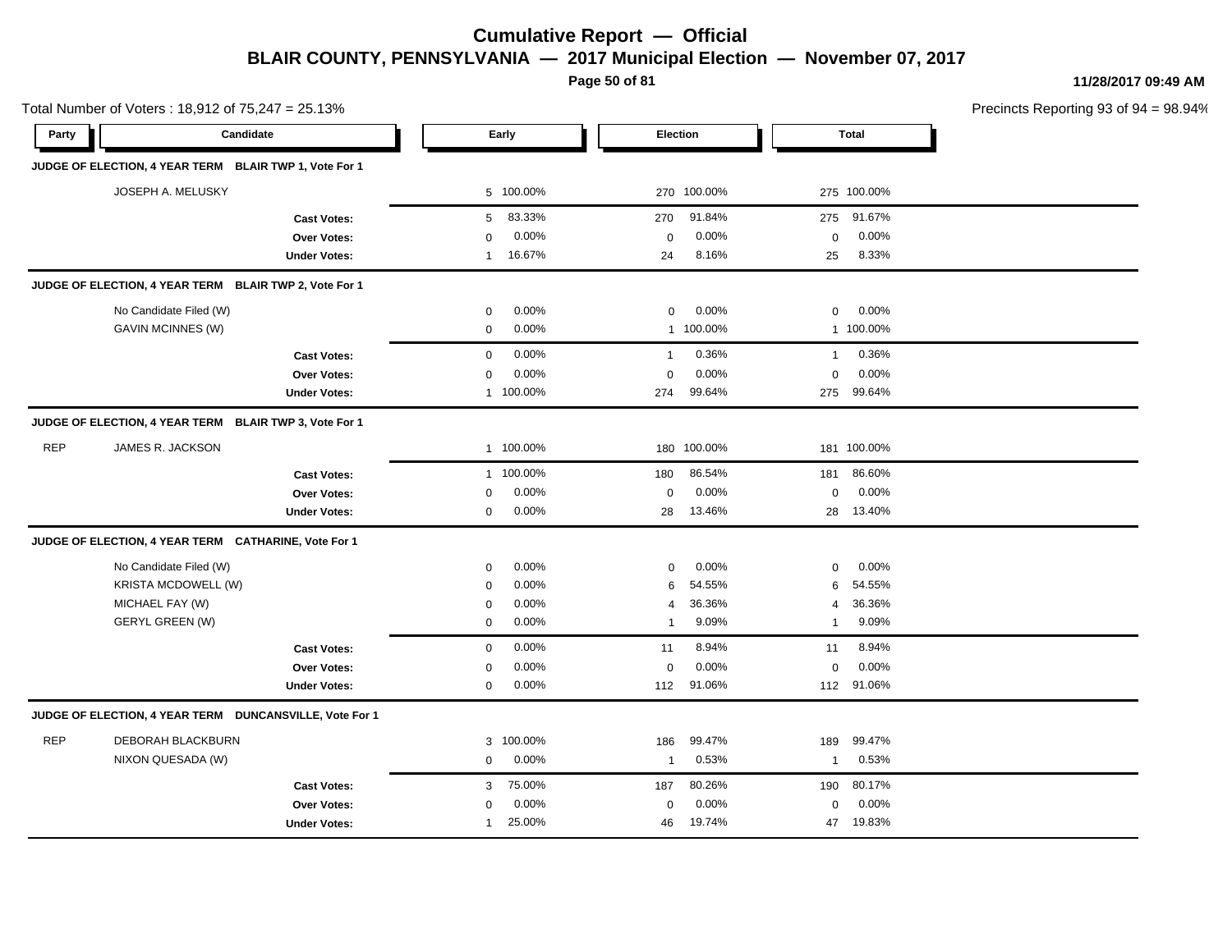**Page 50 of 81**

**11/28/2017 09:49 AM**

Precincts Reporting 93 of 94 = 98.94%

Total Number of Voters : 18,912 of 75,247 = 25.13%

| Party      | Candidate                                               |                     |              | Early     | Election     |             |              | <b>Total</b> |  |
|------------|---------------------------------------------------------|---------------------|--------------|-----------|--------------|-------------|--------------|--------------|--|
|            | JUDGE OF ELECTION, 4 YEAR TERM BLAIR TWP 1, Vote For 1  |                     |              |           |              |             |              |              |  |
|            | JOSEPH A. MELUSKY                                       |                     |              | 5 100.00% |              | 270 100.00% |              | 275 100.00%  |  |
|            |                                                         | <b>Cast Votes:</b>  | 5            | 83.33%    | 270          | 91.84%      | 275          | 91.67%       |  |
|            |                                                         | <b>Over Votes:</b>  | $\mathbf 0$  | 0.00%     | 0            | 0.00%       | $\mathbf 0$  | 0.00%        |  |
|            |                                                         | <b>Under Votes:</b> | $\mathbf 1$  | 16.67%    | 24           | 8.16%       | 25           | 8.33%        |  |
|            | JUDGE OF ELECTION, 4 YEAR TERM BLAIR TWP 2, Vote For 1  |                     |              |           |              |             |              |              |  |
|            | No Candidate Filed (W)                                  |                     | $\mathbf 0$  | 0.00%     | $\mathbf 0$  | 0.00%       | $\mathbf 0$  | 0.00%        |  |
|            | GAVIN MCINNES (W)                                       |                     | $\mathbf 0$  | 0.00%     |              | 1 100.00%   |              | 1 100.00%    |  |
|            |                                                         | <b>Cast Votes:</b>  | $\mathbf 0$  | 0.00%     | $\mathbf{1}$ | 0.36%       | $\mathbf{1}$ | 0.36%        |  |
|            |                                                         | Over Votes:         | $\mathsf 0$  | 0.00%     | $\mathsf 0$  | 0.00%       | $\mathbf 0$  | 0.00%        |  |
|            |                                                         | <b>Under Votes:</b> |              | 1 100.00% | 274          | 99.64%      | 275          | 99.64%       |  |
|            | JUDGE OF ELECTION, 4 YEAR TERM BLAIR TWP 3, Vote For 1  |                     |              |           |              |             |              |              |  |
| <b>REP</b> | JAMES R. JACKSON                                        |                     |              | 1 100.00% |              | 180 100.00% |              | 181 100.00%  |  |
|            |                                                         | <b>Cast Votes:</b>  |              | 1 100.00% | 180          | 86.54%      | 181          | 86.60%       |  |
|            |                                                         | Over Votes:         | 0            | 0.00%     | 0            | 0.00%       | $\mathbf 0$  | 0.00%        |  |
|            |                                                         | <b>Under Votes:</b> | $\mathbf 0$  | $0.00\%$  | 28           | 13.46%      | 28           | 13.40%       |  |
|            | JUDGE OF ELECTION, 4 YEAR TERM CATHARINE, Vote For 1    |                     |              |           |              |             |              |              |  |
|            | No Candidate Filed (W)                                  |                     | $\mathbf 0$  | 0.00%     | $\pmb{0}$    | 0.00%       | 0            | 0.00%        |  |
|            | KRISTA MCDOWELL (W)                                     |                     | $\mathbf 0$  | 0.00%     | 6            | 54.55%      | 6            | 54.55%       |  |
|            | MICHAEL FAY (W)                                         |                     | $\mathbf 0$  | 0.00%     | 4            | 36.36%      | 4            | 36.36%       |  |
|            | <b>GERYL GREEN (W)</b>                                  |                     | $\mathbf 0$  | 0.00%     | 1            | 9.09%       | $\mathbf{1}$ | 9.09%        |  |
|            |                                                         | <b>Cast Votes:</b>  | $\mathbf 0$  | 0.00%     | 11           | 8.94%       | 11           | 8.94%        |  |
|            |                                                         | Over Votes:         | $\mathbf 0$  | 0.00%     | 0            | 0.00%       | $\mathbf 0$  | 0.00%        |  |
|            |                                                         | <b>Under Votes:</b> | $\mathbf 0$  | 0.00%     | 112          | 91.06%      | 112          | 91.06%       |  |
|            | JUDGE OF ELECTION, 4 YEAR TERM DUNCANSVILLE, Vote For 1 |                     |              |           |              |             |              |              |  |
| <b>REP</b> | <b>DEBORAH BLACKBURN</b>                                |                     |              | 3 100.00% | 186          | 99.47%      | 189          | 99.47%       |  |
|            | NIXON QUESADA (W)                                       |                     | $\mathbf 0$  | 0.00%     | $\mathbf{1}$ | 0.53%       | $\mathbf{1}$ | 0.53%        |  |
|            |                                                         | <b>Cast Votes:</b>  | 3            | 75.00%    | 187          | 80.26%      | 190          | 80.17%       |  |
|            |                                                         | <b>Over Votes:</b>  | $\mathbf 0$  | 0.00%     | $\mathbf 0$  | 0.00%       | $\mathbf 0$  | 0.00%        |  |
|            |                                                         | <b>Under Votes:</b> | $\mathbf{1}$ | 25.00%    | 46           | 19.74%      | 47           | 19.83%       |  |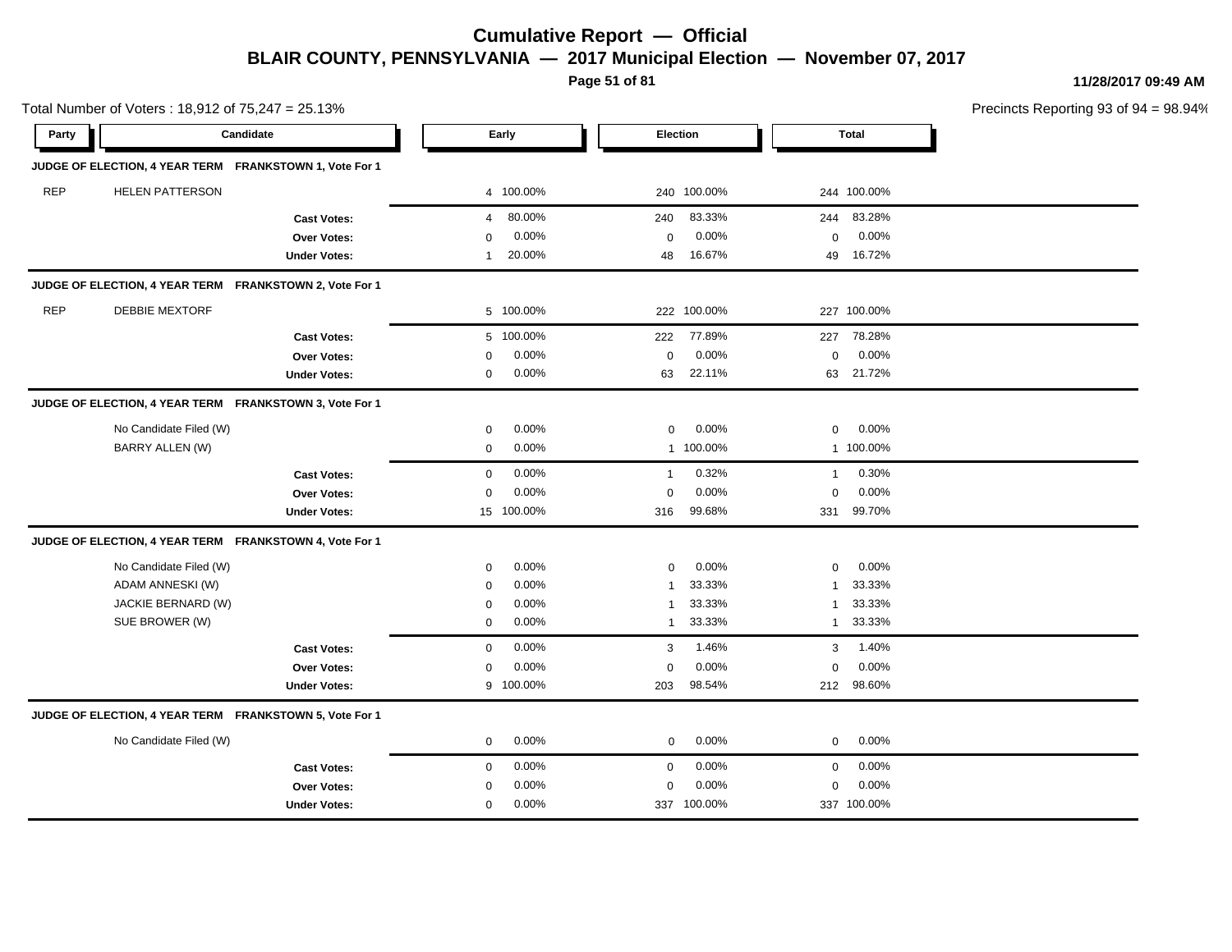**Page 51 of 81**

**11/28/2017 09:49 AM**

Precincts Reporting 93 of 94 = 98.94%

| Party      |                        | Candidate                                               |              | Early      | <b>Election</b> |             |              | <b>Total</b> |  |
|------------|------------------------|---------------------------------------------------------|--------------|------------|-----------------|-------------|--------------|--------------|--|
|            |                        | JUDGE OF ELECTION, 4 YEAR TERM FRANKSTOWN 1, Vote For 1 |              |            |                 |             |              |              |  |
| <b>REP</b> | <b>HELEN PATTERSON</b> |                                                         |              | 4 100.00%  |                 | 240 100.00% |              | 244 100.00%  |  |
|            |                        | <b>Cast Votes:</b>                                      | 4            | 80.00%     | 240             | 83.33%      | 244          | 83.28%       |  |
|            |                        | Over Votes:                                             | $\mathbf 0$  | 0.00%      | $\mathbf 0$     | 0.00%       | $\mathbf 0$  | 0.00%        |  |
|            |                        | <b>Under Votes:</b>                                     | $\mathbf{1}$ | 20.00%     | 48              | 16.67%      | 49           | 16.72%       |  |
|            |                        | JUDGE OF ELECTION, 4 YEAR TERM FRANKSTOWN 2, Vote For 1 |              |            |                 |             |              |              |  |
| <b>REP</b> | <b>DEBBIE MEXTORF</b>  |                                                         |              | 5 100.00%  |                 | 222 100.00% |              | 227 100.00%  |  |
|            |                        | <b>Cast Votes:</b>                                      |              | 5 100.00%  | 222             | 77.89%      | 227          | 78.28%       |  |
|            |                        | Over Votes:                                             | $\Omega$     | 0.00%      | $\mathbf 0$     | 0.00%       | $\mathbf 0$  | 0.00%        |  |
|            |                        | <b>Under Votes:</b>                                     | 0            | 0.00%      | 63              | 22.11%      | 63           | 21.72%       |  |
|            |                        | JUDGE OF ELECTION, 4 YEAR TERM FRANKSTOWN 3, Vote For 1 |              |            |                 |             |              |              |  |
|            | No Candidate Filed (W) |                                                         | $\mathbf 0$  | 0.00%      | $\mathbf 0$     | 0.00%       | $\Omega$     | 0.00%        |  |
|            | BARRY ALLEN (W)        |                                                         | $\mathbf 0$  | 0.00%      |                 | 1 100.00%   |              | 1 100.00%    |  |
|            |                        | <b>Cast Votes:</b>                                      | $\mathbf 0$  | 0.00%      | $\mathbf{1}$    | 0.32%       | $\mathbf{1}$ | 0.30%        |  |
|            |                        | <b>Over Votes:</b>                                      | $\Omega$     | 0.00%      | $\mathbf 0$     | 0.00%       | $\mathbf 0$  | 0.00%        |  |
|            |                        | <b>Under Votes:</b>                                     |              | 15 100.00% | 316             | 99.68%      | 331          | 99.70%       |  |
|            |                        | JUDGE OF ELECTION, 4 YEAR TERM FRANKSTOWN 4, Vote For 1 |              |            |                 |             |              |              |  |
|            | No Candidate Filed (W) |                                                         | $\mathbf 0$  | 0.00%      | $\mathbf 0$     | 0.00%       | $\mathbf 0$  | 0.00%        |  |
|            | ADAM ANNESKI (W)       |                                                         | $\Omega$     | 0.00%      | $\mathbf{1}$    | 33.33%      | $\mathbf{1}$ | 33.33%       |  |
|            | JACKIE BERNARD (W)     |                                                         | $\mathbf 0$  | 0.00%      | $\mathbf{1}$    | 33.33%      | $\mathbf{1}$ | 33.33%       |  |
|            | SUE BROWER (W)         |                                                         | $\mathbf 0$  | 0.00%      | $\mathbf{1}$    | 33.33%      | $\mathbf{1}$ | 33.33%       |  |
|            |                        | <b>Cast Votes:</b>                                      | $\mathbf 0$  | 0.00%      | 3               | 1.46%       | 3            | 1.40%        |  |
|            |                        | <b>Over Votes:</b>                                      | $\Omega$     | 0.00%      | $\mathbf 0$     | 0.00%       | $\mathbf 0$  | 0.00%        |  |
|            |                        | <b>Under Votes:</b>                                     |              | 9 100.00%  | 203             | 98.54%      |              | 212 98.60%   |  |
|            |                        | JUDGE OF ELECTION, 4 YEAR TERM FRANKSTOWN 5, Vote For 1 |              |            |                 |             |              |              |  |
|            | No Candidate Filed (W) |                                                         | $\mathbf 0$  | 0.00%      | $\mathbf 0$     | 0.00%       | $\mathbf 0$  | 0.00%        |  |
|            |                        | <b>Cast Votes:</b>                                      | 0            | 0.00%      | $\mathbf 0$     | 0.00%       | $\mathbf 0$  | 0.00%        |  |
|            |                        | Over Votes:                                             | 0            | 0.00%      | $\mathbf 0$     | 0.00%       | $\mathbf 0$  | 0.00%        |  |
|            |                        | <b>Under Votes:</b>                                     | 0            | 0.00%      |                 | 337 100.00% |              | 337 100.00%  |  |
|            |                        |                                                         |              |            |                 |             |              |              |  |

Total Number of Voters : 18,912 of 75,247 = 25.13%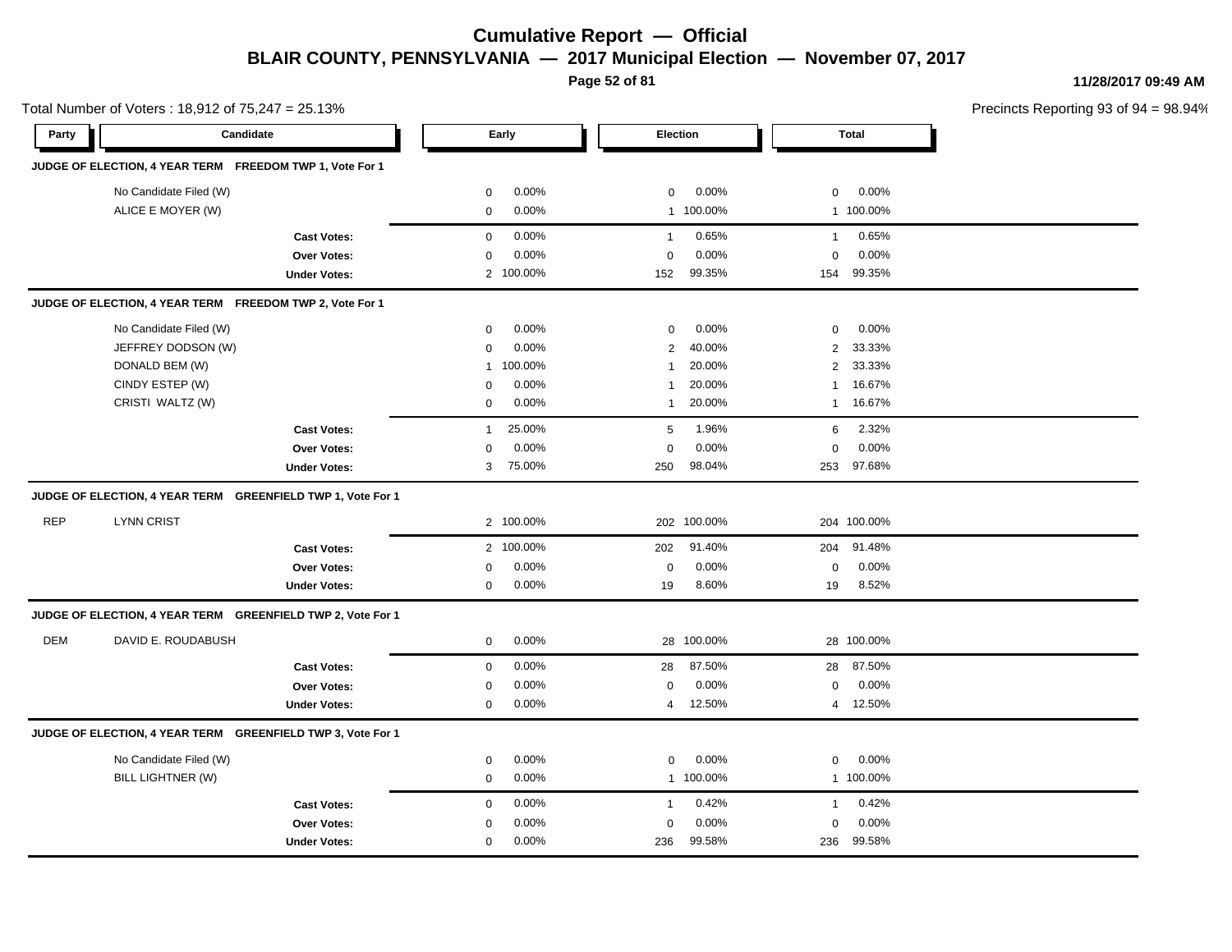**Page 52 of 81**

**11/28/2017 09:49 AM**

|            | Total Number of Voters: 18,912 of 75,247 = 25.13%           |                     |              |           |                |             |                |              | Precincts Reporting 93 of 9 |
|------------|-------------------------------------------------------------|---------------------|--------------|-----------|----------------|-------------|----------------|--------------|-----------------------------|
| Party      | Candidate                                                   |                     |              | Early     | Election       |             |                | <b>Total</b> |                             |
|            | JUDGE OF ELECTION, 4 YEAR TERM FREEDOM TWP 1, Vote For 1    |                     |              |           |                |             |                |              |                             |
|            | No Candidate Filed (W)                                      |                     | 0            | 0.00%     | 0              | 0.00%       | $\mathbf 0$    | 0.00%        |                             |
|            | ALICE E MOYER (W)                                           |                     | 0            | 0.00%     |                | 1 100.00%   |                | 1 100.00%    |                             |
|            |                                                             | <b>Cast Votes:</b>  | $\mathbf 0$  | 0.00%     | $\mathbf{1}$   | 0.65%       | $\mathbf{1}$   | 0.65%        |                             |
|            |                                                             | Over Votes:         | $\Omega$     | 0.00%     | $\Omega$       | 0.00%       | $\Omega$       | 0.00%        |                             |
|            |                                                             | <b>Under Votes:</b> |              | 2 100.00% | 152            | 99.35%      | 154            | 99.35%       |                             |
|            | JUDGE OF ELECTION, 4 YEAR TERM FREEDOM TWP 2, Vote For 1    |                     |              |           |                |             |                |              |                             |
|            | No Candidate Filed (W)                                      |                     | 0            | 0.00%     | 0              | 0.00%       | $\mathbf 0$    | 0.00%        |                             |
|            | JEFFREY DODSON (W)                                          |                     | $\mathbf 0$  | 0.00%     | $\overline{2}$ | 40.00%      | $\overline{2}$ | 33.33%       |                             |
|            | DONALD BEM (W)                                              |                     | $\mathbf{1}$ | 100.00%   | $\mathbf{1}$   | 20.00%      | $\overline{2}$ | 33.33%       |                             |
|            | CINDY ESTEP (W)                                             |                     | $\mathbf 0$  | 0.00%     | 1              | 20.00%      | -1             | 16.67%       |                             |
|            | CRISTI WALTZ (W)                                            |                     | 0            | 0.00%     | 1              | 20.00%      | 1              | 16.67%       |                             |
|            |                                                             | <b>Cast Votes:</b>  | $\mathbf{1}$ | 25.00%    | 5              | 1.96%       | 6              | 2.32%        |                             |
|            |                                                             | Over Votes:         | $\mathbf 0$  | 0.00%     | $\mathbf 0$    | 0.00%       | $\mathbf 0$    | 0.00%        |                             |
|            |                                                             | <b>Under Votes:</b> | 3            | 75.00%    | 250            | 98.04%      | 253            | 97.68%       |                             |
|            | JUDGE OF ELECTION, 4 YEAR TERM GREENFIELD TWP 1, Vote For 1 |                     |              |           |                |             |                |              |                             |
| <b>REP</b> | <b>LYNN CRIST</b>                                           |                     |              | 2 100.00% |                | 202 100.00% |                | 204 100.00%  |                             |
|            |                                                             | <b>Cast Votes:</b>  |              | 2 100.00% | 202            | 91.40%      | 204            | 91.48%       |                             |
|            |                                                             | <b>Over Votes:</b>  | $\mathbf 0$  | 0.00%     | $\mathbf 0$    | 0.00%       | $\mathbf 0$    | 0.00%        |                             |
|            |                                                             | <b>Under Votes:</b> | 0            | 0.00%     | 19             | 8.60%       | 19             | 8.52%        |                             |
|            | JUDGE OF ELECTION, 4 YEAR TERM GREENFIELD TWP 2, Vote For 1 |                     |              |           |                |             |                |              |                             |
| DEM        | DAVID E. ROUDABUSH                                          |                     | 0            | 0.00%     |                | 28 100.00%  |                | 28 100.00%   |                             |
|            |                                                             | <b>Cast Votes:</b>  | $\mathbf 0$  | 0.00%     | 28             | 87.50%      | 28             | 87.50%       |                             |
|            |                                                             | Over Votes:         | 0            | 0.00%     | $\mathbf 0$    | $0.00\%$    | $\mathbf 0$    | 0.00%        |                             |
|            |                                                             | <b>Under Votes:</b> | 0            | 0.00%     | 4              | 12.50%      |                | 4 12.50%     |                             |
|            | JUDGE OF ELECTION, 4 YEAR TERM GREENFIELD TWP 3, Vote For 1 |                     |              |           |                |             |                |              |                             |
|            | No Candidate Filed (W)                                      |                     | 0            | 0.00%     | 0              | 0.00%       | $\mathbf 0$    | 0.00%        |                             |
|            | BILL LIGHTNER (W)                                           |                     | 0            | 0.00%     |                | 1 100.00%   |                | 1 100.00%    |                             |
|            |                                                             | <b>Cast Votes:</b>  | $\mathbf 0$  | 0.00%     | $\mathbf{1}$   | 0.42%       | $\mathbf{1}$   | 0.42%        |                             |
|            |                                                             | Over Votes:         | 0            | 0.00%     | $\mathbf 0$    | 0.00%       | $\mathbf 0$    | 0.00%        |                             |
|            |                                                             | <b>Under Votes:</b> | 0            | 0.00%     | 236            | 99.58%      | 236            | 99.58%       |                             |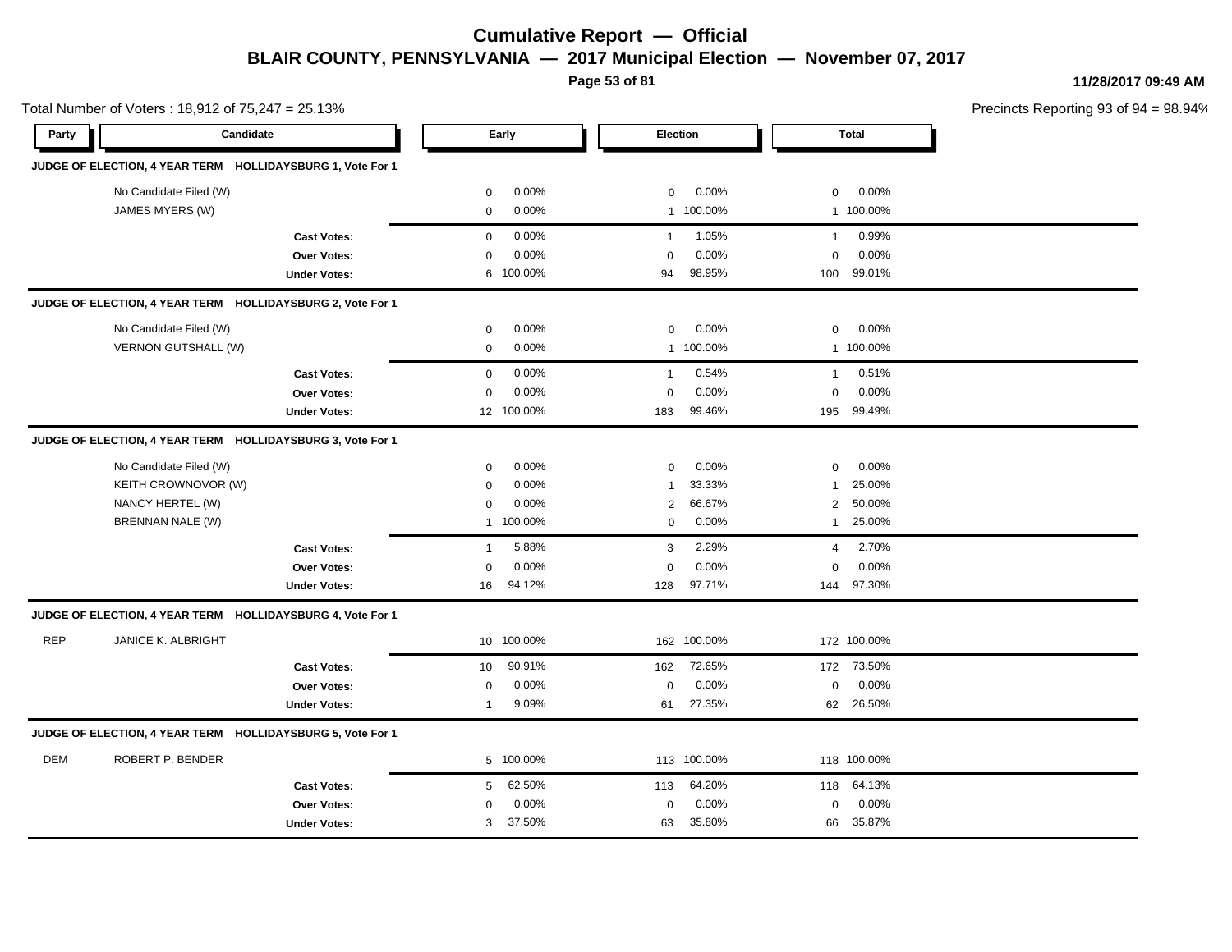**Page 53 of 81**

**11/28/2017 09:49 AM**

|            | Total Number of Voters: 18,912 of 75,247 = 25.13%          |                     |             |            |                |             | Precincts Reporting 93 of 9 |              |  |
|------------|------------------------------------------------------------|---------------------|-------------|------------|----------------|-------------|-----------------------------|--------------|--|
| Party      | Candidate                                                  |                     |             | Early      |                | Election    |                             | <b>Total</b> |  |
|            | JUDGE OF ELECTION, 4 YEAR TERM HOLLIDAYSBURG 1, Vote For 1 |                     |             |            |                |             |                             |              |  |
|            | No Candidate Filed (W)                                     |                     | 0           | 0.00%      | 0              | 0.00%       | 0                           | 0.00%        |  |
|            | JAMES MYERS (W)                                            |                     | $\mathbf 0$ | 0.00%      |                | 1 100.00%   |                             | 1 100.00%    |  |
|            |                                                            | <b>Cast Votes:</b>  | $\mathbf 0$ | 0.00%      | $\overline{1}$ | 1.05%       | $\mathbf{1}$                | 0.99%        |  |
|            |                                                            | Over Votes:         | $\mathbf 0$ | 0.00%      | $\mathbf 0$    | 0.00%       | $\mathbf 0$                 | 0.00%        |  |
|            |                                                            | <b>Under Votes:</b> | 6           | 100.00%    | 94             | 98.95%      | 100                         | 99.01%       |  |
|            | JUDGE OF ELECTION, 4 YEAR TERM HOLLIDAYSBURG 2, Vote For 1 |                     |             |            |                |             |                             |              |  |
|            | No Candidate Filed (W)                                     |                     | 0           | 0.00%      | 0              | 0.00%       | 0                           | 0.00%        |  |
|            | VERNON GUTSHALL (W)                                        |                     | 0           | 0.00%      | 1              | 100.00%     |                             | 1 100.00%    |  |
|            |                                                            | <b>Cast Votes:</b>  | $\mathbf 0$ | 0.00%      | $\mathbf{1}$   | 0.54%       | $\mathbf{1}$                | 0.51%        |  |
|            |                                                            | <b>Over Votes:</b>  | $\mathbf 0$ | 0.00%      | $\mathbf 0$    | 0.00%       | $\mathbf 0$                 | 0.00%        |  |
|            |                                                            | <b>Under Votes:</b> |             | 12 100.00% | 183            | 99.46%      | 195                         | 99.49%       |  |
|            | JUDGE OF ELECTION, 4 YEAR TERM HOLLIDAYSBURG 3, Vote For 1 |                     |             |            |                |             |                             |              |  |
|            | No Candidate Filed (W)                                     |                     | $\mathbf 0$ | 0.00%      | 0              | 0.00%       | $\mathbf 0$                 | 0.00%        |  |
|            | KEITH CROWNOVOR (W)                                        |                     | 0           | 0.00%      | $\mathbf{1}$   | 33.33%      | 1                           | 25.00%       |  |
|            | NANCY HERTEL (W)                                           |                     | $\mathbf 0$ | 0.00%      | $\overline{2}$ | 66.67%      | $\mathbf{2}^{\prime}$       | 50.00%       |  |
|            | BRENNAN NALE (W)                                           |                     |             | 1 100.00%  | 0              | 0.00%       | $\mathbf{1}$                | 25.00%       |  |
|            |                                                            | <b>Cast Votes:</b>  | 1           | 5.88%      | 3              | 2.29%       | 4                           | 2.70%        |  |
|            |                                                            | Over Votes:         | 0           | 0.00%      | $\mathbf 0$    | 0.00%       | 0                           | 0.00%        |  |
|            |                                                            | <b>Under Votes:</b> | 16          | 94.12%     | 128            | 97.71%      |                             | 144 97.30%   |  |
|            | JUDGE OF ELECTION, 4 YEAR TERM HOLLIDAYSBURG 4, Vote For 1 |                     |             |            |                |             |                             |              |  |
| <b>REP</b> | <b>JANICE K. ALBRIGHT</b>                                  |                     |             | 10 100.00% |                | 162 100.00% |                             | 172 100.00%  |  |
|            |                                                            | <b>Cast Votes:</b>  | 10          | 90.91%     | 162            | 72.65%      |                             | 172 73.50%   |  |
|            |                                                            | <b>Over Votes:</b>  | 0           | 0.00%      | $\mathbf 0$    | 0.00%       | 0                           | 0.00%        |  |
|            |                                                            | <b>Under Votes:</b> | 1           | 9.09%      | 61             | 27.35%      |                             | 62 26.50%    |  |
|            | JUDGE OF ELECTION, 4 YEAR TERM HOLLIDAYSBURG 5, Vote For 1 |                     |             |            |                |             |                             |              |  |
| <b>DEM</b> | ROBERT P. BENDER                                           |                     |             | 5 100.00%  |                | 113 100.00% |                             | 118 100.00%  |  |
|            |                                                            | <b>Cast Votes:</b>  | 5           | 62.50%     | 113            | 64.20%      | 118                         | 64.13%       |  |
|            |                                                            | Over Votes:         | 0           | 0.00%      | $\mathbf 0$    | 0.00%       | 0                           | 0.00%        |  |
|            |                                                            | <b>Under Votes:</b> | 3           | 37.50%     | 63             | 35.80%      | 66                          | 35.87%       |  |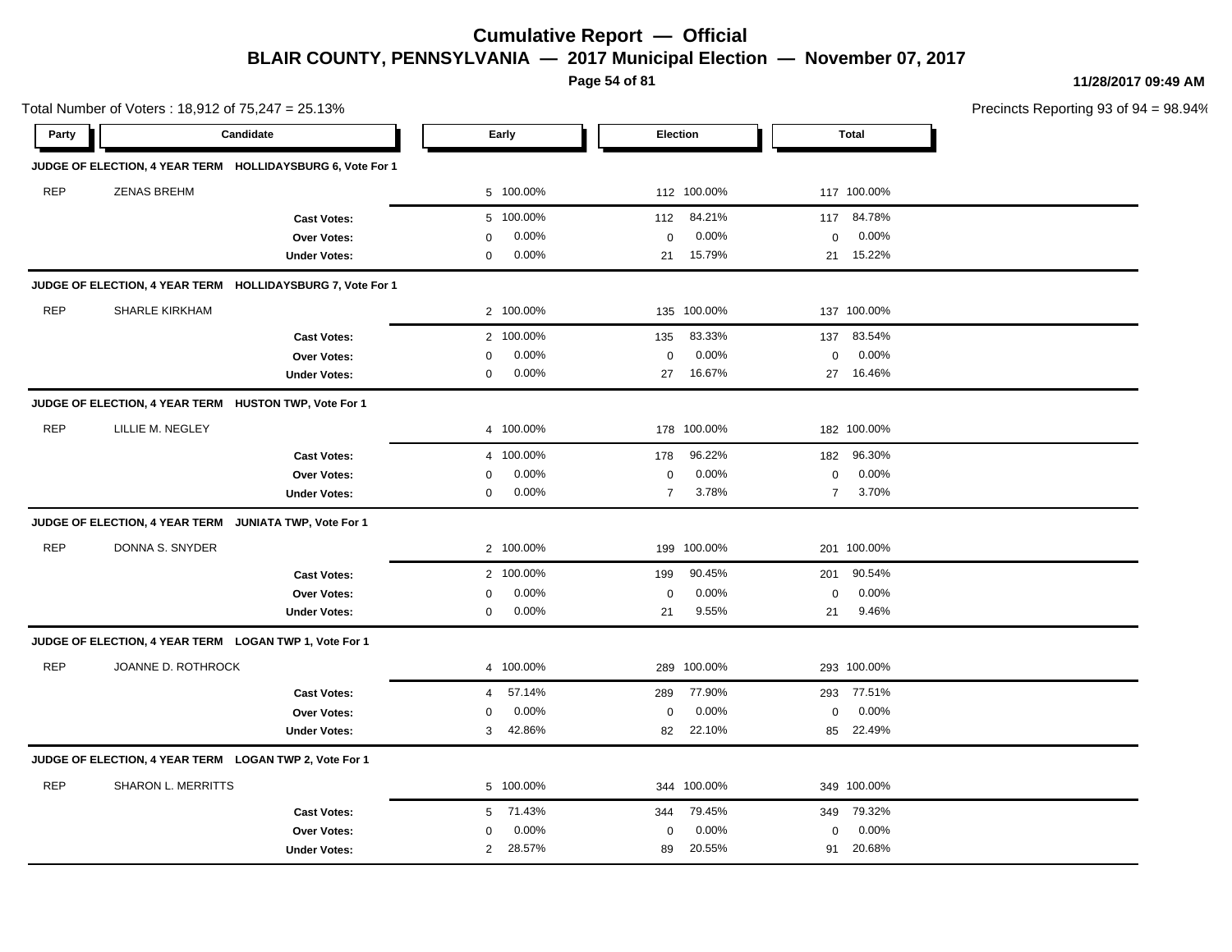**Page 54 of 81**

**11/28/2017 09:49 AM**

|            | Total Number of Voters: 18,912 of 75,247 = 25.13%          |                         |                |           |                |             |                |              | Precincts Reporting 93 of |
|------------|------------------------------------------------------------|-------------------------|----------------|-----------|----------------|-------------|----------------|--------------|---------------------------|
| Party      | Candidate                                                  |                         |                | Early     |                | Election    |                | <b>Total</b> |                           |
|            | JUDGE OF ELECTION, 4 YEAR TERM HOLLIDAYSBURG 6, Vote For 1 |                         |                |           |                |             |                |              |                           |
| <b>REP</b> | <b>ZENAS BREHM</b>                                         |                         |                | 5 100.00% |                | 112 100.00% |                | 117 100.00%  |                           |
|            |                                                            | <b>Cast Votes:</b>      |                | 5 100.00% | 112            | 84.21%      | 117            | 84.78%       |                           |
|            |                                                            | Over Votes:             | 0              | 0.00%     | $\pmb{0}$      | 0.00%       | $\mathbf 0$    | 0.00%        |                           |
|            |                                                            | <b>Under Votes:</b>     | 0              | 0.00%     |                | 21 15.79%   |                | 21 15.22%    |                           |
|            | JUDGE OF ELECTION, 4 YEAR TERM HOLLIDAYSBURG 7, Vote For 1 |                         |                |           |                |             |                |              |                           |
| <b>REP</b> | <b>SHARLE KIRKHAM</b>                                      |                         |                | 2 100.00% |                | 135 100.00% |                | 137 100.00%  |                           |
|            |                                                            | <b>Cast Votes:</b>      |                | 2 100.00% | 135            | 83.33%      | 137            | 83.54%       |                           |
|            |                                                            | <b>Over Votes:</b>      | 0              | 0.00%     | $\mathbf 0$    | 0.00%       | $\mathbf 0$    | 0.00%        |                           |
|            |                                                            | <b>Under Votes:</b>     | 0              | 0.00%     | 27             | 16.67%      |                | 27 16.46%    |                           |
|            | JUDGE OF ELECTION, 4 YEAR TERM HUSTON TWP, Vote For 1      |                         |                |           |                |             |                |              |                           |
| <b>REP</b> | LILLIE M. NEGLEY                                           |                         |                | 4 100.00% |                | 178 100.00% |                | 182 100.00%  |                           |
|            |                                                            | <b>Cast Votes:</b>      |                | 4 100.00% | 178            | 96.22%      | 182            | 96.30%       |                           |
|            |                                                            | <b>Over Votes:</b>      | 0              | 0.00%     | $\pmb{0}$      | 0.00%       | $\mathbf 0$    | 0.00%        |                           |
|            |                                                            | <b>Under Votes:</b>     | $\Omega$       | 0.00%     | $\overline{7}$ | 3.78%       | $\overline{7}$ | 3.70%        |                           |
|            | <b>JUDGE OF ELECTION, 4 YEAR TERM</b>                      | JUNIATA TWP, Vote For 1 |                |           |                |             |                |              |                           |
| <b>REP</b> | DONNA S. SNYDER                                            |                         |                | 2 100.00% |                | 199 100.00% |                | 201 100.00%  |                           |
|            |                                                            | <b>Cast Votes:</b>      |                | 2 100.00% | 199            | 90.45%      | 201            | 90.54%       |                           |
|            |                                                            | <b>Over Votes:</b>      | 0              | 0.00%     | $\mathbf 0$    | 0.00%       | 0              | 0.00%        |                           |
|            |                                                            | <b>Under Votes:</b>     | 0              | 0.00%     | 21             | 9.55%       | 21             | 9.46%        |                           |
|            | JUDGE OF ELECTION, 4 YEAR TERM LOGAN TWP 1, Vote For 1     |                         |                |           |                |             |                |              |                           |
| <b>REP</b> | JOANNE D. ROTHROCK                                         |                         |                | 4 100.00% |                | 289 100.00% |                | 293 100.00%  |                           |
|            |                                                            | <b>Cast Votes:</b>      | 4              | 57.14%    | 289            | 77.90%      | 293            | 77.51%       |                           |
|            |                                                            | Over Votes:             | 0              | 0.00%     | $\mathbf 0$    | 0.00%       | $\mathbf 0$    | 0.00%        |                           |
|            |                                                            | <b>Under Votes:</b>     | 3              | 42.86%    | 82             | 22.10%      | 85             | 22.49%       |                           |
|            | JUDGE OF ELECTION, 4 YEAR TERM LOGAN TWP 2, Vote For 1     |                         |                |           |                |             |                |              |                           |
| <b>REP</b> | SHARON L. MERRITTS                                         |                         |                | 5 100.00% |                | 344 100.00% |                | 349 100.00%  |                           |
|            |                                                            | <b>Cast Votes:</b>      | 5              | 71.43%    | 344            | 79.45%      | 349            | 79.32%       |                           |
|            |                                                            | <b>Over Votes:</b>      | 0              | 0.00%     | $\mathbf 0$    | 0.00%       | $\mathbf 0$    | 0.00%        |                           |
|            |                                                            | <b>Under Votes:</b>     | $\overline{2}$ | 28.57%    | 89             | 20.55%      | 91             | 20.68%       |                           |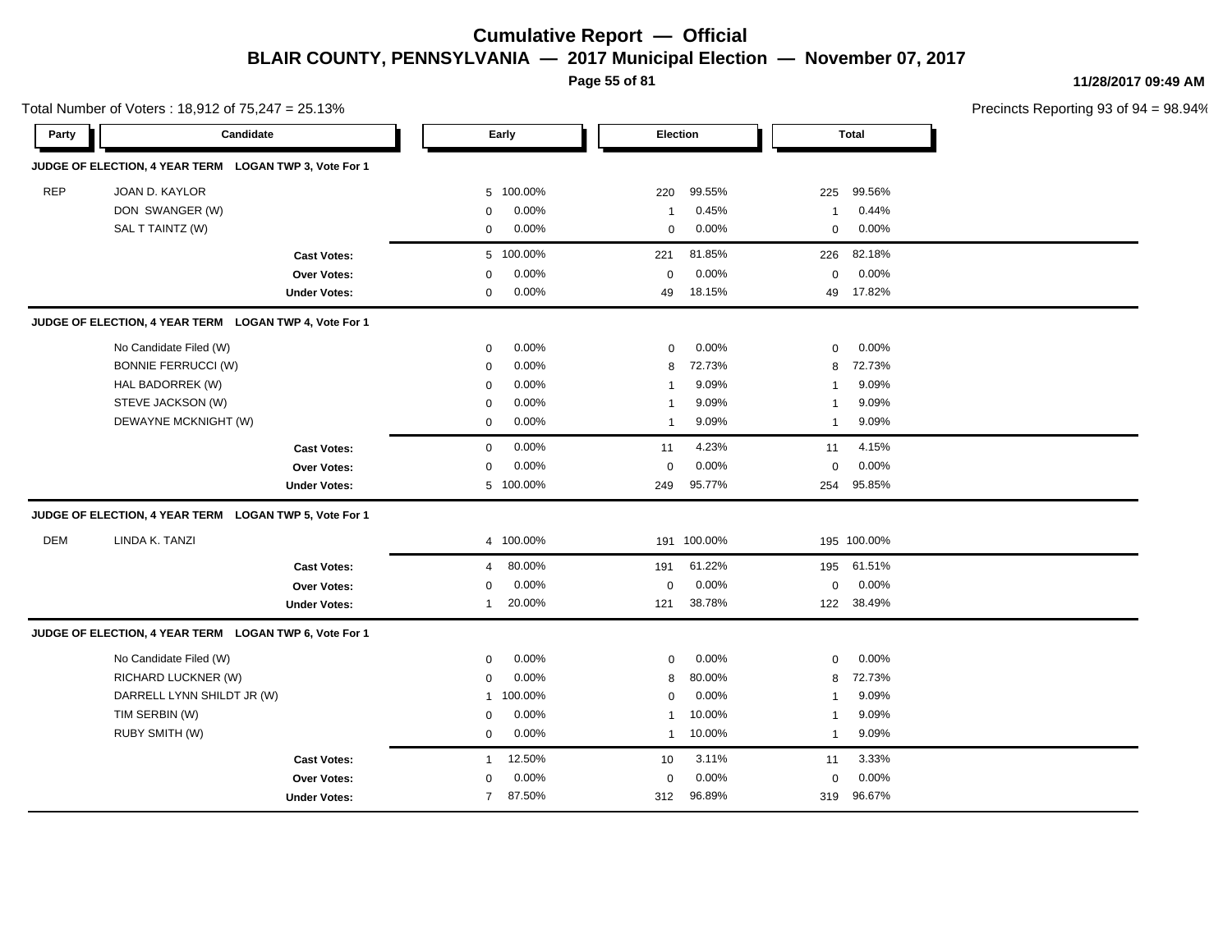**Page 55 of 81**

**11/28/2017 09:49 AM**

|            | Total Number of Voters: 18,912 of 75,247 = 25.13%      |                     |                |           |                 |             |              |              | Precincts Reporting 93 of 9 |
|------------|--------------------------------------------------------|---------------------|----------------|-----------|-----------------|-------------|--------------|--------------|-----------------------------|
| Party      | Candidate                                              |                     |                | Early     | <b>Election</b> |             |              | <b>Total</b> |                             |
|            | JUDGE OF ELECTION, 4 YEAR TERM LOGAN TWP 3, Vote For 1 |                     |                |           |                 |             |              |              |                             |
| <b>REP</b> | JOAN D. KAYLOR                                         |                     | 5              | 100.00%   | 220             | 99.55%      | 225          | 99.56%       |                             |
|            | DON SWANGER (W)                                        |                     | 0              | 0.00%     | $\mathbf{1}$    | 0.45%       | $\mathbf{1}$ | 0.44%        |                             |
|            | SAL T TAINTZ (W)                                       |                     | $\mathbf 0$    | 0.00%     | $\mathbf 0$     | 0.00%       | 0            | 0.00%        |                             |
|            |                                                        | <b>Cast Votes:</b>  |                | 5 100.00% | 221             | 81.85%      | 226          | 82.18%       |                             |
|            |                                                        | Over Votes:         | $\mathbf 0$    | 0.00%     | $\mathbf 0$     | 0.00%       | 0            | $0.00\%$     |                             |
|            |                                                        | <b>Under Votes:</b> | $\mathbf 0$    | 0.00%     | 49              | 18.15%      | 49           | 17.82%       |                             |
|            | JUDGE OF ELECTION, 4 YEAR TERM LOGAN TWP 4, Vote For 1 |                     |                |           |                 |             |              |              |                             |
|            | No Candidate Filed (W)                                 |                     | $\mathbf 0$    | 0.00%     | $\mathbf 0$     | 0.00%       | $\mathbf 0$  | 0.00%        |                             |
|            | <b>BONNIE FERRUCCI (W)</b>                             |                     | 0              | 0.00%     | 8               | 72.73%      | 8            | 72.73%       |                             |
|            | HAL BADORREK (W)                                       |                     | $\mathbf 0$    | 0.00%     | $\mathbf{1}$    | 9.09%       | 1            | 9.09%        |                             |
|            | STEVE JACKSON (W)                                      |                     | $\mathbf 0$    | 0.00%     | $\mathbf{1}$    | 9.09%       | 1            | 9.09%        |                             |
|            | DEWAYNE MCKNIGHT (W)                                   |                     | $\mathbf 0$    | 0.00%     | $\mathbf{1}$    | 9.09%       | $\mathbf{1}$ | 9.09%        |                             |
|            |                                                        | <b>Cast Votes:</b>  | $\mathbf 0$    | 0.00%     | 11              | 4.23%       | 11           | 4.15%        |                             |
|            |                                                        | Over Votes:         | $\mathbf 0$    | 0.00%     | $\mathbf 0$     | 0.00%       | $\mathbf 0$  | 0.00%        |                             |
|            |                                                        | <b>Under Votes:</b> |                | 5 100.00% | 249             | 95.77%      | 254          | 95.85%       |                             |
|            | JUDGE OF ELECTION, 4 YEAR TERM LOGAN TWP 5, Vote For 1 |                     |                |           |                 |             |              |              |                             |
| DEM        | LINDA K. TANZI                                         |                     |                | 4 100.00% |                 | 191 100.00% |              | 195 100.00%  |                             |
|            |                                                        | <b>Cast Votes:</b>  | 4              | 80.00%    | 191             | 61.22%      | 195          | 61.51%       |                             |
|            |                                                        | <b>Over Votes:</b>  | $\mathbf 0$    | 0.00%     | 0               | 0.00%       | 0            | 0.00%        |                             |
|            |                                                        | <b>Under Votes:</b> | 1              | 20.00%    | 121             | 38.78%      |              | 122 38.49%   |                             |
|            | JUDGE OF ELECTION, 4 YEAR TERM LOGAN TWP 6, Vote For 1 |                     |                |           |                 |             |              |              |                             |
|            | No Candidate Filed (W)                                 |                     | $\mathbf 0$    | 0.00%     | $\mathbf 0$     | 0.00%       | $\mathbf 0$  | 0.00%        |                             |
|            | RICHARD LUCKNER (W)                                    |                     | $\mathbf 0$    | 0.00%     | 8               | 80.00%      | 8            | 72.73%       |                             |
|            | DARRELL LYNN SHILDT JR (W)                             |                     | $\mathbf{1}$   | 100.00%   | $\mathsf 0$     | 0.00%       | -1           | 9.09%        |                             |
|            | TIM SERBIN (W)                                         |                     | $\mathbf 0$    | 0.00%     | $\mathbf{1}$    | 10.00%      | -1           | 9.09%        |                             |
|            | RUBY SMITH (W)                                         |                     | 0              | $0.00\%$  | $\mathbf{1}$    | 10.00%      | $\mathbf{1}$ | 9.09%        |                             |
|            |                                                        | <b>Cast Votes:</b>  | 1              | 12.50%    | 10              | 3.11%       | 11           | 3.33%        |                             |
|            |                                                        | Over Votes:         | $\mathbf 0$    | 0.00%     | $\mathbf 0$     | 0.00%       | $\mathbf 0$  | 0.00%        |                             |
|            |                                                        | <b>Under Votes:</b> | $\overline{7}$ | 87.50%    | 312             | 96.89%      |              | 319 96.67%   |                             |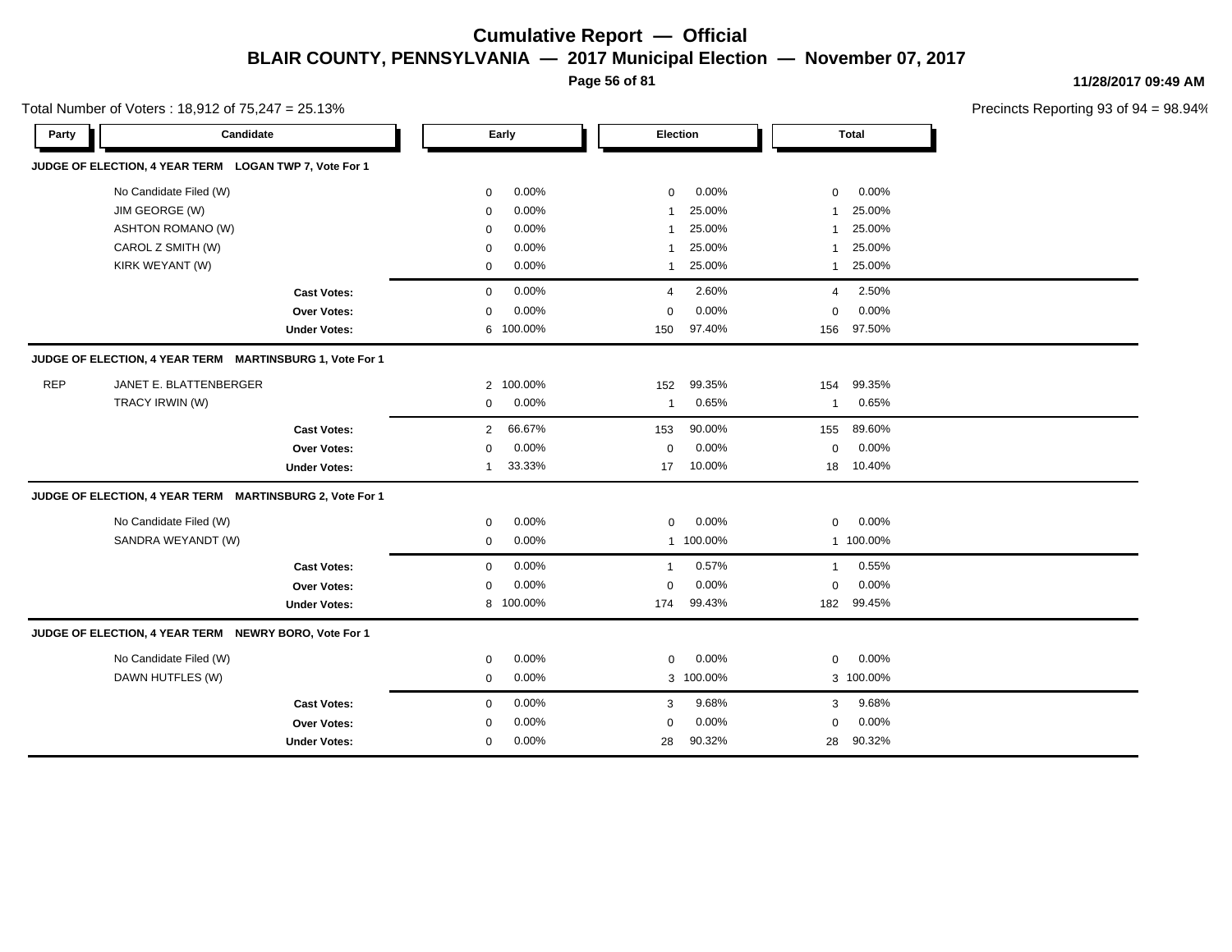**Page 56 of 81**

**11/28/2017 09:49 AM**

|            | Total Number of Voters: 18,912 of 75,247 = 25.13%        |                     |                |           |              |           |              |              | Precincts Reporting 93 of 9 |
|------------|----------------------------------------------------------|---------------------|----------------|-----------|--------------|-----------|--------------|--------------|-----------------------------|
| Party      | Candidate                                                |                     |                | Early     |              | Election  |              | <b>Total</b> |                             |
|            | JUDGE OF ELECTION, 4 YEAR TERM LOGAN TWP 7, Vote For 1   |                     |                |           |              |           |              |              |                             |
|            | No Candidate Filed (W)                                   |                     | $\mathbf 0$    | 0.00%     | $\mathbf 0$  | 0.00%     | $\mathbf 0$  | 0.00%        |                             |
|            | JIM GEORGE (W)                                           |                     | $\mathbf 0$    | 0.00%     | $\mathbf{1}$ | 25.00%    | 1            | 25.00%       |                             |
|            | <b>ASHTON ROMANO (W)</b>                                 |                     | $\mathbf 0$    | 0.00%     | $\mathbf{1}$ | 25.00%    |              | 25.00%       |                             |
|            | CAROL Z SMITH (W)                                        |                     | 0              | $0.00\%$  | -1           | 25.00%    | -1           | 25.00%       |                             |
|            | KIRK WEYANT (W)                                          |                     | 0              | 0.00%     | 1            | 25.00%    | $\mathbf{1}$ | 25.00%       |                             |
|            |                                                          | <b>Cast Votes:</b>  | 0              | 0.00%     | 4            | 2.60%     | 4            | 2.50%        |                             |
|            |                                                          | Over Votes:         | $\mathbf 0$    | 0.00%     | $\mathbf 0$  | 0.00%     | $\mathbf 0$  | 0.00%        |                             |
|            |                                                          | <b>Under Votes:</b> | 6              | 100.00%   | 150          | 97.40%    | 156          | 97.50%       |                             |
|            | JUDGE OF ELECTION, 4 YEAR TERM MARTINSBURG 1, Vote For 1 |                     |                |           |              |           |              |              |                             |
| <b>REP</b> | JANET E. BLATTENBERGER                                   |                     | $\overline{2}$ | 100.00%   | 152          | 99.35%    | 154          | 99.35%       |                             |
|            | TRACY IRWIN (W)                                          |                     | $\mathbf 0$    | 0.00%     | -1           | 0.65%     | 1            | 0.65%        |                             |
|            |                                                          | <b>Cast Votes:</b>  | $\overline{2}$ | 66.67%    | 153          | 90.00%    | 155          | 89.60%       |                             |
|            |                                                          | <b>Over Votes:</b>  | $\mathbf 0$    | $0.00\%$  | $\mathbf 0$  | 0.00%     | $\mathbf 0$  | 0.00%        |                             |
|            |                                                          | <b>Under Votes:</b> | $\mathbf 1$    | 33.33%    | 17           | 10.00%    | 18           | 10.40%       |                             |
|            | JUDGE OF ELECTION, 4 YEAR TERM MARTINSBURG 2, Vote For 1 |                     |                |           |              |           |              |              |                             |
|            | No Candidate Filed (W)                                   |                     | $\mathbf 0$    | 0.00%     | $\mathbf 0$  | 0.00%     | 0            | 0.00%        |                             |
|            | SANDRA WEYANDT (W)                                       |                     | $\mathbf 0$    | 0.00%     |              | 1 100.00% |              | 1 100.00%    |                             |
|            |                                                          | <b>Cast Votes:</b>  | $\mathbf 0$    | 0.00%     | -1           | 0.57%     | $\mathbf{1}$ | 0.55%        |                             |
|            |                                                          | Over Votes:         | $\mathbf 0$    | 0.00%     | 0            | 0.00%     | $\mathbf 0$  | 0.00%        |                             |
|            |                                                          | <b>Under Votes:</b> |                | 8 100.00% | 174          | 99.43%    | 182          | 99.45%       |                             |
|            | JUDGE OF ELECTION, 4 YEAR TERM NEWRY BORO, Vote For 1    |                     |                |           |              |           |              |              |                             |
|            | No Candidate Filed (W)                                   |                     | $\mathbf 0$    | 0.00%     | $\mathbf 0$  | 0.00%     | $\mathbf 0$  | 0.00%        |                             |
|            | DAWN HUTFLES (W)                                         |                     | $\mathbf 0$    | 0.00%     |              | 3 100.00% |              | 3 100.00%    |                             |
|            |                                                          | <b>Cast Votes:</b>  | $\mathbf 0$    | 0.00%     | 3            | 9.68%     | 3            | 9.68%        |                             |
|            |                                                          | Over Votes:         | 0              | 0.00%     | 0            | 0.00%     | 0            | 0.00%        |                             |
|            |                                                          | <b>Under Votes:</b> | $\mathbf 0$    | 0.00%     | 28           | 90.32%    | 28           | 90.32%       |                             |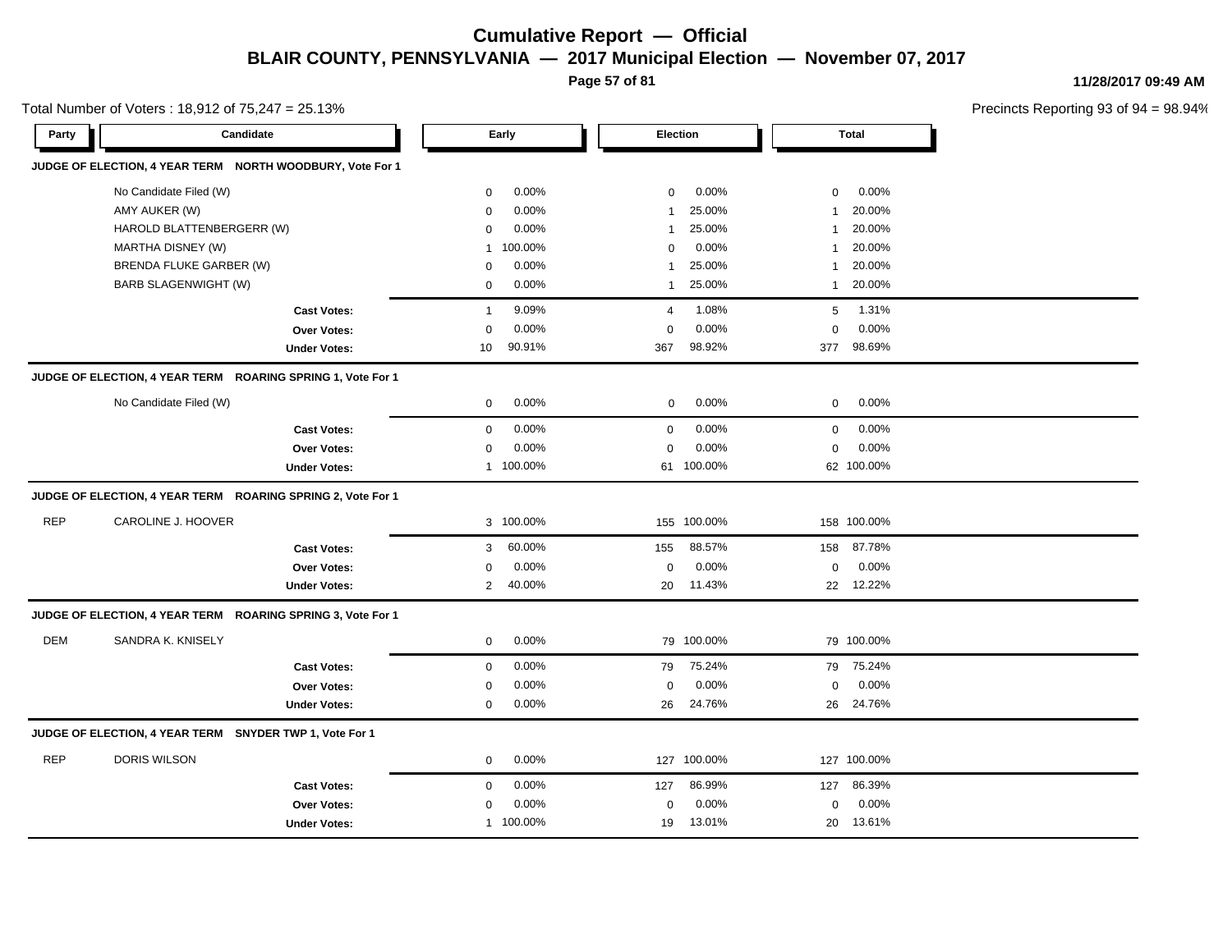**Page 57 of 81**

**11/28/2017 09:49 AM**

|            | Total Number of Voters: 18,912 of 75,247 = 25.13%           |                     |                |           |                |             |              |              | Precincts Reporting 93 of |
|------------|-------------------------------------------------------------|---------------------|----------------|-----------|----------------|-------------|--------------|--------------|---------------------------|
| Party      | Candidate                                                   |                     |                | Early     |                | Election    |              | <b>Total</b> |                           |
|            | JUDGE OF ELECTION, 4 YEAR TERM NORTH WOODBURY, Vote For 1   |                     |                |           |                |             |              |              |                           |
|            | No Candidate Filed (W)                                      |                     | 0              | 0.00%     | $\mathbf 0$    | 0.00%       | $\mathbf 0$  | 0.00%        |                           |
|            | AMY AUKER (W)                                               |                     | 0              | 0.00%     | $\mathbf{1}$   | 25.00%      | 1            | 20.00%       |                           |
|            | HAROLD BLATTENBERGERR (W)                                   |                     | 0              | 0.00%     | $\overline{1}$ | 25.00%      | 1            | 20.00%       |                           |
|            | MARTHA DISNEY (W)                                           |                     | 1              | 100.00%   | $\Omega$       | 0.00%       | -1           | 20.00%       |                           |
|            | BRENDA FLUKE GARBER (W)                                     |                     | 0              | 0.00%     | $\overline{1}$ | 25.00%      | 1            | 20.00%       |                           |
|            | BARB SLAGENWIGHT (W)                                        |                     | 0              | 0.00%     | $\mathbf{1}$   | 25.00%      | $\mathbf{1}$ | 20.00%       |                           |
|            |                                                             | <b>Cast Votes:</b>  | $\overline{1}$ | 9.09%     | $\overline{4}$ | 1.08%       | 5            | 1.31%        |                           |
|            |                                                             | Over Votes:         | $\mathbf 0$    | 0.00%     | $\mathbf 0$    | 0.00%       | $\mathbf 0$  | 0.00%        |                           |
|            |                                                             | <b>Under Votes:</b> | 10             | 90.91%    | 367            | 98.92%      |              | 377 98.69%   |                           |
|            | JUDGE OF ELECTION, 4 YEAR TERM ROARING SPRING 1, Vote For 1 |                     |                |           |                |             |              |              |                           |
|            | No Candidate Filed (W)                                      |                     | $\mathbf 0$    | 0.00%     | 0              | 0.00%       | 0            | 0.00%        |                           |
|            |                                                             | <b>Cast Votes:</b>  | $\mathbf 0$    | 0.00%     | $\mathbf 0$    | 0.00%       | $\mathbf 0$  | 0.00%        |                           |
|            |                                                             | Over Votes:         | 0              | 0.00%     | $\mathbf 0$    | 0.00%       | 0            | 0.00%        |                           |
|            |                                                             | <b>Under Votes:</b> |                | 1 100.00% |                | 61 100.00%  |              | 62 100.00%   |                           |
|            | JUDGE OF ELECTION, 4 YEAR TERM ROARING SPRING 2, Vote For 1 |                     |                |           |                |             |              |              |                           |
| <b>REP</b> | CAROLINE J. HOOVER                                          |                     |                | 3 100.00% |                | 155 100.00% |              | 158 100.00%  |                           |
|            |                                                             | <b>Cast Votes:</b>  | 3              | 60.00%    | 155            | 88.57%      | 158          | 87.78%       |                           |
|            |                                                             | Over Votes:         | 0              | 0.00%     | 0              | $0.00\%$    | $\mathbf 0$  | $0.00\%$     |                           |
|            |                                                             | <b>Under Votes:</b> | $\overline{2}$ | 40.00%    | 20             | 11.43%      |              | 22 12.22%    |                           |
|            | JUDGE OF ELECTION, 4 YEAR TERM ROARING SPRING 3, Vote For 1 |                     |                |           |                |             |              |              |                           |
| DEM        | SANDRA K. KNISELY                                           |                     | $\mathbf 0$    | 0.00%     |                | 79 100.00%  |              | 79 100.00%   |                           |
|            |                                                             | <b>Cast Votes:</b>  | $\mathbf 0$    | 0.00%     | 79             | 75.24%      | 79           | 75.24%       |                           |
|            |                                                             | Over Votes:         | 0              | 0.00%     | $\mathbf 0$    | 0.00%       | $\mathbf 0$  | 0.00%        |                           |
|            |                                                             | <b>Under Votes:</b> | 0              | 0.00%     | 26             | 24.76%      |              | 26 24.76%    |                           |
|            | JUDGE OF ELECTION, 4 YEAR TERM SNYDER TWP 1, Vote For 1     |                     |                |           |                |             |              |              |                           |
| <b>REP</b> | <b>DORIS WILSON</b>                                         |                     | $\mathbf 0$    | 0.00%     |                | 127 100.00% |              | 127 100.00%  |                           |
|            |                                                             | <b>Cast Votes:</b>  | $\mathbf 0$    | 0.00%     | 127            | 86.99%      | 127          | 86.39%       |                           |
|            |                                                             | Over Votes:         | 0              | 0.00%     | $\mathbf 0$    | 0.00%       | 0            | 0.00%        |                           |
|            |                                                             | <b>Under Votes:</b> |                | 1 100.00% | 19             | 13.01%      | 20           | 13.61%       |                           |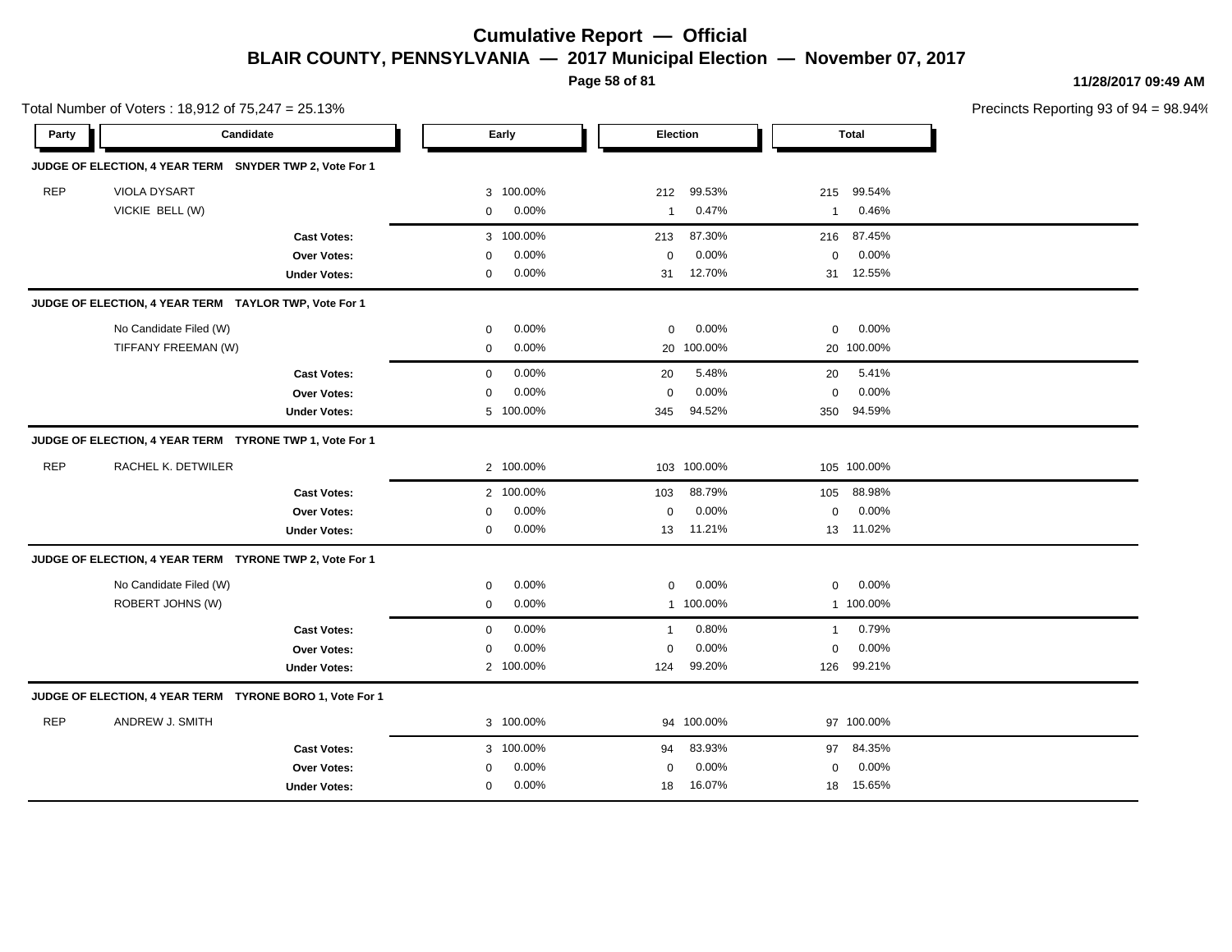**Page 58 of 81**

**11/28/2017 09:49 AM**

|            | Total Number of Voters: 18,912 of 75,247 = 25.13%        |                                                                 |                            |                             |                                    |                           |                            |                                 | Precincts Reporting 93 of 9 |
|------------|----------------------------------------------------------|-----------------------------------------------------------------|----------------------------|-----------------------------|------------------------------------|---------------------------|----------------------------|---------------------------------|-----------------------------|
| Party      | Candidate                                                |                                                                 |                            | Early                       | <b>Election</b>                    |                           |                            | <b>Total</b>                    |                             |
|            | JUDGE OF ELECTION, 4 YEAR TERM SNYDER TWP 2, Vote For 1  |                                                                 |                            |                             |                                    |                           |                            |                                 |                             |
| <b>REP</b> | VIOLA DYSART<br>VICKIE BELL (W)                          |                                                                 | 3<br>$\mathbf 0$           | 100.00%<br>0.00%            | 212<br>$\mathbf{1}$                | 99.53%<br>0.47%           | 215<br>-1                  | 99.54%<br>0.46%                 |                             |
|            |                                                          | <b>Cast Votes:</b><br>Over Votes:<br><b>Under Votes:</b>        | $\mathbf 0$<br>$\mathbf 0$ | 3 100.00%<br>0.00%<br>0.00% | 213<br>$\mathbf 0$<br>31           | 87.30%<br>0.00%<br>12.70% | 216<br>0<br>31             | 87.45%<br>$0.00\%$<br>12.55%    |                             |
|            | JUDGE OF ELECTION, 4 YEAR TERM TAYLOR TWP, Vote For 1    |                                                                 |                            |                             |                                    |                           |                            |                                 |                             |
|            | No Candidate Filed (W)<br>TIFFANY FREEMAN (W)            |                                                                 | $\mathbf 0$<br>$\mathbf 0$ | 0.00%<br>0.00%              | $\mathbf 0$                        | 0.00%<br>20 100.00%       | 0                          | 0.00%<br>20 100.00%             |                             |
|            |                                                          | <b>Cast Votes:</b><br><b>Over Votes:</b><br><b>Under Votes:</b> | $\mathbf 0$<br>$\mathbf 0$ | 0.00%<br>0.00%<br>5 100.00% | 20<br>$\mathbf 0$<br>345           | 5.48%<br>0.00%<br>94.52%  | 20<br>0<br>350             | 5.41%<br>0.00%<br>94.59%        |                             |
|            | JUDGE OF ELECTION, 4 YEAR TERM TYRONE TWP 1, Vote For 1  |                                                                 |                            |                             |                                    |                           |                            |                                 |                             |
| <b>REP</b> | RACHEL K. DETWILER                                       |                                                                 |                            | 2 100.00%                   |                                    | 103 100.00%               |                            | 105 100.00%                     |                             |
|            |                                                          | <b>Cast Votes:</b><br>Over Votes:<br><b>Under Votes:</b>        | 0<br>0                     | 2 100.00%<br>0.00%<br>0.00% | 103<br>0<br>13                     | 88.79%<br>0.00%<br>11.21% | 105<br>0                   | 88.98%<br>0.00%<br>13 11.02%    |                             |
|            | JUDGE OF ELECTION, 4 YEAR TERM TYRONE TWP 2, Vote For 1  |                                                                 |                            |                             |                                    |                           |                            |                                 |                             |
|            | No Candidate Filed (W)<br>ROBERT JOHNS (W)               |                                                                 | $\mathbf 0$<br>$\mathbf 0$ | 0.00%<br>0.00%              | $\mathbf 0$                        | 0.00%<br>1 100.00%        | $\mathbf 0$                | 0.00%<br>1 100.00%              |                             |
|            |                                                          | <b>Cast Votes:</b><br>Over Votes:<br><b>Under Votes:</b>        | $\mathbf 0$<br>$\mathbf 0$ | 0.00%<br>0.00%<br>2 100.00% | $\mathbf{1}$<br>$\mathbf 0$<br>124 | 0.80%<br>0.00%<br>99.20%  | $\overline{1}$<br>0<br>126 | 0.79%<br>0.00%<br>99.21%        |                             |
|            | JUDGE OF ELECTION, 4 YEAR TERM TYRONE BORO 1, Vote For 1 |                                                                 |                            |                             |                                    |                           |                            |                                 |                             |
| <b>REP</b> | ANDREW J. SMITH                                          |                                                                 |                            | 3 100.00%                   |                                    | 94 100.00%                |                            | 97 100.00%                      |                             |
|            |                                                          | <b>Cast Votes:</b><br>Over Votes:<br><b>Under Votes:</b>        | $\Omega$<br>$\mathbf 0$    | 3 100.00%<br>0.00%<br>0.00% | 94<br>0<br>18                      | 83.93%<br>0.00%<br>16.07% | 97<br>0                    | 84.35%<br>$0.00\%$<br>18 15.65% |                             |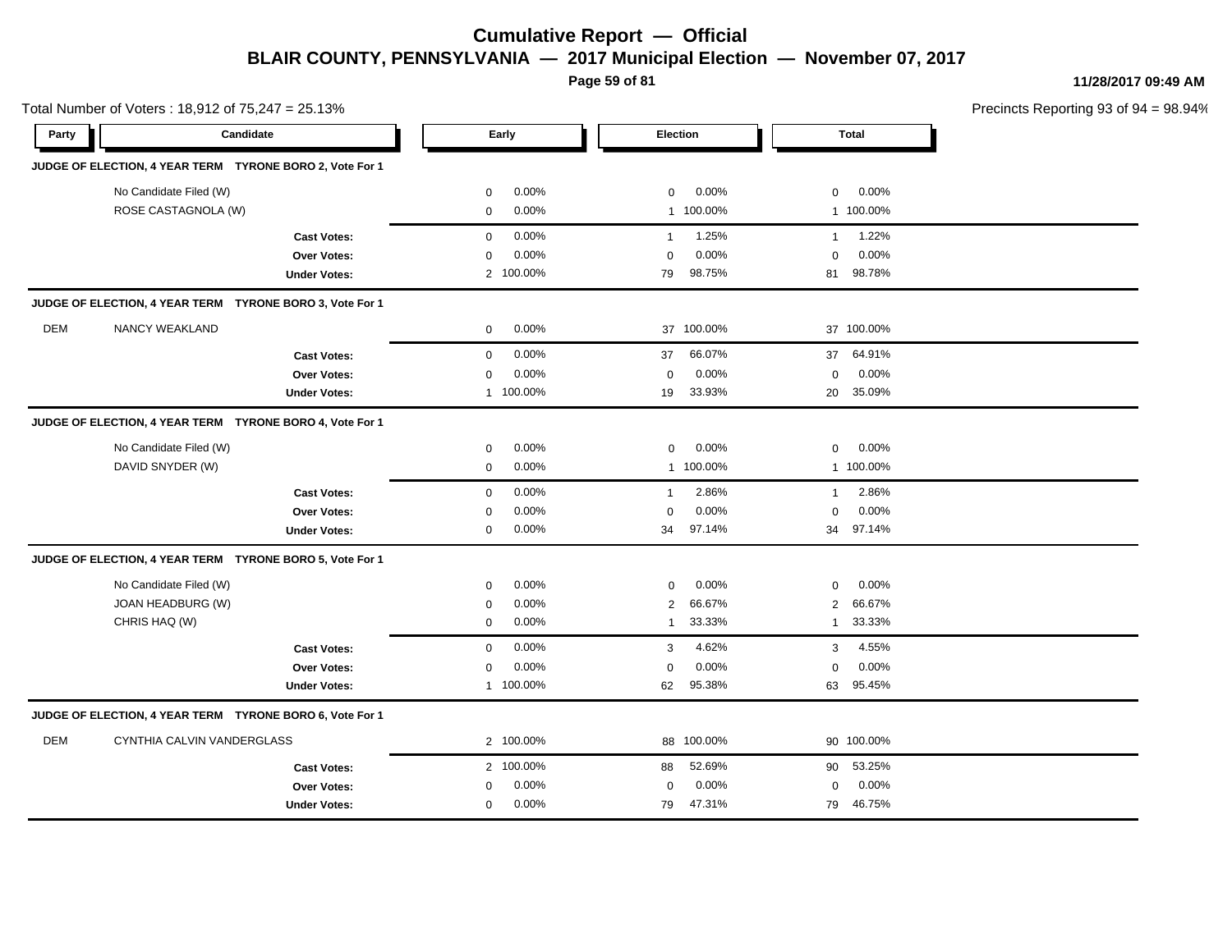**Page 59 of 81**

**11/28/2017 09:49 AM**

|            | Total Number of Voters: 18,912 of 75,247 = 25.13%        |                     |             |           |                |            |                | Precincts Reporting 93 of |  |
|------------|----------------------------------------------------------|---------------------|-------------|-----------|----------------|------------|----------------|---------------------------|--|
| Party      | Candidate                                                |                     |             | Early     |                | Election   |                | <b>Total</b>              |  |
|            | JUDGE OF ELECTION, 4 YEAR TERM TYRONE BORO 2, Vote For 1 |                     |             |           |                |            |                |                           |  |
|            | No Candidate Filed (W)                                   |                     | 0           | 0.00%     | $\mathbf 0$    | 0.00%      | $\mathbf 0$    | 0.00%                     |  |
|            | ROSE CASTAGNOLA (W)                                      |                     | 0           | 0.00%     |                | 1 100.00%  |                | 1 100.00%                 |  |
|            |                                                          | <b>Cast Votes:</b>  | $\mathbf 0$ | 0.00%     | $\mathbf{1}$   | 1.25%      | $\overline{1}$ | 1.22%                     |  |
|            |                                                          | Over Votes:         | $\mathbf 0$ | 0.00%     | $\mathbf 0$    | 0.00%      | $\mathbf 0$    | 0.00%                     |  |
|            |                                                          | <b>Under Votes:</b> |             | 2 100.00% | 79             | 98.75%     | 81             | 98.78%                    |  |
|            | JUDGE OF ELECTION, 4 YEAR TERM TYRONE BORO 3, Vote For 1 |                     |             |           |                |            |                |                           |  |
| <b>DEM</b> | NANCY WEAKLAND                                           |                     | $\mathbf 0$ | 0.00%     |                | 37 100.00% |                | 37 100.00%                |  |
|            |                                                          | <b>Cast Votes:</b>  | $\mathbf 0$ | 0.00%     | 37             | 66.07%     | 37             | 64.91%                    |  |
|            |                                                          | Over Votes:         | 0           | 0.00%     | $\pmb{0}$      | 0.00%      | $\mathbf 0$    | 0.00%                     |  |
|            |                                                          | <b>Under Votes:</b> |             | 1 100.00% | 19             | 33.93%     | 20             | 35.09%                    |  |
|            | JUDGE OF ELECTION, 4 YEAR TERM TYRONE BORO 4, Vote For 1 |                     |             |           |                |            |                |                           |  |
|            | No Candidate Filed (W)                                   |                     | $\mathbf 0$ | 0.00%     | $\mathbf 0$    | 0.00%      | $\mathbf 0$    | 0.00%                     |  |
|            | DAVID SNYDER (W)                                         |                     | $\mathbf 0$ | 0.00%     |                | 1 100.00%  |                | 1 100.00%                 |  |
|            |                                                          | <b>Cast Votes:</b>  | $\mathbf 0$ | 0.00%     | $\mathbf{1}$   | 2.86%      | $\overline{1}$ | 2.86%                     |  |
|            |                                                          | Over Votes:         | $\mathbf 0$ | 0.00%     | $\mathbf 0$    | 0.00%      | $\mathbf 0$    | 0.00%                     |  |
|            |                                                          | <b>Under Votes:</b> | 0           | 0.00%     | 34             | 97.14%     | 34             | 97.14%                    |  |
|            | JUDGE OF ELECTION, 4 YEAR TERM TYRONE BORO 5, Vote For 1 |                     |             |           |                |            |                |                           |  |
|            | No Candidate Filed (W)                                   |                     | $\mathbf 0$ | 0.00%     | $\mathbf 0$    | 0.00%      | $\mathbf 0$    | 0.00%                     |  |
|            | JOAN HEADBURG (W)                                        |                     | $\mathbf 0$ | 0.00%     | $\overline{2}$ | 66.67%     | 2              | 66.67%                    |  |
|            | CHRIS HAQ (W)                                            |                     | $\mathbf 0$ | 0.00%     | $\mathbf{1}$   | 33.33%     | $\overline{1}$ | 33.33%                    |  |
|            |                                                          | <b>Cast Votes:</b>  | $\mathbf 0$ | 0.00%     | 3              | 4.62%      | 3              | 4.55%                     |  |
|            |                                                          | Over Votes:         | $\mathbf 0$ | 0.00%     | $\mathbf 0$    | 0.00%      | $\mathbf 0$    | 0.00%                     |  |
|            |                                                          | <b>Under Votes:</b> |             | 1 100.00% | 62             | 95.38%     |                | 63 95.45%                 |  |
|            | JUDGE OF ELECTION, 4 YEAR TERM TYRONE BORO 6, Vote For 1 |                     |             |           |                |            |                |                           |  |
| DEM        | CYNTHIA CALVIN VANDERGLASS                               |                     |             | 2 100.00% |                | 88 100.00% |                | 90 100.00%                |  |
|            |                                                          | <b>Cast Votes:</b>  |             | 2 100.00% | 88             | 52.69%     | 90             | 53.25%                    |  |
|            |                                                          | Over Votes:         | $\mathbf 0$ | $0.00\%$  | $\mathbf 0$    | 0.00%      | $\mathbf 0$    | 0.00%                     |  |
|            |                                                          | <b>Under Votes:</b> | 0           | $0.00\%$  | 79             | 47.31%     | 79             | 46.75%                    |  |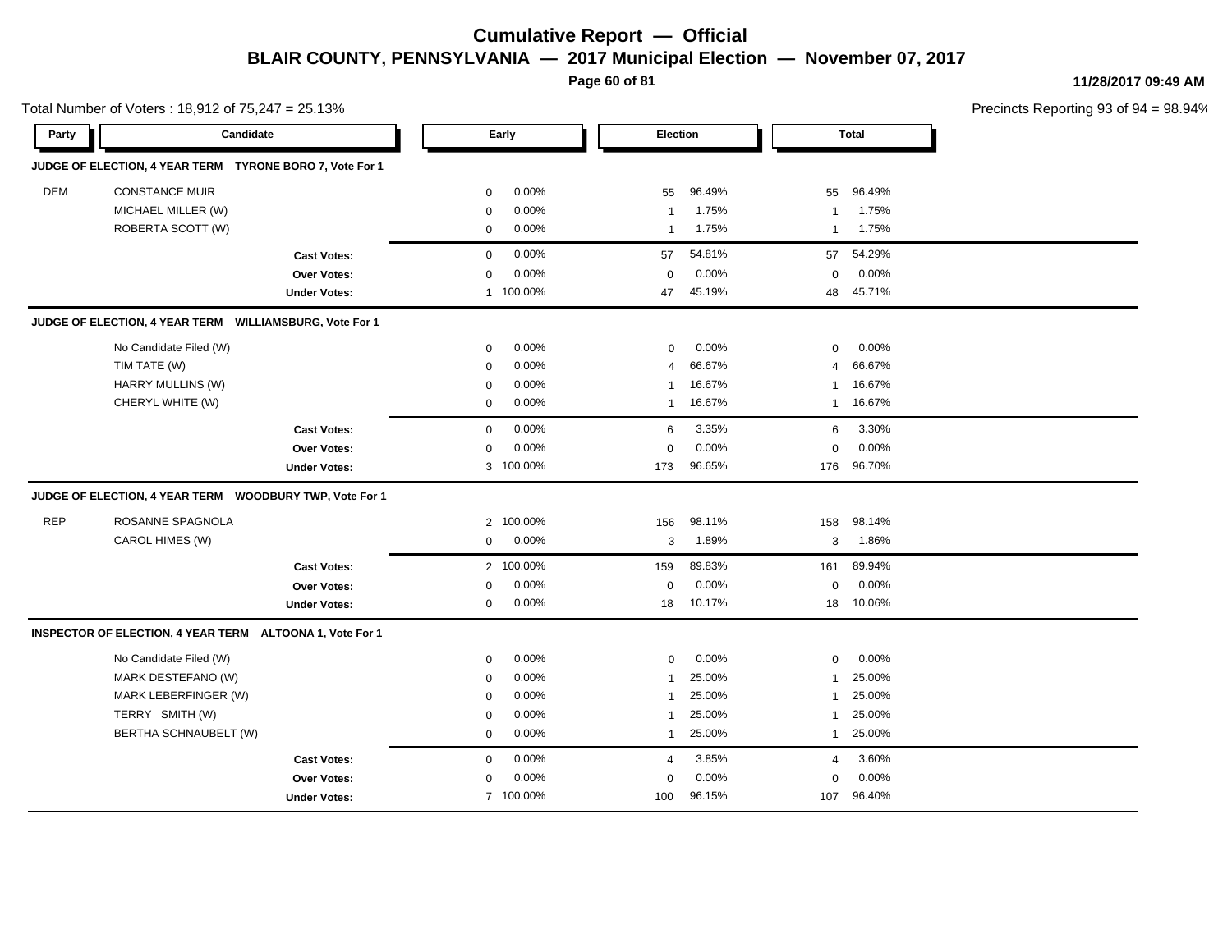**Page 60 of 81**

**11/28/2017 09:49 AM**

|            | Total Number of Voters: 18,912 of 75,247 = 25.13%                                                                |                                                                 |                                                                         |                                           |                                                                             |                                               |                                                                   | Precincts Reporting 93 of 9                   |  |
|------------|------------------------------------------------------------------------------------------------------------------|-----------------------------------------------------------------|-------------------------------------------------------------------------|-------------------------------------------|-----------------------------------------------------------------------------|-----------------------------------------------|-------------------------------------------------------------------|-----------------------------------------------|--|
| Party      | Candidate                                                                                                        |                                                                 |                                                                         | Early                                     | <b>Election</b>                                                             |                                               |                                                                   | <b>Total</b>                                  |  |
|            | JUDGE OF ELECTION, 4 YEAR TERM TYRONE BORO 7, Vote For 1                                                         |                                                                 |                                                                         |                                           |                                                                             |                                               |                                                                   |                                               |  |
| DEM        | <b>CONSTANCE MUIR</b><br>MICHAEL MILLER (W)<br>ROBERTA SCOTT (W)                                                 |                                                                 | 0<br>$\mathbf 0$<br>$\mathbf 0$                                         | 0.00%<br>0.00%<br>0.00%                   | 55<br>$\mathbf{1}$<br>$\mathbf{1}$                                          | 96.49%<br>1.75%<br>1.75%                      | 55<br>$\mathbf{1}$<br>$\mathbf{1}$                                | 96.49%<br>1.75%<br>1.75%                      |  |
|            |                                                                                                                  | <b>Cast Votes:</b><br>Over Votes:<br><b>Under Votes:</b>        | $\mathbf 0$<br>$\mathbf 0$                                              | 0.00%<br>0.00%<br>1 100.00%               | 57<br>$\mathbf 0$<br>47                                                     | 54.81%<br>0.00%<br>45.19%                     | 57<br>0                                                           | 54.29%<br>0.00%<br>48 45.71%                  |  |
|            | JUDGE OF ELECTION, 4 YEAR TERM WILLIAMSBURG, Vote For 1                                                          |                                                                 |                                                                         |                                           |                                                                             |                                               |                                                                   |                                               |  |
|            | No Candidate Filed (W)<br>TIM TATE (W)<br>HARRY MULLINS (W)<br>CHERYL WHITE (W)                                  |                                                                 | 0<br>$\mathbf 0$<br>0<br>0                                              | 0.00%<br>0.00%<br>0.00%<br>0.00%          | 0<br>$\overline{4}$<br>1<br>1                                               | 0.00%<br>66.67%<br>16.67%<br>16.67%           | 0<br>4<br>1<br>1                                                  | 0.00%<br>66.67%<br>16.67%<br>16.67%           |  |
|            |                                                                                                                  | <b>Cast Votes:</b><br><b>Over Votes:</b><br><b>Under Votes:</b> | $\mathsf 0$<br>$\mathbf 0$                                              | 0.00%<br>0.00%<br>3 100.00%               | 6<br>0<br>173                                                               | 3.35%<br>0.00%<br>96.65%                      | 6<br>$\mathsf 0$<br>176                                           | 3.30%<br>0.00%<br>96.70%                      |  |
|            | JUDGE OF ELECTION, 4 YEAR TERM WOODBURY TWP, Vote For 1                                                          |                                                                 |                                                                         |                                           |                                                                             |                                               |                                                                   |                                               |  |
| <b>REP</b> | ROSANNE SPAGNOLA<br>CAROL HIMES (W)                                                                              |                                                                 | $\overline{2}$<br>0                                                     | 100.00%<br>0.00%                          | 156<br>3                                                                    | 98.11%<br>1.89%                               | 158<br>3                                                          | 98.14%<br>1.86%                               |  |
|            |                                                                                                                  | <b>Cast Votes:</b><br><b>Over Votes:</b><br><b>Under Votes:</b> | 0<br>$\mathbf 0$                                                        | 2 100.00%<br>0.00%<br>0.00%               | 159<br>$\mathbf 0$<br>18                                                    | 89.83%<br>0.00%<br>10.17%                     | 161<br>0                                                          | 89.94%<br>0.00%<br>18 10.06%                  |  |
|            | INSPECTOR OF ELECTION, 4 YEAR TERM ALTOONA 1, Vote For 1                                                         |                                                                 |                                                                         |                                           |                                                                             |                                               |                                                                   |                                               |  |
|            | No Candidate Filed (W)<br>MARK DESTEFANO (W)<br>MARK LEBERFINGER (W)<br>TERRY SMITH (W)<br>BERTHA SCHNAUBELT (W) |                                                                 | $\mathbf 0$<br>$\mathbf 0$<br>$\mathbf 0$<br>$\mathbf 0$<br>$\mathbf 0$ | 0.00%<br>0.00%<br>0.00%<br>0.00%<br>0.00% | $\mathbf 0$<br>$\mathbf{1}$<br>$\mathbf{1}$<br>$\mathbf{1}$<br>$\mathbf{1}$ | 0.00%<br>25.00%<br>25.00%<br>25.00%<br>25.00% | 0<br>$\mathbf{1}$<br>$\mathbf{1}$<br>$\mathbf{1}$<br>$\mathbf{1}$ | 0.00%<br>25.00%<br>25.00%<br>25.00%<br>25.00% |  |
|            |                                                                                                                  | <b>Cast Votes:</b><br>Over Votes:<br><b>Under Votes:</b>        | $\mathbf 0$<br>$\mathbf 0$                                              | 0.00%<br>0.00%<br>7 100.00%               | 4<br>0<br>100                                                               | 3.85%<br>0.00%<br>96.15%                      | 4<br>0<br>107                                                     | 3.60%<br>0.00%<br>96.40%                      |  |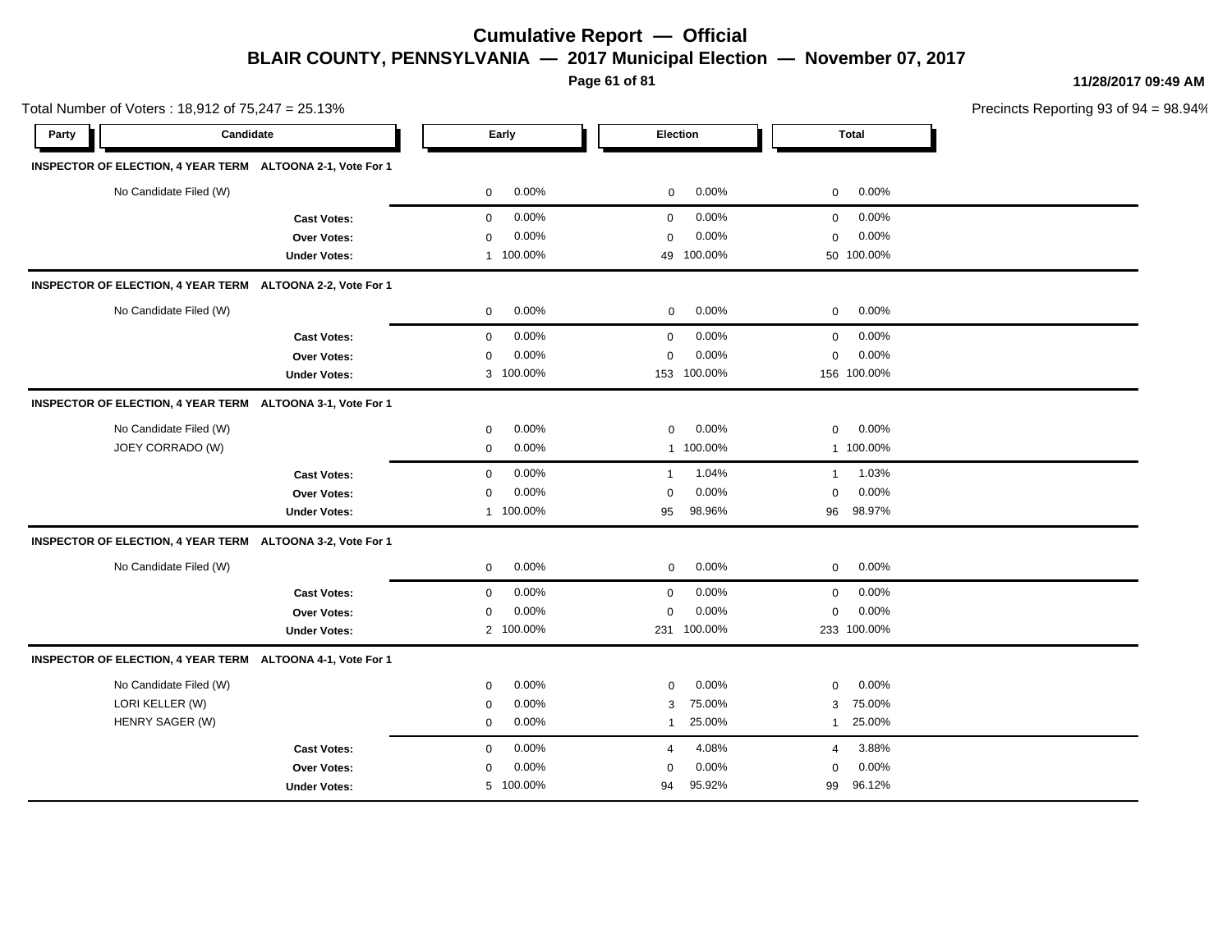**Page 61 of 81**

**11/28/2017 09:49 AM**

|       | Total Number of Voters: 18,912 of 75,247 = 25.13%          |                     |              |           |                |                 | Precincts Reporting 93 of 9 |             |  |
|-------|------------------------------------------------------------|---------------------|--------------|-----------|----------------|-----------------|-----------------------------|-------------|--|
| Party | Candidate                                                  |                     |              | Early     |                | <b>Election</b> |                             | Total       |  |
|       | INSPECTOR OF ELECTION, 4 YEAR TERM ALTOONA 2-1, Vote For 1 |                     |              |           |                |                 |                             |             |  |
|       | No Candidate Filed (W)                                     |                     | 0            | 0.00%     | 0              | 0.00%           | 0                           | 0.00%       |  |
|       |                                                            | <b>Cast Votes:</b>  | $\mathbf 0$  | 0.00%     | 0              | 0.00%           | 0                           | 0.00%       |  |
|       |                                                            | <b>Over Votes:</b>  | 0            | 0.00%     | 0              | 0.00%           | 0                           | 0.00%       |  |
|       |                                                            | <b>Under Votes:</b> | $\mathbf{1}$ | 100.00%   | 49             | 100.00%         |                             | 50 100.00%  |  |
|       | INSPECTOR OF ELECTION, 4 YEAR TERM ALTOONA 2-2, Vote For 1 |                     |              |           |                |                 |                             |             |  |
|       | No Candidate Filed (W)                                     |                     | $\mathbf 0$  | 0.00%     | 0              | 0.00%           | 0                           | 0.00%       |  |
|       |                                                            | <b>Cast Votes:</b>  | $\mathbf 0$  | 0.00%     | 0              | 0.00%           | $\mathbf 0$                 | 0.00%       |  |
|       |                                                            | Over Votes:         | $\mathbf 0$  | 0.00%     | 0              | 0.00%           | $\mathbf 0$                 | 0.00%       |  |
|       |                                                            | <b>Under Votes:</b> |              | 3 100.00% |                | 153 100.00%     |                             | 156 100.00% |  |
|       | INSPECTOR OF ELECTION, 4 YEAR TERM ALTOONA 3-1, Vote For 1 |                     |              |           |                |                 |                             |             |  |
|       | No Candidate Filed (W)                                     |                     | $\mathbf 0$  | 0.00%     | 0              | 0.00%           | $\mathbf 0$                 | 0.00%       |  |
|       | JOEY CORRADO (W)                                           |                     | $\mathbf 0$  | 0.00%     |                | 1 100.00%       |                             | 1 100.00%   |  |
|       |                                                            | <b>Cast Votes:</b>  | $\mathbf 0$  | 0.00%     | $\overline{1}$ | 1.04%           | $\mathbf{1}$                | 1.03%       |  |
|       |                                                            | Over Votes:         | 0            | 0.00%     | 0              | 0.00%           | 0                           | 0.00%       |  |
|       |                                                            | <b>Under Votes:</b> | $\mathbf{1}$ | 100.00%   | 95             | 98.96%          |                             | 96 98.97%   |  |
|       | INSPECTOR OF ELECTION, 4 YEAR TERM ALTOONA 3-2, Vote For 1 |                     |              |           |                |                 |                             |             |  |
|       | No Candidate Filed (W)                                     |                     | $\mathbf 0$  | 0.00%     | 0              | 0.00%           | 0                           | 0.00%       |  |
|       |                                                            | <b>Cast Votes:</b>  | 0            | 0.00%     | 0              | 0.00%           | 0                           | 0.00%       |  |
|       |                                                            | Over Votes:         | $\mathbf 0$  | 0.00%     | 0              | 0.00%           | $\mathbf 0$                 | 0.00%       |  |
|       |                                                            | <b>Under Votes:</b> |              | 2 100.00% |                | 231 100.00%     |                             | 233 100.00% |  |
|       | INSPECTOR OF ELECTION, 4 YEAR TERM ALTOONA 4-1, Vote For 1 |                     |              |           |                |                 |                             |             |  |
|       | No Candidate Filed (W)                                     |                     | 0            | 0.00%     | 0              | 0.00%           | 0                           | 0.00%       |  |
|       | LORI KELLER (W)                                            |                     | $\mathbf 0$  | 0.00%     | 3              | 75.00%          | 3                           | 75.00%      |  |
|       | HENRY SAGER (W)                                            |                     | 0            | $0.00\%$  | $\mathbf{1}$   | 25.00%          | $\mathbf{1}$                | 25.00%      |  |
|       |                                                            | <b>Cast Votes:</b>  | $\mathbf 0$  | 0.00%     | 4              | 4.08%           | 4                           | 3.88%       |  |
|       |                                                            | Over Votes:         | 0            | 0.00%     | 0              | 0.00%           | 0                           | 0.00%       |  |
|       |                                                            | <b>Under Votes:</b> |              | 5 100.00% | 94             | 95.92%          | 99                          | 96.12%      |  |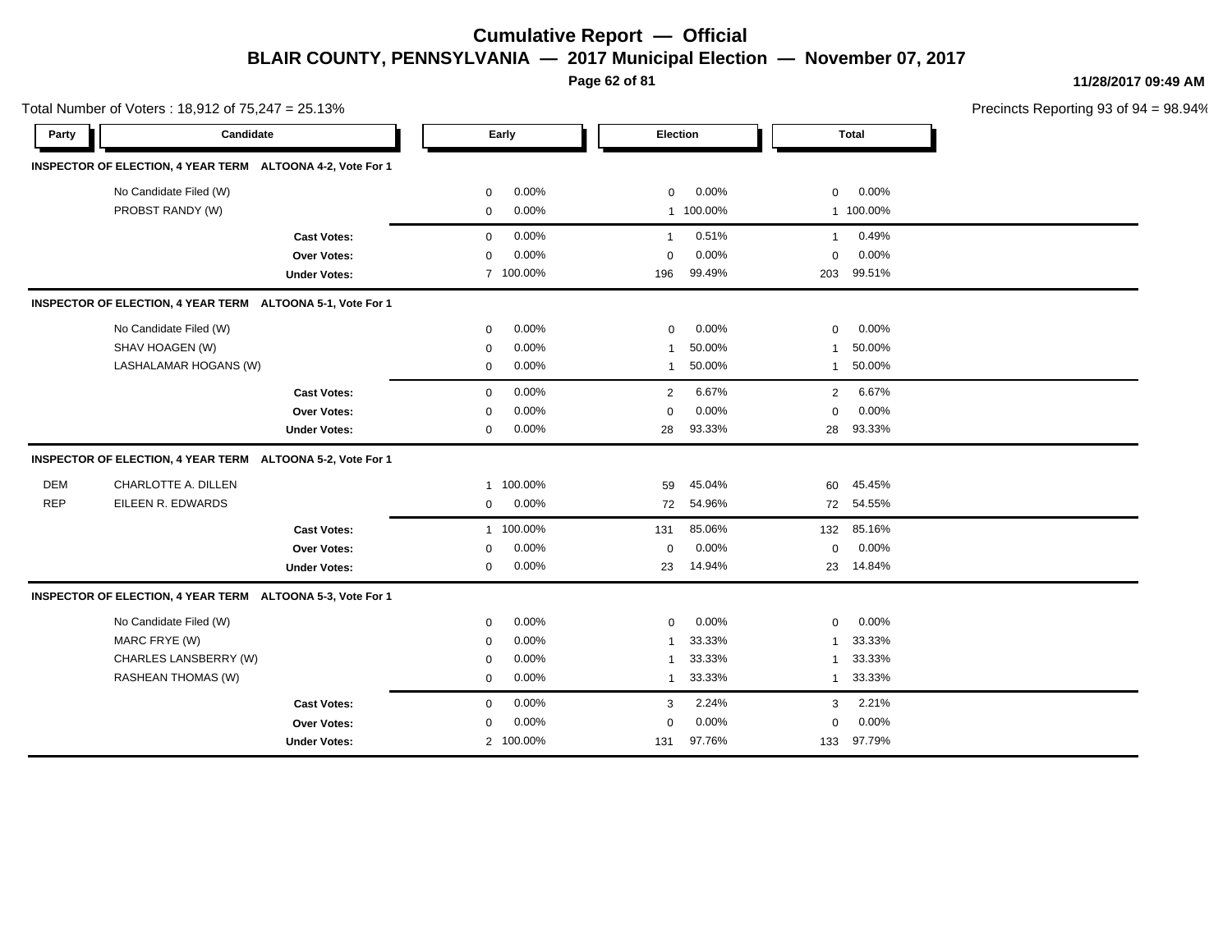**Page 62 of 81**

**11/28/2017 09:49 AM**

|            | Total Number of Voters: 18,912 of 75,247 = 25.13%          |                         |             |           |                         |           |                | Precincts Reporting 93 of 94 = 98.94% |  |  |
|------------|------------------------------------------------------------|-------------------------|-------------|-----------|-------------------------|-----------|----------------|---------------------------------------|--|--|
| Party      | Candidate                                                  |                         |             | Early     | Election                |           |                | <b>Total</b>                          |  |  |
|            | INSPECTOR OF ELECTION, 4 YEAR TERM ALTOONA 4-2, Vote For 1 |                         |             |           |                         |           |                |                                       |  |  |
|            | No Candidate Filed (W)                                     |                         | $\mathbf 0$ | 0.00%     | $\mathbf 0$             | 0.00%     | 0              | 0.00%                                 |  |  |
|            | PROBST RANDY (W)                                           |                         | $\mathbf 0$ | 0.00%     |                         | 1 100.00% |                | 1 100.00%                             |  |  |
|            |                                                            | <b>Cast Votes:</b>      | $\mathbf 0$ | 0.00%     | $\mathbf{1}$            | 0.51%     | $\mathbf{1}$   | 0.49%                                 |  |  |
|            |                                                            | Over Votes:             | $\mathbf 0$ | 0.00%     | $\Omega$                | 0.00%     | $\mathbf 0$    | 0.00%                                 |  |  |
|            |                                                            | <b>Under Votes:</b>     |             | 7 100.00% | 196                     | 99.49%    | 203            | 99.51%                                |  |  |
|            | INSPECTOR OF ELECTION, 4 YEAR TERM ALTOONA 5-1, Vote For 1 |                         |             |           |                         |           |                |                                       |  |  |
|            | No Candidate Filed (W)                                     |                         | $\mathbf 0$ | 0.00%     | $\mathbf 0$             | 0.00%     | 0              | 0.00%                                 |  |  |
|            | SHAV HOAGEN (W)                                            |                         | $\Omega$    | 0.00%     | -1                      | 50.00%    |                | 50.00%                                |  |  |
|            | LASHALAMAR HOGANS (W)                                      |                         | 0           | 0.00%     | $\overline{1}$          | 50.00%    | $\mathbf{1}$   | 50.00%                                |  |  |
|            |                                                            | <b>Cast Votes:</b>      | $\mathbf 0$ | 0.00%     | 2                       | 6.67%     | $\overline{2}$ | 6.67%                                 |  |  |
|            |                                                            | Over Votes:             | $\Omega$    | 0.00%     | $\Omega$                | 0.00%     | 0              | 0.00%                                 |  |  |
|            |                                                            | <b>Under Votes:</b>     | $\mathbf 0$ | 0.00%     | 28                      | 93.33%    | 28             | 93.33%                                |  |  |
|            | <b>INSPECTOR OF ELECTION, 4 YEAR TERM</b>                  | ALTOONA 5-2, Vote For 1 |             |           |                         |           |                |                                       |  |  |
| <b>DEM</b> | CHARLOTTE A. DILLEN                                        |                         |             | 1 100.00% | 59                      | 45.04%    | 60             | 45.45%                                |  |  |
| <b>REP</b> | EILEEN R. EDWARDS                                          |                         | $\mathbf 0$ | 0.00%     | 72                      | 54.96%    | 72             | 54.55%                                |  |  |
|            |                                                            | <b>Cast Votes:</b>      |             | 1 100.00% | 131                     | 85.06%    |                | 132 85.16%                            |  |  |
|            |                                                            | Over Votes:             | 0           | 0.00%     | $\mathbf 0$             | 0.00%     | 0              | 0.00%                                 |  |  |
|            |                                                            | <b>Under Votes:</b>     | 0           | 0.00%     | 23                      | 14.94%    |                | 23 14.84%                             |  |  |
|            | INSPECTOR OF ELECTION, 4 YEAR TERM ALTOONA 5-3, Vote For 1 |                         |             |           |                         |           |                |                                       |  |  |
|            | No Candidate Filed (W)                                     |                         | 0           | 0.00%     | $\mathbf 0$             | 0.00%     | 0              | 0.00%                                 |  |  |
|            | MARC FRYE (W)                                              |                         | $\mathbf 0$ | 0.00%     | -1                      | 33.33%    | 1              | 33.33%                                |  |  |
|            | CHARLES LANSBERRY (W)                                      |                         | $\mathbf 0$ | 0.00%     | $\overline{\mathbf{1}}$ | 33.33%    | 1              | 33.33%                                |  |  |
|            | RASHEAN THOMAS (W)                                         |                         | $\mathbf 0$ | 0.00%     | $\overline{1}$          | 33.33%    | $\mathbf{1}$   | 33.33%                                |  |  |
|            |                                                            | <b>Cast Votes:</b>      | $\mathbf 0$ | 0.00%     | 3                       | 2.24%     | 3              | 2.21%                                 |  |  |
|            |                                                            | <b>Over Votes:</b>      | 0           | 0.00%     | $\mathbf 0$             | 0.00%     | 0              | 0.00%                                 |  |  |
|            |                                                            | <b>Under Votes:</b>     |             | 2 100.00% | 131                     | 97.76%    | 133            | 97.79%                                |  |  |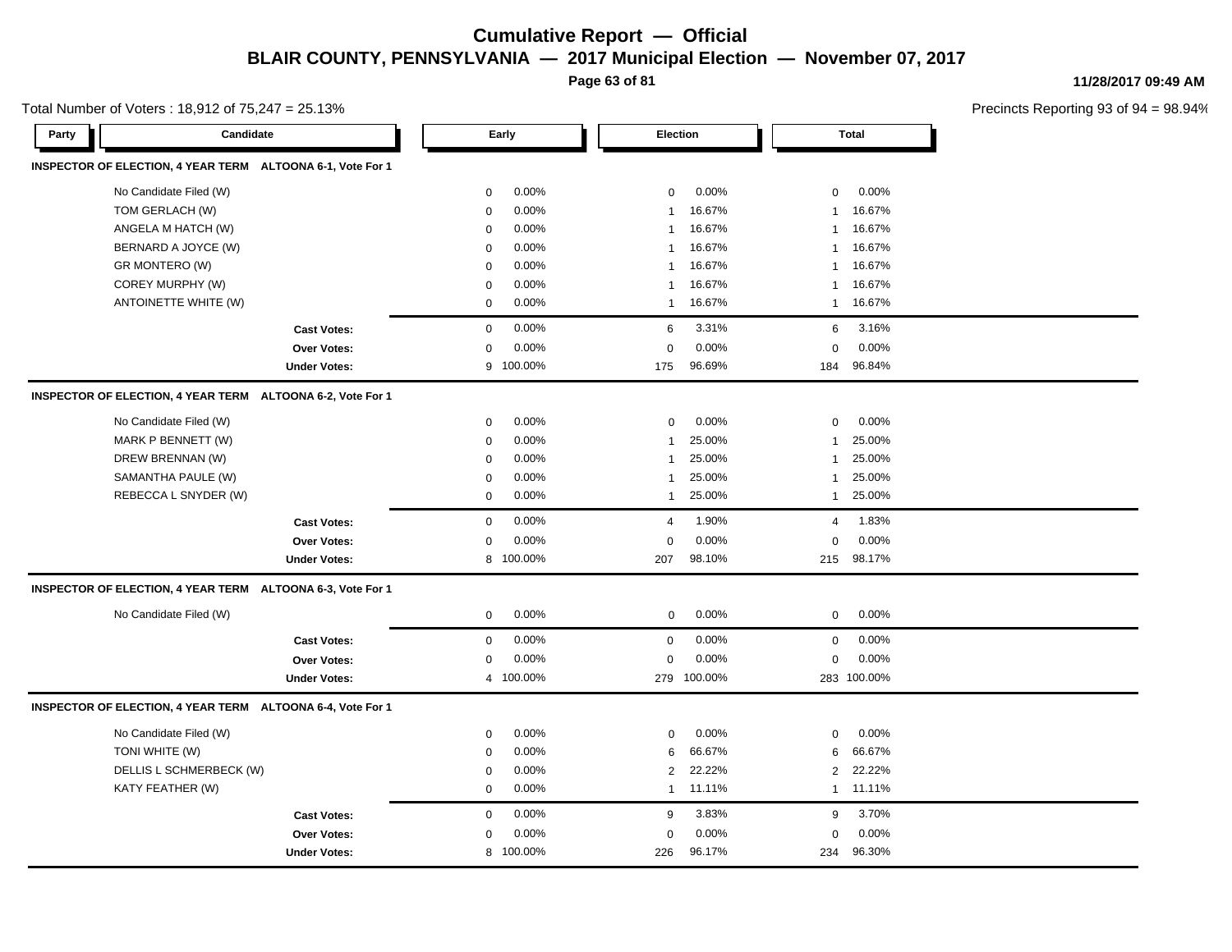**Page 63 of 81**

**11/28/2017 09:49 AM**

| Total Number of Voters: 18,912 of 75,247 = 25.13% |  |  |  |
|---------------------------------------------------|--|--|--|
|---------------------------------------------------|--|--|--|

| INSPECTOR OF ELECTION, 4 YEAR TERM ALTOONA 6-1, Vote For 1<br>0.00%<br>No Candidate Filed (W)<br>0.00%<br>0.00%<br>$\mathbf 0$<br>$\mathbf 0$<br>$\mathbf 0$<br>TOM GERLACH (W)<br>0.00%<br>16.67%<br>16.67%<br>$\mathbf 0$<br>$\mathbf{1}$<br>$\mathbf{1}$<br>ANGELA M HATCH (W)<br>0.00%<br>16.67%<br>16.67%<br>$\mathbf 0$<br>$\mathbf{1}$<br>1<br>0.00%<br>16.67%<br>16.67%<br>BERNARD A JOYCE (W)<br>$\mathbf 0$<br>-1<br>1<br>16.67%<br>16.67%<br>GR MONTERO (W)<br>0.00%<br>0<br>1<br>1<br>COREY MURPHY (W)<br>0.00%<br>16.67%<br>16.67%<br>$\mathbf 0$<br>$\mathbf{1}$<br>1<br>0.00%<br>16.67%<br>16.67%<br>ANTOINETTE WHITE (W)<br>$\mathbf 0$<br>$\mathbf{1}$<br>$\overline{1}$<br>0.00%<br>3.31%<br>3.16%<br><b>Cast Votes:</b><br>$\mathbf 0$<br>6<br>6<br>0.00%<br>0.00%<br>0.00%<br>0<br><b>Over Votes:</b><br>0<br>0<br>96.69%<br>96.84%<br>100.00%<br><b>Under Votes:</b><br>9<br>175<br>184<br>INSPECTOR OF ELECTION, 4 YEAR TERM ALTOONA 6-2, Vote For 1<br>No Candidate Filed (W)<br>0.00%<br>0.00%<br>0.00%<br>0<br>$\mathbf 0$<br>0<br>MARK P BENNETT (W)<br>25.00%<br>25.00%<br>$\mathbf 0$<br>0.00%<br>$\mathbf{1}$<br>-1<br>DREW BRENNAN (W)<br>0.00%<br>25.00%<br>25.00%<br>$\mathbf 0$<br>$\mathbf{1}$<br>$\overline{1}$<br>SAMANTHA PAULE (W)<br>0.00%<br>25.00%<br>25.00%<br>0<br>$\mathbf{1}$<br>$\overline{1}$<br>REBECCA L SNYDER (W)<br>0.00%<br>25.00%<br>25.00%<br>0<br>$\mathbf{1}$<br>$\overline{1}$<br>$\mathbf 0$<br>0.00%<br>1.90%<br>1.83%<br><b>Cast Votes:</b><br>$\overline{4}$<br>4<br>0.00%<br>0.00%<br>0.00%<br>$\mathbf 0$<br>Over Votes:<br>0<br>$\mathbf 0$<br>8 100.00%<br>98.10%<br>215 98.17%<br><b>Under Votes:</b><br>207<br>INSPECTOR OF ELECTION, 4 YEAR TERM ALTOONA 6-3, Vote For 1<br>No Candidate Filed (W)<br>0.00%<br>0.00%<br>0.00%<br>$\mathbf 0$<br>$\mathbf 0$<br>0<br>0.00%<br>$\mathbf 0$<br>0.00%<br>$\mathbf 0$<br>0.00%<br>$\mathbf 0$<br><b>Cast Votes:</b><br>0.00%<br>0.00%<br>0.00%<br>0<br>$\mathbf 0$<br>0<br><b>Over Votes:</b><br>283 100.00%<br>4 100.00%<br>279 100.00%<br><b>Under Votes:</b><br>INSPECTOR OF ELECTION, 4 YEAR TERM ALTOONA 6-4, Vote For 1<br>No Candidate Filed (W)<br>0.00%<br>0.00%<br>0.00%<br>$\mathbf 0$<br>0<br>0<br>TONI WHITE (W)<br>0.00%<br>66.67%<br>66.67%<br>6<br>6<br>$\mathbf 0$<br>22.22%<br>DELLIS L SCHMERBECK (W)<br>0.00%<br>22.22%<br>$\mathbf 0$<br>$\overline{2}$<br>$\overline{2}$<br>KATY FEATHER (W)<br>0.00%<br>11.11%<br>1 11.11%<br>$\mathbf 0$<br>$\mathbf{1}$<br>0.00%<br>3.83%<br>3.70%<br>$\mathbf 0$<br>9<br>9<br><b>Cast Votes:</b><br>0.00%<br>0.00%<br>0.00%<br>Over Votes:<br>0<br>$\mathbf 0$<br>$\mathbf 0$<br>8 100.00%<br>226<br>96.17%<br>234<br>96.30%<br><b>Under Votes:</b> | Party | Candidate |  | Early | Election |  | Total |  |  |
|-------------------------------------------------------------------------------------------------------------------------------------------------------------------------------------------------------------------------------------------------------------------------------------------------------------------------------------------------------------------------------------------------------------------------------------------------------------------------------------------------------------------------------------------------------------------------------------------------------------------------------------------------------------------------------------------------------------------------------------------------------------------------------------------------------------------------------------------------------------------------------------------------------------------------------------------------------------------------------------------------------------------------------------------------------------------------------------------------------------------------------------------------------------------------------------------------------------------------------------------------------------------------------------------------------------------------------------------------------------------------------------------------------------------------------------------------------------------------------------------------------------------------------------------------------------------------------------------------------------------------------------------------------------------------------------------------------------------------------------------------------------------------------------------------------------------------------------------------------------------------------------------------------------------------------------------------------------------------------------------------------------------------------------------------------------------------------------------------------------------------------------------------------------------------------------------------------------------------------------------------------------------------------------------------------------------------------------------------------------------------------------------------------------------------------------------------------------------------------------------------------------------------------------------------------------------------------------------------------------------------------------------------------------------------------------------------------------------------------|-------|-----------|--|-------|----------|--|-------|--|--|
|                                                                                                                                                                                                                                                                                                                                                                                                                                                                                                                                                                                                                                                                                                                                                                                                                                                                                                                                                                                                                                                                                                                                                                                                                                                                                                                                                                                                                                                                                                                                                                                                                                                                                                                                                                                                                                                                                                                                                                                                                                                                                                                                                                                                                                                                                                                                                                                                                                                                                                                                                                                                                                                                                                                               |       |           |  |       |          |  |       |  |  |
|                                                                                                                                                                                                                                                                                                                                                                                                                                                                                                                                                                                                                                                                                                                                                                                                                                                                                                                                                                                                                                                                                                                                                                                                                                                                                                                                                                                                                                                                                                                                                                                                                                                                                                                                                                                                                                                                                                                                                                                                                                                                                                                                                                                                                                                                                                                                                                                                                                                                                                                                                                                                                                                                                                                               |       |           |  |       |          |  |       |  |  |
|                                                                                                                                                                                                                                                                                                                                                                                                                                                                                                                                                                                                                                                                                                                                                                                                                                                                                                                                                                                                                                                                                                                                                                                                                                                                                                                                                                                                                                                                                                                                                                                                                                                                                                                                                                                                                                                                                                                                                                                                                                                                                                                                                                                                                                                                                                                                                                                                                                                                                                                                                                                                                                                                                                                               |       |           |  |       |          |  |       |  |  |
|                                                                                                                                                                                                                                                                                                                                                                                                                                                                                                                                                                                                                                                                                                                                                                                                                                                                                                                                                                                                                                                                                                                                                                                                                                                                                                                                                                                                                                                                                                                                                                                                                                                                                                                                                                                                                                                                                                                                                                                                                                                                                                                                                                                                                                                                                                                                                                                                                                                                                                                                                                                                                                                                                                                               |       |           |  |       |          |  |       |  |  |
|                                                                                                                                                                                                                                                                                                                                                                                                                                                                                                                                                                                                                                                                                                                                                                                                                                                                                                                                                                                                                                                                                                                                                                                                                                                                                                                                                                                                                                                                                                                                                                                                                                                                                                                                                                                                                                                                                                                                                                                                                                                                                                                                                                                                                                                                                                                                                                                                                                                                                                                                                                                                                                                                                                                               |       |           |  |       |          |  |       |  |  |
|                                                                                                                                                                                                                                                                                                                                                                                                                                                                                                                                                                                                                                                                                                                                                                                                                                                                                                                                                                                                                                                                                                                                                                                                                                                                                                                                                                                                                                                                                                                                                                                                                                                                                                                                                                                                                                                                                                                                                                                                                                                                                                                                                                                                                                                                                                                                                                                                                                                                                                                                                                                                                                                                                                                               |       |           |  |       |          |  |       |  |  |
|                                                                                                                                                                                                                                                                                                                                                                                                                                                                                                                                                                                                                                                                                                                                                                                                                                                                                                                                                                                                                                                                                                                                                                                                                                                                                                                                                                                                                                                                                                                                                                                                                                                                                                                                                                                                                                                                                                                                                                                                                                                                                                                                                                                                                                                                                                                                                                                                                                                                                                                                                                                                                                                                                                                               |       |           |  |       |          |  |       |  |  |
|                                                                                                                                                                                                                                                                                                                                                                                                                                                                                                                                                                                                                                                                                                                                                                                                                                                                                                                                                                                                                                                                                                                                                                                                                                                                                                                                                                                                                                                                                                                                                                                                                                                                                                                                                                                                                                                                                                                                                                                                                                                                                                                                                                                                                                                                                                                                                                                                                                                                                                                                                                                                                                                                                                                               |       |           |  |       |          |  |       |  |  |
|                                                                                                                                                                                                                                                                                                                                                                                                                                                                                                                                                                                                                                                                                                                                                                                                                                                                                                                                                                                                                                                                                                                                                                                                                                                                                                                                                                                                                                                                                                                                                                                                                                                                                                                                                                                                                                                                                                                                                                                                                                                                                                                                                                                                                                                                                                                                                                                                                                                                                                                                                                                                                                                                                                                               |       |           |  |       |          |  |       |  |  |
|                                                                                                                                                                                                                                                                                                                                                                                                                                                                                                                                                                                                                                                                                                                                                                                                                                                                                                                                                                                                                                                                                                                                                                                                                                                                                                                                                                                                                                                                                                                                                                                                                                                                                                                                                                                                                                                                                                                                                                                                                                                                                                                                                                                                                                                                                                                                                                                                                                                                                                                                                                                                                                                                                                                               |       |           |  |       |          |  |       |  |  |
|                                                                                                                                                                                                                                                                                                                                                                                                                                                                                                                                                                                                                                                                                                                                                                                                                                                                                                                                                                                                                                                                                                                                                                                                                                                                                                                                                                                                                                                                                                                                                                                                                                                                                                                                                                                                                                                                                                                                                                                                                                                                                                                                                                                                                                                                                                                                                                                                                                                                                                                                                                                                                                                                                                                               |       |           |  |       |          |  |       |  |  |
|                                                                                                                                                                                                                                                                                                                                                                                                                                                                                                                                                                                                                                                                                                                                                                                                                                                                                                                                                                                                                                                                                                                                                                                                                                                                                                                                                                                                                                                                                                                                                                                                                                                                                                                                                                                                                                                                                                                                                                                                                                                                                                                                                                                                                                                                                                                                                                                                                                                                                                                                                                                                                                                                                                                               |       |           |  |       |          |  |       |  |  |
|                                                                                                                                                                                                                                                                                                                                                                                                                                                                                                                                                                                                                                                                                                                                                                                                                                                                                                                                                                                                                                                                                                                                                                                                                                                                                                                                                                                                                                                                                                                                                                                                                                                                                                                                                                                                                                                                                                                                                                                                                                                                                                                                                                                                                                                                                                                                                                                                                                                                                                                                                                                                                                                                                                                               |       |           |  |       |          |  |       |  |  |
|                                                                                                                                                                                                                                                                                                                                                                                                                                                                                                                                                                                                                                                                                                                                                                                                                                                                                                                                                                                                                                                                                                                                                                                                                                                                                                                                                                                                                                                                                                                                                                                                                                                                                                                                                                                                                                                                                                                                                                                                                                                                                                                                                                                                                                                                                                                                                                                                                                                                                                                                                                                                                                                                                                                               |       |           |  |       |          |  |       |  |  |
|                                                                                                                                                                                                                                                                                                                                                                                                                                                                                                                                                                                                                                                                                                                                                                                                                                                                                                                                                                                                                                                                                                                                                                                                                                                                                                                                                                                                                                                                                                                                                                                                                                                                                                                                                                                                                                                                                                                                                                                                                                                                                                                                                                                                                                                                                                                                                                                                                                                                                                                                                                                                                                                                                                                               |       |           |  |       |          |  |       |  |  |
|                                                                                                                                                                                                                                                                                                                                                                                                                                                                                                                                                                                                                                                                                                                                                                                                                                                                                                                                                                                                                                                                                                                                                                                                                                                                                                                                                                                                                                                                                                                                                                                                                                                                                                                                                                                                                                                                                                                                                                                                                                                                                                                                                                                                                                                                                                                                                                                                                                                                                                                                                                                                                                                                                                                               |       |           |  |       |          |  |       |  |  |
|                                                                                                                                                                                                                                                                                                                                                                                                                                                                                                                                                                                                                                                                                                                                                                                                                                                                                                                                                                                                                                                                                                                                                                                                                                                                                                                                                                                                                                                                                                                                                                                                                                                                                                                                                                                                                                                                                                                                                                                                                                                                                                                                                                                                                                                                                                                                                                                                                                                                                                                                                                                                                                                                                                                               |       |           |  |       |          |  |       |  |  |
|                                                                                                                                                                                                                                                                                                                                                                                                                                                                                                                                                                                                                                                                                                                                                                                                                                                                                                                                                                                                                                                                                                                                                                                                                                                                                                                                                                                                                                                                                                                                                                                                                                                                                                                                                                                                                                                                                                                                                                                                                                                                                                                                                                                                                                                                                                                                                                                                                                                                                                                                                                                                                                                                                                                               |       |           |  |       |          |  |       |  |  |
|                                                                                                                                                                                                                                                                                                                                                                                                                                                                                                                                                                                                                                                                                                                                                                                                                                                                                                                                                                                                                                                                                                                                                                                                                                                                                                                                                                                                                                                                                                                                                                                                                                                                                                                                                                                                                                                                                                                                                                                                                                                                                                                                                                                                                                                                                                                                                                                                                                                                                                                                                                                                                                                                                                                               |       |           |  |       |          |  |       |  |  |
|                                                                                                                                                                                                                                                                                                                                                                                                                                                                                                                                                                                                                                                                                                                                                                                                                                                                                                                                                                                                                                                                                                                                                                                                                                                                                                                                                                                                                                                                                                                                                                                                                                                                                                                                                                                                                                                                                                                                                                                                                                                                                                                                                                                                                                                                                                                                                                                                                                                                                                                                                                                                                                                                                                                               |       |           |  |       |          |  |       |  |  |
|                                                                                                                                                                                                                                                                                                                                                                                                                                                                                                                                                                                                                                                                                                                                                                                                                                                                                                                                                                                                                                                                                                                                                                                                                                                                                                                                                                                                                                                                                                                                                                                                                                                                                                                                                                                                                                                                                                                                                                                                                                                                                                                                                                                                                                                                                                                                                                                                                                                                                                                                                                                                                                                                                                                               |       |           |  |       |          |  |       |  |  |
|                                                                                                                                                                                                                                                                                                                                                                                                                                                                                                                                                                                                                                                                                                                                                                                                                                                                                                                                                                                                                                                                                                                                                                                                                                                                                                                                                                                                                                                                                                                                                                                                                                                                                                                                                                                                                                                                                                                                                                                                                                                                                                                                                                                                                                                                                                                                                                                                                                                                                                                                                                                                                                                                                                                               |       |           |  |       |          |  |       |  |  |
|                                                                                                                                                                                                                                                                                                                                                                                                                                                                                                                                                                                                                                                                                                                                                                                                                                                                                                                                                                                                                                                                                                                                                                                                                                                                                                                                                                                                                                                                                                                                                                                                                                                                                                                                                                                                                                                                                                                                                                                                                                                                                                                                                                                                                                                                                                                                                                                                                                                                                                                                                                                                                                                                                                                               |       |           |  |       |          |  |       |  |  |
|                                                                                                                                                                                                                                                                                                                                                                                                                                                                                                                                                                                                                                                                                                                                                                                                                                                                                                                                                                                                                                                                                                                                                                                                                                                                                                                                                                                                                                                                                                                                                                                                                                                                                                                                                                                                                                                                                                                                                                                                                                                                                                                                                                                                                                                                                                                                                                                                                                                                                                                                                                                                                                                                                                                               |       |           |  |       |          |  |       |  |  |
|                                                                                                                                                                                                                                                                                                                                                                                                                                                                                                                                                                                                                                                                                                                                                                                                                                                                                                                                                                                                                                                                                                                                                                                                                                                                                                                                                                                                                                                                                                                                                                                                                                                                                                                                                                                                                                                                                                                                                                                                                                                                                                                                                                                                                                                                                                                                                                                                                                                                                                                                                                                                                                                                                                                               |       |           |  |       |          |  |       |  |  |
|                                                                                                                                                                                                                                                                                                                                                                                                                                                                                                                                                                                                                                                                                                                                                                                                                                                                                                                                                                                                                                                                                                                                                                                                                                                                                                                                                                                                                                                                                                                                                                                                                                                                                                                                                                                                                                                                                                                                                                                                                                                                                                                                                                                                                                                                                                                                                                                                                                                                                                                                                                                                                                                                                                                               |       |           |  |       |          |  |       |  |  |
|                                                                                                                                                                                                                                                                                                                                                                                                                                                                                                                                                                                                                                                                                                                                                                                                                                                                                                                                                                                                                                                                                                                                                                                                                                                                                                                                                                                                                                                                                                                                                                                                                                                                                                                                                                                                                                                                                                                                                                                                                                                                                                                                                                                                                                                                                                                                                                                                                                                                                                                                                                                                                                                                                                                               |       |           |  |       |          |  |       |  |  |
|                                                                                                                                                                                                                                                                                                                                                                                                                                                                                                                                                                                                                                                                                                                                                                                                                                                                                                                                                                                                                                                                                                                                                                                                                                                                                                                                                                                                                                                                                                                                                                                                                                                                                                                                                                                                                                                                                                                                                                                                                                                                                                                                                                                                                                                                                                                                                                                                                                                                                                                                                                                                                                                                                                                               |       |           |  |       |          |  |       |  |  |
|                                                                                                                                                                                                                                                                                                                                                                                                                                                                                                                                                                                                                                                                                                                                                                                                                                                                                                                                                                                                                                                                                                                                                                                                                                                                                                                                                                                                                                                                                                                                                                                                                                                                                                                                                                                                                                                                                                                                                                                                                                                                                                                                                                                                                                                                                                                                                                                                                                                                                                                                                                                                                                                                                                                               |       |           |  |       |          |  |       |  |  |
|                                                                                                                                                                                                                                                                                                                                                                                                                                                                                                                                                                                                                                                                                                                                                                                                                                                                                                                                                                                                                                                                                                                                                                                                                                                                                                                                                                                                                                                                                                                                                                                                                                                                                                                                                                                                                                                                                                                                                                                                                                                                                                                                                                                                                                                                                                                                                                                                                                                                                                                                                                                                                                                                                                                               |       |           |  |       |          |  |       |  |  |
|                                                                                                                                                                                                                                                                                                                                                                                                                                                                                                                                                                                                                                                                                                                                                                                                                                                                                                                                                                                                                                                                                                                                                                                                                                                                                                                                                                                                                                                                                                                                                                                                                                                                                                                                                                                                                                                                                                                                                                                                                                                                                                                                                                                                                                                                                                                                                                                                                                                                                                                                                                                                                                                                                                                               |       |           |  |       |          |  |       |  |  |
|                                                                                                                                                                                                                                                                                                                                                                                                                                                                                                                                                                                                                                                                                                                                                                                                                                                                                                                                                                                                                                                                                                                                                                                                                                                                                                                                                                                                                                                                                                                                                                                                                                                                                                                                                                                                                                                                                                                                                                                                                                                                                                                                                                                                                                                                                                                                                                                                                                                                                                                                                                                                                                                                                                                               |       |           |  |       |          |  |       |  |  |
|                                                                                                                                                                                                                                                                                                                                                                                                                                                                                                                                                                                                                                                                                                                                                                                                                                                                                                                                                                                                                                                                                                                                                                                                                                                                                                                                                                                                                                                                                                                                                                                                                                                                                                                                                                                                                                                                                                                                                                                                                                                                                                                                                                                                                                                                                                                                                                                                                                                                                                                                                                                                                                                                                                                               |       |           |  |       |          |  |       |  |  |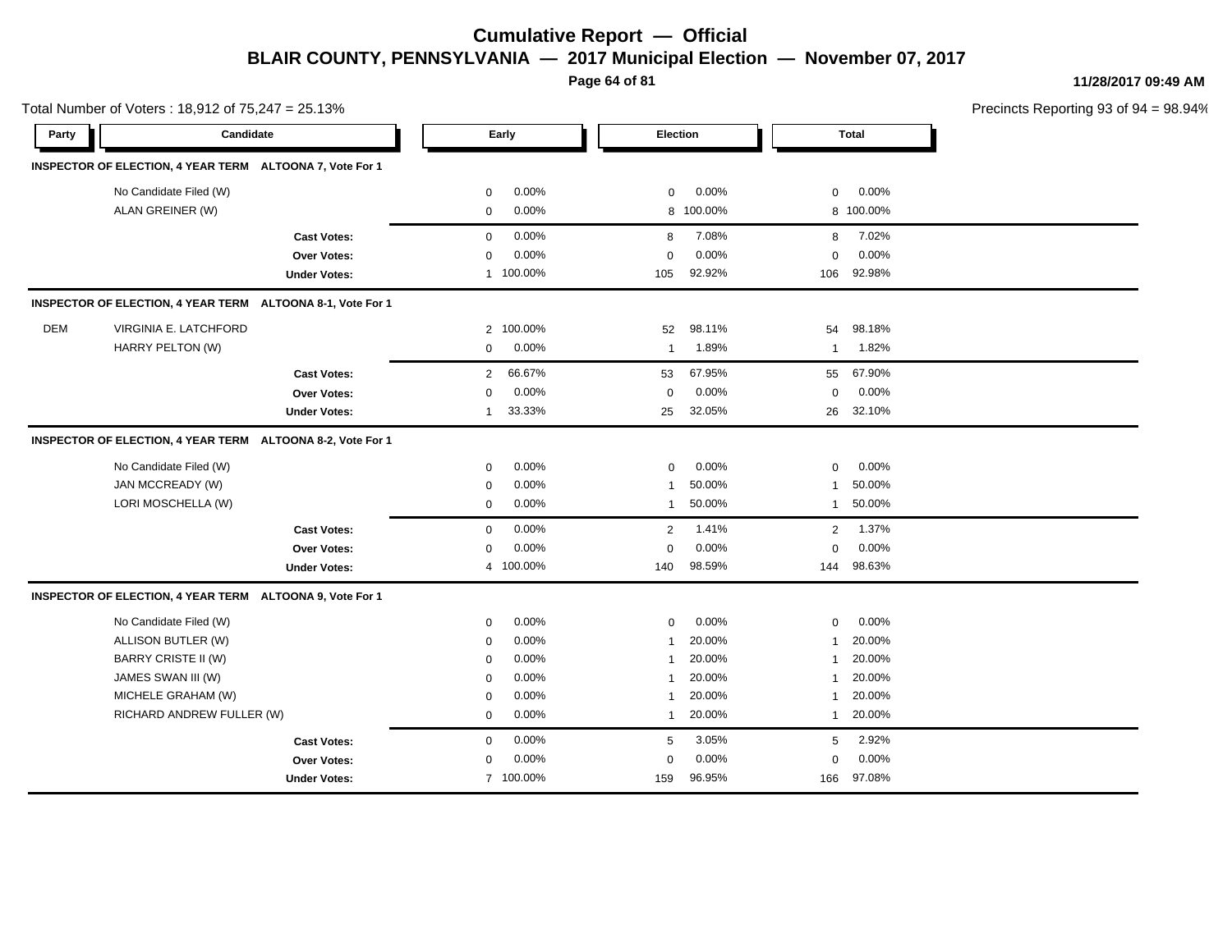**Page 64 of 81**

**11/28/2017 09:49 AM**

|       | Total Number of Voters: 18,912 of 75,247 = 25.13%          |                     |                          |                         |                        | Precincts Reporting 93 of 94 = 98.94% |
|-------|------------------------------------------------------------|---------------------|--------------------------|-------------------------|------------------------|---------------------------------------|
| Party | Candidate                                                  |                     | Early                    | Election                | <b>Total</b>           |                                       |
|       | INSPECTOR OF ELECTION, 4 YEAR TERM ALTOONA 7, Vote For 1   |                     |                          |                         |                        |                                       |
|       | No Candidate Filed (W)                                     |                     | 0.00%<br>0               | 0.00%<br>0              | 0.00%<br>$\mathbf 0$   |                                       |
|       | ALAN GREINER (W)                                           |                     | 0.00%<br>0               | 8 100.00%               | 8 100.00%              |                                       |
|       |                                                            | <b>Cast Votes:</b>  | 0.00%<br>$\mathbf 0$     | 7.08%<br>8              | 7.02%<br>8             |                                       |
|       |                                                            | <b>Over Votes:</b>  | 0.00%<br>$\mathbf 0$     | 0.00%<br>$\Omega$       | 0.00%<br>$\mathbf 0$   |                                       |
|       |                                                            | <b>Under Votes:</b> | 100.00%<br>$\mathbf{1}$  | 92.92%<br>105           | 92.98%<br>106          |                                       |
|       | INSPECTOR OF ELECTION, 4 YEAR TERM ALTOONA 8-1, Vote For 1 |                     |                          |                         |                        |                                       |
| DEM   | VIRGINIA E. LATCHFORD                                      |                     | 100.00%<br>2             | 98.11%<br>52            | 98.18%<br>54           |                                       |
|       | <b>HARRY PELTON (W)</b>                                    |                     | 0.00%<br>$\mathbf 0$     | 1.89%<br>1              | 1.82%<br>$\mathbf{1}$  |                                       |
|       |                                                            | <b>Cast Votes:</b>  | 66.67%<br>2              | 67.95%<br>53            | 67.90%<br>55           |                                       |
|       |                                                            | <b>Over Votes:</b>  | 0.00%<br>$\mathbf 0$     | 0.00%<br>0              | 0.00%<br>$\mathbf 0$   |                                       |
|       |                                                            | <b>Under Votes:</b> | 33.33%<br>$\overline{1}$ | 32.05%<br>25            | 32.10%<br>26           |                                       |
|       | INSPECTOR OF ELECTION, 4 YEAR TERM ALTOONA 8-2, Vote For 1 |                     |                          |                         |                        |                                       |
|       | No Candidate Filed (W)                                     |                     | 0.00%<br>0               | 0.00%<br>0              | 0.00%<br>$\mathbf 0$   |                                       |
|       | JAN MCCREADY (W)                                           |                     | 0.00%<br>0               | 50.00%<br>1             | 50.00%<br>$\mathbf{1}$ |                                       |
|       | LORI MOSCHELLA (W)                                         |                     | $0.00\%$<br>$\mathbf 0$  | 50.00%<br>1             | 50.00%<br>$\mathbf{1}$ |                                       |
|       |                                                            | <b>Cast Votes:</b>  | 0.00%<br>$\mathbf 0$     | 1.41%<br>$\overline{2}$ | 1.37%<br>2             |                                       |
|       |                                                            | <b>Over Votes:</b>  | 0.00%<br>0               | 0.00%<br>$\mathbf 0$    | 0.00%<br>0             |                                       |
|       |                                                            | <b>Under Votes:</b> | 4 100.00%                | 98.59%<br>140           | 98.63%<br>144          |                                       |
|       | INSPECTOR OF ELECTION, 4 YEAR TERM ALTOONA 9, Vote For 1   |                     |                          |                         |                        |                                       |
|       | No Candidate Filed (W)                                     |                     | 0.00%<br>0               | 0.00%<br>0              | 0.00%<br>$\mathbf 0$   |                                       |
|       | ALLISON BUTLER (W)                                         |                     | 0.00%<br>0               | 20.00%<br>1             | 20.00%<br>$\mathbf{1}$ |                                       |
|       | <b>BARRY CRISTE II (W)</b>                                 |                     | 0.00%<br>$\mathbf 0$     | 20.00%<br>1             | 20.00%<br>$\mathbf{1}$ |                                       |
|       | JAMES SWAN III (W)                                         |                     | 0.00%<br>$\mathbf 0$     | 20.00%                  | 20.00%<br>1            |                                       |
|       | MICHELE GRAHAM (W)                                         |                     | $0.00\%$<br>0            | 20.00%<br>1             | 20.00%<br>$\mathbf{1}$ |                                       |
|       | RICHARD ANDREW FULLER (W)                                  |                     | 0.00%<br>0               | 20.00%<br>$\mathbf{1}$  | 20.00%<br>$\mathbf{1}$ |                                       |
|       |                                                            | <b>Cast Votes:</b>  | 0.00%<br>$\mathbf 0$     | 3.05%<br>5              | 2.92%<br>5             |                                       |

0.00% 0

100.00% 159 166

96.95% 97.08%

0.00% 0 0.00%

**Over Votes:** 0 0.00% Under Votes: 7 100.00%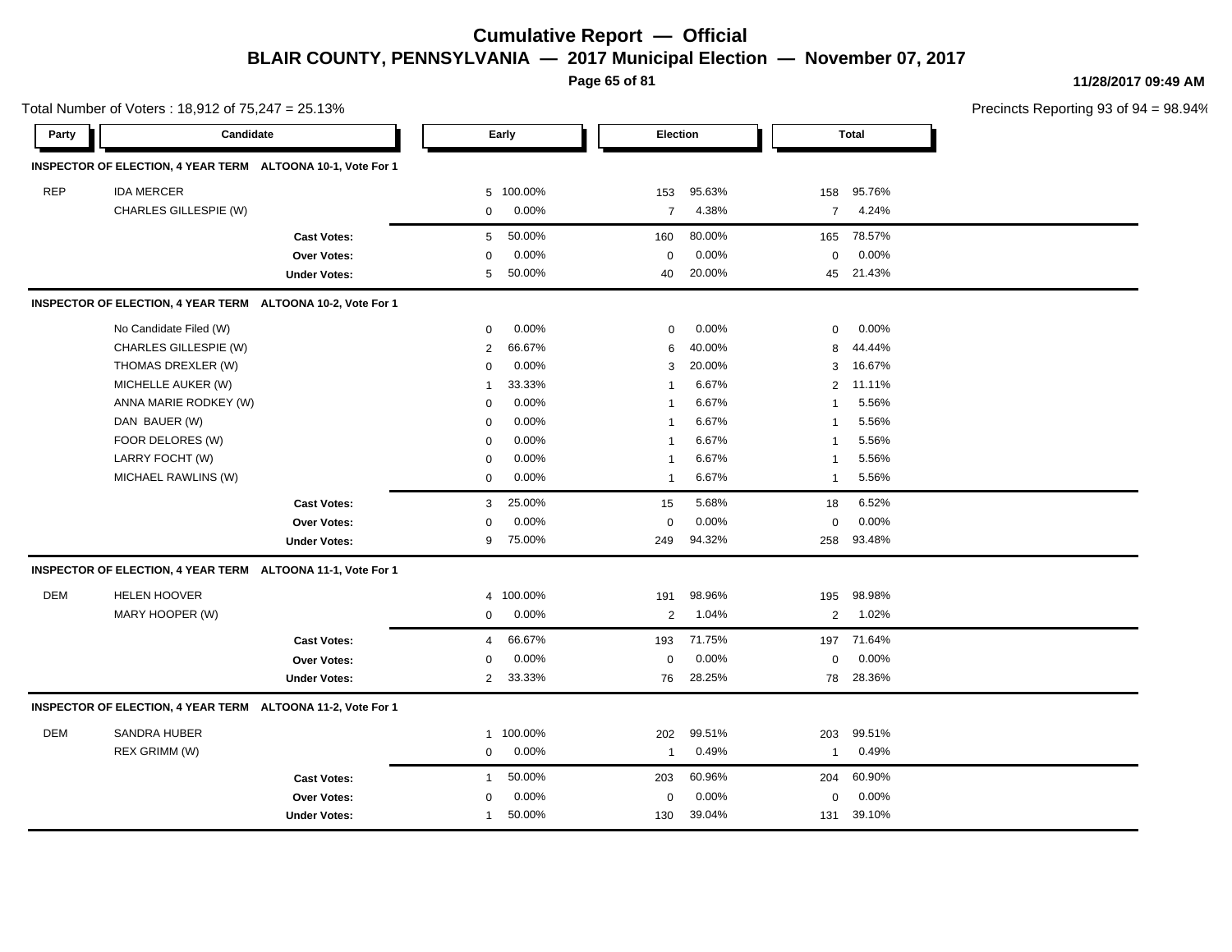**Page 65 of 81**

**11/28/2017 09:49 AM**

|            | Total Number of Voters: 18,912 of 75,247 = 25.13%           |                     |                |         |                |        |                |              | Precincts Reporting 93 of 9 |
|------------|-------------------------------------------------------------|---------------------|----------------|---------|----------------|--------|----------------|--------------|-----------------------------|
| Party      | Candidate                                                   |                     |                | Early   | Election       |        |                | <b>Total</b> |                             |
|            | INSPECTOR OF ELECTION, 4 YEAR TERM ALTOONA 10-1, Vote For 1 |                     |                |         |                |        |                |              |                             |
| <b>REP</b> | <b>IDA MERCER</b>                                           |                     | 5              | 100.00% | 153            | 95.63% | 158            | 95.76%       |                             |
|            | CHARLES GILLESPIE (W)                                       |                     | $\mathbf 0$    | 0.00%   | $\overline{7}$ | 4.38%  | $\overline{7}$ | 4.24%        |                             |
|            |                                                             | <b>Cast Votes:</b>  | 5              | 50.00%  | 160            | 80.00% | 165            | 78.57%       |                             |
|            |                                                             | <b>Over Votes:</b>  | $\mathbf 0$    | 0.00%   | 0              | 0.00%  | $\mathbf 0$    | 0.00%        |                             |
|            |                                                             | <b>Under Votes:</b> | 5              | 50.00%  | 40             | 20.00% |                | 45 21.43%    |                             |
|            | INSPECTOR OF ELECTION, 4 YEAR TERM ALTOONA 10-2, Vote For 1 |                     |                |         |                |        |                |              |                             |
|            | No Candidate Filed (W)                                      |                     | $\mathbf 0$    | 0.00%   | 0              | 0.00%  | 0              | 0.00%        |                             |
|            | CHARLES GILLESPIE (W)                                       |                     | 2              | 66.67%  | 6              | 40.00% | 8              | 44.44%       |                             |
|            | THOMAS DREXLER (W)                                          |                     | $\mathbf 0$    | 0.00%   | 3              | 20.00% | 3              | 16.67%       |                             |
|            | MICHELLE AUKER (W)                                          |                     | 1              | 33.33%  | -1             | 6.67%  | $\overline{2}$ | 11.11%       |                             |
|            | ANNA MARIE RODKEY (W)                                       |                     | $\mathbf 0$    | 0.00%   | $\mathbf{1}$   | 6.67%  | 1              | 5.56%        |                             |
|            | DAN BAUER (W)                                               |                     | $\mathbf 0$    | 0.00%   | $\mathbf{1}$   | 6.67%  | -1             | 5.56%        |                             |
|            | FOOR DELORES (W)                                            |                     | 0              | 0.00%   | $\mathbf{1}$   | 6.67%  | -1             | 5.56%        |                             |
|            | LARRY FOCHT (W)                                             |                     | $\mathbf 0$    | 0.00%   | $\mathbf{1}$   | 6.67%  | $\mathbf{1}$   | 5.56%        |                             |
|            | MICHAEL RAWLINS (W)                                         |                     | $\mathbf 0$    | 0.00%   | 1              | 6.67%  | $\mathbf{1}$   | 5.56%        |                             |
|            |                                                             | <b>Cast Votes:</b>  | 3              | 25.00%  | 15             | 5.68%  | 18             | 6.52%        |                             |
|            |                                                             | Over Votes:         | $\mathbf 0$    | 0.00%   | 0              | 0.00%  | 0              | 0.00%        |                             |
|            |                                                             | <b>Under Votes:</b> | 9              | 75.00%  | 249            | 94.32% | 258            | 93.48%       |                             |
|            | INSPECTOR OF ELECTION, 4 YEAR TERM ALTOONA 11-1, Vote For 1 |                     |                |         |                |        |                |              |                             |
| DEM        | <b>HELEN HOOVER</b>                                         |                     | 4              | 100.00% | 191            | 98.96% | 195            | 98.98%       |                             |
|            | MARY HOOPER (W)                                             |                     | $\mathbf 0$    | 0.00%   | 2              | 1.04%  | 2              | 1.02%        |                             |
|            |                                                             | <b>Cast Votes:</b>  | $\overline{4}$ | 66.67%  | 193            | 71.75% | 197            | 71.64%       |                             |
|            |                                                             | Over Votes:         | $\mathbf 0$    | 0.00%   | 0              | 0.00%  | 0              | 0.00%        |                             |
|            |                                                             | <b>Under Votes:</b> | $\overline{2}$ | 33.33%  | 76             | 28.25% |                | 78 28.36%    |                             |
|            | INSPECTOR OF ELECTION, 4 YEAR TERM ALTOONA 11-2, Vote For 1 |                     |                |         |                |        |                |              |                             |
| <b>DEM</b> | <b>SANDRA HUBER</b>                                         |                     | $\mathbf 1$    | 100.00% | 202            | 99.51% | 203            | 99.51%       |                             |
|            | REX GRIMM (W)                                               |                     | $\mathbf 0$    | 0.00%   | $\mathbf{1}$   | 0.49%  | $\mathbf{1}$   | 0.49%        |                             |
|            |                                                             | <b>Cast Votes:</b>  | $\mathbf{1}$   | 50.00%  | 203            | 60.96% | 204            | 60.90%       |                             |
|            |                                                             | Over Votes:         | $\mathbf 0$    | 0.00%   | $\mathbf 0$    | 0.00%  | 0              | 0.00%        |                             |
|            |                                                             | <b>Under Votes:</b> | 1              | 50.00%  | 130            | 39.04% | 131            | 39.10%       |                             |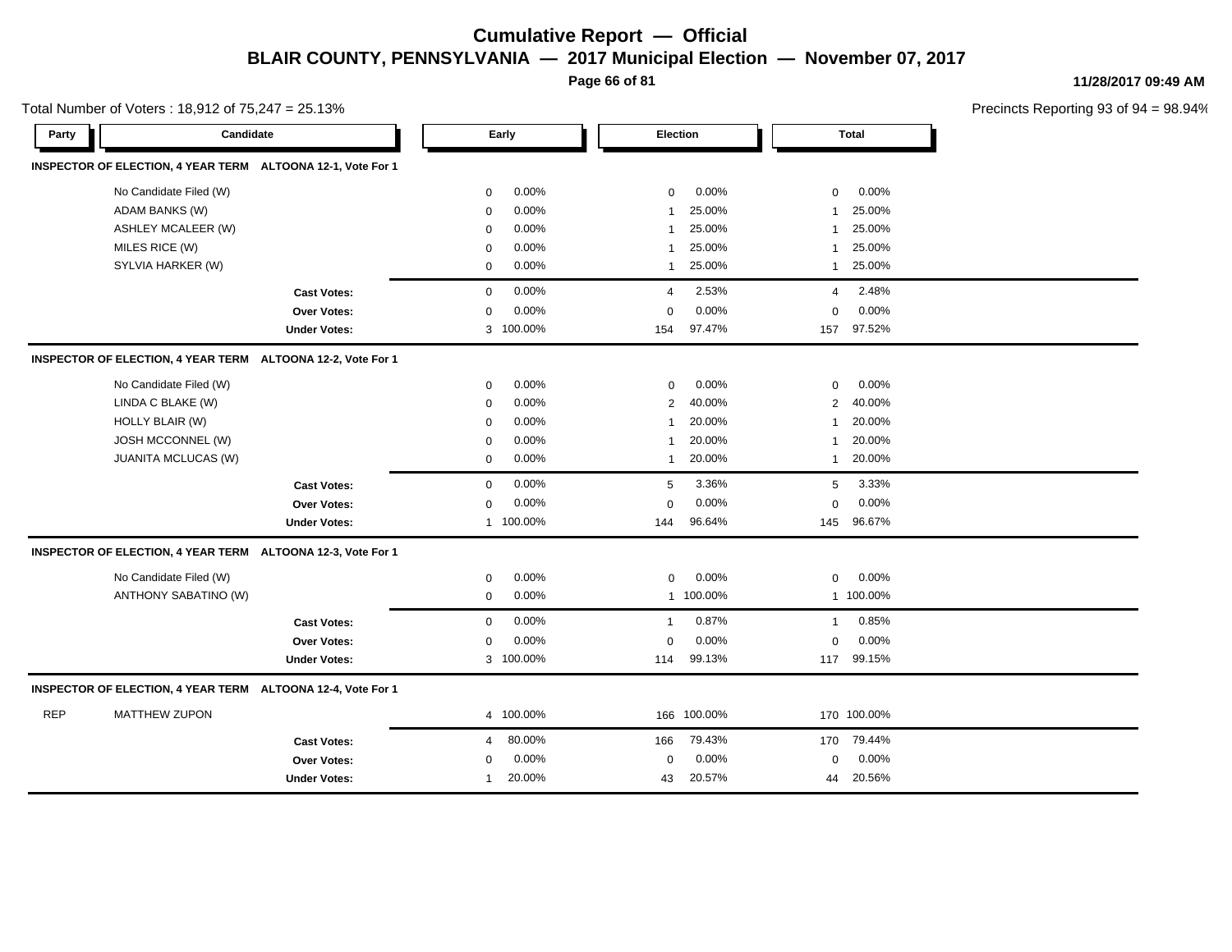**Page 66 of 81**

**11/28/2017 09:49 AM**

|            | Total Number of Voters: 18,912 of 75,247 = 25.13%           |                     |             |           |                         |             |                |              | Precincts Reporting 93 of |
|------------|-------------------------------------------------------------|---------------------|-------------|-----------|-------------------------|-------------|----------------|--------------|---------------------------|
| Party      | Candidate                                                   |                     | Early       |           | Election                |             |                | <b>Total</b> |                           |
|            | INSPECTOR OF ELECTION, 4 YEAR TERM ALTOONA 12-1, Vote For 1 |                     |             |           |                         |             |                |              |                           |
|            | No Candidate Filed (W)                                      |                     | 0           | 0.00%     | 0                       | 0.00%       | 0              | 0.00%        |                           |
|            | <b>ADAM BANKS (W)</b>                                       |                     | 0           | 0.00%     | -1                      | 25.00%      | -1             | 25.00%       |                           |
|            | <b>ASHLEY MCALEER (W)</b>                                   |                     | 0           | 0.00%     | $\overline{\mathbf{1}}$ | 25.00%      | 1              | 25.00%       |                           |
|            | MILES RICE (W)                                              |                     | 0           | 0.00%     | -1                      | 25.00%      | 1              | 25.00%       |                           |
|            | SYLVIA HARKER (W)                                           |                     | 0           | 0.00%     | -1                      | 25.00%      | $\mathbf{1}$   | 25.00%       |                           |
|            |                                                             | <b>Cast Votes:</b>  | $\mathbf 0$ | 0.00%     | $\overline{4}$          | 2.53%       | 4              | 2.48%        |                           |
|            |                                                             | Over Votes:         | $\mathbf 0$ | 0.00%     | $\Omega$                | 0.00%       | $\mathbf 0$    | 0.00%        |                           |
|            |                                                             | <b>Under Votes:</b> | 3           | 100.00%   | 154                     | 97.47%      | 157            | 97.52%       |                           |
|            | INSPECTOR OF ELECTION, 4 YEAR TERM ALTOONA 12-2, Vote For 1 |                     |             |           |                         |             |                |              |                           |
|            | No Candidate Filed (W)                                      |                     | 0           | 0.00%     | 0                       | 0.00%       | 0              | 0.00%        |                           |
|            | LINDA C BLAKE (W)                                           |                     | $\mathbf 0$ | 0.00%     | $\mathbf{2}$            | 40.00%      | $\overline{2}$ | 40.00%       |                           |
|            | HOLLY BLAIR (W)                                             |                     | 0           | 0.00%     | 1                       | 20.00%      | 1              | 20.00%       |                           |
|            | JOSH MCCONNEL (W)                                           |                     | 0           | 0.00%     | 1                       | 20.00%      | 1              | 20.00%       |                           |
|            | JUANITA MCLUCAS (W)                                         |                     | $\mathbf 0$ | 0.00%     | $\mathbf{1}$            | 20.00%      | $\mathbf{1}$   | 20.00%       |                           |
|            |                                                             | <b>Cast Votes:</b>  | $\mathbf 0$ | 0.00%     | 5                       | 3.36%       | 5              | 3.33%        |                           |
|            |                                                             | Over Votes:         | $\mathbf 0$ | 0.00%     | $\Omega$                | 0.00%       | $\Omega$       | 0.00%        |                           |
|            |                                                             | <b>Under Votes:</b> |             | 1 100.00% | 144                     | 96.64%      | 145            | 96.67%       |                           |
|            | INSPECTOR OF ELECTION, 4 YEAR TERM ALTOONA 12-3, Vote For 1 |                     |             |           |                         |             |                |              |                           |
|            | No Candidate Filed (W)                                      |                     | 0           | 0.00%     | 0                       | 0.00%       | $\mathbf 0$    | 0.00%        |                           |
|            | ANTHONY SABATINO (W)                                        |                     | $\mathbf 0$ | 0.00%     |                         | 1 100.00%   |                | 1 100.00%    |                           |
|            |                                                             | <b>Cast Votes:</b>  | 0           | 0.00%     | $\overline{\mathbf{1}}$ | 0.87%       | $\mathbf{1}$   | 0.85%        |                           |
|            |                                                             | Over Votes:         | 0           | 0.00%     | $\mathbf 0$             | 0.00%       | $\mathbf 0$    | 0.00%        |                           |
|            |                                                             | <b>Under Votes:</b> |             | 3 100.00% | 114                     | 99.13%      |                | 117 99.15%   |                           |
|            | INSPECTOR OF ELECTION, 4 YEAR TERM ALTOONA 12-4, Vote For 1 |                     |             |           |                         |             |                |              |                           |
| <b>REP</b> | <b>MATTHEW ZUPON</b>                                        |                     |             | 4 100.00% |                         | 166 100.00% |                | 170 100.00%  |                           |
|            |                                                             | <b>Cast Votes:</b>  | 4           | 80.00%    | 166                     | 79.43%      |                | 170 79.44%   |                           |
|            |                                                             | <b>Over Votes:</b>  | 0           | 0.00%     | $\mathbf 0$             | 0.00%       | 0              | 0.00%        |                           |
|            |                                                             | <b>Under Votes:</b> | 1           | 20.00%    | 43                      | 20.57%      | 44             | 20.56%       |                           |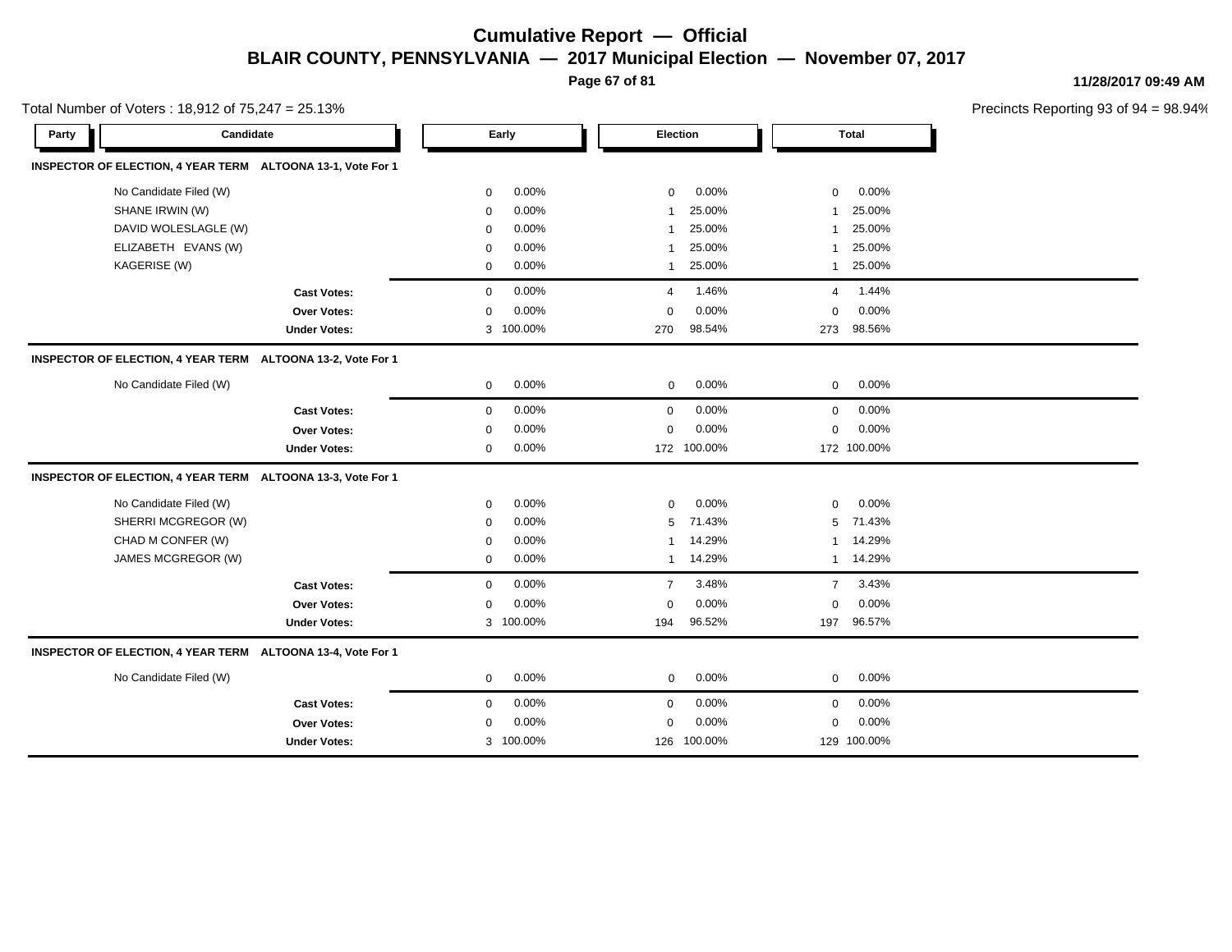**Page 67 of 81**

**11/28/2017 09:49 AM**

| Total Number of Voters: 18,912 of 75,247 = 25.13%           |                     |             |           |                |             |                |              | Precincts Reporting 93 of 9 |
|-------------------------------------------------------------|---------------------|-------------|-----------|----------------|-------------|----------------|--------------|-----------------------------|
| Party                                                       | Candidate           |             | Early     | Election       |             |                | <b>Total</b> |                             |
| INSPECTOR OF ELECTION, 4 YEAR TERM ALTOONA 13-1, Vote For 1 |                     |             |           |                |             |                |              |                             |
| No Candidate Filed (W)                                      |                     | 0           | 0.00%     | $\mathbf 0$    | 0.00%       | 0              | 0.00%        |                             |
| SHANE IRWIN (W)                                             |                     | $\mathbf 0$ | 0.00%     | 1              | 25.00%      | 1              | 25.00%       |                             |
| DAVID WOLESLAGLE (W)                                        |                     | $\mathbf 0$ | 0.00%     | $\mathbf{1}$   | 25.00%      | $\mathbf{1}$   | 25.00%       |                             |
| ELIZABETH EVANS (W)                                         |                     | $\mathbf 0$ | 0.00%     | -1             | 25.00%      | 1              | 25.00%       |                             |
| KAGERISE (W)                                                |                     | 0           | 0.00%     | 1              | 25.00%      | $\mathbf{1}$   | 25.00%       |                             |
|                                                             | <b>Cast Votes:</b>  | $\mathbf 0$ | 0.00%     | 4              | 1.46%       | 4              | 1.44%        |                             |
|                                                             | <b>Over Votes:</b>  | $\mathbf 0$ | 0.00%     | $\mathbf 0$    | 0.00%       | $\mathbf 0$    | 0.00%        |                             |
|                                                             | <b>Under Votes:</b> |             | 3 100.00% | 270            | 98.54%      | 273            | 98.56%       |                             |
| INSPECTOR OF ELECTION, 4 YEAR TERM ALTOONA 13-2, Vote For 1 |                     |             |           |                |             |                |              |                             |
| No Candidate Filed (W)                                      |                     | $\mathbf 0$ | 0.00%     | $\mathbf 0$    | 0.00%       | $\mathbf 0$    | 0.00%        |                             |
|                                                             | <b>Cast Votes:</b>  | $\mathbf 0$ | 0.00%     | $\mathbf 0$    | 0.00%       | $\mathbf 0$    | 0.00%        |                             |
|                                                             | Over Votes:         | $\mathbf 0$ | 0.00%     | $\Omega$       | 0.00%       | $\mathbf 0$    | 0.00%        |                             |
|                                                             | <b>Under Votes:</b> | $\mathbf 0$ | 0.00%     |                | 172 100.00% |                | 172 100.00%  |                             |
| INSPECTOR OF ELECTION, 4 YEAR TERM ALTOONA 13-3, Vote For 1 |                     |             |           |                |             |                |              |                             |
| No Candidate Filed (W)                                      |                     | $\mathbf 0$ | 0.00%     | $\mathbf 0$    | 0.00%       | $\mathbf 0$    | 0.00%        |                             |
| SHERRI MCGREGOR (W)                                         |                     | $\mathbf 0$ | 0.00%     | 5              | 71.43%      | 5              | 71.43%       |                             |
| CHAD M CONFER (W)                                           |                     | $\mathbf 0$ | 0.00%     | 1              | 14.29%      |                | 1 14.29%     |                             |
| JAMES MCGREGOR (W)                                          |                     | $\mathbf 0$ | 0.00%     | $\mathbf{1}$   | 14.29%      |                | 1 14.29%     |                             |
|                                                             | <b>Cast Votes:</b>  | $\mathbf 0$ | $0.00\%$  | $\overline{7}$ | 3.48%       | $\overline{7}$ | 3.43%        |                             |
|                                                             | <b>Over Votes:</b>  | $\mathbf 0$ | 0.00%     | $\mathbf 0$    | 0.00%       | $\mathbf 0$    | 0.00%        |                             |
|                                                             | <b>Under Votes:</b> |             | 3 100.00% | 194            | 96.52%      | 197            | 96.57%       |                             |
| INSPECTOR OF ELECTION, 4 YEAR TERM ALTOONA 13-4, Vote For 1 |                     |             |           |                |             |                |              |                             |
| No Candidate Filed (W)                                      |                     | $\mathbf 0$ | 0.00%     | $\mathbf 0$    | 0.00%       | $\mathbf 0$    | 0.00%        |                             |
|                                                             | <b>Cast Votes:</b>  | $\mathbf 0$ | 0.00%     | 0              | 0.00%       | $\mathbf 0$    | 0.00%        |                             |
|                                                             | <b>Over Votes:</b>  | 0           | $0.00\%$  | 0              | 0.00%       | 0              | 0.00%        |                             |
|                                                             | <b>Under Votes:</b> |             | 3 100.00% |                | 126 100.00% |                | 129 100.00%  |                             |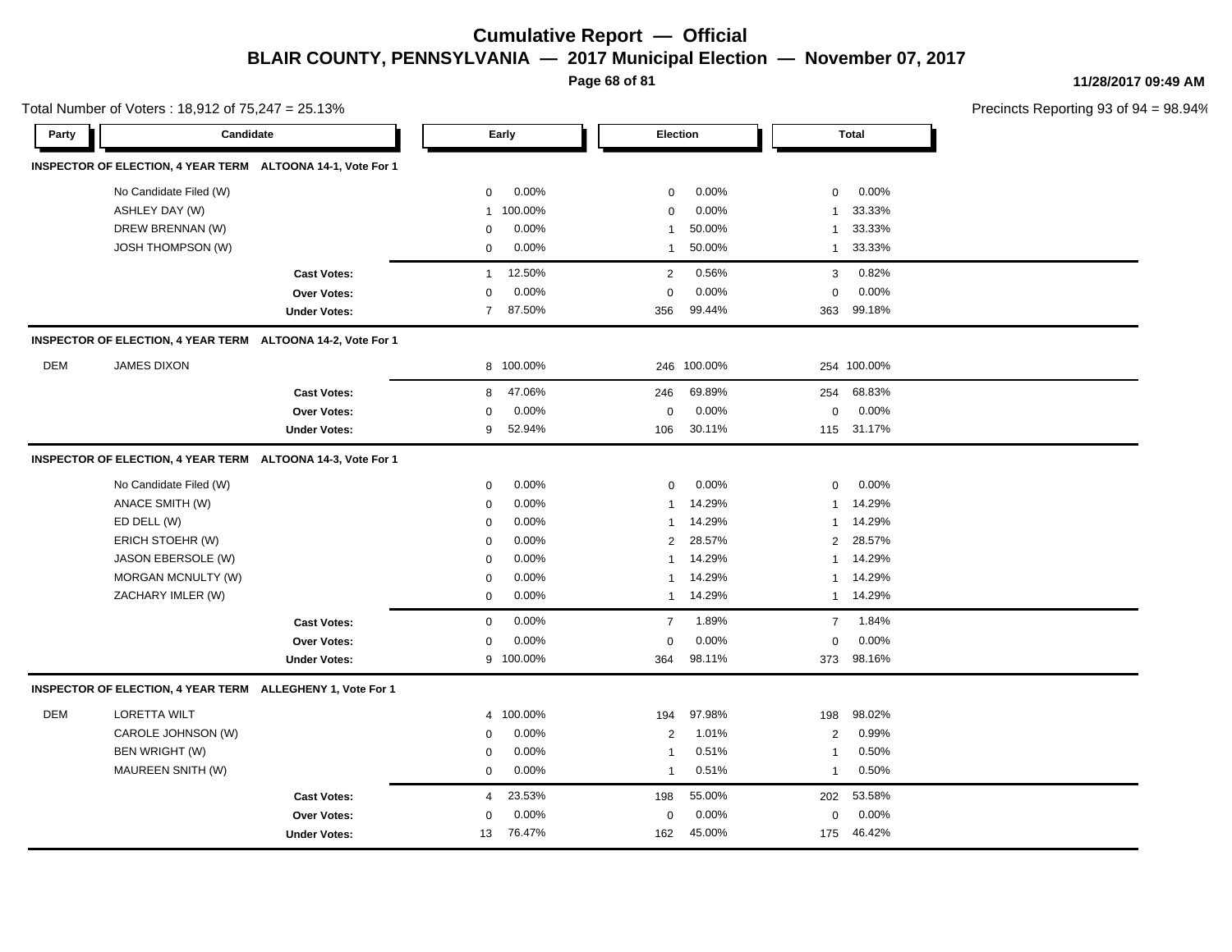**Page 68 of 81**

**11/28/2017 09:49 AM**

|       | Total Number of Voters: 18,912 of 75,247 = 25.13%           |                     |                |           |                |         |                |              | Precincts Reporting 93 of 9 |
|-------|-------------------------------------------------------------|---------------------|----------------|-----------|----------------|---------|----------------|--------------|-----------------------------|
| Party | Candidate                                                   |                     |                | Early     | Election       |         |                | <b>Total</b> |                             |
|       | INSPECTOR OF ELECTION, 4 YEAR TERM ALTOONA 14-1, Vote For 1 |                     |                |           |                |         |                |              |                             |
|       | No Candidate Filed (W)                                      |                     | 0              | 0.00%     | $\mathbf 0$    | 0.00%   | 0              | 0.00%        |                             |
|       | ASHLEY DAY (W)                                              |                     | 1              | 100.00%   | $\mathbf 0$    | 0.00%   | 1              | 33.33%       |                             |
|       | DREW BRENNAN (W)                                            |                     | $\mathbf 0$    | 0.00%     | $\mathbf{1}$   | 50.00%  | 1              | 33.33%       |                             |
|       | <b>JOSH THOMPSON (W)</b>                                    |                     | $\mathbf 0$    | 0.00%     | 1              | 50.00%  | $\mathbf{1}$   | 33.33%       |                             |
|       |                                                             | <b>Cast Votes:</b>  | $\mathbf{1}$   | 12.50%    | 2              | 0.56%   | 3              | 0.82%        |                             |
|       |                                                             | Over Votes:         | $\mathbf 0$    | 0.00%     | $\mathbf 0$    | 0.00%   | 0              | 0.00%        |                             |
|       |                                                             | <b>Under Votes:</b> | $\overline{7}$ | 87.50%    | 356            | 99.44%  |                | 363 99.18%   |                             |
|       | INSPECTOR OF ELECTION, 4 YEAR TERM ALTOONA 14-2, Vote For 1 |                     |                |           |                |         |                |              |                             |
| DEM   | <b>JAMES DIXON</b>                                          |                     |                | 8 100.00% | 246            | 100.00% |                | 254 100.00%  |                             |
|       |                                                             | <b>Cast Votes:</b>  | 8              | 47.06%    | 246            | 69.89%  | 254            | 68.83%       |                             |
|       |                                                             | <b>Over Votes:</b>  | $\mathbf 0$    | 0.00%     | $\mathbf 0$    | 0.00%   | $\mathsf 0$    | 0.00%        |                             |
|       |                                                             | <b>Under Votes:</b> | 9              | 52.94%    | 106            | 30.11%  |                | 115 31.17%   |                             |
|       | INSPECTOR OF ELECTION, 4 YEAR TERM ALTOONA 14-3, Vote For 1 |                     |                |           |                |         |                |              |                             |
|       | No Candidate Filed (W)                                      |                     | 0              | 0.00%     | $\mathbf 0$    | 0.00%   | 0              | 0.00%        |                             |
|       | ANACE SMITH (W)                                             |                     | $\mathbf 0$    | 0.00%     | $\mathbf{1}$   | 14.29%  | $\mathbf{1}$   | 14.29%       |                             |
|       | ED DELL (W)                                                 |                     | $\mathbf 0$    | 0.00%     | $\mathbf{1}$   | 14.29%  | $\mathbf{1}$   | 14.29%       |                             |
|       | ERICH STOEHR (W)                                            |                     | $\mathbf 0$    | 0.00%     | $\overline{2}$ | 28.57%  | 2              | 28.57%       |                             |
|       | JASON EBERSOLE (W)                                          |                     | 0              | 0.00%     | 1              | 14.29%  | 1              | 14.29%       |                             |
|       | MORGAN MCNULTY (W)                                          |                     | 0              | 0.00%     | 1              | 14.29%  | 1              | 14.29%       |                             |
|       | ZACHARY IMLER (W)                                           |                     | 0              | 0.00%     | $\mathbf{1}$   | 14.29%  | $\mathbf{1}$   | 14.29%       |                             |
|       |                                                             | <b>Cast Votes:</b>  | 0              | 0.00%     | $\overline{7}$ | 1.89%   | $\overline{7}$ | 1.84%        |                             |
|       |                                                             | <b>Over Votes:</b>  | 0              | 0.00%     | 0              | 0.00%   | 0              | 0.00%        |                             |
|       |                                                             | <b>Under Votes:</b> | 9              | 100.00%   | 364            | 98.11%  |                | 373 98.16%   |                             |
|       | INSPECTOR OF ELECTION, 4 YEAR TERM ALLEGHENY 1, Vote For 1  |                     |                |           |                |         |                |              |                             |
| DEM   | <b>LORETTA WILT</b>                                         |                     | $\overline{4}$ | 100.00%   | 194            | 97.98%  | 198            | 98.02%       |                             |
|       | CAROLE JOHNSON (W)                                          |                     | $\mathbf 0$    | 0.00%     | 2              | 1.01%   | 2              | 0.99%        |                             |
|       | BEN WRIGHT (W)                                              |                     | $\mathbf 0$    | 0.00%     | $\mathbf{1}$   | 0.51%   | $\mathbf{1}$   | 0.50%        |                             |
|       | MAUREEN SNITH (W)                                           |                     | 0              | 0.00%     | $\mathbf{1}$   | 0.51%   | $\mathbf{1}$   | 0.50%        |                             |
|       |                                                             | <b>Cast Votes:</b>  | 4              | 23.53%    | 198            | 55.00%  | 202            | 53.58%       |                             |
|       |                                                             | <b>Over Votes:</b>  | $\Omega$       | 0.00%     | 0              | 0.00%   | 0              | 0.00%        |                             |
|       |                                                             | <b>Under Votes:</b> |                | 13 76.47% | 162            | 45.00%  |                | 175 46.42%   |                             |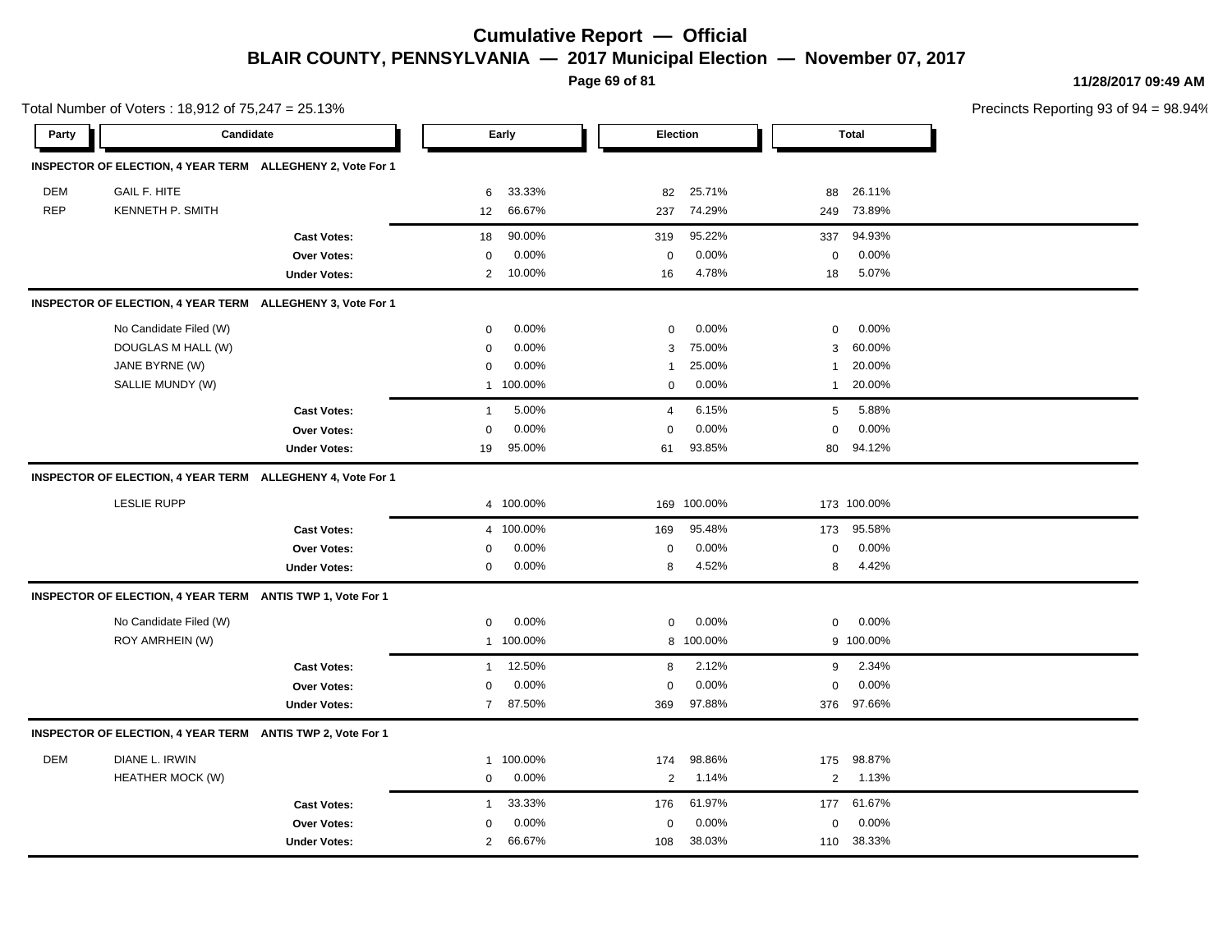**Page 69 of 81**

**11/28/2017 09:49 AM**

|            | Total Number of Voters: 18,912 of 75,247 = 25.13%          |                     |                   |           |                |          |                  |              | Precincts Reporting 93 of 9 |
|------------|------------------------------------------------------------|---------------------|-------------------|-----------|----------------|----------|------------------|--------------|-----------------------------|
| Party      | Candidate                                                  |                     |                   | Early     |                | Election |                  | <b>Total</b> |                             |
|            | INSPECTOR OF ELECTION, 4 YEAR TERM ALLEGHENY 2, Vote For 1 |                     |                   |           |                |          |                  |              |                             |
| <b>DEM</b> | <b>GAIL F. HITE</b>                                        |                     | 6                 | 33.33%    | 82             | 25.71%   | 88               | 26.11%       |                             |
| <b>REP</b> | KENNETH P. SMITH                                           |                     | $12 \overline{ }$ | 66.67%    | 237            | 74.29%   | 249              | 73.89%       |                             |
|            |                                                            | <b>Cast Votes:</b>  | 18                | 90.00%    | 319            | 95.22%   | 337              | 94.93%       |                             |
|            |                                                            | <b>Over Votes:</b>  | $\mathbf 0$       | 0.00%     | $\mathbf 0$    | 0.00%    | $\mathbf 0$      | 0.00%        |                             |
|            |                                                            | <b>Under Votes:</b> | $\overline{2}$    | 10.00%    | 16             | 4.78%    | 18               | 5.07%        |                             |
|            | INSPECTOR OF ELECTION, 4 YEAR TERM ALLEGHENY 3, Vote For 1 |                     |                   |           |                |          |                  |              |                             |
|            | No Candidate Filed (W)                                     |                     | $\mathbf 0$       | 0.00%     | $\mathbf 0$    | 0.00%    | 0                | 0.00%        |                             |
|            | DOUGLAS M HALL (W)                                         |                     | $\mathbf 0$       | 0.00%     | 3              | 75.00%   | 3                | 60.00%       |                             |
|            | JANE BYRNE (W)                                             |                     | $\mathbf 0$       | 0.00%     | $\mathbf{1}$   | 25.00%   | 1                | 20.00%       |                             |
|            | SALLIE MUNDY (W)                                           |                     |                   | 1 100.00% | $\mathbf 0$    | 0.00%    | $\mathbf{1}$     | 20.00%       |                             |
|            |                                                            | <b>Cast Votes:</b>  | $\overline{1}$    | 5.00%     | $\overline{4}$ | 6.15%    | $\sqrt{5}$       | 5.88%        |                             |
|            |                                                            | <b>Over Votes:</b>  | $\mathbf 0$       | 0.00%     | $\mathbf 0$    | 0.00%    | $\Omega$         | 0.00%        |                             |
|            |                                                            | <b>Under Votes:</b> | 19                | 95.00%    | 61             | 93.85%   | 80               | 94.12%       |                             |
|            | INSPECTOR OF ELECTION, 4 YEAR TERM ALLEGHENY 4, Vote For 1 |                     |                   |           |                |          |                  |              |                             |
|            | <b>LESLIE RUPP</b>                                         |                     |                   | 4 100.00% | 169            | 100.00%  |                  | 173 100.00%  |                             |
|            |                                                            | <b>Cast Votes:</b>  |                   | 4 100.00% | 169            | 95.48%   | 173              | 95.58%       |                             |
|            |                                                            | <b>Over Votes:</b>  | $\mathbf 0$       | 0.00%     | $\mathbf 0$    | 0.00%    | $\boldsymbol{0}$ | 0.00%        |                             |
|            |                                                            | <b>Under Votes:</b> | $\mathbf 0$       | 0.00%     | 8              | 4.52%    | 8                | 4.42%        |                             |
|            | INSPECTOR OF ELECTION, 4 YEAR TERM ANTIS TWP 1, Vote For 1 |                     |                   |           |                |          |                  |              |                             |
|            | No Candidate Filed (W)                                     |                     | $\mathbf 0$       | 0.00%     | $\mathbf 0$    | 0.00%    | 0                | 0.00%        |                             |
|            | ROY AMRHEIN (W)                                            |                     |                   | 1 100.00% | 8              | 100.00%  |                  | 9 100.00%    |                             |
|            |                                                            | <b>Cast Votes:</b>  | $\mathbf{1}$      | 12.50%    | 8              | 2.12%    | 9                | 2.34%        |                             |
|            |                                                            | <b>Over Votes:</b>  | 0                 | 0.00%     | $\mathbf 0$    | 0.00%    | $\mathbf 0$      | 0.00%        |                             |
|            |                                                            | <b>Under Votes:</b> | $\overline{7}$    | 87.50%    | 369            | 97.88%   |                  | 376 97.66%   |                             |
|            | INSPECTOR OF ELECTION, 4 YEAR TERM ANTIS TWP 2, Vote For 1 |                     |                   |           |                |          |                  |              |                             |
| <b>DEM</b> | DIANE L. IRWIN                                             |                     |                   | 1 100.00% | 174            | 98.86%   | 175              | 98.87%       |                             |
|            | <b>HEATHER MOCK (W)</b>                                    |                     | $\mathbf 0$       | 0.00%     | $\overline{2}$ | 1.14%    | $\overline{2}$   | 1.13%        |                             |
|            |                                                            | <b>Cast Votes:</b>  | $\overline{1}$    | 33.33%    | 176            | 61.97%   | 177              | 61.67%       |                             |
|            |                                                            | <b>Over Votes:</b>  | 0                 | 0.00%     | $\mathbf 0$    | 0.00%    | $\Omega$         | 0.00%        |                             |
|            |                                                            | <b>Under Votes:</b> | $\overline{2}$    | 66.67%    | 108            | 38.03%   | 110              | 38.33%       |                             |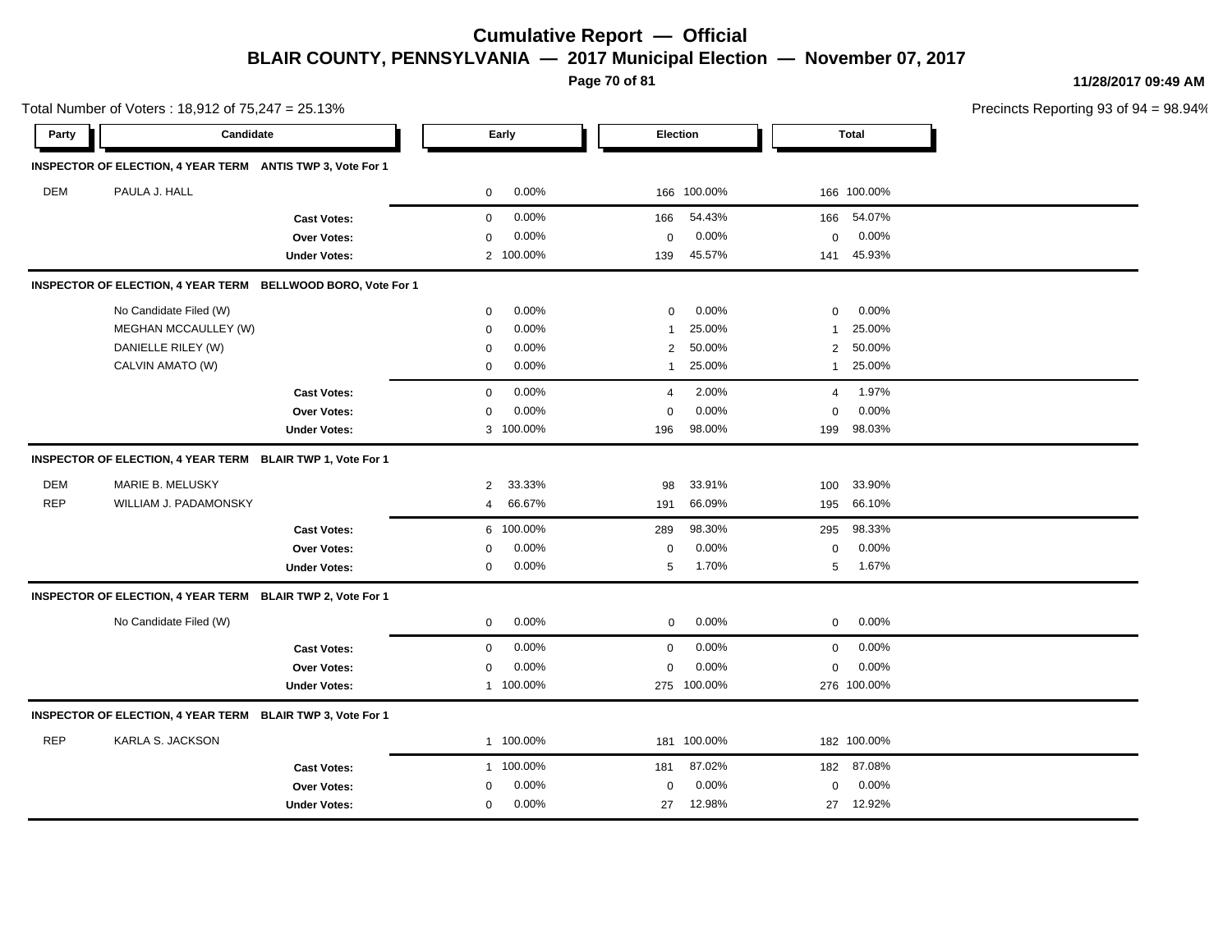**Page 70 of 81**

**11/28/2017 09:49 AM**

|            | Total Number of Voters: 18,912 of 75,247 = 25.13%          |                                                              |                          |                                   |                       | Precincts Reporting 93 o |  |  |
|------------|------------------------------------------------------------|--------------------------------------------------------------|--------------------------|-----------------------------------|-----------------------|--------------------------|--|--|
| Party      | Candidate                                                  |                                                              | Early                    | Election                          | <b>Total</b>          |                          |  |  |
|            | INSPECTOR OF ELECTION, 4 YEAR TERM ANTIS TWP 3, Vote For 1 |                                                              |                          |                                   |                       |                          |  |  |
| <b>DEM</b> | PAULA J. HALL                                              |                                                              | $0.00\%$<br>0            | 166 100.00%                       | 166 100.00%           |                          |  |  |
|            |                                                            | <b>Cast Votes:</b>                                           | 0.00%<br>0               | 54.43%<br>166                     | 54.07%<br>166         |                          |  |  |
|            |                                                            | Over Votes:                                                  | 0.00%<br>$\mathbf 0$     | 0.00%<br>$\pmb{0}$                | 0.00%<br>$\mathbf 0$  |                          |  |  |
|            |                                                            | <b>Under Votes:</b>                                          | 2 100.00%                | 45.57%<br>139                     | 45.93%<br>141         |                          |  |  |
|            |                                                            | INSPECTOR OF ELECTION, 4 YEAR TERM BELLWOOD BORO, Vote For 1 |                          |                                   |                       |                          |  |  |
|            | No Candidate Filed (W)                                     |                                                              | 0.00%<br>$\mathbf 0$     | 0.00%<br>$\Omega$                 | 0.00%<br>$\mathbf 0$  |                          |  |  |
|            | <b>MEGHAN MCCAULLEY (W)</b>                                |                                                              | 0.00%<br>$\Omega$        | 25.00%<br>1                       | 25.00%<br>$\mathbf 1$ |                          |  |  |
|            | DANIELLE RILEY (W)                                         |                                                              | 0.00%<br>$\mathbf 0$     | 50.00%<br>$\overline{\mathbf{c}}$ | 50.00%<br>2           |                          |  |  |
|            | CALVIN AMATO (W)                                           |                                                              | 0.00%<br>0               | 25.00%<br>$\mathbf{1}$            | 25.00%<br>1           |                          |  |  |
|            |                                                            | <b>Cast Votes:</b>                                           | 0.00%<br>$\mathbf 0$     | 2.00%<br>4                        | 1.97%<br>4            |                          |  |  |
|            |                                                            | <b>Over Votes:</b>                                           | 0.00%<br>$\Omega$        | 0.00%<br>$\mathbf 0$              | 0.00%<br>$\mathbf 0$  |                          |  |  |
|            |                                                            | <b>Under Votes:</b>                                          | 3 100.00%                | 98.00%<br>196                     | 98.03%<br>199         |                          |  |  |
|            | INSPECTOR OF ELECTION, 4 YEAR TERM BLAIR TWP 1, Vote For 1 |                                                              |                          |                                   |                       |                          |  |  |
| <b>DEM</b> | MARIE B. MELUSKY                                           |                                                              | 33.33%<br>$\overline{2}$ | 33.91%<br>98                      | 33.90%<br>100         |                          |  |  |
| <b>REP</b> | WILLIAM J. PADAMONSKY                                      |                                                              | 66.67%<br>4              | 66.09%<br>191                     | 66.10%<br>195         |                          |  |  |
|            |                                                            | <b>Cast Votes:</b>                                           | 100.00%<br>6             | 98.30%<br>289                     | 98.33%<br>295         |                          |  |  |
|            |                                                            | <b>Over Votes:</b>                                           | 0.00%<br>$\Omega$        | 0.00%<br>$\mathbf 0$              | $\mathbf 0$<br>0.00%  |                          |  |  |
|            |                                                            | <b>Under Votes:</b>                                          | 0.00%<br>$\mathbf 0$     | 1.70%<br>5                        | 1.67%<br>5            |                          |  |  |
|            | INSPECTOR OF ELECTION, 4 YEAR TERM BLAIR TWP 2, Vote For 1 |                                                              |                          |                                   |                       |                          |  |  |
|            | No Candidate Filed (W)                                     |                                                              | $\mathbf 0$<br>0.00%     | 0<br>0.00%                        | $\mathbf 0$<br>0.00%  |                          |  |  |
|            |                                                            | <b>Cast Votes:</b>                                           | 0.00%<br>$\mathbf 0$     | 0.00%<br>$\mathbf 0$              | $\mathbf 0$<br>0.00%  |                          |  |  |
|            |                                                            | <b>Over Votes:</b>                                           | 0.00%<br>$\mathbf 0$     | 0.00%<br>$\mathbf 0$              | 0.00%<br>$\mathbf 0$  |                          |  |  |
|            |                                                            | <b>Under Votes:</b>                                          | 1 100.00%                | 275 100.00%                       | 276 100.00%           |                          |  |  |
|            | INSPECTOR OF ELECTION, 4 YEAR TERM BLAIR TWP 3, Vote For 1 |                                                              |                          |                                   |                       |                          |  |  |
| <b>REP</b> | KARLA S. JACKSON                                           |                                                              | 1 100.00%                | 181 100.00%                       | 182 100.00%           |                          |  |  |
|            |                                                            | <b>Cast Votes:</b>                                           | 1 100.00%                | 87.02%<br>181                     | 87.08%<br>182         |                          |  |  |
|            |                                                            | Over Votes:                                                  | $0.00\%$<br>$\Omega$     | 0.00%<br>$\mathbf 0$              | 0.00%<br>$\mathbf 0$  |                          |  |  |
|            |                                                            | <b>Under Votes:</b>                                          | 0.00%<br>$\mathbf 0$     | 12.98%<br>27                      | 27 12.92%             |                          |  |  |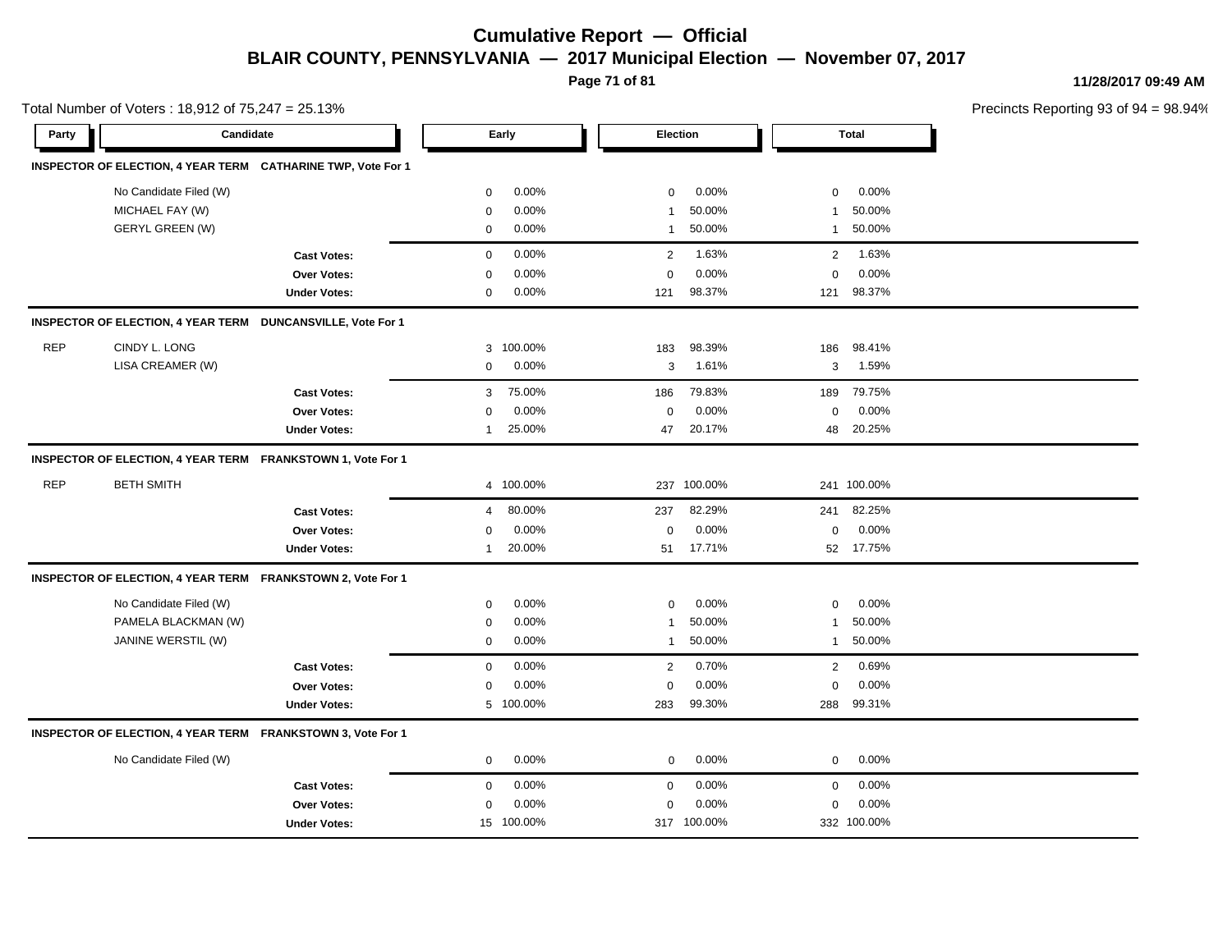**Page 71 of 81**

**11/28/2017 09:49 AM**

|            | Total Number of Voters: 18,912 of 75,247 = 25.13%            |                     |              |            |                |                 |                |              | Precincts Reporting 93 of 9 |
|------------|--------------------------------------------------------------|---------------------|--------------|------------|----------------|-----------------|----------------|--------------|-----------------------------|
| Party      | Candidate                                                    |                     |              | Early      |                | <b>Election</b> |                | <b>Total</b> |                             |
|            | INSPECTOR OF ELECTION, 4 YEAR TERM CATHARINE TWP, Vote For 1 |                     |              |            |                |                 |                |              |                             |
|            | No Candidate Filed (W)                                       |                     | 0            | 0.00%      | $\pmb{0}$      | 0.00%           | 0              | 0.00%        |                             |
|            | MICHAEL FAY (W)                                              |                     | $\mathbf 0$  | 0.00%      | $\overline{1}$ | 50.00%          | $\mathbf{1}$   | 50.00%       |                             |
|            | <b>GERYL GREEN (W)</b>                                       |                     | 0            | 0.00%      | $\mathbf{1}$   | 50.00%          | $\mathbf{1}$   | 50.00%       |                             |
|            |                                                              | <b>Cast Votes:</b>  | $\mathbf 0$  | 0.00%      | 2              | 1.63%           | 2              | 1.63%        |                             |
|            |                                                              | <b>Over Votes:</b>  | $\mathbf 0$  | 0.00%      | $\mathbf 0$    | 0.00%           | $\mathbf 0$    | 0.00%        |                             |
|            |                                                              | <b>Under Votes:</b> | $\mathbf 0$  | 0.00%      | 121            | 98.37%          | 121            | 98.37%       |                             |
|            | INSPECTOR OF ELECTION, 4 YEAR TERM DUNCANSVILLE, Vote For 1  |                     |              |            |                |                 |                |              |                             |
| <b>REP</b> | CINDY L. LONG                                                |                     | 3            | 100.00%    | 183            | 98.39%          | 186            | 98.41%       |                             |
|            | LISA CREAMER (W)                                             |                     | $\mathbf 0$  | 0.00%      | 3              | 1.61%           | 3              | 1.59%        |                             |
|            |                                                              | <b>Cast Votes:</b>  | 3            | 75.00%     | 186            | 79.83%          | 189            | 79.75%       |                             |
|            |                                                              | Over Votes:         | $\mathbf 0$  | 0.00%      | $\mathbf 0$    | 0.00%           | $\mathbf 0$    | 0.00%        |                             |
|            |                                                              | <b>Under Votes:</b> | $\mathbf{1}$ | 25.00%     | 47             | 20.17%          | 48             | 20.25%       |                             |
|            | INSPECTOR OF ELECTION, 4 YEAR TERM FRANKSTOWN 1, Vote For 1  |                     |              |            |                |                 |                |              |                             |
| <b>REP</b> | <b>BETH SMITH</b>                                            |                     |              | 4 100.00%  | 237            | 100.00%         |                | 241 100.00%  |                             |
|            |                                                              | <b>Cast Votes:</b>  | 4            | 80.00%     | 237            | 82.29%          | 241            | 82.25%       |                             |
|            |                                                              | Over Votes:         | $\mathbf 0$  | 0.00%      | $\mathbf 0$    | 0.00%           | $\mathbf 0$    | 0.00%        |                             |
|            |                                                              | <b>Under Votes:</b> | $\mathbf{1}$ | 20.00%     |                | 51 17.71%       |                | 52 17.75%    |                             |
|            | INSPECTOR OF ELECTION, 4 YEAR TERM FRANKSTOWN 2, Vote For 1  |                     |              |            |                |                 |                |              |                             |
|            | No Candidate Filed (W)                                       |                     | $\mathbf 0$  | 0.00%      | $\mathbf 0$    | 0.00%           | $\mathbf 0$    | 0.00%        |                             |
|            | PAMELA BLACKMAN (W)                                          |                     | $\mathbf 0$  | 0.00%      | $\mathbf{1}$   | 50.00%          | $\mathbf{1}$   | 50.00%       |                             |
|            | JANINE WERSTIL (W)                                           |                     | $\mathbf 0$  | 0.00%      | $\mathbf{1}$   | 50.00%          | $\mathbf{1}$   | 50.00%       |                             |
|            |                                                              | <b>Cast Votes:</b>  | $\mathbf 0$  | 0.00%      | 2              | 0.70%           | $\overline{2}$ | 0.69%        |                             |
|            |                                                              | Over Votes:         | $\mathbf 0$  | 0.00%      | $\mathbf 0$    | 0.00%           | $\mathbf 0$    | 0.00%        |                             |
|            |                                                              | <b>Under Votes:</b> |              | 5 100.00%  | 283            | 99.30%          | 288            | 99.31%       |                             |
|            | INSPECTOR OF ELECTION, 4 YEAR TERM FRANKSTOWN 3, Vote For 1  |                     |              |            |                |                 |                |              |                             |
|            | No Candidate Filed (W)                                       |                     | $\mathbf 0$  | 0.00%      | $\mathbf 0$    | 0.00%           | $\mathbf 0$    | 0.00%        |                             |
|            |                                                              | <b>Cast Votes:</b>  | $\mathbf 0$  | 0.00%      | $\mathbf 0$    | 0.00%           | $\mathbf 0$    | 0.00%        |                             |
|            |                                                              | Over Votes:         | 0            | 0.00%      | $\mathbf 0$    | 0.00%           | $\mathbf 0$    | 0.00%        |                             |
|            |                                                              | <b>Under Votes:</b> |              | 15 100.00% |                | 317 100.00%     |                | 332 100.00%  |                             |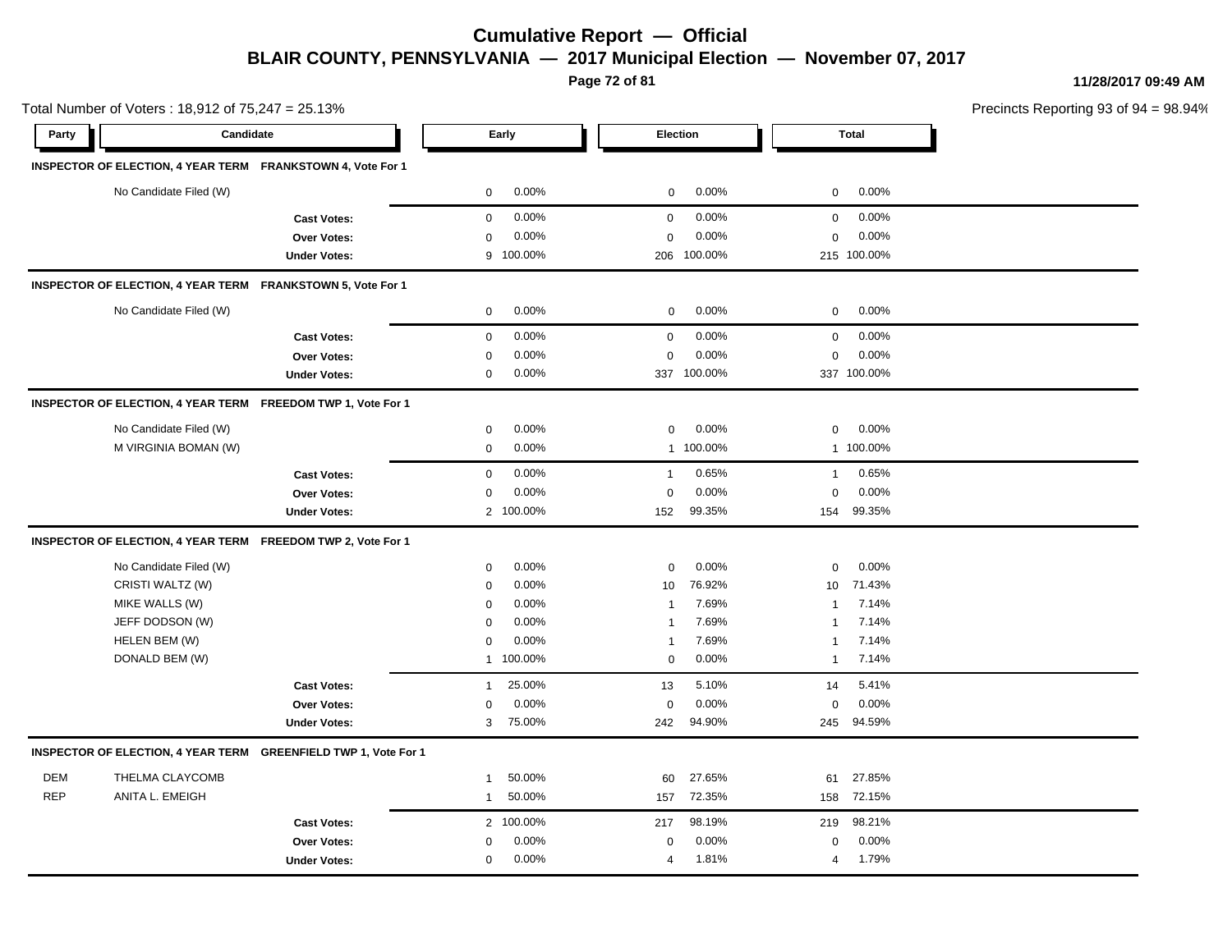**Page 72 of 81**

**11/28/2017 09:49 AM**

|            | Total Number of Voters: 18,912 of 75,247 = 25.13%            |                                                                 |                |           |                |             |              | Precincts Reporting 93 of 9 |  |
|------------|--------------------------------------------------------------|-----------------------------------------------------------------|----------------|-----------|----------------|-------------|--------------|-----------------------------|--|
| Party      | <b>Candidate</b>                                             |                                                                 |                | Early     |                | Election    |              | <b>Total</b>                |  |
|            | INSPECTOR OF ELECTION, 4 YEAR TERM FRANKSTOWN 4, Vote For 1  |                                                                 |                |           |                |             |              |                             |  |
|            | No Candidate Filed (W)                                       |                                                                 | $\mathbf 0$    | 0.00%     | 0              | 0.00%       | 0            | 0.00%                       |  |
|            |                                                              | <b>Cast Votes:</b>                                              | $\mathbf 0$    | 0.00%     | $\mathbf 0$    | 0.00%       | $\mathbf 0$  | 0.00%                       |  |
|            |                                                              | <b>Over Votes:</b>                                              | $\mathbf 0$    | 0.00%     | $\pmb{0}$      | 0.00%       | $\mathbf 0$  | 0.00%                       |  |
|            |                                                              | <b>Under Votes:</b>                                             |                | 9 100.00% |                | 206 100.00% |              | 215 100.00%                 |  |
|            | INSPECTOR OF ELECTION, 4 YEAR TERM FRANKSTOWN 5, Vote For 1  |                                                                 |                |           |                |             |              |                             |  |
|            | No Candidate Filed (W)                                       |                                                                 | $\mathbf 0$    | 0.00%     | $\pmb{0}$      | 0.00%       | 0            | 0.00%                       |  |
|            |                                                              | <b>Cast Votes:</b>                                              | $\mathbf 0$    | 0.00%     | $\mathbf 0$    | 0.00%       | $\mathbf 0$  | 0.00%                       |  |
|            |                                                              | <b>Over Votes:</b>                                              | $\mathbf 0$    | 0.00%     | $\mathbf 0$    | 0.00%       | $\mathbf 0$  | 0.00%                       |  |
|            |                                                              | <b>Under Votes:</b>                                             | 0              | 0.00%     |                | 337 100.00% |              | 337 100.00%                 |  |
|            | INSPECTOR OF ELECTION, 4 YEAR TERM FREEDOM TWP 1, Vote For 1 |                                                                 |                |           |                |             |              |                             |  |
|            | No Candidate Filed (W)                                       |                                                                 | 0              | 0.00%     | $\mathbf 0$    | 0.00%       | $\mathbf 0$  | 0.00%                       |  |
|            | M VIRGINIA BOMAN (W)                                         |                                                                 | $\mathbf 0$    | 0.00%     | $\mathbf{1}$   | 100.00%     |              | 1 100.00%                   |  |
|            |                                                              | <b>Cast Votes:</b>                                              | $\mathbf 0$    | 0.00%     | $\mathbf{1}$   | 0.65%       | $\mathbf{1}$ | 0.65%                       |  |
|            |                                                              | <b>Over Votes:</b>                                              | 0              | 0.00%     | $\mathbf 0$    | 0.00%       | $\mathbf 0$  | 0.00%                       |  |
|            |                                                              | <b>Under Votes:</b>                                             |                | 2 100.00% | 152            | 99.35%      | 154          | 99.35%                      |  |
|            | INSPECTOR OF ELECTION, 4 YEAR TERM FREEDOM TWP 2, Vote For 1 |                                                                 |                |           |                |             |              |                             |  |
|            | No Candidate Filed (W)                                       |                                                                 | $\mathbf 0$    | 0.00%     | $\mathbf 0$    | 0.00%       | 0            | 0.00%                       |  |
|            | CRISTI WALTZ (W)                                             |                                                                 | $\mathbf 0$    | 0.00%     | 10             | 76.92%      | 10           | 71.43%                      |  |
|            | MIKE WALLS (W)                                               |                                                                 | $\mathbf 0$    | 0.00%     | $\mathbf 1$    | 7.69%       | 1            | 7.14%                       |  |
|            | JEFF DODSON (W)                                              |                                                                 | $\mathbf 0$    | 0.00%     | $\mathbf{1}$   | 7.69%       | 1            | 7.14%                       |  |
|            | HELEN BEM (W)                                                |                                                                 | $\mathbf 0$    | 0.00%     | $\overline{1}$ | 7.69%       | 1            | 7.14%                       |  |
|            | DONALD BEM (W)                                               |                                                                 |                | 1 100.00% | $\mathbf 0$    | 0.00%       | $\mathbf{1}$ | 7.14%                       |  |
|            |                                                              | <b>Cast Votes:</b>                                              | $\overline{1}$ | 25.00%    | 13             | 5.10%       | 14           | 5.41%                       |  |
|            |                                                              | Over Votes:                                                     | $\mathbf 0$    | 0.00%     | $\mathbf 0$    | 0.00%       | $\Omega$     | 0.00%                       |  |
|            |                                                              | <b>Under Votes:</b>                                             | 3              | 75.00%    | 242            | 94.90%      | 245          | 94.59%                      |  |
|            |                                                              | INSPECTOR OF ELECTION, 4 YEAR TERM GREENFIELD TWP 1, Vote For 1 |                |           |                |             |              |                             |  |
| <b>DEM</b> | THELMA CLAYCOMB                                              |                                                                 | $\overline{1}$ | 50.00%    | 60             | 27.65%      | 61           | 27.85%                      |  |
| <b>REP</b> | ANITA L. EMEIGH                                              |                                                                 | $\overline{1}$ | 50.00%    | 157            | 72.35%      | 158          | 72.15%                      |  |
|            |                                                              | <b>Cast Votes:</b>                                              |                | 2 100.00% | 217            | 98.19%      | 219          | 98.21%                      |  |
|            |                                                              | Over Votes:                                                     | 0              | 0.00%     | $\mathbf 0$    | 0.00%       | 0            | 0.00%                       |  |
|            |                                                              | <b>Under Votes:</b>                                             | 0              | 0.00%     | 4              | 1.81%       | 4            | 1.79%                       |  |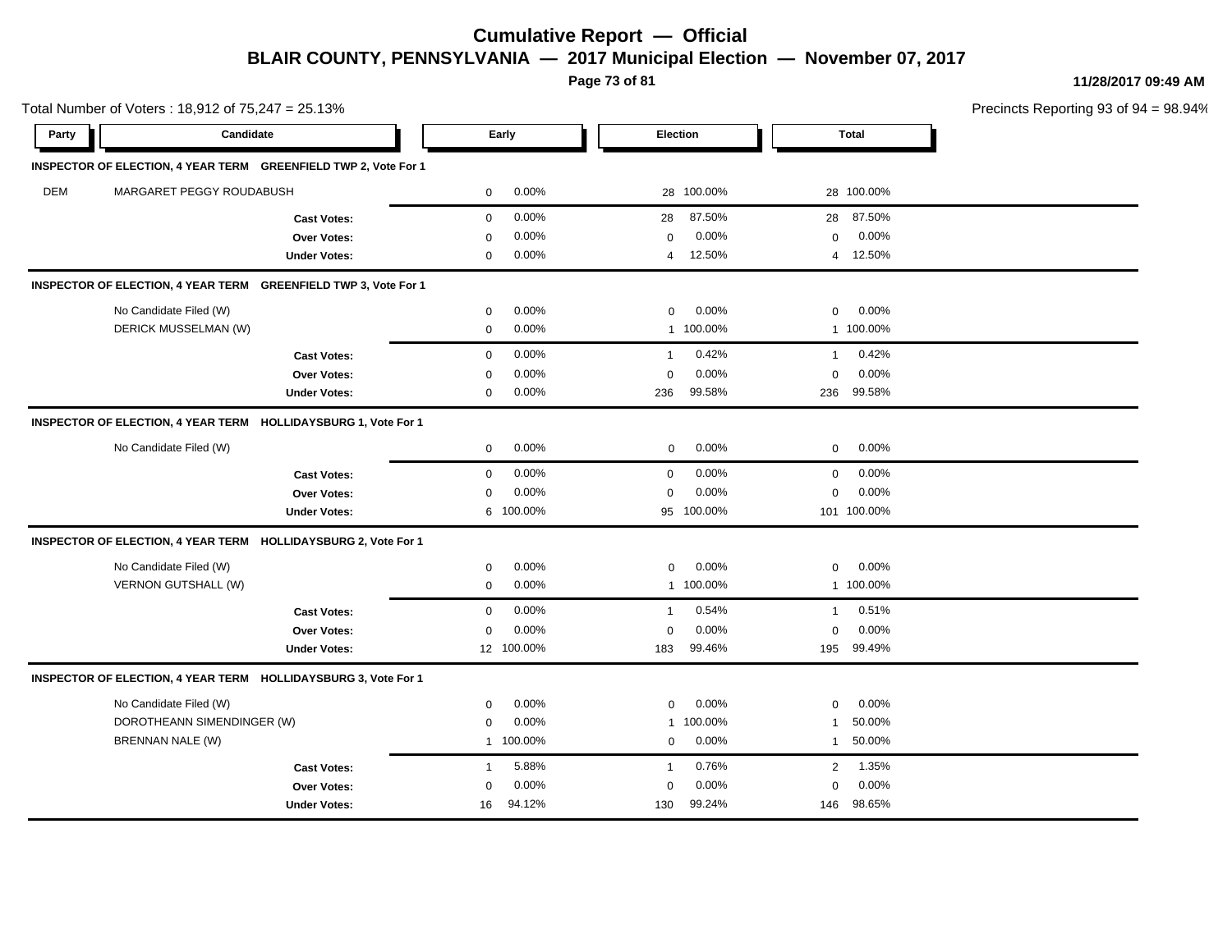**Page 73 of 81**

|            | Total Number of Voters: 18,912 of 75,247 = 25.13%               |                       |                          |                       | Precincts Reporting 93 of 94 = 98.94% |
|------------|-----------------------------------------------------------------|-----------------------|--------------------------|-----------------------|---------------------------------------|
| Party      | Candidate                                                       | Early                 | Election                 | <b>Total</b>          |                                       |
|            | INSPECTOR OF ELECTION, 4 YEAR TERM GREENFIELD TWP 2, Vote For 1 |                       |                          |                       |                                       |
| <b>DEM</b> | MARGARET PEGGY ROUDABUSH                                        | 0.00%<br>0            | 28 100.00%               | 28 100.00%            |                                       |
|            | <b>Cast Votes:</b>                                              | 0.00%<br>$\mathbf 0$  | 87.50%<br>28             | 87.50%<br>28          |                                       |
|            | Over Votes:                                                     | 0.00%<br>$\mathbf 0$  | 0.00%<br>$\mathbf 0$     | 0.00%<br>$\mathbf 0$  |                                       |
|            | <b>Under Votes:</b>                                             | 0.00%<br>0            | 12.50%<br>$\overline{4}$ | 4 12.50%              |                                       |
|            | INSPECTOR OF ELECTION, 4 YEAR TERM GREENFIELD TWP 3, Vote For 1 |                       |                          |                       |                                       |
|            | No Candidate Filed (W)                                          | 0.00%<br>$\mathbf 0$  | 0.00%<br>$\mathbf 0$     | 0.00%<br>$\mathbf 0$  |                                       |
|            | DERICK MUSSELMAN (W)                                            | 0.00%<br>0            | 1 100.00%                | 1 100.00%             |                                       |
|            | <b>Cast Votes:</b>                                              | 0.00%<br>$\mathbf 0$  | 0.42%<br>$\overline{1}$  | 0.42%<br>$\mathbf{1}$ |                                       |
|            | Over Votes:                                                     | 0.00%<br>0            | 0.00%<br>$\mathbf 0$     | 0.00%<br>$\mathsf 0$  |                                       |
|            | <b>Under Votes:</b>                                             | 0.00%<br>$\mathbf 0$  | 99.58%<br>236            | 99.58%<br>236         |                                       |
|            | INSPECTOR OF ELECTION, 4 YEAR TERM HOLLIDAYSBURG 1, Vote For 1  |                       |                          |                       |                                       |
|            | No Candidate Filed (W)                                          | 0.00%<br>0            | 0.00%<br>$\mathbf 0$     | 0.00%<br>0            |                                       |
|            | <b>Cast Votes:</b>                                              | 0.00%<br>0            | 0.00%<br>$\mathbf 0$     | 0.00%<br>$\mathbf 0$  |                                       |
|            | Over Votes:                                                     | 0.00%<br>0            | 0.00%<br>$\mathbf 0$     | 0.00%<br>$\mathbf 0$  |                                       |
|            | <b>Under Votes:</b>                                             | 6 100.00%             | 100.00%<br>95            | 101 100.00%           |                                       |
|            | INSPECTOR OF ELECTION, 4 YEAR TERM HOLLIDAYSBURG 2, Vote For 1  |                       |                          |                       |                                       |
|            | No Candidate Filed (W)                                          | 0.00%<br>0            | 0.00%<br>0               | 0.00%<br>$\mathbf 0$  |                                       |
|            | VERNON GUTSHALL (W)                                             | 0.00%<br>0            | 1 100.00%                | 1 100.00%             |                                       |
|            | <b>Cast Votes:</b>                                              | 0.00%<br>$\mathbf 0$  | 0.54%<br>$\overline{1}$  | 0.51%<br>$\mathbf{1}$ |                                       |
|            | Over Votes:                                                     | 0.00%<br>0            | 0.00%<br>$\mathbf 0$     | 0.00%<br>$\mathbf 0$  |                                       |
|            | <b>Under Votes:</b>                                             | 12 100.00%            | 99.46%<br>183            | 99.49%<br>195         |                                       |
|            | INSPECTOR OF ELECTION, 4 YEAR TERM HOLLIDAYSBURG 3, Vote For 1  |                       |                          |                       |                                       |
|            | No Candidate Filed (W)                                          | 0.00%<br>$\mathbf 0$  | 0.00%<br>0               | 0.00%<br>0            |                                       |
|            | DOROTHEANN SIMENDINGER (W)                                      | 0.00%<br>0            | 100.00%<br>-1            | 50.00%<br>1           |                                       |
|            | BRENNAN NALE (W)                                                | 1 100.00%             | 0.00%<br>0               | 50.00%<br>1           |                                       |
|            | <b>Cast Votes:</b>                                              | 5.88%<br>$\mathbf{1}$ | 0.76%<br>$\overline{1}$  | 1.35%<br>2            |                                       |
|            | Over Votes:                                                     | 0.00%<br>0            | 0.00%<br>$\mathbf 0$     | 0.00%<br>$\mathbf 0$  |                                       |
|            | <b>Under Votes:</b>                                             | 94.12%<br>16          | 99.24%<br>130            | 98.65%<br>146         |                                       |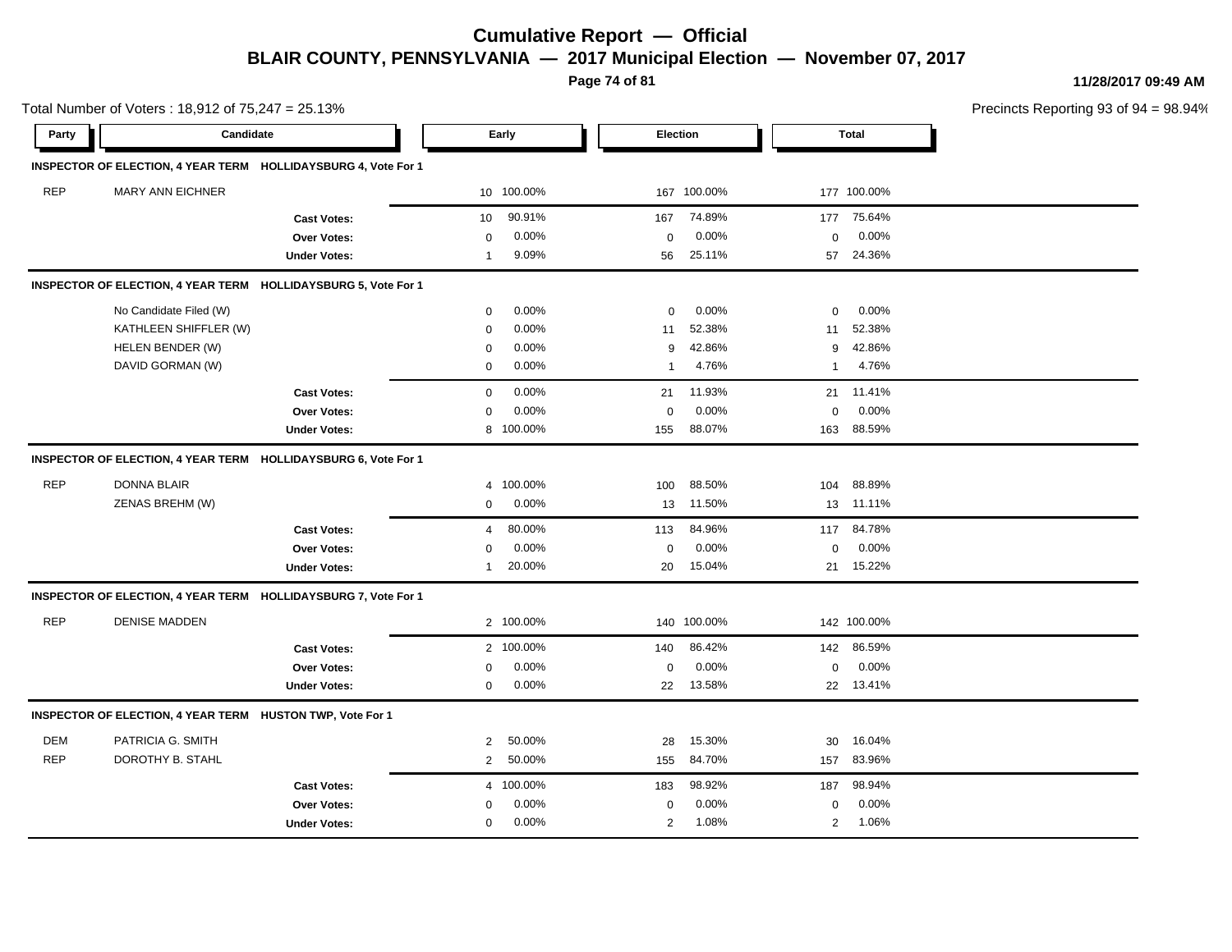**Page 74 of 81**

**11/28/2017 09:49 AM**

| Total Number of Voters: 18,912 of 75,247 = 25.13% |                                                           |                                                                |                |            |              |             |              |             | Precincts Reporting 93 of 94 = 98.94% |
|---------------------------------------------------|-----------------------------------------------------------|----------------------------------------------------------------|----------------|------------|--------------|-------------|--------------|-------------|---------------------------------------|
| Party                                             | Candidate                                                 |                                                                |                | Early      | Election     |             |              | Total       |                                       |
|                                                   |                                                           | INSPECTOR OF ELECTION, 4 YEAR TERM HOLLIDAYSBURG 4, Vote For 1 |                |            |              |             |              |             |                                       |
| <b>REP</b>                                        | MARY ANN EICHNER                                          |                                                                |                | 10 100.00% |              | 167 100.00% |              | 177 100.00% |                                       |
|                                                   |                                                           | <b>Cast Votes:</b>                                             | 10             | 90.91%     | 167          | 74.89%      | 177          | 75.64%      |                                       |
|                                                   |                                                           | <b>Over Votes:</b>                                             | $\mathbf 0$    | 0.00%      | $\mathbf 0$  | 0.00%       | $\mathbf 0$  | 0.00%       |                                       |
|                                                   |                                                           | <b>Under Votes:</b>                                            | -1             | 9.09%      | 56           | 25.11%      | 57           | 24.36%      |                                       |
|                                                   |                                                           | INSPECTOR OF ELECTION, 4 YEAR TERM HOLLIDAYSBURG 5, Vote For 1 |                |            |              |             |              |             |                                       |
|                                                   | No Candidate Filed (W)                                    |                                                                | 0              | 0.00%      | 0            | 0.00%       | 0            | $0.00\%$    |                                       |
|                                                   | KATHLEEN SHIFFLER (W)                                     |                                                                | $\mathbf 0$    | 0.00%      | 11           | 52.38%      | 11           | 52.38%      |                                       |
|                                                   | HELEN BENDER (W)                                          |                                                                | $\mathbf 0$    | 0.00%      | 9            | 42.86%      | 9            | 42.86%      |                                       |
|                                                   | DAVID GORMAN (W)                                          |                                                                | $\mathbf 0$    | 0.00%      | $\mathbf{1}$ | 4.76%       | $\mathbf{1}$ | 4.76%       |                                       |
|                                                   |                                                           | <b>Cast Votes:</b>                                             | $\mathbf 0$    | 0.00%      | 21           | 11.93%      |              | 21 11.41%   |                                       |
|                                                   |                                                           | <b>Over Votes:</b>                                             | $\Omega$       | 0.00%      | $\Omega$     | 0.00%       | $\mathbf 0$  | $0.00\%$    |                                       |
|                                                   |                                                           | <b>Under Votes:</b>                                            | 8              | 100.00%    | 155          | 88.07%      | 163          | 88.59%      |                                       |
|                                                   |                                                           | INSPECTOR OF ELECTION, 4 YEAR TERM HOLLIDAYSBURG 6, Vote For 1 |                |            |              |             |              |             |                                       |
| <b>REP</b>                                        | <b>DONNA BLAIR</b>                                        |                                                                | $\overline{4}$ | 100.00%    | 100          | 88.50%      | 104          | 88.89%      |                                       |
|                                                   | ZENAS BREHM (W)                                           |                                                                | $\mathbf 0$    | 0.00%      | 13           | 11.50%      | 13           | 11.11%      |                                       |
|                                                   |                                                           | <b>Cast Votes:</b>                                             | $\overline{4}$ | 80.00%     | 113          | 84.96%      | 117          | 84.78%      |                                       |
|                                                   |                                                           | <b>Over Votes:</b>                                             | 0              | 0.00%      | 0            | 0.00%       | 0            | 0.00%       |                                       |
|                                                   |                                                           | <b>Under Votes:</b>                                            | $\mathbf 1$    | 20.00%     | 20           | 15.04%      |              | 21 15.22%   |                                       |
|                                                   |                                                           | INSPECTOR OF ELECTION, 4 YEAR TERM HOLLIDAYSBURG 7, Vote For 1 |                |            |              |             |              |             |                                       |
| <b>REP</b>                                        | <b>DENISE MADDEN</b>                                      |                                                                |                | 2 100.00%  |              | 140 100.00% |              | 142 100.00% |                                       |
|                                                   |                                                           | <b>Cast Votes:</b>                                             |                | 2 100.00%  | 140          | 86.42%      | 142          | 86.59%      |                                       |
|                                                   |                                                           | <b>Over Votes:</b>                                             | 0              | 0.00%      | 0            | 0.00%       | 0            | $0.00\%$    |                                       |
|                                                   |                                                           | <b>Under Votes:</b>                                            | $\mathbf 0$    | $0.00\%$   | 22           | 13.58%      | 22           | 13.41%      |                                       |
|                                                   | INSPECTOR OF ELECTION, 4 YEAR TERM HUSTON TWP, Vote For 1 |                                                                |                |            |              |             |              |             |                                       |
| <b>DEM</b>                                        | PATRICIA G. SMITH                                         |                                                                | $\overline{2}$ | 50.00%     | 28           | 15.30%      | 30           | 16.04%      |                                       |
| <b>REP</b>                                        | DOROTHY B. STAHL                                          |                                                                | $\overline{2}$ | 50.00%     | 155          | 84.70%      | 157          | 83.96%      |                                       |
|                                                   |                                                           | <b>Cast Votes:</b>                                             | 4              | 100.00%    | 183          | 98.92%      | 187          | 98.94%      |                                       |
|                                                   |                                                           | <b>Over Votes:</b>                                             | 0              | 0.00%      | $\mathbf 0$  | 0.00%       | $\mathbf 0$  | 0.00%       |                                       |

0.00% 0

2 1.08%

2 2 1.08% 1.06%

0.00% 0 0.00%

**Under Votes:** 0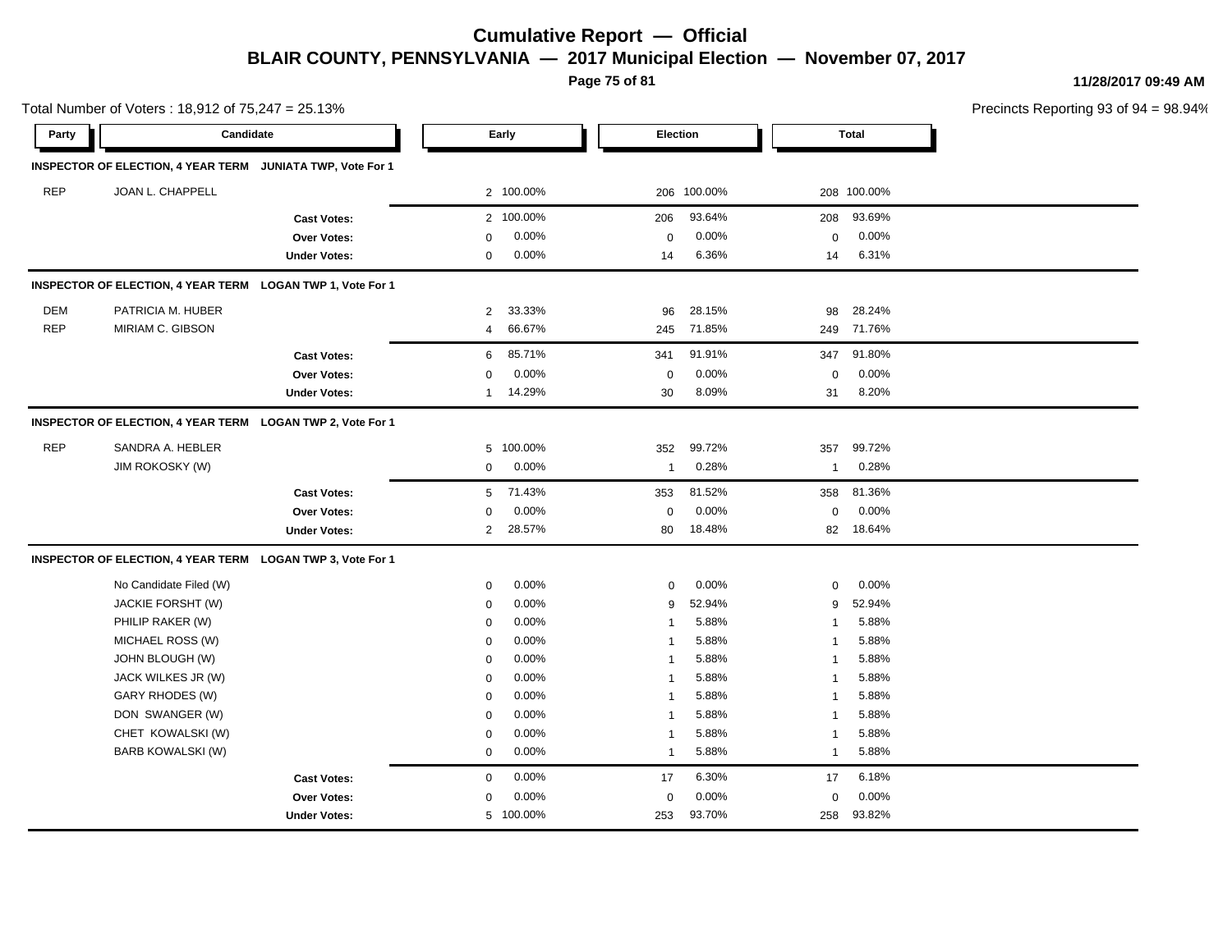**Page 75 of 81**

**11/28/2017 09:49 AM**

| Total Number of Voters: 18,912 of 75,247 = 25.13% |                                                            |                     |                |           |                         |             |                |              | Precincts Reporting 93 of 9 |
|---------------------------------------------------|------------------------------------------------------------|---------------------|----------------|-----------|-------------------------|-------------|----------------|--------------|-----------------------------|
| Party                                             | Candidate                                                  |                     |                | Early     | Election                |             |                | <b>Total</b> |                             |
|                                                   | INSPECTOR OF ELECTION, 4 YEAR TERM JUNIATA TWP, Vote For 1 |                     |                |           |                         |             |                |              |                             |
| <b>REP</b>                                        | JOAN L. CHAPPELL                                           |                     |                | 2 100.00% |                         | 206 100.00% |                | 208 100.00%  |                             |
|                                                   |                                                            | <b>Cast Votes:</b>  |                | 2 100.00% | 206                     | 93.64%      | 208            | 93.69%       |                             |
|                                                   |                                                            | Over Votes:         | 0              | 0.00%     | $\mathbf 0$             | 0.00%       | $\mathbf 0$    | 0.00%        |                             |
|                                                   |                                                            | <b>Under Votes:</b> | 0              | 0.00%     | 14                      | 6.36%       | 14             | 6.31%        |                             |
|                                                   | INSPECTOR OF ELECTION, 4 YEAR TERM LOGAN TWP 1, Vote For 1 |                     |                |           |                         |             |                |              |                             |
| DEM                                               | PATRICIA M. HUBER                                          |                     | $\overline{2}$ | 33.33%    | 96                      | 28.15%      | 98             | 28.24%       |                             |
| <b>REP</b>                                        | MIRIAM C. GIBSON                                           |                     | $\overline{4}$ | 66.67%    | 245                     | 71.85%      |                | 249 71.76%   |                             |
|                                                   |                                                            | <b>Cast Votes:</b>  | 6              | 85.71%    | 341                     | 91.91%      | 347            | 91.80%       |                             |
|                                                   |                                                            | Over Votes:         | 0              | 0.00%     | 0                       | 0.00%       | $\mathbf 0$    | 0.00%        |                             |
|                                                   |                                                            | <b>Under Votes:</b> | $\mathbf 1$    | 14.29%    | 30                      | 8.09%       | 31             | 8.20%        |                             |
|                                                   | INSPECTOR OF ELECTION, 4 YEAR TERM LOGAN TWP 2, Vote For 1 |                     |                |           |                         |             |                |              |                             |
| <b>REP</b>                                        | SANDRA A. HEBLER                                           |                     | 5              | 100.00%   | 352                     | 99.72%      | 357            | 99.72%       |                             |
|                                                   | <b>JIM ROKOSKY (W)</b>                                     |                     | 0              | 0.00%     | $\mathbf{1}$            | 0.28%       | $\mathbf{1}$   | 0.28%        |                             |
|                                                   |                                                            | <b>Cast Votes:</b>  | 5              | 71.43%    | 353                     | 81.52%      | 358            | 81.36%       |                             |
|                                                   |                                                            | Over Votes:         | 0              | 0.00%     | $\mathbf 0$             | 0.00%       | $\mathbf 0$    | 0.00%        |                             |
|                                                   |                                                            | <b>Under Votes:</b> | $\overline{2}$ | 28.57%    | 80                      | 18.48%      | 82             | 18.64%       |                             |
|                                                   | INSPECTOR OF ELECTION, 4 YEAR TERM LOGAN TWP 3, Vote For 1 |                     |                |           |                         |             |                |              |                             |
|                                                   | No Candidate Filed (W)                                     |                     | 0              | 0.00%     | 0                       | 0.00%       | 0              | 0.00%        |                             |
|                                                   | JACKIE FORSHT (W)                                          |                     | $\mathbf 0$    | 0.00%     | 9                       | 52.94%      | 9              | 52.94%       |                             |
|                                                   | PHILIP RAKER (W)                                           |                     | $\mathbf 0$    | 0.00%     | $\overline{\mathbf{1}}$ | 5.88%       | -1             | 5.88%        |                             |
|                                                   | MICHAEL ROSS (W)                                           |                     | $\mathbf 0$    | 0.00%     | $\overline{1}$          | 5.88%       | $\overline{1}$ | 5.88%        |                             |
|                                                   | JOHN BLOUGH (W)                                            |                     | 0              | 0.00%     | $\overline{\mathbf{1}}$ | 5.88%       | -1             | 5.88%        |                             |
|                                                   | JACK WILKES JR (W)                                         |                     | 0              | 0.00%     | $\overline{1}$          | 5.88%       | -1             | 5.88%        |                             |
|                                                   | <b>GARY RHODES (W)</b>                                     |                     | $\mathbf 0$    | 0.00%     | $\overline{1}$          | 5.88%       | $\mathbf{1}$   | 5.88%        |                             |
|                                                   | DON SWANGER (W)                                            |                     | $\mathbf 0$    | 0.00%     | $\overline{1}$          | 5.88%       | $\mathbf{1}$   | 5.88%        |                             |
|                                                   | CHET KOWALSKI (W)                                          |                     | $\mathbf 0$    | 0.00%     | $\overline{1}$          | 5.88%       | $\mathbf{1}$   | 5.88%        |                             |
|                                                   | BARB KOWALSKI (W)                                          |                     | $\mathbf 0$    | 0.00%     | $\mathbf{1}$            | 5.88%       | $\mathbf{1}$   | 5.88%        |                             |
|                                                   |                                                            | <b>Cast Votes:</b>  | $\mathbf 0$    | 0.00%     | 17                      | 6.30%       | 17             | 6.18%        |                             |
|                                                   |                                                            | Over Votes:         | 0              | 0.00%     | $\mathbf 0$             | 0.00%       | $\mathbf 0$    | 0.00%        |                             |
|                                                   |                                                            | <b>Under Votes:</b> |                | 5 100.00% | 253                     | 93.70%      | 258            | 93.82%       |                             |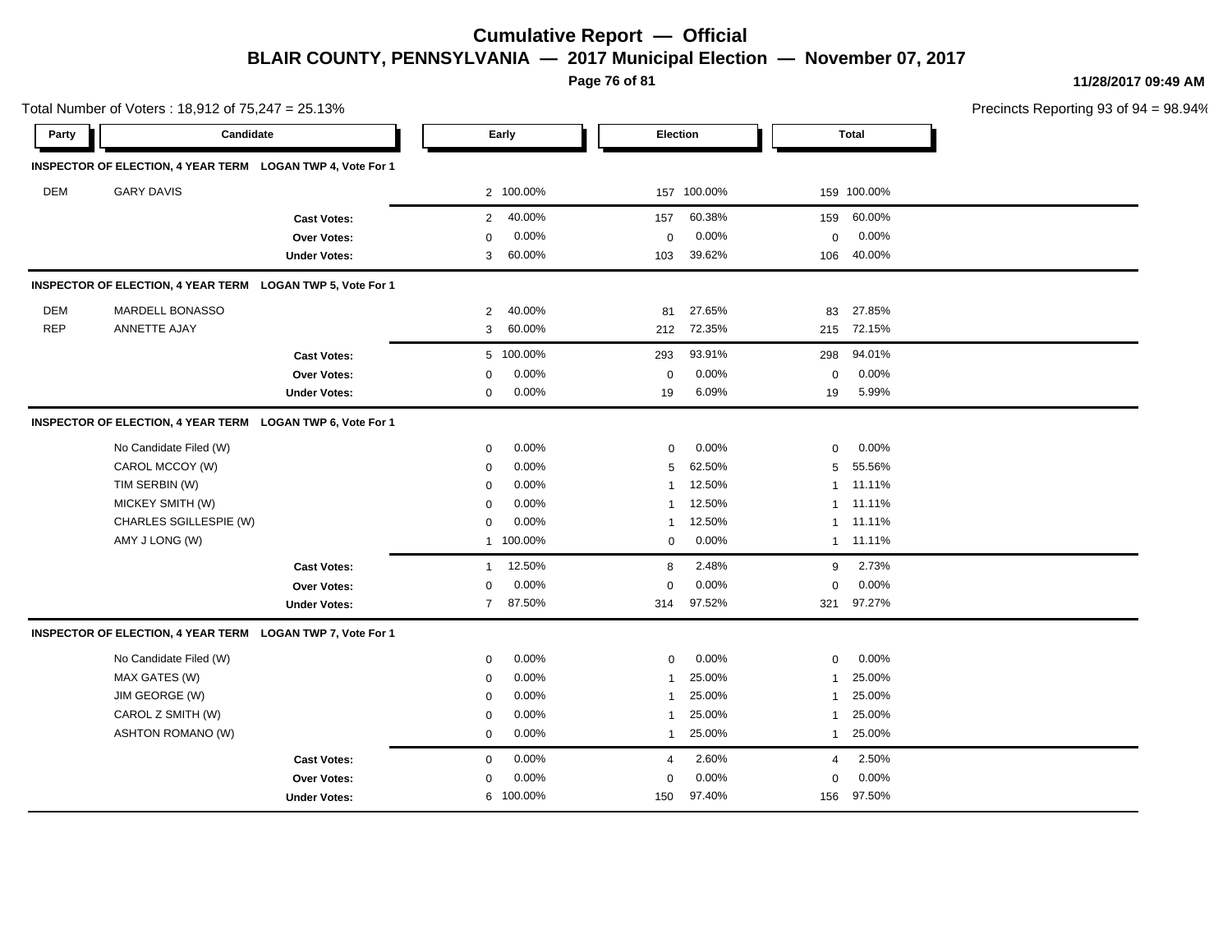**Page 76 of 81**

**11/28/2017 09:49 AM**

| Total Number of Voters: 18,912 of 75,247 = 25.13% |                                                            |                     |                |           |                |             | Precincts Reporting 93 of 9 |              |  |
|---------------------------------------------------|------------------------------------------------------------|---------------------|----------------|-----------|----------------|-------------|-----------------------------|--------------|--|
| Party                                             | Candidate                                                  |                     |                | Early     | Election       |             |                             | <b>Total</b> |  |
|                                                   | INSPECTOR OF ELECTION, 4 YEAR TERM LOGAN TWP 4, Vote For 1 |                     |                |           |                |             |                             |              |  |
| DEM                                               | <b>GARY DAVIS</b>                                          |                     |                | 2 100.00% |                | 157 100.00% |                             | 159 100.00%  |  |
|                                                   |                                                            | <b>Cast Votes:</b>  | $\overline{2}$ | 40.00%    | 157            | 60.38%      | 159                         | 60.00%       |  |
|                                                   |                                                            | Over Votes:         | 0              | 0.00%     | $\mathbf 0$    | 0.00%       | $\mathbf 0$                 | 0.00%        |  |
|                                                   |                                                            | <b>Under Votes:</b> | 3              | 60.00%    | 103            | 39.62%      | 106                         | 40.00%       |  |
|                                                   | INSPECTOR OF ELECTION, 4 YEAR TERM LOGAN TWP 5, Vote For 1 |                     |                |           |                |             |                             |              |  |
| DEM                                               | MARDELL BONASSO                                            |                     | 2              | 40.00%    | 81             | 27.65%      | 83                          | 27.85%       |  |
| <b>REP</b>                                        | ANNETTE AJAY                                               |                     | 3              | 60.00%    | 212            | 72.35%      | 215                         | 72.15%       |  |
|                                                   |                                                            | <b>Cast Votes:</b>  |                | 5 100.00% | 293            | 93.91%      | 298                         | 94.01%       |  |
|                                                   |                                                            | Over Votes:         | 0              | 0.00%     | $\pmb{0}$      | 0.00%       | $\mathbf 0$                 | 0.00%        |  |
|                                                   |                                                            | <b>Under Votes:</b> | $\mathbf 0$    | 0.00%     | 19             | 6.09%       | 19                          | 5.99%        |  |
|                                                   | INSPECTOR OF ELECTION, 4 YEAR TERM LOGAN TWP 6, Vote For 1 |                     |                |           |                |             |                             |              |  |
|                                                   | No Candidate Filed (W)                                     |                     | $\mathbf 0$    | 0.00%     | $\mathbf 0$    | 0.00%       | $\mathbf 0$                 | 0.00%        |  |
|                                                   | CAROL MCCOY (W)                                            |                     | $\mathbf 0$    | 0.00%     | 5              | 62.50%      | 5                           | 55.56%       |  |
|                                                   | TIM SERBIN (W)                                             |                     | $\mathbf 0$    | 0.00%     | $\mathbf{1}$   | 12.50%      | $\mathbf{1}$                | 11.11%       |  |
|                                                   | MICKEY SMITH (W)                                           |                     | $\mathbf 0$    | 0.00%     | $\mathbf{1}$   | 12.50%      | -1                          | 11.11%       |  |
|                                                   | CHARLES SGILLESPIE (W)                                     |                     | $\mathbf 0$    | 0.00%     | -1             | 12.50%      | $\mathbf{1}$                | 11.11%       |  |
|                                                   | AMY J LONG (W)                                             |                     |                | 1 100.00% | 0              | 0.00%       | $\mathbf{1}$                | 11.11%       |  |
|                                                   |                                                            | <b>Cast Votes:</b>  | $\mathbf{1}$   | 12.50%    | 8              | 2.48%       | 9                           | 2.73%        |  |
|                                                   |                                                            | Over Votes:         | $\mathbf 0$    | 0.00%     | 0              | 0.00%       | 0                           | 0.00%        |  |
|                                                   |                                                            | <b>Under Votes:</b> | $\overline{7}$ | 87.50%    | 314            | 97.52%      | 321                         | 97.27%       |  |
|                                                   | INSPECTOR OF ELECTION, 4 YEAR TERM LOGAN TWP 7, Vote For 1 |                     |                |           |                |             |                             |              |  |
|                                                   | No Candidate Filed (W)                                     |                     | 0              | 0.00%     | $\mathbf 0$    | 0.00%       | $\mathbf 0$                 | 0.00%        |  |
|                                                   | MAX GATES (W)                                              |                     | $\mathbf 0$    | 0.00%     | $\mathbf{1}$   | 25.00%      | -1                          | 25.00%       |  |
|                                                   | JIM GEORGE (W)                                             |                     | $\mathbf 0$    | 0.00%     | -1             | 25.00%      |                             | 25.00%       |  |
|                                                   | CAROL Z SMITH (W)                                          |                     | 0              | 0.00%     | 1              | 25.00%      | -1                          | 25.00%       |  |
|                                                   | <b>ASHTON ROMANO (W)</b>                                   |                     | $\mathbf 0$    | 0.00%     | $\mathbf{1}$   | 25.00%      | $\mathbf{1}$                | 25.00%       |  |
|                                                   |                                                            | <b>Cast Votes:</b>  | $\mathbf 0$    | 0.00%     | $\overline{4}$ | 2.60%       | $\overline{4}$              | 2.50%        |  |
|                                                   |                                                            | Over Votes:         | $\mathbf 0$    | 0.00%     | $\mathbf 0$    | 0.00%       | $\mathbf 0$                 | 0.00%        |  |
|                                                   |                                                            | <b>Under Votes:</b> |                | 6 100.00% | 150            | 97.40%      | 156                         | 97.50%       |  |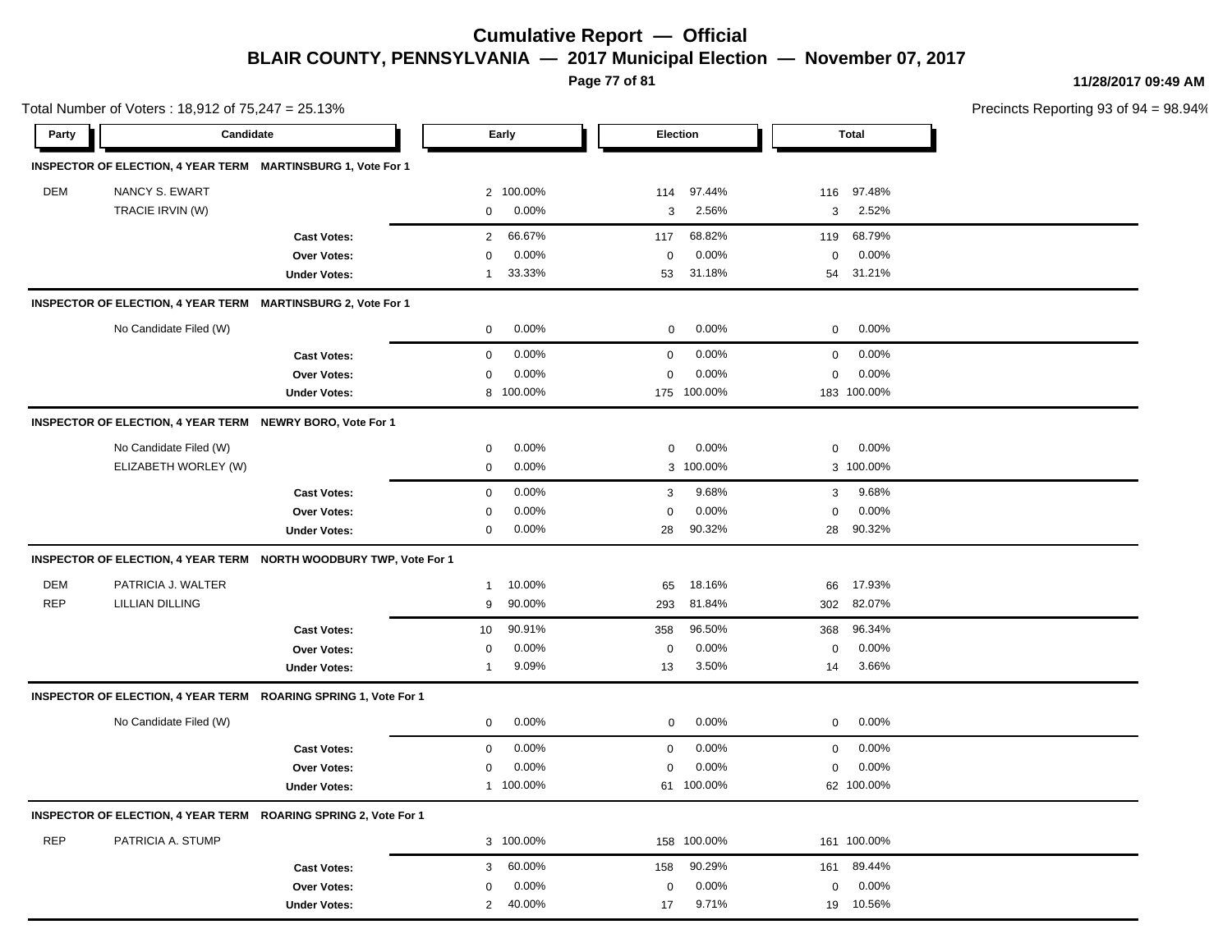**Page 77 of 81**

| Total Number of Voters: 18,912 of 75,247 = 25.13% |                                                              |                                                                   |                          |                         |                         | Precincts Reporting 93 of 94 = 98.94% |
|---------------------------------------------------|--------------------------------------------------------------|-------------------------------------------------------------------|--------------------------|-------------------------|-------------------------|---------------------------------------|
| Party                                             | Candidate                                                    |                                                                   | Early                    | Election                | Total                   |                                       |
|                                                   | INSPECTOR OF ELECTION, 4 YEAR TERM MARTINSBURG 1, Vote For 1 |                                                                   |                          |                         |                         |                                       |
| DEM                                               | NANCY S. EWART                                               |                                                                   | 2 100.00%                | 97.44%<br>114           | 97.48%<br>116           |                                       |
|                                                   | TRACIE IRVIN (W)                                             |                                                                   | 0<br>0.00%               | 3<br>2.56%              | 3<br>2.52%              |                                       |
|                                                   |                                                              | <b>Cast Votes:</b>                                                | 66.67%<br>$\overline{2}$ | 68.82%<br>117           | 68.79%<br>119           |                                       |
|                                                   |                                                              | Over Votes:                                                       | 0.00%<br>0               | 0.00%<br>$\mathbf 0$    | $0.00\%$<br>0           |                                       |
|                                                   |                                                              | <b>Under Votes:</b>                                               | 33.33%<br>-1             | 31.18%<br>53            | 54 31.21%               |                                       |
|                                                   | INSPECTOR OF ELECTION, 4 YEAR TERM MARTINSBURG 2, Vote For 1 |                                                                   |                          |                         |                         |                                       |
|                                                   | No Candidate Filed (W)                                       |                                                                   | 0.00%<br>$\mathbf 0$     | $0.00\%$<br>$\mathbf 0$ | $0.00\%$<br>$\mathbf 0$ |                                       |
|                                                   |                                                              | <b>Cast Votes:</b>                                                | 0.00%<br>$\mathbf 0$     | 0.00%<br>$\mathbf 0$    | 0.00%<br>0              |                                       |
|                                                   |                                                              | Over Votes:                                                       | 0.00%<br>0               | 0.00%<br>0              | 0.00%<br>0              |                                       |
|                                                   |                                                              | <b>Under Votes:</b>                                               | 8 100.00%                | 175 100.00%             | 183 100.00%             |                                       |
|                                                   | INSPECTOR OF ELECTION, 4 YEAR TERM NEWRY BORO, Vote For 1    |                                                                   |                          |                         |                         |                                       |
|                                                   | No Candidate Filed (W)                                       |                                                                   | 0.00%<br>0               | 0.00%<br>$\mathbf 0$    | $0.00\%$<br>0           |                                       |
|                                                   | ELIZABETH WORLEY (W)                                         |                                                                   | 0.00%<br>0               | 3 100.00%               | 3 100.00%               |                                       |
|                                                   |                                                              | <b>Cast Votes:</b>                                                | 0.00%<br>0               | 9.68%<br>3              | 9.68%<br>3              |                                       |
|                                                   |                                                              | <b>Over Votes:</b>                                                | 0.00%<br>0               | 0.00%<br>0              | 0.00%<br>0              |                                       |
|                                                   |                                                              | <b>Under Votes:</b>                                               | 0.00%<br>0               | 90.32%<br>28            | 90.32%<br>28            |                                       |
|                                                   |                                                              | INSPECTOR OF ELECTION, 4 YEAR TERM NORTH WOODBURY TWP, Vote For 1 |                          |                         |                         |                                       |
| <b>DEM</b>                                        | PATRICIA J. WALTER                                           |                                                                   | 10.00%<br>$\overline{1}$ | 18.16%<br>65            | 17.93%<br>66            |                                       |
| <b>REP</b>                                        | <b>LILLIAN DILLING</b>                                       |                                                                   | 90.00%<br>9              | 81.84%<br>293           | 82.07%<br>302           |                                       |
|                                                   |                                                              | <b>Cast Votes:</b>                                                | 90.91%<br>10             | 96.50%<br>358           | 96.34%<br>368           |                                       |
|                                                   |                                                              | Over Votes:                                                       | 0.00%<br>0               | 0.00%<br>0              | $0.00\%$<br>0           |                                       |
|                                                   |                                                              | <b>Under Votes:</b>                                               | 9.09%<br>-1              | 3.50%<br>13             | 3.66%<br>14             |                                       |
|                                                   |                                                              | INSPECTOR OF ELECTION, 4 YEAR TERM ROARING SPRING 1, Vote For 1   |                          |                         |                         |                                       |
|                                                   | No Candidate Filed (W)                                       |                                                                   | 0.00%<br>0               | 0.00%<br>$\mathbf{0}$   | 0.00%<br>0              |                                       |
|                                                   |                                                              | <b>Cast Votes:</b>                                                | 0.00%<br>0               | 0.00%<br>0              | 0.00%<br>0              |                                       |
|                                                   |                                                              | <b>Over Votes:</b>                                                | 0.00%<br>0               | 0.00%<br>0              | 0.00%<br>0              |                                       |
|                                                   |                                                              | <b>Under Votes:</b>                                               | 1 100.00%                | 100.00%<br>61           | 62 100.00%              |                                       |
|                                                   |                                                              | INSPECTOR OF ELECTION, 4 YEAR TERM ROARING SPRING 2, Vote For 1   |                          |                         |                         |                                       |
| <b>REP</b>                                        | PATRICIA A. STUMP                                            |                                                                   | 3 100.00%                | 158 100.00%             | 161 100.00%             |                                       |
|                                                   |                                                              | <b>Cast Votes:</b>                                                | 60.00%<br>3              | 90.29%<br>158           | 89.44%<br>161           |                                       |
|                                                   |                                                              | Over Votes:                                                       | 0.00%<br>0               | 0.00%<br>$\mathbf 0$    | 0.00%<br>0              |                                       |
|                                                   |                                                              | <b>Under Votes:</b>                                               | 40.00%<br>$\overline{2}$ | 9.71%<br>17             | 19 10.56%               |                                       |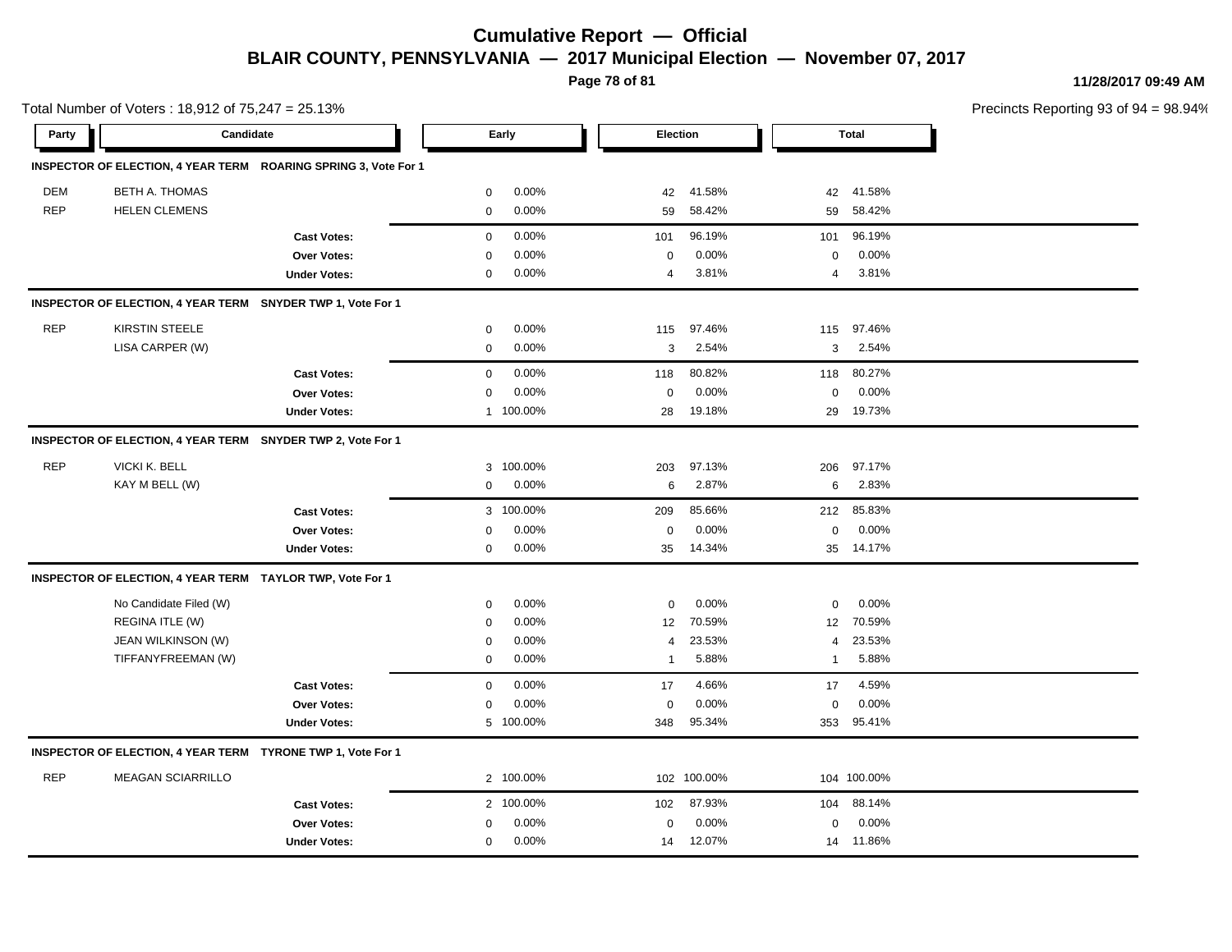**Page 78 of 81**

**11/28/2017 09:49 AM**

| Total Number of Voters: 18,912 of 75,247 = 25.13% |                                                             |                                                                 |              |           |                 |             |              |              | Precincts Reporting 93 of 9 |
|---------------------------------------------------|-------------------------------------------------------------|-----------------------------------------------------------------|--------------|-----------|-----------------|-------------|--------------|--------------|-----------------------------|
| Party                                             | Candidate                                                   |                                                                 |              | Early     | <b>Election</b> |             |              | <b>Total</b> |                             |
|                                                   |                                                             | INSPECTOR OF ELECTION, 4 YEAR TERM ROARING SPRING 3, Vote For 1 |              |           |                 |             |              |              |                             |
| DEM                                               | <b>BETH A. THOMAS</b>                                       |                                                                 | 0            | 0.00%     | 42              | 41.58%      | 42           | 41.58%       |                             |
| <b>REP</b>                                        | <b>HELEN CLEMENS</b>                                        |                                                                 | $\mathbf 0$  | 0.00%     | 59              | 58.42%      | 59           | 58.42%       |                             |
|                                                   |                                                             | <b>Cast Votes:</b>                                              | $\mathbf 0$  | 0.00%     | 101             | 96.19%      | 101          | 96.19%       |                             |
|                                                   |                                                             | Over Votes:                                                     | $\mathbf 0$  | 0.00%     | 0               | 0.00%       | $\mathbf 0$  | 0.00%        |                             |
|                                                   |                                                             | <b>Under Votes:</b>                                             | $\mathbf 0$  | 0.00%     | 4               | 3.81%       | 4            | 3.81%        |                             |
|                                                   | INSPECTOR OF ELECTION, 4 YEAR TERM SNYDER TWP 1, Vote For 1 |                                                                 |              |           |                 |             |              |              |                             |
| <b>REP</b>                                        | <b>KIRSTIN STEELE</b>                                       |                                                                 | $\mathbf 0$  | 0.00%     | 115             | 97.46%      | 115          | 97.46%       |                             |
|                                                   | LISA CARPER (W)                                             |                                                                 | $\mathbf 0$  | 0.00%     | 3               | 2.54%       | 3            | 2.54%        |                             |
|                                                   |                                                             | <b>Cast Votes:</b>                                              | $\mathbf 0$  | 0.00%     | 118             | 80.82%      | 118          | 80.27%       |                             |
|                                                   |                                                             | <b>Over Votes:</b>                                              | 0            | 0.00%     | 0               | 0.00%       | $\mathbf 0$  | 0.00%        |                             |
|                                                   |                                                             | <b>Under Votes:</b>                                             | $\mathbf{1}$ | 100.00%   | 28              | 19.18%      | 29           | 19.73%       |                             |
|                                                   | INSPECTOR OF ELECTION, 4 YEAR TERM SNYDER TWP 2, Vote For 1 |                                                                 |              |           |                 |             |              |              |                             |
| <b>REP</b>                                        | VICKI K. BELL                                               |                                                                 | 3            | 100.00%   | 203             | 97.13%      | 206          | 97.17%       |                             |
|                                                   | KAY M BELL (W)                                              |                                                                 | 0            | 0.00%     | 6               | 2.87%       | 6            | 2.83%        |                             |
|                                                   |                                                             | <b>Cast Votes:</b>                                              |              | 3 100.00% | 209             | 85.66%      | 212          | 85.83%       |                             |
|                                                   |                                                             | Over Votes:                                                     | $\mathbf 0$  | 0.00%     | $\mathsf 0$     | 0.00%       | $\mathbf 0$  | 0.00%        |                             |
|                                                   |                                                             | <b>Under Votes:</b>                                             | $\mathbf 0$  | 0.00%     | 35              | 14.34%      |              | 35 14.17%    |                             |
|                                                   | INSPECTOR OF ELECTION, 4 YEAR TERM TAYLOR TWP, Vote For 1   |                                                                 |              |           |                 |             |              |              |                             |
|                                                   | No Candidate Filed (W)                                      |                                                                 | 0            | 0.00%     | 0               | 0.00%       | 0            | 0.00%        |                             |
|                                                   | REGINA ITLE (W)                                             |                                                                 | 0            | 0.00%     | 12              | 70.59%      | 12           | 70.59%       |                             |
|                                                   | JEAN WILKINSON (W)                                          |                                                                 | $\mathbf 0$  | 0.00%     | 4               | 23.53%      | 4            | 23.53%       |                             |
|                                                   | TIFFANYFREEMAN (W)                                          |                                                                 | $\mathbf 0$  | 0.00%     | -1              | 5.88%       | $\mathbf{1}$ | 5.88%        |                             |
|                                                   |                                                             | <b>Cast Votes:</b>                                              | $\mathbf 0$  | 0.00%     | 17              | 4.66%       | 17           | 4.59%        |                             |
|                                                   |                                                             | <b>Over Votes:</b>                                              | $\mathbf 0$  | 0.00%     | $\mathbf 0$     | 0.00%       | $\mathbf 0$  | 0.00%        |                             |
|                                                   |                                                             | <b>Under Votes:</b>                                             |              | 5 100.00% | 348             | 95.34%      | 353          | 95.41%       |                             |
|                                                   | INSPECTOR OF ELECTION, 4 YEAR TERM TYRONE TWP 1, Vote For 1 |                                                                 |              |           |                 |             |              |              |                             |
| <b>REP</b>                                        | <b>MEAGAN SCIARRILLO</b>                                    |                                                                 |              | 2 100.00% |                 | 102 100.00% |              | 104 100.00%  |                             |
|                                                   |                                                             | <b>Cast Votes:</b>                                              |              | 2 100.00% | 102             | 87.93%      | 104          | 88.14%       |                             |
|                                                   |                                                             | Over Votes:                                                     | 0            | 0.00%     | $\mathsf 0$     | 0.00%       | $\mathbf 0$  | 0.00%        |                             |
|                                                   |                                                             | <b>Under Votes:</b>                                             | $\mathbf 0$  | 0.00%     | 14              | 12.07%      |              | 14 11.86%    |                             |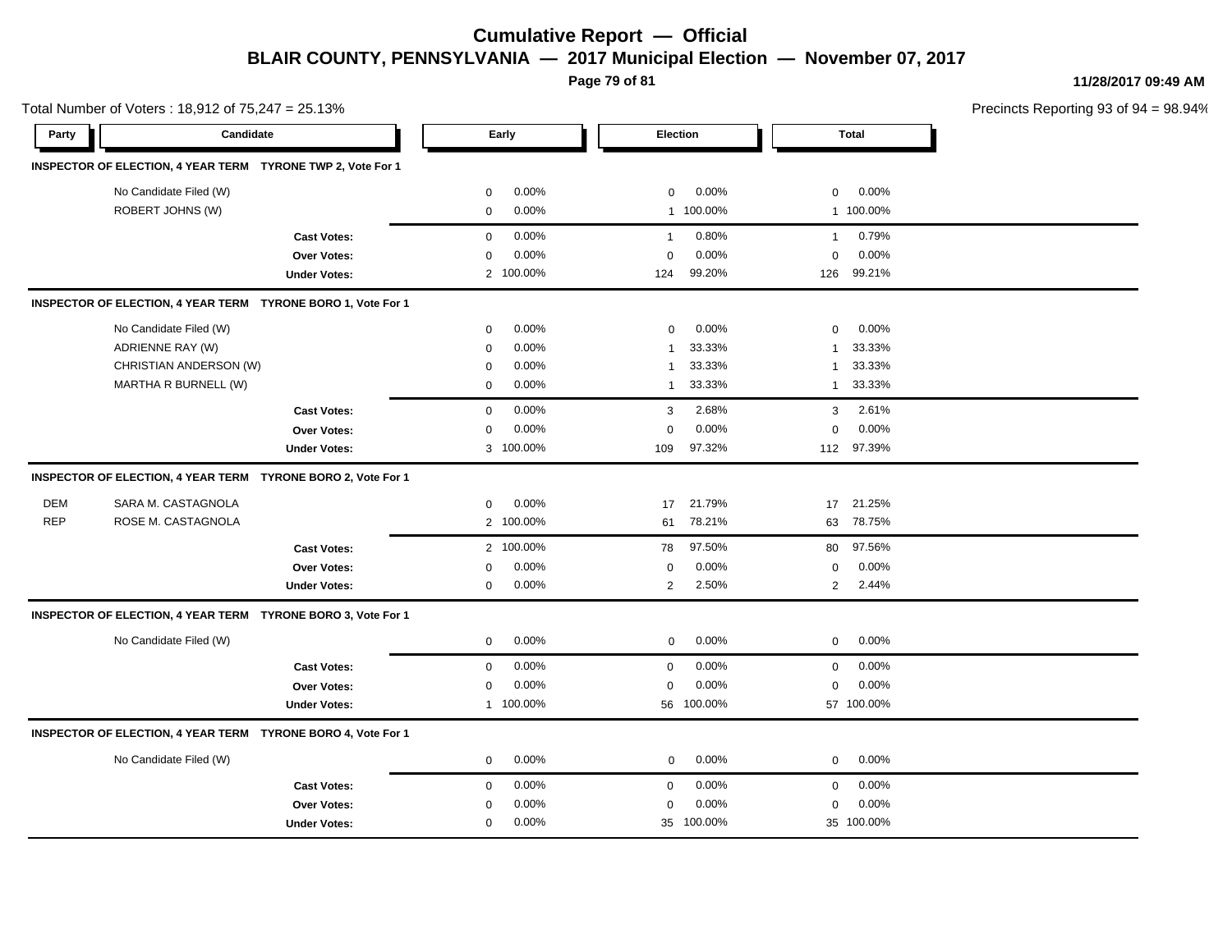**Page 79 of 81**

**11/28/2017 09:49 AM**

| Total Number of Voters: 18,912 of 75,247 = 25.13% |                                                              |                     |             |           |                |            |                |              | Precincts Reporting 93 of 9 |
|---------------------------------------------------|--------------------------------------------------------------|---------------------|-------------|-----------|----------------|------------|----------------|--------------|-----------------------------|
| Party                                             | Candidate                                                    |                     |             | Early     |                | Election   |                | <b>Total</b> |                             |
|                                                   | INSPECTOR OF ELECTION, 4 YEAR TERM TYRONE TWP 2, Vote For 1  |                     |             |           |                |            |                |              |                             |
|                                                   | No Candidate Filed (W)                                       |                     | 0           | 0.00%     | 0              | 0.00%      | $\mathbf 0$    | 0.00%        |                             |
|                                                   | ROBERT JOHNS (W)                                             |                     | 0           | 0.00%     |                | 1 100.00%  |                | 1 100.00%    |                             |
|                                                   |                                                              | <b>Cast Votes:</b>  | 0           | 0.00%     | $\mathbf{1}$   | 0.80%      | $\mathbf{1}$   | 0.79%        |                             |
|                                                   |                                                              | Over Votes:         | $\mathbf 0$ | 0.00%     | $\mathbf 0$    | 0.00%      | $\mathbf 0$    | 0.00%        |                             |
|                                                   |                                                              | <b>Under Votes:</b> |             | 2 100.00% | 124            | 99.20%     | 126            | 99.21%       |                             |
|                                                   | INSPECTOR OF ELECTION, 4 YEAR TERM TYRONE BORO 1, Vote For 1 |                     |             |           |                |            |                |              |                             |
|                                                   | No Candidate Filed (W)                                       |                     | $\mathbf 0$ | 0.00%     | $\mathbf 0$    | 0.00%      | $\mathbf 0$    | 0.00%        |                             |
|                                                   | ADRIENNE RAY (W)                                             |                     | 0           | 0.00%     | $\overline{1}$ | 33.33%     | $\mathbf{1}$   | 33.33%       |                             |
|                                                   | CHRISTIAN ANDERSON (W)                                       |                     | 0           | 0.00%     | $\mathbf{1}$   | 33.33%     | 1              | 33.33%       |                             |
|                                                   | MARTHA R BURNELL (W)                                         |                     | 0           | 0.00%     | $\mathbf 1$    | 33.33%     | $\mathbf{1}$   | 33.33%       |                             |
|                                                   |                                                              | <b>Cast Votes:</b>  | $\mathbf 0$ | 0.00%     | 3              | 2.68%      | 3              | 2.61%        |                             |
|                                                   |                                                              | Over Votes:         | 0           | 0.00%     | $\mathbf 0$    | 0.00%      | $\mathbf 0$    | 0.00%        |                             |
|                                                   |                                                              | <b>Under Votes:</b> |             | 3 100.00% | 109            | 97.32%     |                | 112 97.39%   |                             |
|                                                   | INSPECTOR OF ELECTION, 4 YEAR TERM TYRONE BORO 2, Vote For 1 |                     |             |           |                |            |                |              |                             |
| <b>DEM</b>                                        | SARA M. CASTAGNOLA                                           |                     | 0           | 0.00%     | 17             | 21.79%     | 17             | 21.25%       |                             |
| <b>REP</b>                                        | ROSE M. CASTAGNOLA                                           |                     |             | 2 100.00% | 61             | 78.21%     | 63             | 78.75%       |                             |
|                                                   |                                                              | <b>Cast Votes:</b>  |             | 2 100.00% | 78             | 97.50%     | 80             | 97.56%       |                             |
|                                                   |                                                              | Over Votes:         | 0           | 0.00%     | $\mathbf 0$    | 0.00%      | $\mathbf 0$    | 0.00%        |                             |
|                                                   |                                                              | <b>Under Votes:</b> | 0           | 0.00%     | $\overline{2}$ | 2.50%      | $\overline{2}$ | 2.44%        |                             |
|                                                   | INSPECTOR OF ELECTION, 4 YEAR TERM TYRONE BORO 3, Vote For 1 |                     |             |           |                |            |                |              |                             |
|                                                   | No Candidate Filed (W)                                       |                     | $\mathbf 0$ | 0.00%     | $\mathbf 0$    | 0.00%      | $\mathbf 0$    | 0.00%        |                             |
|                                                   |                                                              | <b>Cast Votes:</b>  | 0           | 0.00%     | $\mathbf 0$    | 0.00%      | $\mathbf 0$    | 0.00%        |                             |
|                                                   |                                                              | Over Votes:         | 0           | 0.00%     | $\mathbf 0$    | 0.00%      | $\mathbf 0$    | 0.00%        |                             |
|                                                   |                                                              | <b>Under Votes:</b> |             | 1 100.00% |                | 56 100.00% |                | 57 100.00%   |                             |
|                                                   | INSPECTOR OF ELECTION, 4 YEAR TERM TYRONE BORO 4, Vote For 1 |                     |             |           |                |            |                |              |                             |
|                                                   | No Candidate Filed (W)                                       |                     | 0           | 0.00%     | $\mathbf 0$    | 0.00%      | $\mathbf 0$    | 0.00%        |                             |
|                                                   |                                                              | <b>Cast Votes:</b>  | 0           | 0.00%     | $\mathbf 0$    | $0.00\%$   | $\mathbf 0$    | $0.00\%$     |                             |
|                                                   |                                                              | Over Votes:         | 0           | 0.00%     | $\mathbf 0$    | 0.00%      | $\mathbf 0$    | 0.00%        |                             |
|                                                   |                                                              | <b>Under Votes:</b> | $\mathbf 0$ | 0.00%     |                | 35 100.00% |                | 35 100.00%   |                             |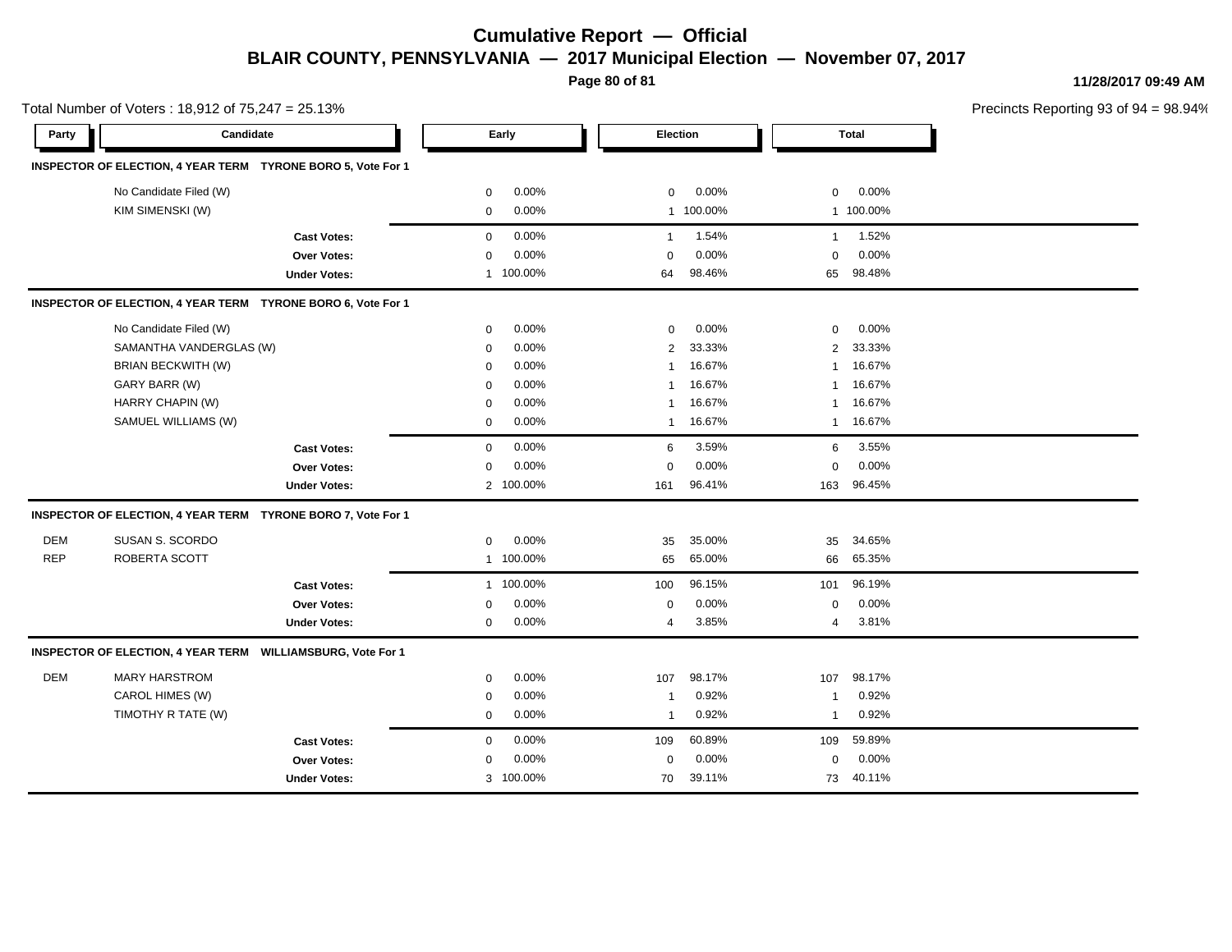**Page 80 of 81**

|            | Total Number of Voters: 18,912 of 75,247 = 25.13%            |                       |                         |                          | Precincts Reporting 93 of 94 = 98.94% |
|------------|--------------------------------------------------------------|-----------------------|-------------------------|--------------------------|---------------------------------------|
| Party      | Candidate                                                    | Early                 | Election                | <b>Total</b>             |                                       |
|            | INSPECTOR OF ELECTION, 4 YEAR TERM TYRONE BORO 5, Vote For 1 |                       |                         |                          |                                       |
|            | No Candidate Filed (W)                                       | 0.00%<br>$\mathbf{0}$ | 0.00%<br>$\mathbf 0$    | 0.00%<br>$\mathbf 0$     |                                       |
|            | KIM SIMENSKI (W)                                             | 0.00%<br>0            | 1 100.00%               | 1 100.00%                |                                       |
|            | <b>Cast Votes:</b>                                           | 0.00%<br>0            | 1.54%<br>$\mathbf{1}$   | 1.52%<br>$\mathbf{1}$    |                                       |
|            | Over Votes:                                                  | 0.00%<br>0            | 0.00%<br>$\mathbf 0$    | 0.00%<br>$\mathbf 0$     |                                       |
|            | <b>Under Votes:</b>                                          | 1 100.00%             | 98.46%<br>64            | 98.48%<br>65             |                                       |
|            | INSPECTOR OF ELECTION, 4 YEAR TERM TYRONE BORO 6, Vote For 1 |                       |                         |                          |                                       |
|            | No Candidate Filed (W)                                       | 0.00%<br>$\mathbf 0$  | 0.00%<br>$\mathbf 0$    | 0.00%<br>$\mathbf 0$     |                                       |
|            | SAMANTHA VANDERGLAS (W)                                      | 0.00%<br>0            | 33.33%<br>2             | 33.33%<br>$\overline{2}$ |                                       |
|            | BRIAN BECKWITH (W)                                           | 0.00%<br>0            | 16.67%<br>-1            | 16.67%<br>1              |                                       |
|            | GARY BARR (W)                                                | 0.00%<br>0            | 16.67%<br>1             | 16.67%<br>1              |                                       |
|            | HARRY CHAPIN (W)                                             | 0.00%<br>0            | 16.67%<br>1             | 16.67%<br>$\mathbf{1}$   |                                       |
|            | SAMUEL WILLIAMS (W)                                          | 0.00%<br>0            | 16.67%<br>$\mathbf{1}$  | 1 16.67%                 |                                       |
|            | <b>Cast Votes:</b>                                           | 0.00%<br>0            | 3.59%<br>6              | 3.55%<br>6               |                                       |
|            | Over Votes:                                                  | 0.00%<br>0            | 0.00%<br>0              | 0.00%<br>$\mathbf 0$     |                                       |
|            | <b>Under Votes:</b>                                          | 2 100.00%             | 96.41%<br>161           | 96.45%<br>163            |                                       |
|            | INSPECTOR OF ELECTION, 4 YEAR TERM TYRONE BORO 7, Vote For 1 |                       |                         |                          |                                       |
| <b>DEM</b> | SUSAN S. SCORDO                                              | 0.00%<br>0            | 35.00%<br>35            | 34.65%<br>35             |                                       |
| <b>REP</b> | ROBERTA SCOTT                                                | 1 100.00%             | 65.00%<br>65            | 65.35%<br>66             |                                       |
|            | <b>Cast Votes:</b>                                           | 1 100.00%             | 96.15%<br>100           | 96.19%<br>101            |                                       |
|            | Over Votes:                                                  | 0.00%<br>$\mathbf{0}$ | 0.00%<br>$\mathbf 0$    | 0.00%<br>$\mathbf 0$     |                                       |
|            | <b>Under Votes:</b>                                          | 0.00%<br>0            | 3.85%<br>$\overline{4}$ | 3.81%<br>4               |                                       |
|            | INSPECTOR OF ELECTION, 4 YEAR TERM WILLIAMSBURG, Vote For 1  |                       |                         |                          |                                       |
| <b>DEM</b> | <b>MARY HARSTROM</b>                                         | 0.00%<br>0            | 98.17%<br>107           | 98.17%<br>107            |                                       |
|            | CAROL HIMES (W)                                              | 0.00%<br>0            | 0.92%<br>-1             | 0.92%<br>$\mathbf{1}$    |                                       |
|            | TIMOTHY R TATE (W)                                           | 0.00%<br>$\mathbf{0}$ | 0.92%<br>$\overline{1}$ | 0.92%<br>-1              |                                       |
|            | <b>Cast Votes:</b>                                           | 0.00%<br>0            | 109<br>60.89%           | 59.89%<br>109            |                                       |
|            | Over Votes:                                                  | 0.00%<br>0            | 0.00%<br>$\mathbf 0$    | 0.00%<br>$\mathbf 0$     |                                       |
|            | <b>Under Votes:</b>                                          | 3 100.00%             | 39.11%<br>70            | 40.11%<br>73             |                                       |